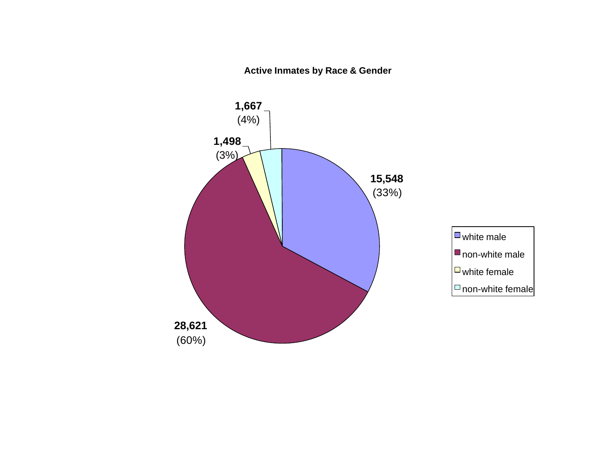**Active Inmates by Race & Gender**

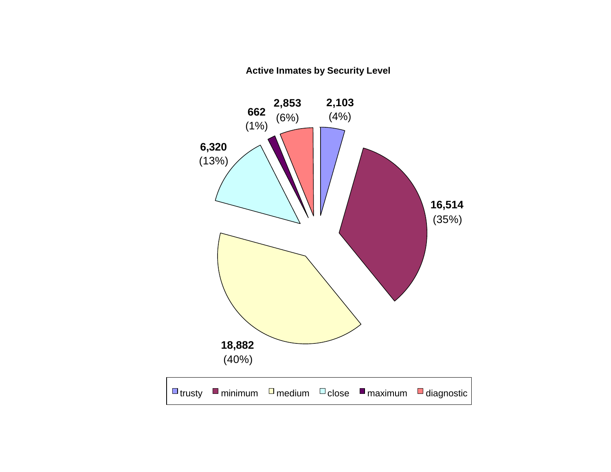#### **Active Inmates by Security Level**

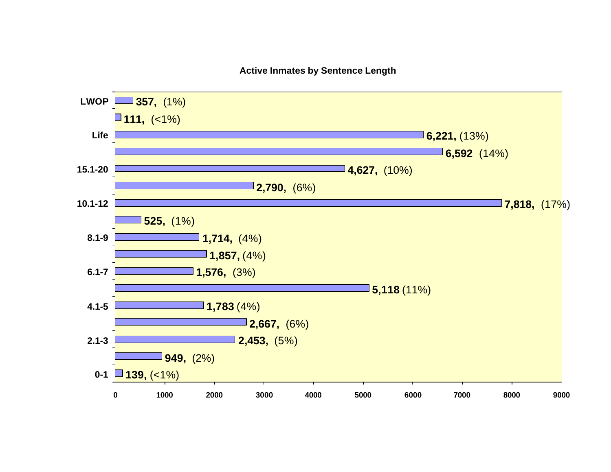#### **Active Inmates by Sentence Length**

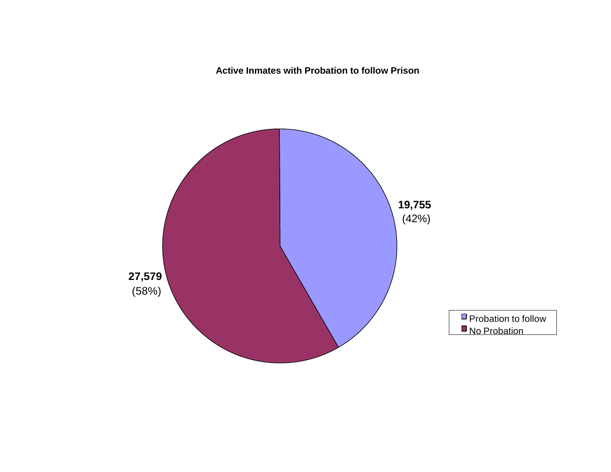**Active Inmates with Probation to follow Prison**

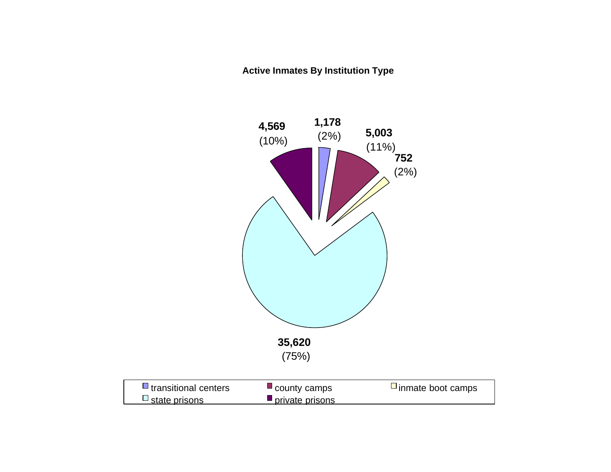#### **Active Inmates By Institution Type**

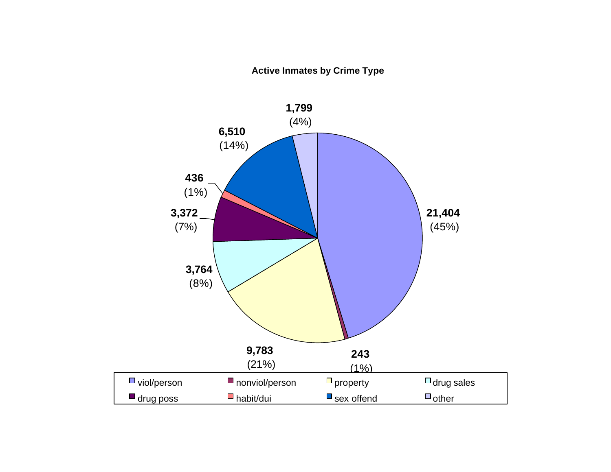#### **Active Inmates by Crime Type**

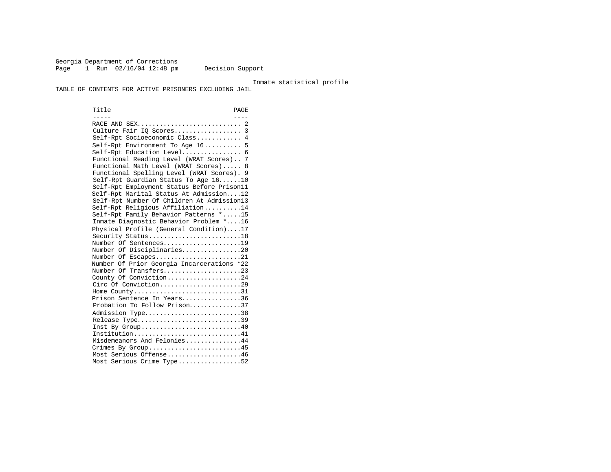Georgia Department of Corrections Page 1 Run 02/16/04 12:48 pm Decision Support

Inmate statistical profile

TABLE OF CONTENTS FOR ACTIVE PRISONERS EXCLUDING JAIL

Title PAGE ----- ---- RACE AND SEX............................ 2 Culture Fair IQ Scores.................. 3 Self-Rpt Socioeconomic Class............ 4 Self-Rpt Environment To Age 16.......... 5 Self-Rpt Education Level................ 6 Functional Reading Level (WRAT Scores).. 7 Functional Math Level (WRAT Scores)..... 8 Functional Spelling Level (WRAT Scores). 9 Self-Rpt Guardian Status To Age 16......10 Self-Rpt Employment Status Before Prison11 Self-Rpt Marital Status At Admission....12 Self-Rpt Number Of Children At Admission13 Self-Rpt Religious Affiliation..........14 Self-Rpt Family Behavior Patterns \*.....15 Inmate Diagnostic Behavior Problem \*....16 Physical Profile (General Condition)....17 Security Status...........................18 Number Of Sentences.....................19 Number Of Disciplinaries................20 Number Of Escapes.........................21 Number Of Prior Georgia Incarcerations \*22 Number Of Transfers.....................23 County Of Conviction....................24 Circ Of Conviction........................29 Home County.............................31 Prison Sentence In Years................36 Probation To Follow Prison..............37 Admission Type..............................38 Release Type...............................39 Inst By  $Group \ldots \ldots \ldots \ldots \ldots \ldots \ldots \ldots \ldots 40$  Institution.............................41 Misdemeanors And Felonies...............44 Crimes By Group..........................45 Most Serious Offense....................46 Most Serious Crime Type.................52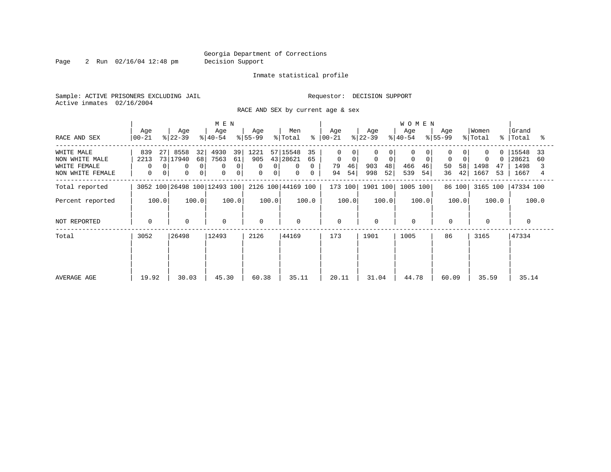Page 2 Run 02/16/04 12:48 pm Decision Support

#### Inmate statistical profile

Sample: ACTIVE PRISONERS EXCLUDING JAIL **Requestor: DECISION SUPPORT** Active inmates 02/16/2004

RACE AND SEX by current age & sex

| RACE AND SEX                                                     | Age<br>$ 00-21 $                                               | Age<br>$ 22-39 $                                                               | M E N<br>Age<br>$ 40-54 $                           | Age<br>$ 55-99 $                | Men<br>% Total                                                                    | Age<br>$8   00 - 21$                                 | Age<br>$ 22-39 $                           | <b>WOMEN</b><br>Age<br>$ 40-54 $                     | Age<br>$8155 - 99$                  | Women<br>% Total<br>$\approx$             | Grand<br>Total<br>°≈                       |
|------------------------------------------------------------------|----------------------------------------------------------------|--------------------------------------------------------------------------------|-----------------------------------------------------|---------------------------------|-----------------------------------------------------------------------------------|------------------------------------------------------|--------------------------------------------|------------------------------------------------------|-------------------------------------|-------------------------------------------|--------------------------------------------|
| WHITE MALE<br>NON WHITE MALE<br>WHITE FEMALE<br>NON WHITE FEMALE | 839<br>27<br>2213<br>$\Omega$<br>$\Omega$<br>$\mathbf{0}$<br>0 | 8558<br>32<br>73 17940<br>68<br>$\mathbf 0$<br>$\Omega$<br>0<br>0 <sup>1</sup> | 4930<br>39<br>7563<br>61<br>0<br>$\Omega$<br>0<br>0 | 1221<br>905<br>0<br>0<br>0<br>0 | 57 15548<br>35<br>43 28621<br>65<br>$\Omega$<br>$\mathbf{0}$<br>$\mathbf{0}$<br>0 | $\Omega$<br>$\mathbf 0$<br>0<br>46<br>79<br>54<br>94 | $\mathbf 0$<br>0<br>903<br>48<br>52<br>998 | $\mathbf 0$<br>$\mathbf 0$<br>466<br>46<br>539<br>54 | $\mathbf 0$<br>50<br>58<br>42<br>36 | $\Omega$<br>0<br>1498<br>47<br>1667<br>53 | 15548<br>33<br>28621<br>60<br>1498<br>1667 |
| Total reported                                                   |                                                                | 3052 100 26498 100 12493 100                                                   |                                                     |                                 | 2126 100 44169 100                                                                | 173 100                                              | 1901 100                                   | 1005 100                                             | 86 100                              | 3165 100                                  | 47334 100                                  |
| Percent reported                                                 | 100.0                                                          | 100.0                                                                          | 100.0                                               | 100.0                           | 100.0                                                                             | 100.0                                                | 100.0                                      | 100.0                                                | 100.0                               | 100.0                                     | 100.0                                      |
| NOT REPORTED                                                     | $\mathbf 0$                                                    | $\mathbf 0$                                                                    | $\mathbf 0$                                         | $\Omega$                        | $\mathbf 0$                                                                       | $\mathbf 0$                                          | $\Omega$                                   | $\mathbf 0$                                          | $\mathbf 0$                         | $\mathbf 0$                               | $\Omega$                                   |
| Total                                                            | 26498<br>3052                                                  |                                                                                | 12493                                               | 2126                            | 44169                                                                             | 173                                                  | 1901                                       | 1005                                                 | 86                                  | 3165                                      | 47334                                      |
| AVERAGE AGE                                                      | 19.92                                                          | 30.03                                                                          | 45.30                                               | 60.38                           | 35.11                                                                             | 20.11                                                | 31.04                                      | 44.78                                                | 60.09                               | 35.59                                     | 35.14                                      |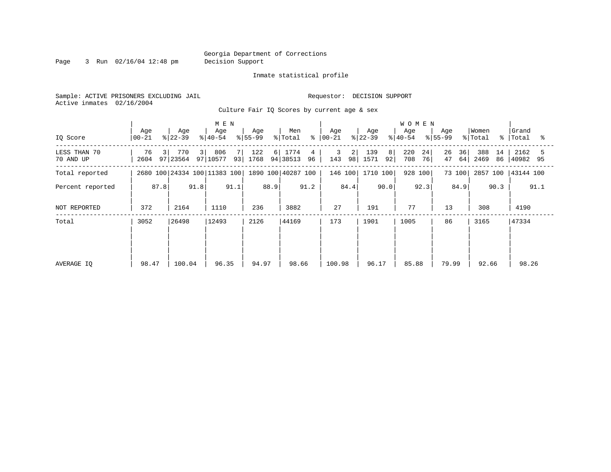Page 3 Run 02/16/04 12:48 pm Decision Support

#### Inmate statistical profile

Sample: ACTIVE PRISONERS EXCLUDING JAIL **Requestor: DECISION SUPPORT** Active inmates 02/16/2004

Culture Fair IQ Scores by current age & sex

|                           |                  |                       | M E N                        |                  |                                 |                      |                        | <b>WOMEN</b>           |                      |                         |                       |
|---------------------------|------------------|-----------------------|------------------------------|------------------|---------------------------------|----------------------|------------------------|------------------------|----------------------|-------------------------|-----------------------|
| IQ Score                  | Age<br>  00-21   | Age<br>$ 22-39 $      | Age<br>$ 40-54 $             | Age<br>$ 55-99 $ | Men<br>$\frac{8}{6}$<br>% Total | Age<br>$ 00-21 $     | Age<br>$ 22-39 $       | Age<br>$ 40-54 $       | Age<br>$ 55-99 $     | Women<br>% Total<br>°≈  | Grand<br>Total<br>ႜ   |
| LESS THAN 70<br>70 AND UP | 76<br>3 <br>2604 | 31<br>770<br>97 23564 | 806<br>7<br>97 10577         | 122<br>93 1768   | 6 1774<br>4<br>94 38513<br>96   | 3<br>2 <br>143<br>98 | 139<br>8<br>1571<br>92 | 220<br>24<br>708<br>76 | 26<br>36<br>47<br>64 | 388<br>14<br>2469<br>86 | 2162<br>5<br>40982 95 |
| Total reported            |                  |                       | 2680 100 24334 100 11383 100 |                  | 1890 100 40287 100              | 146 100              | 1710 100               | 928 100                | 73 100               | 2857 100                | 43144 100             |
| Percent reported          | 87.8             | 91.8                  | 91.1                         | 88.9             | 91.2                            | 84.4                 | 90.0                   | 92.3                   | 84.9                 | 90.3                    | 91.1                  |
| NOT REPORTED              | 372              | 2164                  | 1110                         | 236              | 3882                            | 27                   | 191                    | 77                     | 13                   | 308                     | 4190                  |
| Total                     | 3052             | 26498                 | 12493                        | 2126             | 44169                           | 173                  | 1901                   | 1005                   | 86                   | 3165                    | 47334                 |
|                           |                  |                       |                              |                  |                                 |                      |                        |                        |                      |                         |                       |
|                           |                  |                       |                              |                  |                                 |                      |                        |                        |                      |                         |                       |
| AVERAGE IQ                | 98.47            | 100.04                | 96.35                        | 94.97            | 98.66                           | 100.98               | 96.17                  | 85.88                  | 79.99                | 92.66                   | 98.26                 |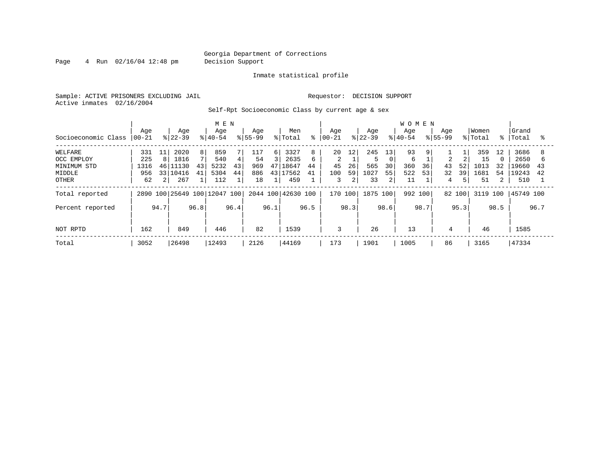Page 4 Run 02/16/04 12:48 pm Decision Support

#### Inmate statistical profile

Sample: ACTIVE PRISONERS EXCLUDING JAIL **Requestor: DECISION SUPPORT** Active inmates 02/16/2004

Self-Rpt Socioeconomic Class by current age & sex

|                     |                  |                |                  |                | M E N                        |      |                    |                |                    |      |                  |      |                  |      | <b>WOMEN</b>     |      |                    |        |                  |                |                |      |
|---------------------|------------------|----------------|------------------|----------------|------------------------------|------|--------------------|----------------|--------------------|------|------------------|------|------------------|------|------------------|------|--------------------|--------|------------------|----------------|----------------|------|
| Socioeconomic Class | Age<br>$ 00-21 $ |                | Age<br>$ 22-39 $ |                | Age<br>$8 40-54$             |      | Age<br>$8155 - 99$ |                | Men<br>% Total     | ⊱    | Aqe<br>$ 00-21 $ |      | Age<br>$8 22-39$ |      | Age<br>$8 40-54$ |      | Age<br>$8155 - 99$ |        | Women<br>% Total | $\approx$ 1    | Grand<br>Total | ু    |
| WELFARE             | 331              | 11             | 2020             | 8 <sup>1</sup> | 859                          |      | 117                | 6              | 3327               | 8    | 20               | 12   | 245              | 13   | 93               | 9    |                    |        | 359              | 12             | 3686           | 8    |
| OCC EMPLOY          | 225              | 8              | 1816             |                | 540                          | 4    | 54                 | $\overline{3}$ | 2635               | 6    | 2                |      |                  | 0    | 6                |      | $\mathfrak{D}$     |        | 15               | $\Omega$       | 2650           |      |
| MINIMUM STD         | 1316             | 46             | 11130            | 43             | 5232                         | 43   | 969                | 47             | 18647              | 44   | 45               | 26   | 565              | 30   | 360              | 36   | 43                 | 52     | 1013             | 32             | 19660          | 43   |
| MIDDLE              | 956              |                | 33 10416         | 41             | 5304                         | 44   | 886                | 43             | 17562              | 41   | 100              | 59   | 1027             | 55   | 522              | 53   | 32                 | 39     | 1681             | 54             | 19243          | 42   |
| OTHER               | 62               | $\overline{2}$ | 267              |                | 112                          |      | 18                 |                | 459                |      | 3                | 2    | 33               | 2    | 11               |      | 4                  |        | 51               | $\overline{2}$ | 510            |      |
| Total reported      |                  |                |                  |                | 2890 100 25649 100 12047 100 |      |                    |                | 2044 100 42630 100 |      | 170 100          |      | 1875 100         |      | 992 100          |      |                    | 82 100 | 3119 100         |                | 45749 100      |      |
| Percent reported    |                  | 94.7           |                  | 96.8           |                              | 96.4 |                    | 96.1           |                    | 96.5 |                  | 98.3 |                  | 98.6 |                  | 98.7 |                    | 95.3   |                  | 98.5           |                | 96.7 |
| NOT RPTD            | 162              |                | 849              |                | 446                          |      | 82                 |                | 1539               |      | 3                |      | 26               |      | 13               |      | 4                  |        | 46               |                | 1585           |      |
| Total               | 3052             |                | 26498            |                | 12493                        |      | 2126               |                | 44169              |      | 173              |      | 1901             |      | 1005             |      | 86                 |        | 3165             |                | 47334          |      |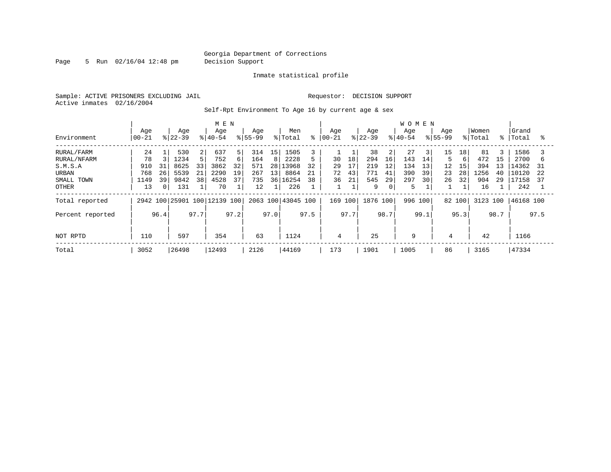Page 5 Run 02/16/04 12:48 pm Decision Support

#### Inmate statistical profile

Sample: ACTIVE PRISONERS EXCLUDING JAIL **Requestor: DECISION SUPPORT** Active inmates 02/16/2004

Self-Rpt Environment To Age 16 by current age & sex

|                                                                             |                                      |                     |                                            |                     | M E N                                    |                          |                                       |                     |                                                  |                     |                      |                      |                                     |                                | <b>WOMEN</b>                        |                           |                           |                           |                                       |                           |                                                |                     |
|-----------------------------------------------------------------------------|--------------------------------------|---------------------|--------------------------------------------|---------------------|------------------------------------------|--------------------------|---------------------------------------|---------------------|--------------------------------------------------|---------------------|----------------------|----------------------|-------------------------------------|--------------------------------|-------------------------------------|---------------------------|---------------------------|---------------------------|---------------------------------------|---------------------------|------------------------------------------------|---------------------|
| Environment                                                                 | Age<br>$ 00-21 $                     |                     | Age<br>$ 22-39 $                           |                     | Age<br>$8 40-54$                         |                          | Age<br>$8155 - 99$                    |                     | Men<br>% Total                                   | ⊱                   | Age<br>$ 00 - 21$    |                      | Age<br>$8 22-39$                    |                                | Age<br>$8 40-54$                    |                           | Age<br>$8155 - 99$        |                           | Women<br>% Total                      |                           | Grand<br>%   Total                             | °                   |
| RURAL/FARM<br>RURAL/NFARM<br>S.M.S.A<br>URBAN<br>SMALL TOWN<br><b>OTHER</b> | 24<br>78<br>910<br>768<br>1149<br>13 | 31<br>26<br>39<br>0 | 530<br>1234<br>8625<br>5539<br>9842<br>131 | 2<br>33<br>21<br>38 | 637<br>752<br>3862<br>2290<br>4528<br>70 | 5<br>6<br>32<br>19<br>37 | 314<br>164<br>571<br>267<br>735<br>12 | 15<br>8<br>28<br>13 | 1505<br>2228<br>13968<br>8864<br>36 16254<br>226 | 5<br>32<br>21<br>38 | 30<br>29<br>72<br>36 | 18<br>17<br>43<br>21 | 38<br>294<br>219<br>771<br>545<br>9 | 2<br>16<br>12<br>41<br>29<br>0 | 27<br>143<br>134<br>390<br>297<br>5 | 3<br>14<br>13<br>39<br>30 | 15<br>5<br>12<br>23<br>26 | 18<br>6<br>15<br>28<br>32 | 81<br>472<br>394<br>1256<br>904<br>16 | 3<br>15<br>13<br>40<br>29 | 1586<br>2700<br>L4362<br>10120<br>17158<br>242 | b<br>31<br>22<br>37 |
| Total reported<br>Percent reported                                          | 2942 100 25901 100 12139 100<br>96.4 |                     |                                            | 97.7                |                                          | 97.2                     |                                       | 97.0                | 2063 100 43045 100                               | 97.5                | 169 100              | 97.7                 | 1876 100                            | 98.7                           | 996                                 | 100<br>99.1               | 82 100                    | 95.3                      | 3123 100                              | 98.7                      | 46168 100                                      | 97.5                |
| NOT RPTD                                                                    | 110                                  |                     | 597                                        |                     | 354                                      |                          | 63                                    |                     | 1124                                             |                     | 4                    |                      | 25                                  |                                | 9                                   |                           | 4                         |                           | 42                                    |                           | 1166                                           |                     |
| Total                                                                       | 3052                                 |                     | 26498                                      |                     | 12493                                    |                          | 2126                                  |                     | 44169                                            |                     | 173                  |                      | 1901                                |                                | 1005                                |                           | 86                        |                           | 3165                                  |                           | 47334                                          |                     |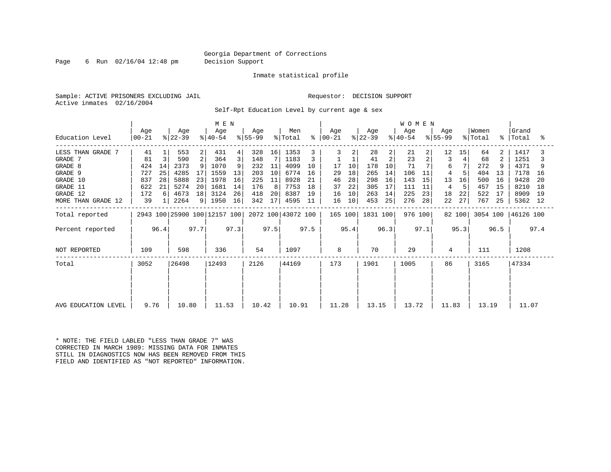Page 6 Run 02/16/04 12:48 pm Decision Support

#### Inmate statistical profile

Sample: ACTIVE PRISONERS EXCLUDING JAIL **Requestor: DECISION SUPPORT** Active inmates 02/16/2004

Self-Rpt Education Level by current age & sex

|                     | M E N            |      |                              |                |                  |      |                  |      |                    |      |                      |      |                  |                | <b>WOMEN</b>                |                |                  |        |                  |             |                    |      |
|---------------------|------------------|------|------------------------------|----------------|------------------|------|------------------|------|--------------------|------|----------------------|------|------------------|----------------|-----------------------------|----------------|------------------|--------|------------------|-------------|--------------------|------|
| Education Level     | Age<br>$00 - 21$ |      | Age<br>$ 22-39 $             |                | Age<br>$ 40-54 $ |      | Age<br>$ 55-99 $ |      | Men<br>% Total     |      | Aqe<br>$8   00 - 21$ |      | Age<br>$ 22-39 $ |                | Age<br>$\frac{1}{6}$  40-54 |                | Age<br>$ 55-99 $ |        | Women<br>% Total | $\approx$ 1 | Grand<br>Total     | ႜ    |
| LESS THAN GRADE 7   | 41               |      | 553                          | 2              | 431              | 4    | 328              | 16   | 1353               |      | 3                    |      | 28               | $\overline{a}$ | 21                          | $\overline{2}$ | 12               | 15     | 64               | 2           | 1417               |      |
| GRADE 7             | 81               | 3    | 590                          | 2              | 364              | 3    | 148              |      | 1183               |      |                      |      | 41               | $\overline{2}$ | 23                          | 2              | 3                |        | 68               | 2           | 1251               |      |
| GRADE 8             | 424              | 14   | 2373                         |                | 1070             | 9    | 232              | 11   | 4099               | 10   | 17                   | 10   | 178              | 10             | 71                          |                | 6                |        | 272              | 9           | 4371               |      |
| GRADE 9             | 727              | 25   | 4285                         |                | 1559             | 13   | 203              | 10   | 6774               | 16   | 29                   | 18   | 265              | 14             | 106                         | 11             | 4                |        | 404              | 13          | 7178               | 16   |
| GRADE 10            | 837              | 28   | 5888                         | 23             | 1978             | 16   | 225              | 11   | 8928               | 21   | 46                   | 28   | 298              | 16             | 143                         | 15             | 13               | 16     | 500              | 16          | 9428               | -20  |
| GRADE 11            | 622              | 21   | 5274                         | 20             | 1681             | 14   | 176              | 8    | 7753               | 18   | 37                   | 22   | 305              | 17             | 111                         | 11             | 4                |        | 457              | 15          | 8210               | 18   |
| GRADE 12            | 172              | 6    | 4673                         | 18             | 3124             | 26   | 418              | 20   | 8387               | 19   | 16                   | 10   | 263              | 14             | 225                         | 23             | 18               | 22     | 522              | 17          | 8909               | -19  |
| MORE THAN GRADE 12  | 39               |      | 2264                         | 9 <sup>1</sup> | 1950             | 16   | 342              | 17   | 4595               | -11  | 16                   | 10   | 453              | 25             | 276                         | 28             | 22               | 27     | 767              | 25          | 5362 12            |      |
| Total reported      |                  |      | 2943 100 25900 100 12157 100 |                |                  |      |                  |      | 2072 100 43072 100 |      | 165 100              |      | 1831 100         |                | 976 100                     |                |                  | 82 100 |                  |             | 3054 100 46126 100 |      |
| Percent reported    |                  | 96.4 |                              | 97.7           |                  | 97.3 |                  | 97.5 |                    | 97.5 |                      | 95.4 |                  | 96.3           |                             | 97.1           |                  | 95.3   |                  | 96.5        |                    | 97.4 |
| NOT REPORTED        | 109              |      | 598                          |                | 336              |      | 54               |      | 1097               |      | 8                    |      | 70               |                | 29                          |                | 4                |        | 111              |             | 1208               |      |
| Total               | 3052             |      | 26498                        |                | 12493            |      | 2126             |      | 44169              |      | 173                  |      | 1901             |                | 1005                        |                | 86               |        | 3165             |             | 47334              |      |
|                     |                  |      |                              |                |                  |      |                  |      |                    |      |                      |      |                  |                |                             |                |                  |        |                  |             |                    |      |
| AVG EDUCATION LEVEL | 9.76             |      | 10.80                        |                | 11.53            |      | 10.42            |      | 10.91              |      | 11.28                |      | 13.15            |                | 13.72                       |                | 11.83            |        | 13.19            |             | 11.07              |      |

\* NOTE: THE FIELD LABLED "LESS THAN GRADE 7" WAS CORRECTED IN MARCH 1989: MISSING DATA FOR INMATES STILL IN DIAGNOSTICS NOW HAS BEEN REMOVED FROM THIS FIELD AND IDENTIFIED AS "NOT REPORTED" INFORMATION.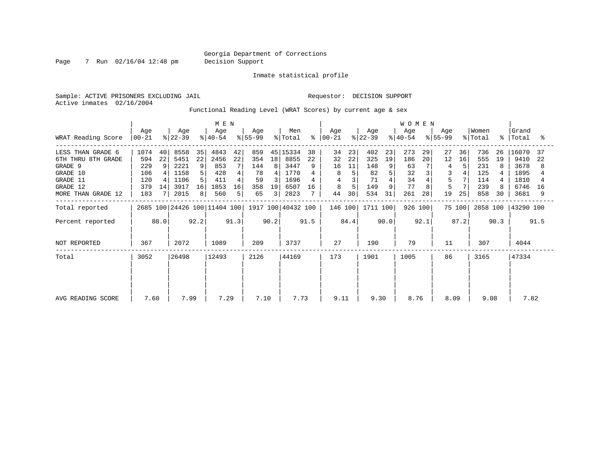Page 7 Run 02/16/04 12:48 pm Decision Support

Inmate statistical profile

Sample: ACTIVE PRISONERS EXCLUDING JAIL **Requestor: DECISION SUPPORT** Active inmates 02/16/2004

Functional Reading Level (WRAT Scores) by current age & sex

| WRAT Reading Score                                                                                           | Age<br>$ 00-21 $                               |                     | Age<br>$ 22-39 $                                     |                          | M E N<br>Age<br>$ 40-54 $                        |                     | Age<br>$ 55-99 $                           |                    | Men<br>% Total                                           | ፠              | Age<br>$ 00-21 $                    |                      | Age<br>$ 22-39 $                            |                                | <b>WOMEN</b><br>Aqe<br>$ 40-54 $          |                | Aqe<br>$ 55-99 $              |                | Women<br>% Total                              | %              | Grand<br>Total                                        | ႜ              |
|--------------------------------------------------------------------------------------------------------------|------------------------------------------------|---------------------|------------------------------------------------------|--------------------------|--------------------------------------------------|---------------------|--------------------------------------------|--------------------|----------------------------------------------------------|----------------|-------------------------------------|----------------------|---------------------------------------------|--------------------------------|-------------------------------------------|----------------|-------------------------------|----------------|-----------------------------------------------|----------------|-------------------------------------------------------|----------------|
| LESS THAN GRADE 6<br>6TH THRU 8TH GRADE<br>GRADE 9<br>GRADE 10<br>GRADE 11<br>GRADE 12<br>MORE THAN GRADE 12 | 1074<br>594<br>229<br>106<br>120<br>379<br>183 | 40<br>22<br>9<br>14 | 8558<br>5451<br>2221<br>1158<br>1106<br>3917<br>2015 | 35<br>22<br>9<br>16<br>8 | 4843<br>2456<br>853<br>428<br>411<br>1853<br>560 | 42<br>22<br>16<br>5 | 859<br>354<br>144<br>78<br>59<br>358<br>65 | 18<br>8<br>19<br>3 | 45 15334<br>8855<br>3447<br>1770<br>1696<br>6507<br>2823 | 38<br>22<br>16 | 34<br>32<br>16<br>8<br>4<br>8<br>44 | 23<br>22<br>11<br>30 | 402<br>325<br>148<br>82<br>71<br>149<br>534 | 23<br>19<br>9<br>5 <br>9<br>31 | 273<br>186<br>63<br>32<br>34<br>77<br>261 | 29<br>20<br>28 | 27<br>12<br>4<br>5<br>5<br>19 | 36<br>16<br>25 | 736<br>555<br>231<br>125<br>114<br>239<br>858 | 26<br>19<br>30 | 16070<br>9410<br>3678<br>1895<br>1810<br>6746<br>3681 | 37<br>22<br>16 |
| Total reported                                                                                               |                                                |                     |                                                      |                          | 2685 100 24426 100 11404 100                     |                     |                                            |                    | 1917 100 40432 100                                       |                | 146 100                             |                      | 1711 100                                    |                                | 926 100                                   |                |                               | 75 100         | 2858 100                                      |                | 43290 100                                             |                |
| Percent reported                                                                                             |                                                | 88.0                |                                                      | 92.2                     |                                                  | 91.3                |                                            | 90.2               |                                                          | 91.5           |                                     | 84.4                 |                                             | 90.0                           |                                           | 92.1           |                               | 87.2           |                                               | 90.3           |                                                       | 91.5           |
| NOT REPORTED                                                                                                 | 367                                            |                     | 2072                                                 |                          | 1089                                             |                     | 209                                        |                    | 3737                                                     |                | 27                                  |                      | 190                                         |                                | 79                                        |                | 11                            |                | 307                                           |                | 4044                                                  |                |
| Total                                                                                                        | 3052                                           |                     | 26498                                                |                          | 12493                                            |                     | 2126                                       |                    | 44169                                                    |                | 173                                 |                      | 1901                                        |                                | 1005                                      |                | 86                            |                | 3165                                          |                | 47334                                                 |                |
| AVG READING SCORE                                                                                            | 7.60                                           |                     | 7.99                                                 |                          | 7.29                                             |                     | 7.10                                       |                    | 7.73                                                     |                | 9.11                                |                      | 9.30                                        |                                | 8.76                                      |                | 8.09                          |                | 9.08                                          |                | 7.82                                                  |                |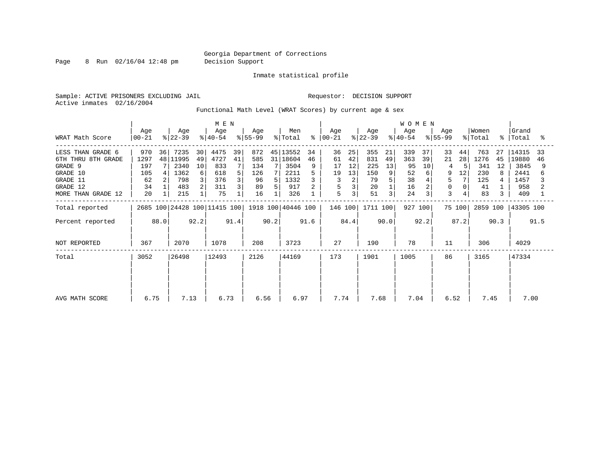Page 8 Run 02/16/04 12:48 pm Decision Support

Inmate statistical profile

Sample: ACTIVE PRISONERS EXCLUDING JAIL **Requestor: DECISION SUPPORT** Active inmates 02/16/2004

Functional Math Level (WRAT Scores) by current age & sex

|                     | M E N<br>Age<br>Age<br>Age<br>Age |      |              |         |                              |      |            |      | Men                |      | Age       |                         | Age        |         | <b>WOMEN</b><br>Age |         | Aqe       |        | Women      |             | Grand        |      |
|---------------------|-----------------------------------|------|--------------|---------|------------------------------|------|------------|------|--------------------|------|-----------|-------------------------|------------|---------|---------------------|---------|-----------|--------|------------|-------------|--------------|------|
| WRAT Math Score     | $ 00 - 21 $                       |      | $ 22-39 $    |         | $ 40-54 $                    |      | $8 55-99$  |      | % Total            | န္   | $ 00-21 $ |                         | $ 22-39 $  |         | $8 40-54$           |         | $ 55-99 $ |        | % Total    | $\approx$ 1 | Total        | °≈   |
| LESS THAN GRADE 6   | 970                               | 36   | 7235         | 30      | 4475                         | 39   | 872        |      | 45 13552           | 34   | 36        | 25                      | 355        | 21      | 339                 | 37      | 33        | 44     | 763        | 27          | 14315        | 33   |
| 6TH THRU 8TH GRADE  | 1297                              |      | 48 11995     | 49      | 4727                         | 41   | 585        | 31   | 18604              | 46   | 61        | 42                      | 831        | 49      | 363                 | 39      | 21        | 28     | 1276       | 45          | 19880        | 46   |
| GRADE 9<br>GRADE 10 | 197<br>105                        |      | 2340<br>1362 | 10<br>6 | 833<br>618                   | 5    | 134<br>126 | 7 I  | 3504<br>2211       |      | 17<br>19  | 12<br>13                | 225<br>150 | 13<br>9 | 95<br>52            | 10<br>6 | 9         | 12     | 341<br>230 | 12          | 3845<br>2441 |      |
| GRADE 11            | 62                                |      | 798          |         | 376                          |      | 96         | 5    | 1332               |      | 3         | $\overline{2}$          | 79         |         | 38                  |         | 5         |        | 125        |             | 1457         |      |
| GRADE 12            | 34                                |      | 483          |         | 311                          |      | 89         | 5.   | 917                |      | 5         | $\overline{\mathbf{3}}$ | 20         |         | 16                  |         | 0         |        | 41         |             | 958          |      |
| MORE THAN GRADE 12  | 20                                |      | 215          |         | 75                           |      | 16         |      | 326                |      | 5         | $\overline{3}$          | 51         | 3       | 24                  | 3       | 3         |        | 83         |             | 409          |      |
| Total reported      |                                   |      |              |         | 2685 100 24428 100 11415 100 |      |            |      | 1918 100 40446 100 |      | 146 100   |                         | 1711 100   |         | 927 100             |         |           | 75 100 | 2859 100   |             | 43305 100    |      |
| Percent reported    |                                   | 88.0 |              | 92.2    |                              | 91.4 |            | 90.2 |                    | 91.6 |           | 84.4                    |            | 90.0    |                     | 92.2    |           | 87.2   |            | 90.3        |              | 91.5 |
| NOT REPORTED        | 367                               |      | 2070         |         | 1078                         |      | 208        |      | 3723               |      | 27        |                         | 190        |         | 78                  |         | 11        |        | 306        |             | 4029         |      |
| Total               | 3052                              |      | 26498        |         | 12493                        |      | 2126       |      | 44169              |      | 173       |                         | 1901       |         | 1005                |         | 86        |        | 3165       |             | 47334        |      |
|                     |                                   |      |              |         |                              |      |            |      |                    |      |           |                         |            |         |                     |         |           |        |            |             |              |      |
|                     |                                   |      |              |         |                              |      |            |      |                    |      |           |                         |            |         |                     |         |           |        |            |             |              |      |
|                     |                                   |      |              |         |                              |      |            |      |                    |      |           |                         |            |         |                     |         |           |        |            |             |              |      |
| AVG MATH SCORE      | 6.75                              |      | 7.13         |         | 6.73                         |      | 6.56       |      | 6.97               |      | 7.74      |                         | 7.68       |         | 7.04                |         | 6.52      |        | 7.45       |             | 7.00         |      |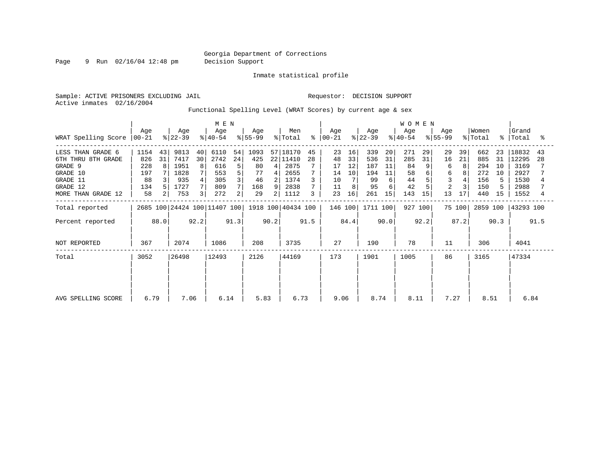Page 9 Run 02/16/04 12:48 pm Decision Support

Inmate statistical profile

Active inmates 02/16/2004

Sample: ACTIVE PRISONERS EXCLUDING JAIL **Requestor: DECISION SUPPORT** 

Functional Spelling Level (WRAT Scores) by current age & sex

|                                                                                        | M E N                                  |               |                                             |                    |                                          |                         |                                      |                                            |                                                      |          |                                  |                           |                                      |                                | <b>WOMEN</b>                       |                    |                    |              |                                        |                      |                                                |          |
|----------------------------------------------------------------------------------------|----------------------------------------|---------------|---------------------------------------------|--------------------|------------------------------------------|-------------------------|--------------------------------------|--------------------------------------------|------------------------------------------------------|----------|----------------------------------|---------------------------|--------------------------------------|--------------------------------|------------------------------------|--------------------|--------------------|--------------|----------------------------------------|----------------------|------------------------------------------------|----------|
| WRAT Spelling Score                                                                    | Age<br>  00-21                         |               | Age<br>$ 22-39 $                            |                    | Age<br>$ 40-54 $                         |                         | Age<br>$8 55-99$                     |                                            | Men<br>% Total                                       | ፠        | Age<br>$ 00 - 21 $               |                           | Age<br>$ 22-39 $                     |                                | Age<br>$ 40-54 $                   |                    | Aqe<br>$ 55-99 $   |              | Women<br>% Total                       | $\approx$ 1          | Grand<br>Total                                 |          |
| LESS THAN GRADE 6<br>6TH THRU 8TH GRADE<br>GRADE 9<br>GRADE 10<br>GRADE 11<br>GRADE 12 | 1154<br>826<br>228<br>197<br>88<br>134 | 43<br>31<br>8 | 9813<br>7417<br>1951<br>1828<br>935<br>1727 | 40<br>30<br>8<br>4 | 6110<br>2742<br>616<br>553<br>305<br>809 | 54<br>24<br>5<br>5<br>3 | 1093<br>425<br>80<br>77<br>46<br>168 | $\overline{4}$<br>$\overline{4}$<br>2<br>9 | 57 18170<br>22 11410<br>2875<br>2655<br>1374<br>2838 | 45<br>28 | 23<br>48<br>17<br>14<br>10<br>11 | 16<br>33<br>12<br>10<br>8 | 339<br>536<br>187<br>194<br>99<br>95 | 20<br>31<br>11<br>11<br>6<br>6 | 271<br>285<br>84<br>58<br>44<br>42 | 29<br>31<br>9<br>6 | 29<br>16<br>6<br>6 | 39<br>21     | 662<br>885<br>294<br>272<br>156<br>150 | 23<br>31<br>10<br>10 | 18832<br>12295<br>3169<br>2927<br>1530<br>2988 | 43<br>28 |
| MORE THAN GRADE 12<br>Total reported                                                   | 58                                     | 2             | 753                                         | 3                  | 272<br>2685 100 24424 100 11407 100      | 2                       | 29                                   | 2                                          | 1112<br>1918 100 40434 100                           | 3        | 23<br>146 100                    | 16                        | 261<br>1711 100                      | 15                             | 143                                | 15<br>927 100      | 13                 | 17<br>75 100 | 440<br>2859 100                        | 15                   | 1552<br>43293 100                              |          |
| Percent reported                                                                       |                                        | 88.0          |                                             | 92.2               |                                          | 91.3                    |                                      | 90.2                                       |                                                      | 91.5     |                                  | 84.4                      |                                      | 90.0                           |                                    | 92.2               |                    | 87.2         |                                        | 90.3                 |                                                | 91.5     |
| NOT REPORTED                                                                           | 367                                    |               | 2074                                        |                    | 1086                                     |                         | 208                                  |                                            | 3735                                                 |          | 27                               |                           | 190                                  |                                | 78                                 |                    | 11                 |              | 306                                    |                      | 4041                                           |          |
| Total                                                                                  | 3052                                   |               | 26498                                       |                    | 12493                                    |                         | 2126                                 |                                            | 44169                                                |          | 173                              |                           | 1901                                 |                                | 1005                               |                    | 86                 |              | 3165                                   |                      | 47334                                          |          |
| AVG SPELLING SCORE                                                                     | 6.79                                   |               | 7.06                                        |                    | 6.14                                     |                         | 5.83                                 |                                            | 6.73                                                 |          | 9.06                             |                           | 8.74                                 |                                | 8.11                               |                    | 7.27               |              | 8.51                                   |                      | 6.84                                           |          |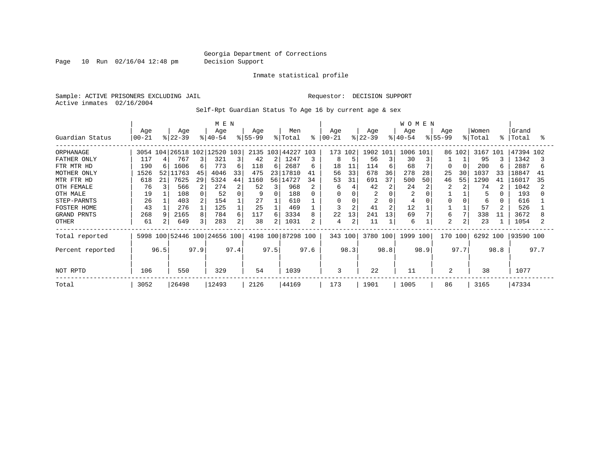Page 10 Run 02/16/04 12:48 pm Decision Support

Inmate statistical profile

Sample: ACTIVE PRISONERS EXCLUDING JAIL **Requestor: DECISION SUPPORT** Active inmates 02/16/2004

Self-Rpt Guardian Status To Age 16 by current age & sex

|                  |                 |                 | M E N                |      |                              |      |                 |                |                    |      | <b>WOMEN</b>     |         |                  |                |                  |      |                 |        |                  |      |                    |      |
|------------------|-----------------|-----------------|----------------------|------|------------------------------|------|-----------------|----------------|--------------------|------|------------------|---------|------------------|----------------|------------------|------|-----------------|--------|------------------|------|--------------------|------|
| Guardian Status  | Age<br>$ 00-21$ |                 | Age<br>$8 22-39$     |      | Age<br>$ 40-54 $             |      | Age<br>$ 55-99$ |                | Men<br>% Total     | ⊱    | Age<br>$ 00-21 $ |         | Age<br>$ 22-39 $ |                | Age<br>$8 40-54$ |      | Age<br>$ 55-99$ |        | Women<br>% Total |      | Grand<br>%   Total | °≈   |
| ORPHANAGE        |                 |                 | 3054 104   26518 102 |      | 12520 103                    |      |                 |                | 2135 103 44227     | 103  | 173              | 102     | 1902 101         |                | 1006             | 101  |                 | 86 102 | 3167             | 101  | 47394 102          |      |
| FATHER ONLY      | 117             |                 | 767                  | 3    | 321                          | 3    | 42              | $\overline{2}$ | 1247               | 3    | 8                |         | 56               | 3              | 30               |      |                 |        | 95               |      | 1342               |      |
| FTR MTR HD       | 190             |                 | 1606                 | 6    | 773                          | 6    | 118             | 6              | 2687               | 6    | 18               | 11      | 114              | 6              | 68               |      | O               |        | 200              |      | 2887               | 6    |
| MOTHER ONLY      | 1526            | 52 <sub>1</sub> | 11763                | 45   | 4046                         | 33   | 475             | 231            | 17810              | 41   | 56               | 33      | 678              | 36             | 278              | 28   | 25              | 30     | 1037             | 33   | 18847              | 41   |
| MTR FTR HD       | 618             | 21              | 7625                 | 29   | 5324                         | 44   | 1160            |                | 56 14727           | 34   | 53               | 31      | 691              | 37             | 500              | 50   | 46              | 55     | 1290             | 41   | 16017              | 35   |
| OTH FEMALE       | 76              |                 | 566                  | 2    | 274                          |      | 52              | 3.             | 968                |      | 6                |         | 42               |                | 24               |      |                 |        | 74               |      | 1042               |      |
| OTH MALE         | 19              |                 | 108                  |      | 52                           |      | 9               | 0              | 188                | 0    | $\Omega$         |         | $\overline{2}$   |                |                  |      |                 |        |                  |      | 193                |      |
| STEP-PARNTS      | 26              |                 | 403                  | 2    | 154                          |      | 27              |                | 610                |      | 0                |         | 2                |                |                  |      |                 |        | 6                |      | 616                |      |
| FOSTER HOME      | 43              |                 | 276                  |      | 125                          |      | 25              |                | 469                |      | ζ                |         | 41               | $\overline{2}$ | 12               |      |                 |        | 57               |      | 526                |      |
| GRAND PRNTS      | 268             |                 | 2165                 | 8    | 784                          | 6    | 117             | 6              | 3334               | 8    | 22               | 13      | 241              | 13             | 69               |      | 6               | 7      | 338              | 11   | 3672               |      |
| OTHER            | 61              |                 | 649                  | 3    | 283                          | 2    | 38              | 21             | 1031               |      | 4                |         | 11               |                | 6                |      | 2               | 2      | 23               |      | 1054               |      |
| Total reported   |                 |                 |                      |      | 5998 100 52446 100 24656 100 |      |                 |                | 4198 100 87298 100 |      |                  | 343 100 | 3780 100         |                | 1999 100         |      | 170 100         |        | 6292 100         |      | 93590 100          |      |
| Percent reported |                 | 96.5            |                      | 97.9 |                              | 97.4 |                 | 97.5           |                    | 97.6 |                  | 98.3    |                  | 98.8           |                  | 98.9 |                 | 97.7   |                  | 98.8 |                    | 97.7 |
| NOT RPTD         | 106             |                 | 550                  |      | 329                          |      | 54              |                | 1039               |      | 3                |         | 22               |                | 11               |      | 2               |        | 38               |      | 1077               |      |
| Total            | 3052            |                 | 26498                |      | 12493                        |      | 2126            |                | 44169              |      | 173              |         | 1901             |                | 1005             |      | 86              |        | 3165             |      | 47334              |      |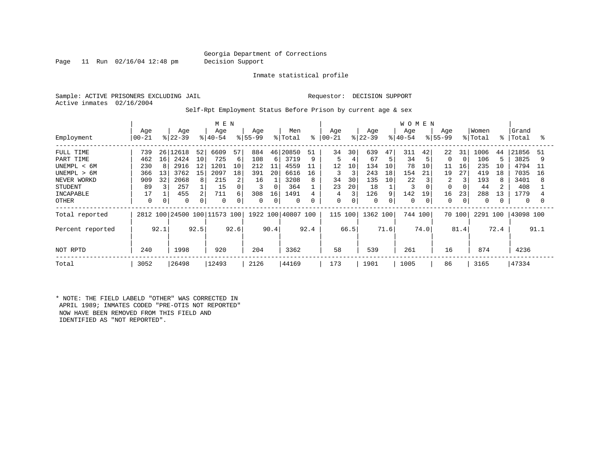Page 11 Run 02/16/04 12:48 pm Decision Support

Inmate statistical profile

Sample: ACTIVE PRISONERS EXCLUDING JAIL **Requestor: DECISION SUPPORT** Active inmates 02/16/2004

Self-Rpt Employment Status Before Prison by current age & sex

|                  |                  |      |                  |      |                              |      | W O M E N        |      |                    |      |                 |             |                  |      |                 |      |                  |          |                  |      |                |      |
|------------------|------------------|------|------------------|------|------------------------------|------|------------------|------|--------------------|------|-----------------|-------------|------------------|------|-----------------|------|------------------|----------|------------------|------|----------------|------|
| Employment       | Age<br>$00 - 21$ |      | Age<br>$ 22-39 $ |      | Age<br>$8 40-54$             |      | Age<br>$8 55-99$ |      | Men<br>% Total     | နွ   | Age<br>$ 00-21$ |             | Age<br>$ 22-39 $ |      | Age<br>$ 40-54$ |      | Age<br>$ 55-99 $ |          | Women<br>% Total | ∻    | Grand<br>Total | ႜ    |
|                  |                  |      |                  |      |                              |      |                  |      |                    |      |                 |             |                  |      |                 |      |                  |          |                  |      |                |      |
| FULL TIME        | 739              | 26   | 12618            | 52   | 6609                         | 57   | 884              | 46   | 20850              | 51   | 34              | 30          | 639              | 47   | 311             | 42   | 22               | 31       | 1006             | 44   | 21856          | 51   |
| PART TIME        | 462              | 16   | 2424             | 10   | 725                          | 6    | 108              | 6    | 3719               | 9    | 5               | 4           | 67               | 5    | 34              |      | 0                | $\Omega$ | 106              |      | 3825           |      |
| UNEMPL < 6M      | 230              |      | 2916             | 12   | 1201                         | 10   | 212              | 11   | 4559               | 11   | 12              | 10          | 134              | 10   | 78              | 10   | 11               | 16       | 235              | 10   | 4794           | -11  |
| UNEMPL > 6M      | 366              | 13   | 3762             | 15   | 2097                         | 18   | 391              | 20   | 6616               | 16   | 3               | 3           | 243              | 18   | 154             | 21   | 19               | 27       | 419              | 18   | 7035           | 16   |
| NEVER WORKD      | 909              | 32   | 2068             | 8    | 215                          | 2    | 16               |      | 3208               | 8    | 34              | 30          | 135              | 10   | 22              |      | 2                | 3        | 193              | 8    | 3401           | 8    |
| <b>STUDENT</b>   | 89               |      | 257              |      | 15                           | 0    |                  |      | 364                |      | 23              | 20          | 18               |      | 3               |      | 0                |          | 44               |      | 408            |      |
| INCAPABLE        | 17               |      | 455              |      | 711                          | 6    | 308              | 16   | 1491               |      | 4               | 3           | 126              | 9    | 142             | 19   | 16               | 23       | 288              | 13   | 1779           |      |
| OTHER            | 0                |      | 0                |      | 0                            | 0    | $\mathbf 0$      | 0    | $\mathbf 0$        | 0    | 0               | $\mathbf 0$ | 0                |      | $\Omega$        | 0    | 0                | 0        | 0                |      | 0              |      |
| Total reported   |                  |      |                  |      | 2812 100 24500 100 11573 100 |      |                  |      | 1922 100 40807 100 |      | 115 100         |             | 1362 100         |      | 744 100         |      | 70 100           |          | 2291 100         |      | 43098 100      |      |
| Percent reported |                  | 92.1 |                  | 92.5 |                              | 92.6 |                  | 90.4 |                    | 92.4 |                 | 66.5        |                  | 71.6 |                 | 74.0 |                  | 81.4     |                  | 72.4 |                | 91.1 |
| NOT RPTD         | 240              |      | 1998             |      | 920                          |      | 204              |      | 3362               |      | 58              |             | 539              |      | 261             |      | 16               |          | 874              |      | 4236           |      |
| Total            | 3052             |      | 26498            |      | 12493                        |      | 2126             |      | 44169              |      | 173             |             | 1901             |      | 1005            |      | 86               |          | 3165             |      | 47334          |      |

\* NOTE: THE FIELD LABELD "OTHER" WAS CORRECTED IN APRIL 1989; INMATES CODED "PRE-OTIS NOT REPORTED" NOW HAVE BEEN REMOVED FROM THIS FIELD AND IDENTIFIED AS "NOT REPORTED".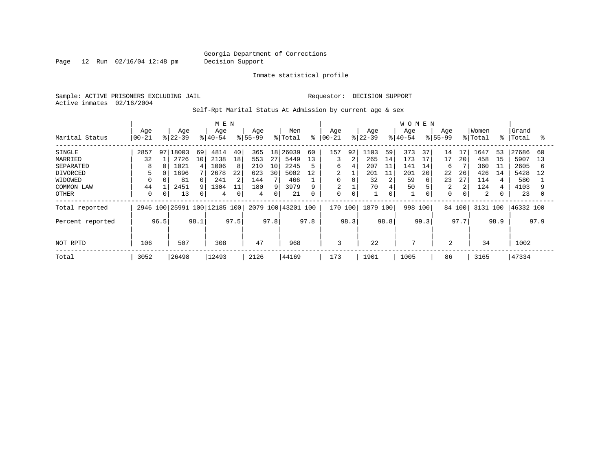Page 12 Run 02/16/04 12:48 pm Decision Support

Inmate statistical profile

Sample: ACTIVE PRISONERS EXCLUDING JAIL **Requestor: DECISION SUPPORT** Active inmates 02/16/2004

Self-Rpt Marital Status At Admission by current age & sex

|                  |           |      |             |      |                         |             | <b>WOMEN</b> |      |         |          |                |             |           |      |                |      |                |      |          |             |           |      |
|------------------|-----------|------|-------------|------|-------------------------|-------------|--------------|------|---------|----------|----------------|-------------|-----------|------|----------------|------|----------------|------|----------|-------------|-----------|------|
|                  | Age       |      | Age         |      | Age                     |             | Age          |      | Men     |          | Age            |             | Age       |      | Age            |      | Age            |      | Women    |             | Grand     |      |
| Marital Status   | $00 - 21$ |      | $ 22 - 39 $ |      | $8 40-54$               |             | $8155 - 99$  |      | % Total | နွ       | $ 00-21$       |             | $ 22-39 $ |      | $8 40-54$      |      | $8155 - 99$    |      | % Total  | $\approx$ 1 | Total     | °    |
| SINGLE           | 2857      | 97   | 18003       | 69   | 4814                    | 40          | 365          | 18   | 26039   | 60       | 157            | 92          | 1103      | 59   | 373            | 37   | 14             | 17   | 1647     | 53          | 27686     | 60   |
| MARRIED          | 32        |      | 2726        | 10   | 2138                    | 18          | 553          | 27   | 5449    | 13       | 3              | 2           | 265       | 14   | 173            |      | 17             | 20   | 458      | 15          | 5907      | 13   |
| SEPARATED        | 8         |      | 1021        |      | 1006                    | 8           | 210          | 10   | 2245    | 5        | 6              | 4           | 207       | 11   | 141            | 14   | 6              |      | 360      | 11          | 2605      | 6    |
| <b>DIVORCED</b>  | 5         |      | 1696        |      | 2678                    | 22          | 623          | 30   | 5002    | 12       | 2              |             | 201       | 11   | 201            | 20   | 22             | 26   | 426      | 14          | 5428      | 12   |
| WIDOWED          |           |      | 81          |      | 241                     | 2           | 144          |      | 466     |          | 0              | 0           | 32        | 2    | 59             | 6    | 23             | 27   | 114      |             | 580       |      |
| COMMON LAW       | 44        |      | 2451        |      | 1304                    | 11          | 180          | 9    | 3979    | 9        | $\overline{2}$ |             | 70        |      | 50             |      | $\overline{c}$ | 2    | 124      | 4           | 4103      |      |
| OTHER            | 0         | 0    | 13          |      | 4                       | $\mathbf 0$ | 4            | 0    | 21      | $\Omega$ | $\mathbf 0$    | $\mathbf 0$ |           | 0    |                |      | $\mathbf 0$    | 0    | 2        |             | 23        |      |
| Total reported   | 2946      |      |             |      | 100 25991 100 12185 100 |             | 2079         | 100  | 43201   | 100      | 170 100        |             | 1879 100  |      | 998            | 100  | 84 100         |      | 3131 100 |             | 46332 100 |      |
| Percent reported |           | 96.5 |             | 98.1 |                         | 97.5        |              | 97.8 |         | 97.8     |                | 98.3        |           | 98.8 |                | 99.3 |                | 97.7 |          | 98.9        |           | 97.9 |
|                  |           |      |             |      |                         |             |              |      |         |          |                |             |           |      |                |      |                |      |          |             |           |      |
| NOT RPTD         | 106       |      | 507         |      | 308                     |             | 47           |      | 968     |          | 3              |             | 22        |      | $\overline{7}$ |      | 2              |      | 34       |             | 1002      |      |
| Total            | 3052      |      | 26498       |      | 12493                   |             | 2126         |      | 44169   |          | 173            |             | 1901      |      | 1005           |      | 86             |      | 3165     |             | 47334     |      |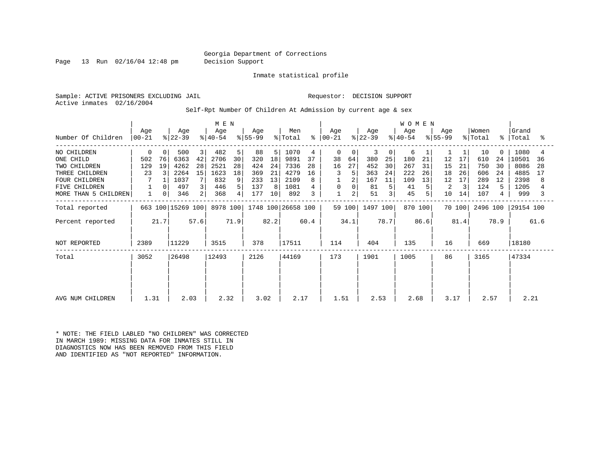Page 13 Run 02/16/04 12:48 pm Decision Support

Inmate statistical profile

Sample: ACTIVE PRISONERS EXCLUDING JAIL **Requestor: DECISION SUPPORT** Active inmates 02/16/2004

Self-Rpt Number Of Children At Admission by current age & sex

|                      |                  |      |                   | M E N |                  |      |                  |      |                    |      |              |        | WOMEN            |              |                  |      |                  |        |                  |           |                |      |
|----------------------|------------------|------|-------------------|-------|------------------|------|------------------|------|--------------------|------|--------------|--------|------------------|--------------|------------------|------|------------------|--------|------------------|-----------|----------------|------|
| Number Of Children   | Age<br>$00 - 21$ |      | Age<br>$ 22-39 $  |       | Age<br>$ 40-54 $ |      | Age<br>$ 55-99 $ |      | Men<br>% Total     | ៖    | Age<br>00-21 |        | Age<br>$ 22-39 $ |              | Age<br>$ 40-54 $ |      | Age<br>$ 55-99 $ |        | Women<br>% Total | $\approx$ | Grand<br>Total | ႜ    |
| NO CHILDREN          | 0                | 0    | 500               | 3     | 482              | 5    | 88               | 5    | 1070               | 4    | $\mathbf 0$  | 0      | 3                | $\mathbf{0}$ | 6                |      |                  |        | 10               | $\Omega$  | 1080           |      |
| ONE CHILD            | 502              | 76   | 6363              | 42    | 2706             | 30   | 320              | 18   | 9891               | 37   | 38           | 64     | 380              | 25           | 180              | 21   | 12               | 17     | 610              | 24        | 10501          | 36   |
| TWO CHILDREN         | 129              | 19   | 4262              | 28    | 2521             | 28   | 424              | 24   | 7336               | 28   | 16           | 27     | 452              | 30           | 267              | 31   | 15               | 21     | 750              | 30        | 8086           | 28   |
| THREE CHILDREN       | 23               |      | 2264              | 15    | 1623             | 18   | 369              | 21   | 4279               | 16   | 3            |        | 363              | 24           | 222              | 26   | 18               | 26     | 606              | 24        | 4885           | 17   |
| FOUR CHILDREN        |                  |      | 1037              |       | 832              | 9    | 233              | 13   | 2109               |      |              |        | 167              | 11           | 109              | 13   | 12               | 17     | 289              | 12        | 2398           | 8    |
| FIVE CHILDREN        |                  |      | 497               | 3     | 446              | 5    | 137              | 8    | 1081               |      | 0            |        | 81               | 5            | 41               |      | 2                | 3      | 124              | 5.        | 1205           |      |
| MORE THAN 5 CHILDREN |                  | 0    | 346               | 2     | 368              | 4    | 177              | 10   | 892                |      | $\mathbf 1$  | 2      | 51               |              | 45               |      | 10               | 14     | 107              | 4         | 999            |      |
| Total reported       |                  |      | 663 100 15269 100 |       | 8978 100         |      |                  |      | 1748 100 26658 100 |      |              | 59 100 | 1497 100         |              | 870 100          |      |                  | 70 100 | 2496 100         |           | 29154 100      |      |
| Percent reported     |                  | 21.7 |                   | 57.6  |                  | 71.9 |                  | 82.2 |                    | 60.4 |              | 34.1   |                  | 78.7         |                  | 86.6 |                  | 81.4   |                  | 78.9      |                | 61.6 |
| NOT REPORTED         | 2389             |      | 11229             |       | 3515             |      | 378              |      | 17511              |      | 114          |        | 404              |              | 135              |      | 16               |        | 669              |           | 18180          |      |
| Total                | 3052             |      | 26498             |       | 12493            |      | 2126             |      | 44169              |      | 173          |        | 1901             |              | 1005             |      | 86               |        | 3165             |           | 47334          |      |
|                      |                  |      |                   |       |                  |      |                  |      |                    |      |              |        |                  |              |                  |      |                  |        |                  |           |                |      |
|                      |                  |      |                   |       |                  |      |                  |      |                    |      |              |        |                  |              |                  |      |                  |        |                  |           |                |      |
| AVG NUM CHILDREN     | 1.31             |      | 2.03              |       | 2.32             |      | 3.02             |      | 2.17               |      | 1.51         |        | 2.53             |              | 2.68             |      | 3.17             |        | 2.57             |           | 2.21           |      |

\* NOTE: THE FIELD LABLED "NO CHILDREN" WAS CORRECTED IN MARCH 1989: MISSING DATA FOR INMATES STILL IN DIAGNOSTICS NOW HAS BEEN REMOVED FROM THIS FIELD AND IDENTIFIED AS "NOT REPORTED" INFORMATION.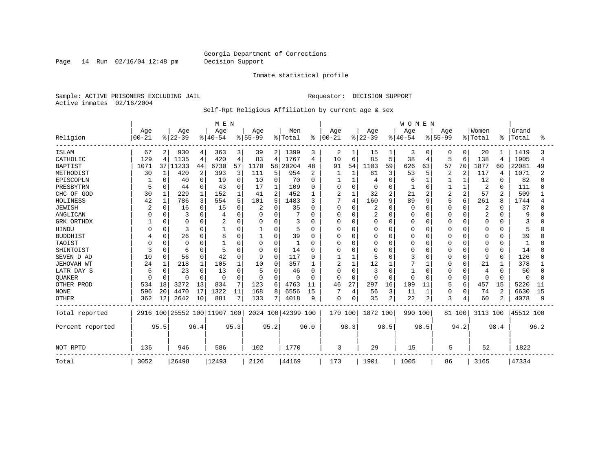Page 14 Run 02/16/04 12:48 pm Decision Support

#### Inmate statistical profile

Sample: ACTIVE PRISONERS EXCLUDING JAIL **Requestor: DECISION SUPPORT** Active inmates 02/16/2004

#### Self-Rpt Religious Affiliation by current age & sex

|                  |           |              |                              |          | M E N    |          |           |                |                    |          |               |                |                |                | WOMEN    |                |           |                |                |                |           |      |
|------------------|-----------|--------------|------------------------------|----------|----------|----------|-----------|----------------|--------------------|----------|---------------|----------------|----------------|----------------|----------|----------------|-----------|----------------|----------------|----------------|-----------|------|
|                  | Age       |              | Age                          |          | Age      |          | Age       |                | Men                |          | Age           |                | Age            |                | Age      |                | Age       |                | Women          |                | Grand     |      |
| Religion         | $00 - 21$ |              | $8 22-39$                    |          | $ 40-54$ |          | $8 55-99$ |                | % Total            |          | $8   00 - 21$ |                | $8 22-39$      |                | $ 40-54$ |                | $8 55-99$ |                | % Total        | ႜ              | Total     |      |
| <b>ISLAM</b>     | 67        | 2            | 930                          | 4        | 363      | 3        | 39        | 2              | 1399               | 3        | 2             |                | 15             | 1              | 3        | 0              |           | 0              | 20             |                | 1419      | 3    |
| CATHOLIC         | 129       | 4            | 1135                         | 4        | 420      | 4        | 83        | 4              | 1767               | 4        | 10            | 6              | 85             | 5              | 38       | 4              | 5         | 6              | 138            | $\overline{4}$ | 1905      | 4    |
| <b>BAPTIST</b>   | 1071      | 37           | 11233                        | 44       | 6730     | 57       | 1170      | 58             | 20204              | 48       | 91            | 54             | 1103           | 59             | 626      | 63             | 57        | 70             | 1877           | 60             | 22081     | 49   |
| METHODIST        | 30        | $\mathbf{1}$ | 420                          | 2        | 393      | 3        | 111       | 5              | 954                | 2        |               | 1              | 61             | 3              | 53       | 5              | 2         | 2              | 117            | 4              | 1071      | 2    |
| EPISCOPLN        |           | $\Omega$     | 40                           | $\Omega$ | 19       | 0        | 10        | 0              | 70                 | $\Omega$ |               | $\mathbf{1}$   |                | $\mathbf 0$    | 6        | 1              |           | $\mathbf{1}$   | 12             | 0              | 82        | n    |
| PRESBYTRN        | 5         | $\Omega$     | 44                           | $\Omega$ | 43       | 0        | 17        |                | 109                | 0        |               | $\mathbf 0$    |                | $\Omega$       |          | $\Omega$       |           |                | 2              | $\Omega$       | 111       |      |
| CHC OF GOD       | 30        |              | 229                          |          | 152      |          | 41        | $\overline{a}$ | 452                | 1        | 2             | $\mathbf{1}$   | 32             | $\overline{a}$ | 21       | $\overline{c}$ | 2         | $\overline{2}$ | 57             | $\overline{c}$ | 509       |      |
| HOLINESS         | 42        | 1            | 786                          | 3        | 554      | 5        | 101       | 5              | 1483               | 3        | 7             | $\overline{4}$ | 160            | 9              | 89       | 9              |           | 6              | 261            | 8              | 1744      |      |
| <b>JEWISH</b>    |           | $\Omega$     | 16                           | U        | 15       | 0        |           | $\cap$         | 35                 | O        | $\Omega$      | $\mathbf 0$    |                | 0              | n        | $\Omega$       | Ω         | $\Omega$       | $\overline{c}$ | $\Omega$       | 37        |      |
| ANGLICAN         |           |              | 3                            |          |          | $\Omega$ | 0         | O              |                    | U        | O             | $\mathbf 0$    | $\overline{2}$ | 0              |          | $\Omega$       |           | $\Omega$       | 2              | O              | 9         |      |
| GRK ORTHDX       |           | $\Omega$     | $\Omega$                     |          |          | 0        | 0         | $\Omega$       | 3                  | U        | O             | 0              | <sup>0</sup>   | 0              |          | 0              | O         | $\Omega$       | 0              | O              |           |      |
| HINDU            |           | $\Omega$     | 3                            |          |          | 0        |           | 0              | 5                  | 0        | 0             | 0              |                | $\Omega$       |          | $\Omega$       |           | $\Omega$       | 0              | O              | 5         |      |
| <b>BUDDHIST</b>  |           | $\Omega$     | 26                           |          | 8        | $\cap$   |           | $\Omega$       | 39                 | 0        | 0             | 0              |                | $\Omega$       |          | $\Omega$       |           | $\Omega$       | 0              | $\Omega$       | 39        |      |
| TAOIST           |           |              | $\mathbf 0$                  |          |          | U        | 0         | $\Omega$       |                    | O        | O             | $\Omega$       |                | $\Omega$       |          | $\Omega$       |           | ∩              | 0              | $\Omega$       | -1        |      |
| SHINTOIST        |           | $\Omega$     | 6                            | $\Omega$ |          | $\Omega$ | $\Omega$  | $\Omega$       | 14                 | O        | O             | $\Omega$       | n              | $\Omega$       |          | $\Omega$       |           | $\Omega$       | $\Omega$       | $\Omega$       | 14        |      |
| SEVEN D AD       | 10        | $\Omega$     | 56                           | $\Omega$ | 42       | 0        | 9         | $\Omega$       | 117                | 0        |               | 1              |                | $\Omega$       |          | $\Omega$       |           | $\Omega$       | 9              | $\Omega$       | 126       |      |
| JEHOVAH WT       | 24        |              | 218                          |          | 105      | 1        | 10        | O              | 357                |          | 2             | $\mathbf{1}$   | 12             |                |          |                |           | $\Omega$       | 21             |                | 378       |      |
| LATR DAY S       | 5         | n            | 23                           | O        | 13       | 0        | 5         | 0              | 46                 | 0        | O             | $\mathbf 0$    | 3              | $\Omega$       |          | 0              |           | O              | 4              | O              | 50        |      |
| QUAKER           | U         | ∩            | $\Omega$                     | $\Omega$ | $\Omega$ | $\Omega$ | $\Omega$  | $\Omega$       | $\Omega$           | 0        | $\Omega$      | $\Omega$       | n              | $\Omega$       |          | $\Omega$       | 0         | $\Omega$       | $\Omega$       | $\Omega$       | 0         |      |
| OTHER PROD       | 534       | 18           | 3272                         | 13       | 834      | 7        | 123       | 6              | 4763               | 11       | 46            | 27             | 297            | 16             | 109      | 11             | 5         | 6              | 457            | 15             | 5220      | 11   |
| <b>NONE</b>      | 596       | 20           | 4470                         | 17       | 1322     | 11       | 168       | 8              | 6556               | 15       |               | 4              | 56             | 3              | 11       | $\mathbf{1}$   | 0         | $\mathbf 0$    | 74             | $\overline{2}$ | 6630      | 15   |
| <b>OTHER</b>     | 362       | 12           | 2642                         | 10       | 881      | 7        | 133       | $7\phantom{.}$ | 4018               | 9        | 0             | 0              | 35             | 2              | 22       | $\overline{2}$ | 3         | 4              | 60             | 2              | 4078      | 9    |
| Total reported   |           |              | 2916 100 25552 100 11907 100 |          |          |          |           |                | 2024 100 42399 100 |          | 170 100       |                | 1872 100       |                | 990 100  |                |           | 81 100         | 3113 100       |                | 45512 100 |      |
| Percent reported |           | 95.5         |                              | 96.4     |          | 95.3     |           | 95.2           |                    | 96.0     |               | 98.3           |                | 98.5           |          | 98.5           |           | 94.2           |                | 98.4           |           | 96.2 |
| NOT RPTD         | 136       |              | 946                          |          | 586      |          | 102       |                | 1770               |          | 3             |                | 29             |                | 15       |                | 5         |                | 52             |                | 1822      |      |
| Total            | 3052      |              | 26498                        |          | 12493    |          | 2126      |                | 44169              |          | 173           |                | 1901           |                | 1005     |                | 86        |                | 3165           |                | 47334     |      |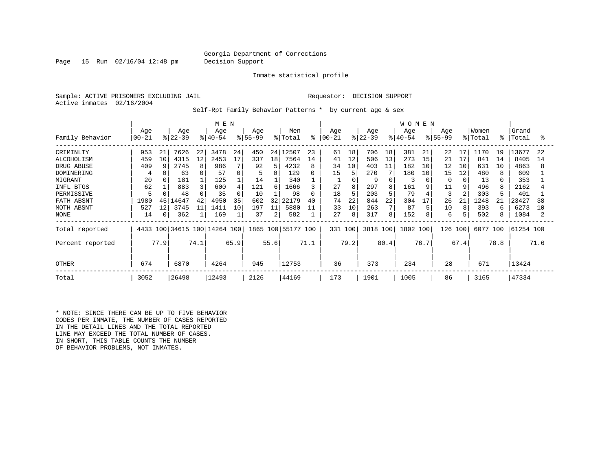Page 15 Run 02/16/04 12:48 pm Decision Support

Inmate statistical profile

Sample: ACTIVE PRISONERS EXCLUDING JAIL **Requestor: DECISION SUPPORT** Active inmates 02/16/2004

Self-Rpt Family Behavior Patterns \* by current age & sex

|                                                                                                                               |                                                              |                                        |                                                                        |                                     | M E N                                                                |                                       |                                                              |                               |                                                                              |                                          |                                                    |                                                             |                                                                  |                                                                          | <b>WOMEN</b>                                                   |                                      |                                                                  |                                      |                                                                     |                           |                                                                             |                      |
|-------------------------------------------------------------------------------------------------------------------------------|--------------------------------------------------------------|----------------------------------------|------------------------------------------------------------------------|-------------------------------------|----------------------------------------------------------------------|---------------------------------------|--------------------------------------------------------------|-------------------------------|------------------------------------------------------------------------------|------------------------------------------|----------------------------------------------------|-------------------------------------------------------------|------------------------------------------------------------------|--------------------------------------------------------------------------|----------------------------------------------------------------|--------------------------------------|------------------------------------------------------------------|--------------------------------------|---------------------------------------------------------------------|---------------------------|-----------------------------------------------------------------------------|----------------------|
| Family Behavior                                                                                                               | Age<br>$00 - 21$                                             |                                        | Age<br>$ 22-39 $                                                       |                                     | Age<br>$ 40-54 $                                                     |                                       | Age<br>$ 55-99 $                                             |                               | Men<br>% Total                                                               | ⊱                                        | Age<br>$ 00-21 $                                   |                                                             | Age<br>$ 22-39 $                                                 |                                                                          | Age<br>$ 40-54 $                                               |                                      | Age<br>$8155 - 99$                                               |                                      | Women<br>% Total                                                    | °                         | Grand<br>Total                                                              | °                    |
| CRIMINLTY<br>ALCOHOLISM<br>DRUG ABUSE<br>DOMINERING<br>MIGRANT<br>INFL BTGS<br>PERMISSIVE<br>FATH ABSNT<br>MOTH ABSNT<br>NONE | 953<br>459<br>409<br>4<br>20<br>62<br>5<br>1980<br>527<br>14 | 21<br>10<br>45<br>12<br>$\overline{0}$ | 7626<br>4315<br>2745<br>63<br>181<br>883<br>48<br>.4647<br>3745<br>362 | 22<br>$12 \overline{ }$<br>42<br>11 | 3478<br>2453<br>986<br>57<br>125<br>600<br>35<br>4950<br>1411<br>169 | 24<br>17<br>4<br>$\Omega$<br>35<br>10 | 450<br>337<br>92<br>5<br>14<br>121<br>10<br>602<br>197<br>37 | 18<br>5<br>6<br>32<br>11<br>2 | 24 12507<br>7564<br>4232<br>129<br>340<br>1666<br>98<br>22179<br>5880<br>582 | 23<br>14<br>8<br>0<br>3<br>0<br>40<br>11 | 61<br>41<br>34<br>15<br>27<br>18<br>74<br>33<br>27 | 18<br>12<br>10<br>5<br>8<br>5<br>22<br>10<br>8 <sup>1</sup> | 706<br>506<br>403<br>270<br>9<br>297<br>203<br>844<br>263<br>317 | 18<br>13<br>11<br>7<br>8<br>5<br>22<br>$7\phantom{.0}$<br>8 <sup>1</sup> | 381<br>273<br>182<br>180<br>3<br>161<br>79<br>304<br>87<br>152 | 21<br>15<br>10<br>10<br>9<br>17<br>8 | 22<br>21<br>12<br>15<br><sup>0</sup><br>11<br>3<br>26<br>10<br>6 | 17<br>17<br>10<br>12<br>9<br>21<br>8 | 1170<br>841<br>631<br>480<br>13<br>496<br>303<br>1248<br>393<br>502 | 19<br>14<br>10<br>21<br>6 | 13677<br>8405<br>4863<br>609<br>353<br>2162<br>401<br>23427<br>6273<br>1084 | 22<br>14<br>38<br>10 |
| Total reported<br>Percent reported<br><b>OTHER</b>                                                                            | 674                                                          | 77.9                                   | 6870                                                                   | 74.1                                | 4433 100 34615 100 14264 100<br>4264                                 | 65.9                                  | 945                                                          | 55.6                          | 1865 100 55177 100<br>12753                                                  | 71.1                                     | 331 100<br>36                                      | 79.2                                                        | 3818 100<br>373                                                  | 80.4                                                                     | 1802 100<br>234                                                | 76.7                                 | 126<br>28                                                        | 100<br>67.4                          | 6077<br>671                                                         | 100<br>78.8               | 61254 100<br>13424                                                          | 71.6                 |
| Total                                                                                                                         | 3052                                                         |                                        | 26498                                                                  |                                     | 12493                                                                |                                       | 2126                                                         |                               | 44169                                                                        |                                          | 173                                                |                                                             | 1901                                                             |                                                                          | 1005                                                           |                                      | 86                                                               |                                      | 3165                                                                |                           | 47334                                                                       |                      |

\* NOTE: SINCE THERE CAN BE UP TO FIVE BEHAVIOR CODES PER INMATE, THE NUMBER OF CASES REPORTED IN THE DETAIL LINES AND THE TOTAL REPORTED LINE MAY EXCEED THE TOTAL NUMBER OF CASES. IN SHORT, THIS TABLE COUNTS THE NUMBER OF BEHAVIOR PROBLEMS, NOT INMATES.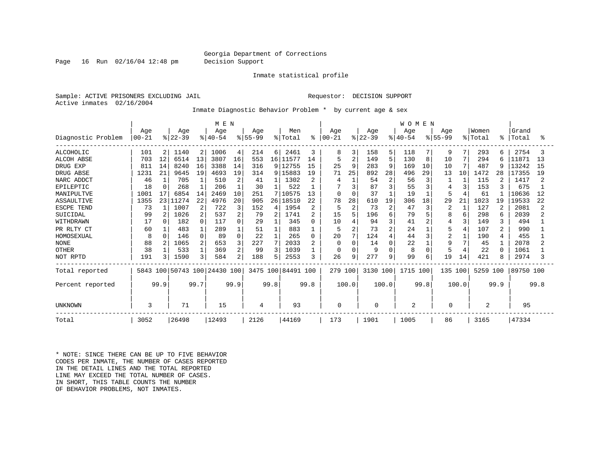Page 16 Run 02/16/04 12:48 pm Decision Support

Inmate statistical profile

Sample: ACTIVE PRISONERS EXCLUDING JAIL **Requestor: DECISION SUPPORT** Active inmates 02/16/2004

Inmate Diagnostic Behavior Problem \* by current age & sex

|                    |           |          |          |                |                         | M E N    |             |                 |                    |                |            |                |           |                | <b>WOMEN</b>   |          |             |               |          |          |           |      |
|--------------------|-----------|----------|----------|----------------|-------------------------|----------|-------------|-----------------|--------------------|----------------|------------|----------------|-----------|----------------|----------------|----------|-------------|---------------|----------|----------|-----------|------|
|                    | Age       |          | Age      |                | Age                     |          | Age         |                 | Men                |                | Age        |                | Age       |                | Age            |          | Age         |               | Women    |          | Grand     |      |
| Diagnostic Problem | $00 - 21$ |          | $ 22-39$ |                | $ 40-54$                |          | $8155 - 99$ |                 | % Total            | ိ              | $100 - 21$ |                | $ 22-39 $ |                | $8140 - 54$    |          | $8155 - 99$ |               | % Total  | ႜ        | Total     | ႜ    |
| <b>ALCOHOLIC</b>   | 101       | 2        | 1140     | $\overline{2}$ | 1006                    | 4        | 214         | 6               | 2461               | 3              | 8          | 3              | 158       | 5              | 118            |          | 9           | 7             | 293      | 6        | 2754      |      |
| <b>ALCOH ABSE</b>  | 703       | 12       | 6514     | 13             | 3807                    | 16       | 553         | 16 <sup>1</sup> | 11577              | 14             | 5          | 2              | 149       | 5              | 130            | 8        | 10          | 7             | 294      | 6        | 11871     | 13   |
| DRUG EXP           | 811       | 14       | 8240     | 16             | 3388                    | 14       | 316         |                 | 9 12755            | 15             | 25         | 9              | 283       | 9              | 169            | 10       | 10          | $\mathcal{L}$ | 487      | 9        | 13242     | 15   |
| DRUG ABSE          | 1231      | 21       | 9645     | 19             | 4693                    | 19       | 314         | 9               | 15883              | 19             | 71         | 25             | 892       | 28             | 496            | 29       | 13          | 10            | 1472     | 28       | 17355     | 19   |
| NARC ADDCT         | 46        |          | 705      |                | 510                     | 2        | 41          |                 | 1302               | 2              |            |                | 54        | $\overline{c}$ | 56             | 3        |             |               | 115      | 2        | 1417      |      |
| EPILEPTIC          | 18        | $\Omega$ | 268      |                | 206                     |          | 30          |                 | 522                |                |            | 3              | 87        | 3              | 55             |          |             | 3             | 153      | 3        | 675       |      |
| MANIPULTVE         | 1001      | 17       | 6854     | 14             | 2469                    | 10       | 251         |                 | 10575              | 13             | $\Omega$   | $\Omega$       | 37        |                | 19             |          | 5           |               | 61       |          | 10636     | 12   |
| ASSAULTIVE         | 1355      | 231      | 11274    | 22             | 4976                    | 20       | 905         | 26              | 18510              | 22             | 78         | 28             | 610       | 19             | 306            | 18       | 29          | 21            | 1023     | 19       | 19533     | 22   |
| ESCPE TEND         | 73        |          | 1007     | 2              | 722                     | 3        | 152         | 4               | 1954               | $\overline{2}$ | 5          | $\overline{2}$ | 73        | $\overline{c}$ | 47             | 3        | 2           |               | 127      | 2        | 2081      |      |
| SUICIDAL           | 99        |          | 1026     | 2              | 537                     | 2        | 79          | 2               | 1741               | 2              | 15         | 5              | 196       | 6              | 79             |          | 8           | 6             | 298      | 6        | 2039      |      |
| WITHDRAWN          | 17        |          | 182      | $\Omega$       | 117                     | 0        | 29          |                 | 345                | 0              | 10         |                | 94        | 3              | 41             |          | 4           | 3             | 149      | κ        | 494       |      |
| PR RLTY CT         | 60        |          | 483      |                | 289                     |          | 51          |                 | 883                |                | 5          | $\overline{2}$ | 73        | $\overline{2}$ | 24             |          | 5           |               | 107      | 2        | 990       |      |
| HOMOSEXUAL         | 8         | $\Omega$ | 146      | $\cap$         | 89                      | $\Omega$ | 22          |                 | 265                | 0              | 20         | 7              | 124       | $\overline{4}$ | 44             |          | 2           |               | 190      | 4        | 455       |      |
| <b>NONE</b>        | 88        |          | 1065     |                | 653                     | 3        | 227         |                 | 2033               | $\overline{2}$ | $\Omega$   | $\Omega$       | 14        | $\mathbf 0$    | 22             |          | 9           |               | 45       |          | 2078      |      |
| <b>OTHER</b>       | 38        |          | 533      |                | 369                     | 2        | 99          | ζ               | 1039               |                | $\Omega$   | $\Omega$       | 9         | $\Omega$       | $\mathsf{R}$   | $\Omega$ |             |               | 22       | $\Omega$ | 1061      |      |
| NOT RPTD           | 191       | ζ        | 1590     | 3              | 584                     | 2        | 188         | 5               | 2553               | 3              | 26         | 9              | 277       | 9              | 99             | 6        | 19          | 14            | 421      | 8        | 2974      |      |
| Total reported     | 5843      |          |          |                | 100 50743 100 24430 100 |          |             |                 | 3475 100 84491 100 |                | 279 100    |                | 3130 100  |                | 1715 100       |          | 135 100     |               | 5259 100 |          | 89750 100 |      |
| Percent reported   |           | 99.9     |          | 99.7           |                         | 99.9     |             | 99.8            |                    | 99.8           |            | 100.0          |           | 100.0          |                | 99.8     |             | 100.0         |          | 99.9     |           | 99.8 |
| UNKNOWN            | 3         |          | 71       |                | 15                      |          | 4           |                 | 93                 |                | 0          |                | 0         |                | $\overline{2}$ |          | 0           |               | 2        |          | 95        |      |
| Total              | 3052      |          | 26498    |                | 12493                   |          | 2126        |                 | 44169              |                | 173        |                | 1901      |                | 1005           |          | 86          |               | 3165     |          | 47334     |      |

\* NOTE: SINCE THERE CAN BE UP TO FIVE BEHAVIOR CODES PER INMATE, THE NUMBER OF CASES REPORTED IN THE DETAIL LINES AND THE TOTAL REPORTED LINE MAY EXCEED THE TOTAL NUMBER OF CASES. IN SHORT, THIS TABLE COUNTS THE NUMBER OF BEHAVIOR PROBLEMS, NOT INMATES.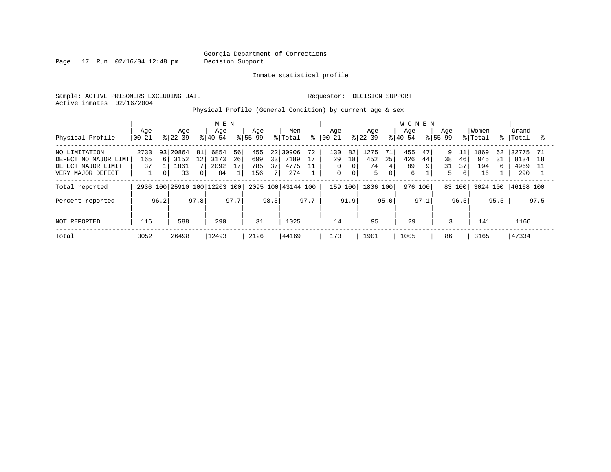Page 17 Run 02/16/04 12:48 pm Decision Support

Inmate statistical profile

Sample: ACTIVE PRISONERS EXCLUDING JAIL **Requestor: DECISION SUPPORT** Active inmates 02/16/2004

Physical Profile (General Condition) by current age & sex

|                                                                                  |                              |                            |                             |               | M E N                      |                |                          |                                   |                              |                |                               |                     |                        |                              | <b>WOMEN</b>          |               |                    |                     |                          |               |                              |           |
|----------------------------------------------------------------------------------|------------------------------|----------------------------|-----------------------------|---------------|----------------------------|----------------|--------------------------|-----------------------------------|------------------------------|----------------|-------------------------------|---------------------|------------------------|------------------------------|-----------------------|---------------|--------------------|---------------------|--------------------------|---------------|------------------------------|-----------|
| Physical Profile                                                                 | Age<br>$00 - 21$             |                            | Age<br>$ 22-39 $            |               | Age<br>$8 40-54$           |                | Age<br>$8155 - 99$       |                                   | Men<br>% Total               | °              | Age<br>$ 00-21 $              |                     | Age<br>$ 22-39 $       |                              | Age<br>$8 40-54$      |               | Age<br>$ 55 - 99 $ |                     | Women<br>% Total         |               | Grand<br>%   Total           |           |
| NO LIMITATION<br>DEFECT NO MAJOR LIMT<br>DEFECT MAJOR LIMIT<br>VERY MAJOR DEFECT | 2733<br>165<br>37            | 93<br><u>б</u><br>$\Omega$ | 20864<br>3152<br>1861<br>33 | 81<br>12<br>0 | 6854<br>3173<br>2092<br>84 | 56<br>26<br>17 | 455<br>699<br>785<br>156 | 221<br>33<br>37<br>7 <sub>1</sub> | 30906<br>7189<br>4775<br>274 | 72<br>17<br>11 | 130<br>29<br>0<br>$\mathbf 0$ | 82<br>18<br>$\circ$ | 1275<br>452<br>74<br>5 | 71<br>25<br>4<br>$\mathbf 0$ | 455<br>426<br>89<br>6 | 47<br>44<br>9 | 9<br>38<br>31<br>5 | 11<br>46<br>37<br>6 | 1869<br>945<br>194<br>16 | 62<br>31<br>6 | 32775<br>8134<br>4969<br>290 | -71<br>18 |
| Total reported                                                                   | 2936 100 25910 100 12203 100 |                            |                             |               |                            |                |                          |                                   | 2095 100 43144 100           |                | 159 100                       |                     | 1806 100               |                              | 976 100               |               | 83 100             |                     | 3024 100                 |               | 46168 100                    |           |
| Percent reported                                                                 |                              | 96.2                       |                             | 97.8          |                            | 97.7           |                          | 98.5                              |                              | 97.7           |                               | 91.9                |                        | 95.0                         |                       | 97.1          |                    | 96.5                |                          | 95.5          |                              | 97.5      |
| NOT REPORTED                                                                     | 116                          |                            | 588                         |               | 290                        |                | 31                       |                                   | 1025                         |                | 14                            |                     | 95                     |                              | 29                    |               | 3                  |                     | 141                      |               | 1166                         |           |
| Total                                                                            | 3052                         |                            | 26498                       |               | 12493                      |                | 2126                     |                                   | 44169                        |                | 173                           |                     | 1901                   |                              | 1005                  |               | 86                 |                     | 3165                     |               | 47334                        |           |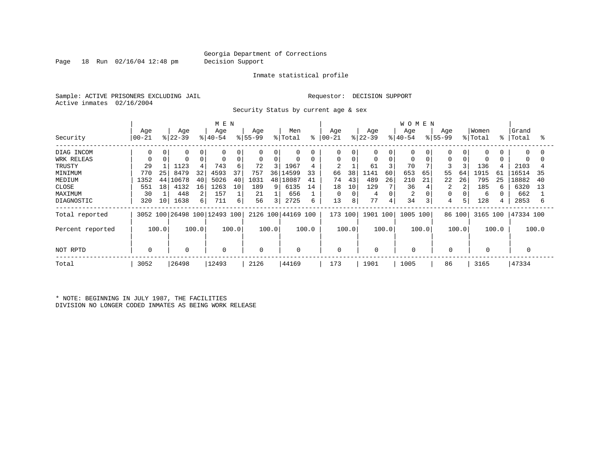Page 18 Run 02/16/04 12:48 pm Decision Support

#### Inmate statistical profile

Sample: ACTIVE PRISONERS EXCLUDING JAIL **Requestor: DECISION SUPPORT** Active inmates 02/16/2004

Security Status by current age & sex

|                  |                |       |                 |       | M E N                        |       |                  |       |                    |       |                   |          |                  |             | <b>WOMEN</b>    |       |                  |        |                  |       |                |       |
|------------------|----------------|-------|-----------------|-------|------------------------------|-------|------------------|-------|--------------------|-------|-------------------|----------|------------------|-------------|-----------------|-------|------------------|--------|------------------|-------|----------------|-------|
| Security         | Age<br>  00-21 |       | Age<br>$ 22-39$ |       | Age<br>$ 40-54 $             |       | Age<br>$ 55-99 $ |       | Men<br>% Total     | ႜႂ    | Age<br>$ 00 - 21$ |          | Age<br>$ 22-39 $ |             | Age<br>$ 40-54$ |       | Age<br>$8 55-99$ |        | Women<br>% Total | °≈    | Grand<br>Total | °     |
| DIAG INCOM       | 0              | 0     | 0               |       | $\Omega$                     |       | 0                | 0     | $\mathbf 0$        | 0     | 0                 | 0        | 0                | 0           | 0               |       |                  |        | 0                |       | $\Omega$       | 0     |
| WRK RELEAS       |                |       | $\mathbf 0$     |       | 0                            | 0     | 0                | 0     | 0                  | 0     | 0                 | $\Omega$ | 0                | $\mathbf 0$ | 0               |       | $\Omega$         |        | 0                |       |                |       |
| TRUSTY           | 29             |       | 1123            |       | 743                          | 6     | 72               | 3     | 1967               | 4     | $\overline{c}$    |          | 61               |             | 70              |       | 3                |        | 136              |       | 2103           |       |
| MINIMUM          | 770            | 25    | 8479            | 32    | 4593                         | 37    | 757              | 36    | 14599              | 33    | 66                | 38       | 1141             | 60          | 653             | 65    | 55               | 64     | 1915             | 61    | 16514          | 35    |
| MEDIUM           | 1352           | 44    | L0678           | 40    | 5026                         | 40    | 1031             |       | 48   18087         | 41    | 74                | 43       | 489              | 26          | 210             | 21    | 22               | 26     | 795              | 25    | 18882          | 40    |
| <b>CLOSE</b>     | 551            | 18    | 4132            | 16    | 1263                         | 10    | 189              | 9     | 6135               | 14    | 18                | 10       | 129              |             | 36              |       | 2                |        | 185              |       | 6320           | 13    |
| MAXIMUM          | 30             |       | 448             | 2     | 157                          |       | 21               |       | 656                |       | 0                 | C        | 4                | $\Omega$    | $\overline{2}$  |       |                  |        | 6                |       | 662            |       |
| DIAGNOSTIC       | 320            | 10    | 1638            | 6     | 711                          | 6     | 56               | 3     | 2725               | 6     | 13                | 8        | 77               | 4           | 34              | 3     | 4                |        | 128              |       | 2853           | 6     |
| Total reported   |                |       |                 |       | 3052 100 26498 100 12493 100 |       |                  |       | 2126 100 44169 100 |       | 173 100           |          | 1901 100         |             | 1005 100        |       |                  | 86 100 | 3165 100         |       | 47334 100      |       |
| Percent reported |                | 100.0 |                 | 100.0 |                              | 100.0 |                  | 100.0 |                    | 100.0 |                   | 100.0    |                  | 100.0       |                 | 100.0 |                  | 100.0  |                  | 100.0 |                | 100.0 |
| NOT RPTD         |                |       | $\mathbf 0$     |       | 0                            |       | 0                |       | $\mathbf 0$        |       | 0                 |          | 0                |             |                 |       | $\mathbf 0$      |        | 0                |       |                |       |
| Total            | 3052           |       | 26498           |       | 12493                        |       | 2126             |       | 44169              |       | 173               |          | 1901             |             | 1005            |       | 86               |        | 3165             |       | 47334          |       |

\* NOTE: BEGINNING IN JULY 1987, THE FACILITIES DIVISION NO LONGER CODED INMATES AS BEING WORK RELEASE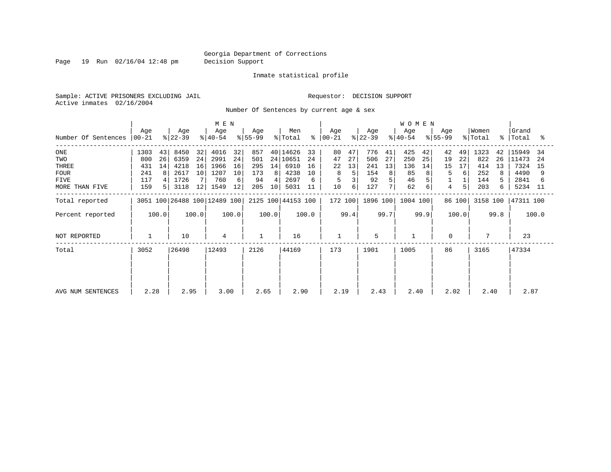Page 19 Run 02/16/04 12:48 pm Decision Support

#### Inmate statistical profile

Sample: ACTIVE PRISONERS EXCLUDING JAIL **Requestor: DECISION SUPPORT** Active inmates 02/16/2004

Number Of Sentences by current age & sex

|                     |                  |       |                  |       | M E N                        |       |                  |       |                    |       |                  |      |                  |      | <b>WOMEN</b>     |      |                 |        |                  |      |                    |       |
|---------------------|------------------|-------|------------------|-------|------------------------------|-------|------------------|-------|--------------------|-------|------------------|------|------------------|------|------------------|------|-----------------|--------|------------------|------|--------------------|-------|
| Number Of Sentences | Age<br>$ 00-21 $ |       | Age<br>$ 22-39 $ |       | Age<br>$ 40-54 $             |       | Age<br>$ 55-99 $ |       | Men<br>% Total     | ፠     | Age<br>$ 00-21 $ |      | Age<br>$ 22-39 $ |      | Age<br>$8 40-54$ |      | Age<br>$ 55-99$ |        | Women<br>% Total |      | Grand<br>%   Total | °     |
| $_{\rm ONE}$        | 1303             | 43    | 8450             | 32    | 4016                         | 32    | 857              |       | 40 14626           | 33    | 80               | 47   | 776              | 41   | 425              | 42   | 42              | 49     | 1323             | 42   | 15949              | 34    |
| TWO                 | 800              | 26    | 6359             | 24    | 2991                         | 24    | 501              |       | 24 10651           | 24    | 47               | 27   | 506              | 27   | 250              | 25   | 19              | 22     | 822              | 26   | 11473              | 24    |
| THREE               | 431              | 14    | 4218             | 16    | 1966                         | 16    | 295              | 14    | 6910               | 16    | 22               | 13   | 241              | 13   | 136              | 14   | 15              | 17     | 414              | 13   | 7324               | 15    |
| <b>FOUR</b>         | 241              | 8     | 2617             | 10    | 1207                         | 10    | 173              | 8     | 4238               | 10    | 8                |      | 154              | 8    | 85               |      | 5               | 6      | 252              | 8    | 4490               | 9     |
| FIVE                | 117              |       | 1726             |       | 760                          | 6     | 94               | 4     | 2697               |       | 5                |      | 92               |      | 46               |      |                 |        | 144              |      | 2841               |       |
| MORE THAN FIVE      | 159              |       | 3118             | 12    | 1549                         | 12    | 205              | 10    | 5031               | 11    | 10               | 6    | 127              | 7    | 62               | 6    | 4               |        | 203              | 6.   | 5234               | -11   |
| Total reported      |                  |       |                  |       | 3051 100 26488 100 12489 100 |       |                  |       | 2125 100 44153 100 |       | 172 100          |      | 1896 100         |      | 1004 100         |      |                 | 86 100 | 3158 100         |      | 47311 100          |       |
| Percent reported    |                  | 100.0 |                  | 100.0 |                              | 100.0 |                  | 100.0 |                    | 100.0 |                  | 99.4 |                  | 99.7 |                  | 99.9 |                 | 100.0  |                  | 99.8 |                    | 100.0 |
| NOT REPORTED        |                  |       | 10               |       | 4                            |       |                  |       | 16                 |       | $\mathbf{1}$     |      | 5                |      |                  |      | $\Omega$        |        | $7\phantom{.0}$  |      | 23                 |       |
| Total               | 3052             |       | 26498            |       | 12493                        |       | 2126             |       | 44169              |       | 173              |      | 1901             |      | 1005             |      | 86              |        | 3165             |      | 47334              |       |
|                     |                  |       |                  |       |                              |       |                  |       |                    |       |                  |      |                  |      |                  |      |                 |        |                  |      |                    |       |
| AVG NUM SENTENCES   | 2.28             |       | 2.95             |       | 3.00                         |       | 2.65             |       | 2.90               |       | 2.19             |      | 2.43             |      | 2.40             |      | 2.02            |        | 2.40             |      | 2.87               |       |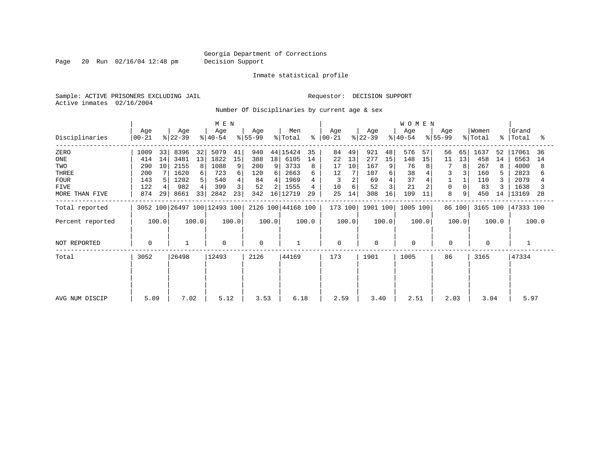Page 20 Run 02/16/04 12:48 pm Decision Support

Inmate statistical profile

Sample: ACTIVE PRISONERS EXCLUDING JAIL **Requestor: DECISION SUPPORT** Active inmates 02/16/2004

Number Of Disciplinaries by current age & sex

|                  | M E N            |       |                  |       |                              |       |                  |       |                    |           |                  |       |                  | <b>WOMEN</b>   |                  |       |                  |        |                  |       |                    |       |
|------------------|------------------|-------|------------------|-------|------------------------------|-------|------------------|-------|--------------------|-----------|------------------|-------|------------------|----------------|------------------|-------|------------------|--------|------------------|-------|--------------------|-------|
| Disciplinaries   | Age<br>$00 - 21$ |       | Age<br>$ 22-39 $ |       | Age<br>$ 40-54 $             |       | Age<br>$ 55-99 $ |       | Men<br>% Total     | $\approx$ | Age<br>$ 00-21 $ |       | Age<br>$ 22-39 $ |                | Age<br>$8 40-54$ |       | Age<br>$ 55-99 $ |        | Women<br>% Total |       | Grand<br>%   Total | °     |
| ZERO             | 1009             | 33    | 8396             | 32    | 5079                         | 41    | 940              | 44    | 15424              | 35        | 84               | 49    | 921              | 48             | 576              | 57    | 56               | 65     | 1637             | 52    | 17061              | 36    |
| ONE              | 414              | 14    | 3481             | 13    | 1822                         | 15    | 388              | 18    | 6105               | 14        | 22               | 13    | 277              | 15             | 148              | 15    | 11               | 13     | 458              | 14    | 6563               | 14    |
| TWO              | 290              | 10    | 2155             | 8     | 1088                         | 9     | 200              | 9     | 3733               | 8         | 17               | 10    | 167              | 9 <sup>1</sup> | 76               | 8     | 7                | 8      | 267              |       | 4000               |       |
| THREE            | 200              |       | 1620             | 6     | 723                          | 6     | 120              | 6 I   | 2663               |           | 12               |       | 107              |                | 38               |       | 3                |        | 160              |       | 2823               |       |
| <b>FOUR</b>      | 143              |       | 1202             |       | 540                          |       | 84               | 41    | 1969               |           |                  |       | 69               |                | 37               |       |                  |        | 110              |       | 2079               |       |
| FIVE             | 122              |       | 982              |       | 399                          | 3     | 52               |       | 1555               |           | 10               | 6     | 52               |                | 21               |       | $\Omega$         |        | 83               |       | 1638               |       |
| MORE THAN FIVE   | 874              | 29    | 8661             | 33    | 2842                         | 23    | 342              | 16    | 12719              | 29        | 25               | 14    | 308              | 16             | 109              | 11    | 8                | 9      | 450              | 14    | 13169              | 28    |
| Total reported   |                  |       |                  |       | 3052 100 26497 100 12493 100 |       |                  |       | 2126 100 44168 100 |           | 173 100          |       | 1901 100         |                | 1005 100         |       |                  | 86 100 | 3165 100         |       | 47333 100          |       |
| Percent reported |                  | 100.0 |                  | 100.0 |                              | 100.0 |                  | 100.0 |                    | 100.0     |                  | 100.0 |                  | 100.0          |                  | 100.0 |                  | 100.0  |                  | 100.0 |                    | 100.0 |
| NOT REPORTED     | 0                |       |                  |       | 0                            |       | 0                |       |                    |           | $\mathbf 0$      |       | 0                |                | $\mathbf 0$      |       | $\mathbf 0$      |        | 0                |       |                    |       |
| Total            | 3052             |       | 26498            |       | 12493                        |       | 2126             |       | 44169              |           | 173              |       | 1901             |                | 1005             |       | 86               |        | 3165             |       | 47334              |       |
|                  |                  |       |                  |       |                              |       |                  |       |                    |           |                  |       |                  |                |                  |       |                  |        |                  |       |                    |       |
|                  |                  |       |                  |       |                              |       |                  |       |                    |           |                  |       |                  |                |                  |       |                  |        |                  |       |                    |       |
| AVG NUM DISCIP   | 5.09             |       | 7.02             |       | 5.12                         |       | 3.53             |       | 6.18               |           | 2.59             |       | 3.40             |                | 2.51             |       | 2.03             |        | 3.04             |       | 5.97               |       |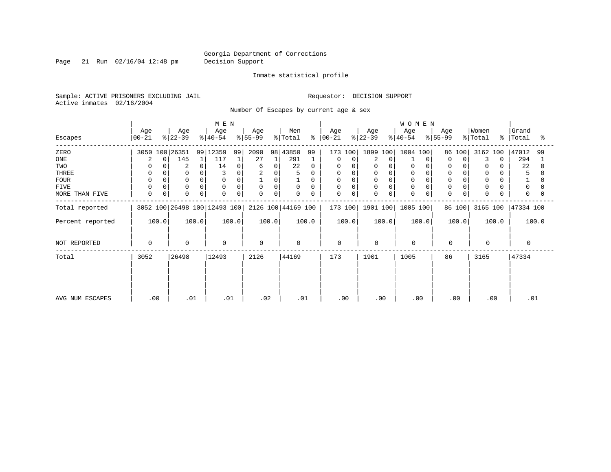Page 21 Run 02/16/04 12:48 pm Decision Support

#### Inmate statistical profile

Sample: ACTIVE PRISONERS EXCLUDING JAIL **Requestor: DECISION SUPPORT** Active inmates 02/16/2004

Number Of Escapes by current age & sex

|                  |                            |                      | M E N                        |                  |                    |                         |                  | <b>WOMEN</b>     |                         |                      |                         |
|------------------|----------------------------|----------------------|------------------------------|------------------|--------------------|-------------------------|------------------|------------------|-------------------------|----------------------|-------------------------|
| Escapes          | Age<br>$00 - 21$           | Age<br>$ 22-39 $     | Age<br>$ 40-54 $             | Age<br>$ 55-99 $ | Men<br>% Total     | Age<br>$8   00 - 21$    | Age<br>$ 22-39 $ | Age<br>$ 40-54 $ | Age<br>$ 55-99 $        | Women<br>% Total     | Grand<br>%   Total<br>ႜ |
| ZERO             | 3050 100 26351             |                      | 99 12359<br>99               | 2090<br>98       | 43850<br>99        | 173 100                 | 1899 100         | 1004 100         | 86 100                  | 3162 100             | 47012<br>99             |
| ONE              | 0                          | 145                  | 117                          | 27               | 291                | 0<br>0                  | 2<br>$\Omega$    | 0                | 0<br>$\Omega$           | 3<br>$\Omega$        | 294                     |
| TWO              | <sup>0</sup>               | 2                    | 14<br>0                      | 0<br>6           | 22<br>$\Omega$     | $\Omega$<br>$\Omega$    | 0<br>$\Omega$    | $\Omega$         |                         | 0                    | 22                      |
| THREE            | 0                          |                      |                              | 2<br>0           | 5                  | 0                       |                  |                  |                         | 0                    |                         |
| <b>FOUR</b>      | $\Omega$                   | $\Omega$             | $\Omega$                     | 0                |                    | 0                       | $\Omega$         |                  |                         | $\mathbf 0$          |                         |
| FIVE             | $\Omega$                   | $\Omega$<br>$\Omega$ | 0<br>$\Omega$                | 0<br>$\Omega$    | $\mathbf 0$<br>0   | $\mathbf 0$<br>$\Omega$ | 0<br>$\Omega$    | $\Omega$         |                         | $\mathbf 0$          | $\Omega$                |
| MORE THAN FIVE   | $\mathbf 0$<br>$\mathbf 0$ | $\Omega$             | $\mathbf 0$<br>$\mathbf 0$   | $\mathbf 0$<br>0 | 0<br>0             | $\mathbf 0$<br>0        | $\Omega$<br>0    | $\mathbf 0$      | $\mathbf 0$<br>$\Omega$ | $\mathbf 0$          | 0                       |
| Total reported   |                            |                      | 3052 100 26498 100 12493 100 |                  | 2126 100 44169 100 | 173 100                 | 1901 100         | 1005 100         | 86 100                  | 3165 100   47334 100 |                         |
| Percent reported | 100.0                      | 100.0                | 100.0                        | 100.0            | 100.0              | 100.0                   | 100.0            | 100.0            | 100.0                   | 100.0                | 100.0                   |
| NOT REPORTED     | 0                          | $\mathbf 0$          | $\mathbf 0$                  | $\Omega$         | $\Omega$           | $\mathbf 0$             | 0                | $\mathbf 0$      | $\mathbf 0$             | $\Omega$             | $\Omega$                |
| Total            | 3052                       | 26498                | 12493                        | 2126             | 44169              | 173                     | 1901             | 1005             | 86                      | 3165                 | 47334                   |
|                  |                            |                      |                              |                  |                    |                         |                  |                  |                         |                      |                         |
|                  |                            |                      |                              |                  |                    |                         |                  |                  |                         |                      |                         |
| AVG NUM ESCAPES  | .00                        | .01                  | .01                          | .02              | .01                | .00                     | .00              | .00              | .00                     | .00                  | .01                     |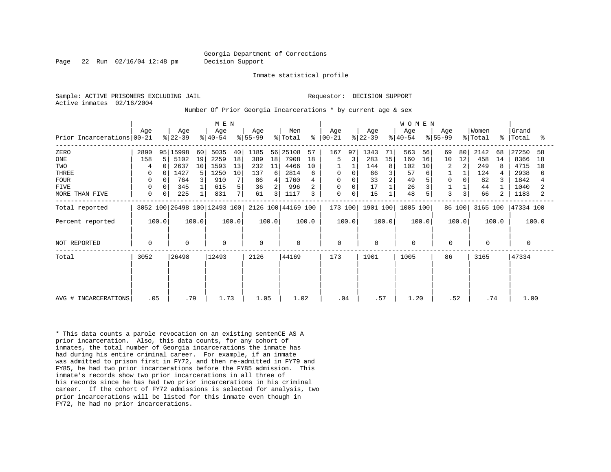Page 22 Run 02/16/04 12:48 pm Decision Support

Inmate statistical profile

Active inmates 02/16/2004

Sample: ACTIVE PRISONERS EXCLUDING JAIL RESOLUTION SUPPORT Requestor: DECISION SUPPORT

Number Of Prior Georgia Incarcerations \* by current age & sex

|                              |             |        |                  |       | M E N                        |       |                  |       |                            |       |                      |       |                  |       | W O M E N        |       |                  |        |                  |             |                |       |
|------------------------------|-------------|--------|------------------|-------|------------------------------|-------|------------------|-------|----------------------------|-------|----------------------|-------|------------------|-------|------------------|-------|------------------|--------|------------------|-------------|----------------|-------|
| Prior Incarcerations   00-21 | Age         |        | Age<br>$ 22-39 $ |       | Age<br>$ 40-54 $             |       | Age<br>$ 55-99 $ |       | Men<br>$\frac{1}{2}$ Total |       | Age<br>$8   00 - 21$ |       | Age<br>$ 22-39 $ |       | Age<br>$ 40-54 $ |       | Age<br>$ 55-99 $ |        | Women<br>% Total | $\approx$ 1 | Grand<br>Total | ႜ     |
| ZERO                         | 2890        |        | 95 15998         | 60    | 5035                         | 40    | 1185             |       | 56 25108                   | 57    | 167                  | 97    | 1343             | 71    | 563              | 56    | 69               | 80     | 2142             | 68          | 27250          | 58    |
| ONE                          | 158         | 5      | 5102             | 19    | 2259                         | 18    | 389              | 18    | 7908                       | 18    | 5                    |       | 283              | 15    | 160              | 16    | 10               | 12     | 458              | 14          | 8366           | 18    |
| TWO                          | 4           | $\cap$ | 2637             | 10    | 1593                         | 13    | 232              | 11    | 4466                       | 10    |                      |       | 144              | 8     | 102              | 10    | 2                | 2      | 249              | 8           | 4715           | 10    |
| THREE                        | 0           |        | 1427             | 5     | 1250                         | 10    | 137              | 6     | 2814                       | 6     | 0                    |       | 66               |       | 57               | 6     |                  |        | 124              |             | 2938           | 6     |
| <b>FOUR</b>                  | 0           |        | 764              | 3     | 910                          |       | 86               | 4     | 1760                       |       | 0                    |       | 33               |       | 49               |       | 0                |        | 82               |             | 1842           |       |
| <b>FIVE</b>                  | 0           |        | 345              |       | 615                          | 5     | 36               | 2     | 996                        |       | 0                    |       | 17               |       | 26               | 3     |                  |        | 44               |             | 1040           |       |
| MORE THAN FIVE               | 0           | 0      | 225              |       | 831                          | 7     | 61               | 3     | 1117                       | 3     | 0                    | 0     | 15               |       | 48               | 5     | 3                | 3      | 66               | 2           | 1183           |       |
| Total reported               |             |        |                  |       | 3052 100 26498 100 12493 100 |       |                  |       | 2126 100 44169 100         |       | 173 100              |       | 1901 100         |       | 1005 100         |       |                  | 86 100 | 3165 100         |             | 47334 100      |       |
| Percent reported             |             | 100.0  |                  | 100.0 |                              | 100.0 |                  | 100.0 |                            | 100.0 |                      | 100.0 |                  | 100.0 |                  | 100.0 |                  | 100.0  |                  | 100.0       |                | 100.0 |
| NOT REPORTED                 | $\mathbf 0$ |        | $\mathbf 0$      |       | $\mathbf 0$                  |       | $\Omega$         |       | 0                          |       | $\mathbf 0$          |       | $\mathbf 0$      |       | $\mathbf 0$      |       | $\mathbf 0$      |        | $\Omega$         |             | 0              |       |
| Total                        | 3052        |        | 26498            |       | 12493                        |       | 2126             |       | 44169                      |       | 173                  |       | 1901             |       | 1005             |       | 86               |        | 3165             |             | 47334          |       |
|                              |             |        |                  |       |                              |       |                  |       |                            |       |                      |       |                  |       |                  |       |                  |        |                  |             |                |       |
|                              |             |        |                  |       |                              |       |                  |       |                            |       |                      |       |                  |       |                  |       |                  |        |                  |             |                |       |
| AVG # INCARCERATIONS         | .05         |        | .79              |       | 1.73                         |       | 1.05             |       | 1.02                       |       | .04                  |       | .57              |       | 1.20             |       | .52              |        |                  | .74         | 1.00           |       |

\* This data counts a parole revocation on an existing sentenCE AS A prior incarceration. Also, this data counts, for any cohort of inmates, the total number of Georgia incarcerations the inmate has had during his entire criminal career. For example, if an inmate was admitted to prison first in FY72, and then re-admitted in FY79 and FY85, he had two prior incarcerations before the FY85 admission. This inmate's records show two prior incarcerations in all three of his records since he has had two prior incarcerations in his criminal career. If the cohort of FY72 admissions is selected for analysis, two prior incarcerations will be listed for this inmate even though in FY72, he had no prior incarcerations.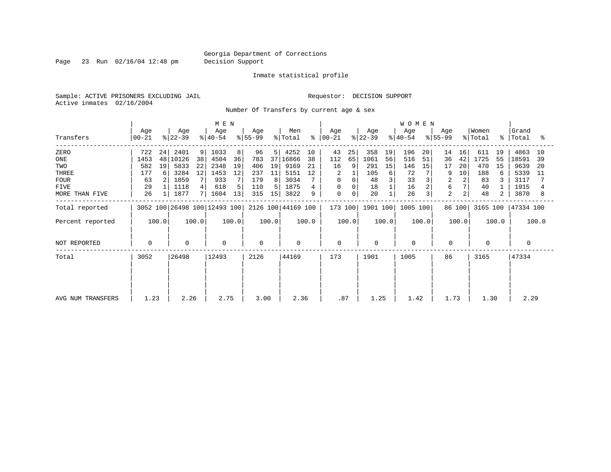Page 23 Run 02/16/04 12:48 pm Decision Support

#### Inmate statistical profile

Sample: ACTIVE PRISONERS EXCLUDING JAIL **Requestor: DECISION SUPPORT** Active inmates 02/16/2004

Number Of Transfers by current age & sex

|                   |                    |       | M E N            |       |                              |       |                  |                 |                    |       |                      |       | <b>WOMEN</b>     |       |                  |                |                  |        |                  |       |                    |       |
|-------------------|--------------------|-------|------------------|-------|------------------------------|-------|------------------|-----------------|--------------------|-------|----------------------|-------|------------------|-------|------------------|----------------|------------------|--------|------------------|-------|--------------------|-------|
| Transfers         | Age<br>$ 00 - 21 $ |       | Age<br>$ 22-39 $ |       | Age<br>$ 40-54 $             |       | Age<br>$ 55-99 $ |                 | Men<br>% Total     |       | Age<br>$8   00 - 21$ |       | Age<br>$ 22-39 $ |       | Age<br>$ 40-54 $ |                | Age<br>$ 55-99 $ |        | Women<br>% Total |       | Grand<br>%  Total  | ႜ     |
| ZERO              | 722                | 24    | 2401             | 9     | 1033                         | 8     | 96               | 5               | 4252               | 10    | 43                   | 25    | 358              | 19    | 196              | 20             | 14               | 16     | 611              | 19    | 4863               | 10    |
| ONE               | 1453               | 48    | 10126            | 38    | 4504                         | 36    | 783              | 37 <sup>1</sup> | 16866              | 38    | 112                  | 65    | 1061             | 56    | 516              | 51             | 36               | 42     | 1725             | 55    | 18591              | 39    |
| TWO               | 582                | 19    | 5833             | 22    | 2348                         | 19    | 406              | 19              | 9169               | 21    | 16                   | 9     | 291              | 15    | 146              | 15             | 17               | 20     | 470              | 15    | 9639               | -20   |
| THREE             | 177                | 6     | 3284             | 12    | 1453                         | 12    | 237              | 11              | 5151               | 12    | 2                    |       | 105              | 6     | 72               |                |                  | 10     | 188              | 6     | 5339               | -11   |
| <b>FOUR</b>       | 63                 |       | 1859             |       | 933                          |       | 179              | 8               | 3034               |       | 0                    | 0     | 48               |       | 33               |                | 2                |        | 83               |       | 3117               |       |
| FIVE              | 29                 |       | 1118             |       | 618                          |       | 110              | 5               | 1875               |       | 0                    | 0     | 18               |       | 16               | $\overline{a}$ | 6                |        | 40               |       | 1915               |       |
| MORE THAN FIVE    | 26                 |       | 1877             |       | 1604                         | 13    | 315              | 15              | 3822               | 9     | $\mathbf 0$          | 0     | 20               |       | 26               | 3              | $\overline{a}$   |        | 48               | 2     | 3870               | 8     |
| Total reported    |                    |       |                  |       | 3052 100 26498 100 12493 100 |       |                  |                 | 2126 100 44169 100 |       | 173 100              |       | 1901 100         |       | 1005 100         |                |                  | 86 100 |                  |       | 3165 100 47334 100 |       |
| Percent reported  |                    | 100.0 |                  | 100.0 |                              | 100.0 |                  | 100.0           |                    | 100.0 |                      | 100.0 |                  | 100.0 |                  | 100.0          |                  | 100.0  |                  | 100.0 |                    | 100.0 |
| NOT REPORTED      | 0                  |       | $\mathbf 0$      |       | 0                            |       | $\Omega$         |                 | $\Omega$           |       | $\mathbf 0$          |       | $\Omega$         |       | $\mathbf 0$      |                | 0                |        | $\Omega$         |       | $\Omega$           |       |
| Total             | 3052               |       | 26498            |       | 12493                        |       | 2126             |                 | 44169              |       | 173                  |       | 1901             |       | 1005             |                | 86               |        | 3165             |       | 47334              |       |
|                   |                    |       |                  |       |                              |       |                  |                 |                    |       |                      |       |                  |       |                  |                |                  |        |                  |       |                    |       |
|                   |                    |       |                  |       |                              |       |                  |                 |                    |       |                      |       |                  |       |                  |                |                  |        |                  |       |                    |       |
| AVG NUM TRANSFERS | 1.23               |       | 2.26             |       | 2.75                         |       | 3.00             |                 | 2.36               |       | .87                  |       | 1.25             |       | 1.42             |                | 1.73             |        | 1.30             |       | 2.29               |       |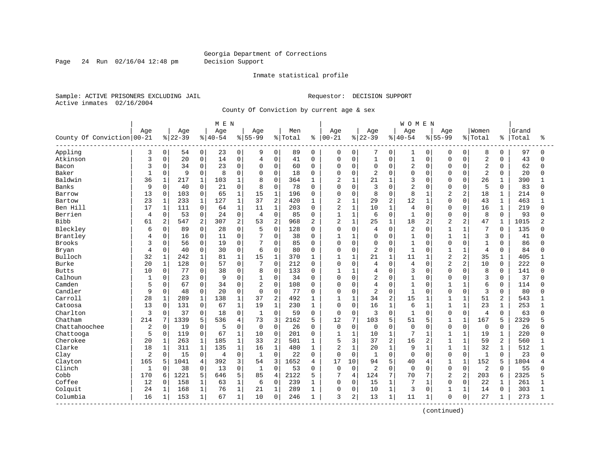Page 24 Run 02/16/04 12:48 pm Decision Support

#### Inmate statistical profile

Sample: ACTIVE PRISONERS EXCLUDING JAIL **Requestor: DECISION SUPPORT** Active inmates 02/16/2004

County Of Conviction by current age & sex

|                            |              |              |           |                | M E N     |                |                |                |         |                |                |                |                |              | WOMEN          |                |                |                |                |                |       |          |
|----------------------------|--------------|--------------|-----------|----------------|-----------|----------------|----------------|----------------|---------|----------------|----------------|----------------|----------------|--------------|----------------|----------------|----------------|----------------|----------------|----------------|-------|----------|
|                            | Age          |              | Age       |                | Age       |                | Age            |                | Men     |                | Age            |                | Age            |              | Age            |                | Aqe            |                | Women          |                | Grand |          |
| County Of Conviction 00-21 |              |              | $8 22-39$ |                | $8 40-54$ |                | $8155 - 99$    |                | % Total | ៖              | $ 00 - 21$     |                | $ 22-39$       |              | $8 40-54$      |                | $8155 - 99$    |                | % Total        | ៖              | Total | ႜ        |
| Appling                    | 3            | 0            | 54        | $\overline{0}$ | 23        | 0              | 9              | 0              | 89      | $\mathbf 0$    | 0              | $\mathbf 0$    | 7              | $\mathbf 0$  | 1              | 0              | 0              | 0              | 8              | $\mathbf 0$    | 97    | $\Omega$ |
| Atkinson                   | 3            | 0            | 20        | 0              | 14        | $\mathbf 0$    | $\overline{4}$ | 0              | 41      | $\mathbf 0$    | 0              | $\mathbf 0$    | $\mathbf{1}$   | $\mathbf 0$  | $\mathbf{1}$   | 0              | $\Omega$       | $\mathbf 0$    | $\overline{2}$ | $\Omega$       | 43    | $\Omega$ |
| Bacon                      | 3            | 0            | 34        | 0              | 23        | $\mathbf 0$    | $\mathbf 0$    | $\Omega$       | 60      | $\Omega$       | 0              | $\mathbf 0$    | 0              | $\Omega$     | $\overline{2}$ | 0              | $\Omega$       | $\Omega$       | $\sqrt{2}$     | $\Omega$       | 62    | $\Omega$ |
| Baker                      | $\mathbf{1}$ | 0            | 9         | 0              | 8         | $\mathbf 0$    | $\Omega$       | $\Omega$       | 18      | $\Omega$       | $\Omega$       | $\mathbf 0$    | 2              | $\Omega$     | $\mathbf 0$    | $\Omega$       | $\Omega$       | $\Omega$       | $\overline{2}$ | $\Omega$       | 20    | ∩        |
| Baldwin                    | 36           | 1            | 217       | $\mathbf{1}$   | 103       | $\mathbf{1}$   | 8              | $\Omega$       | 364     | -1             | 2              | $\mathbf{1}$   | 21             | $\mathbf{1}$ | 3              | $\cap$         | $\Omega$       | $\cap$         | 26             | $\mathbf{1}$   | 390   |          |
| Banks                      | 9            | $\Omega$     | 40        | $\Omega$       | 21        | $\Omega$       | 8              | $\Omega$       | 78      | $\Omega$       | $\Omega$       | $\Omega$       | 3              | $\Omega$     | $\overline{a}$ | <sup>n</sup>   | $\Omega$       | $\Omega$       | 5              | $\Omega$       | 83    |          |
| Barrow                     | 13           | $\mathbf 0$  | 103       | 0              | 65        | $1\,$          | 15             | $\mathbf 1$    | 196     | $\Omega$       | 0              | $\mathbf 0$    | 8              | $\Omega$     | 8              | 1              | $\overline{2}$ | 2              | 18             | $\mathbf{1}$   | 214   | U        |
| Bartow                     | 23           | 1            | 233       | $\mathbf{1}$   | 127       | $\mathbf{1}$   | 37             | $\overline{2}$ | 420     | 1              | 2              | $\mathbf{1}$   | 29             | 2            | 12             | $\mathbf{1}$   | $\Omega$       | $\Omega$       | 43             | $\mathbf{1}$   | 463   |          |
| Ben Hill                   | 17           | $\mathbf{1}$ | 111       | 0              | 64        | $\mathbf{1}$   | 11             | $\mathbf{1}$   | 203     | $\Omega$       | 2              | $\mathbf{1}$   | 10             | $\mathbf{1}$ | $\overline{4}$ | $\Omega$       | $\Omega$       | $\Omega$       | 16             | $\mathbf{1}$   | 219   | $\cap$   |
| Berrien                    | 4            | 0            | 53        | 0              | 24        | 0              | $\overline{4}$ | 0              | 85      | 0              | $\mathbf{1}$   | $\mathbf{1}$   | 6              | $\mathbf 0$  | $\mathbf{1}$   | $\Omega$       | $\Omega$       | 0              | 8              | $\mathbf 0$    | 93    |          |
| <b>Bibb</b>                | 61           | 2            | 547       | 2              | 307       | 2              | 53             | $\overline{2}$ | 968     | 2              | 2              | $\mathbf{1}$   | 25             | $\mathbf{1}$ | 18             | 2              | $\overline{a}$ | 2              | 47             | $\mathbf 1$    | 1015  |          |
| Bleckley                   | 6            | 0            | 89        | $\Omega$       | 28        | $\Omega$       | 5              | $\Omega$       | 128     | $\Omega$       | $\Omega$       | $\Omega$       | 4              | $\Omega$     | $\overline{2}$ | $\Omega$       | $\mathbf{1}$   | $\mathbf{1}$   | 7              | $\Omega$       | 135   |          |
| Brantley                   | 4            | 0            | 16        | $\mathbf{0}$   | 11        | $\Omega$       |                | $\Omega$       | 38      | $\Omega$       | 1              | $\mathbf{1}$   | 0              | $\Omega$     | $\mathbf{1}$   | $\Omega$       | $\mathbf{1}$   | $\mathbf{1}$   | 3              | $\Omega$       | 41    |          |
| Brooks                     | 3            | 0            | 56        | 0              | 19        | $\mathbf 0$    |                | $\Omega$       | 85      | $\Omega$       | $\Omega$       | $\mathbf 0$    | 0              | $\Omega$     | $\mathbf{1}$   | $\Omega$       | $\Omega$       | $\Omega$       | $\mathbf{1}$   | $\Omega$       | 86    |          |
| Bryan                      | 4            | 0            | 40        | 0              | 30        | $\Omega$       | 6              | $\Omega$       | 80      | $\Omega$       | $\Omega$       | $\Omega$       | $\overline{2}$ | $\Omega$     | $\mathbf{1}$   | $\Omega$       | $\mathbf{1}$   | $\mathbf{1}$   | $\overline{4}$ | $\Omega$       | 84    | ∩        |
| Bulloch                    | 32           | $\mathbf{1}$ | 242       | $\mathbf 1$    | 81        | $\mathbf{1}$   | 15             | $\mathbf{1}$   | 370     |                |                | $\mathbf{1}$   | 21             | $\mathbf{1}$ | 11             |                | $\overline{2}$ | 2              | 35             |                | 405   |          |
| Burke                      | 20           | $\mathbf{1}$ | 128       | 0              | 57        | $\Omega$       | 7              | $\Omega$       | 212     | $\Omega$       | $\Omega$       | $\Omega$       | 4              | $\Omega$     | 4              | $\Omega$       | $\overline{a}$ | $\overline{2}$ | 10             | $\Omega$       | 222   |          |
| <b>Butts</b>               | 10           | $\Omega$     | 77        | $\mathbf{0}$   | 38        | $\mathbf 0$    | 8              | $\Omega$       | 133     | $\Omega$       | $\mathbf{1}$   | $\mathbf{1}$   | 4              | $\Omega$     | 3              | $\Omega$       | $\Omega$       | $\Omega$       | 8              | $\Omega$       | 141   |          |
| Calhoun                    | $\mathbf{1}$ | 0            | 23        | 0              | 9         | $\mathbf 0$    | $\mathbf{1}$   | $\mathbf 0$    | 34      | $\Omega$       | $\Omega$       | $\mathbf 0$    | 2              | $\Omega$     | $\mathbf{1}$   | $\Omega$       | $\Omega$       | $\Omega$       | 3              | $\Omega$       | 37    |          |
| Camden                     | 5            | 0            | 67        | 0              | 34        | $\Omega$       | $\overline{2}$ | $\Omega$       | 108     | $\Omega$       | $\Omega$       | $\Omega$       | $\overline{4}$ | $\Omega$     | $\mathbf{1}$   | $\Omega$       | $\mathbf{1}$   | $\mathbf{1}$   | 6              | $\Omega$       | 114   |          |
| Candler                    | 9            | 0            | 48        | 0              | 20        | $\mathbf 0$    | $\mathbf 0$    | 0              | 77      | $\Omega$       | 0              | $\mathbf 0$    | $\overline{2}$ | $\Omega$     | $\mathbf{1}$   | $\Omega$       | $\Omega$       | $\Omega$       | 3              | $\Omega$       | 80    |          |
| Carroll                    | 28           | $\mathbf 1$  | 289       | $\mathbf 1$    | 138       | $\mathbf{1}$   | 37             | $\overline{2}$ | 492     | 1              | $\mathbf{1}$   | $\mathbf{1}$   | 34             | 2            | 15             | $\mathbf{1}$   | $\mathbf{1}$   | $\mathbf{1}$   | 51             | 2              | 543   |          |
| Catoosa                    | 13           | $\Omega$     | 131       | 0              | 67        | $\mathbf{1}$   | 19             | $\mathbf{1}$   | 230     | 1              | $\Omega$       | $\Omega$       | 16             | $\mathbf{1}$ | 6              | $\mathbf{1}$   | $\mathbf{1}$   | $\mathbf{1}$   | 23             | $\mathbf 1$    | 253   |          |
| Charlton                   | 3            | 0            | 37        | 0              | 18        | $\mathbf 0$    | $\mathbf{1}$   | $\Omega$       | 59      | $\Omega$       | 0              | $\mathbf 0$    | 3              | $\Omega$     | $\mathbf{1}$   | $\Omega$       | $\mathbf 0$    | 0              | 4              | 0              | 63    |          |
| Chatham                    | 214          | 7            | 1339      | 5              | 536       | $\overline{4}$ | 73             | 3              | 2162    | 5              | 12             | 7              | 103            | 5            | 51             | 5              | 1              | $\mathbf{1}$   | 167            | 5              | 2329  |          |
| Chattahoochee              | 2            | $\mathbf 0$  | 19        | 0              | 5         | $\mathbf 0$    | $\mathbf 0$    | $\mathbf 0$    | 26      | $\Omega$       | $\mathbf 0$    | $\mathbf 0$    | 0              | $\Omega$     | $\mathbf 0$    | $\Omega$       | $\mathbf 0$    | $\mathbf 0$    | $\mathbf 0$    | $\Omega$       | 26    |          |
| Chattooga                  | 5            | 0            | 119       | 0              | 67        | $\mathbf{1}$   | 10             | 0              | 201     | $\mathbf 0$    | $\mathbf{1}$   | $\mathbf{1}$   | 10             | $\mathbf 1$  | 7              | 1              | $\mathbf{1}$   | $\mathbf{1}$   | 19             | $\mathbf{1}$   | 220   | U        |
| Cherokee                   | 20           | $\mathbf{1}$ | 263       | 1              | 185       | $\mathbf{1}$   | 33             | $\overline{2}$ | 501     | 1              | 5              | 3              | 37             | 2            | 16             | $\overline{a}$ | 1              | $\mathbf{1}$   | 59             | $\overline{a}$ | 560   |          |
| Clarke                     | 18           | $\mathbf{1}$ | 311       | $\mathbf{1}$   | 135       | $\mathbf{1}$   | 16             | $\mathbf{1}$   | 480     | $\mathbf{1}$   | $\overline{2}$ | $\mathbf{1}$   | 20             | $\mathbf{1}$ | 9              | $\mathbf{1}$   | $\mathbf{1}$   | $\mathbf{1}$   | 32             | $\mathbf{1}$   | 512   |          |
| Clay                       | 2            | 0            | 15        | $\Omega$       | 4         | $\mathbf 0$    | $\mathbf{1}$   | $\Omega$       | 22      | $\Omega$       | 0              | $\Omega$       | $\mathbf{1}$   | $\Omega$     | $\Omega$       | $\Omega$       | $\Omega$       | $\Omega$       | $\mathbf{1}$   | $\Omega$       | 23    |          |
| Clayton                    | 165          | 5            | 1041      | 4              | 392       | 3              | 54             | 3              | 1652    | $\overline{4}$ | 17             | 10             | 94             | 5            | 40             | 4              | $\mathbf{1}$   | $\mathbf{1}$   | 152            | 5              | 1804  |          |
| Clinch                     | $\mathbf{1}$ | 0            | 38        | $\Omega$       | 13        | $\Omega$       | $\mathbf{1}$   | $\Omega$       | 53      | $\Omega$       | 0              | $\Omega$       | $\overline{2}$ | $\Omega$     | $\Omega$       | $\Omega$       | $\Omega$       | $\Omega$       | $\overline{2}$ | $\Omega$       | 55    | Λ        |
| Cobb                       | 170          | 6            | 1221      | 5              | 646       | 5              | 85             | $\overline{4}$ | 2122    | 5              | 7              | $\overline{4}$ | 124            | 7            | 70             | 7              | $\overline{2}$ | 2              | 203            | 6              | 2325  |          |
| Coffee                     | 12           | $\Omega$     | 158       | $\mathbf{1}$   | 63        | $\mathbf{1}$   | 6              | $\Omega$       | 239     | $\mathbf{1}$   | $\Omega$       | $\Omega$       | 15             | $\mathbf{1}$ | 7              | $\mathbf{1}$   | $\Omega$       | $\Omega$       | 22             | 1              | 261   |          |
| Colquit                    | 24           | 1            | 168       | $\mathbf{1}$   | 76        | $\mathbf{1}$   | 21             | $\mathbf{1}$   | 289     | 1              | 0              | $\mathbf 0$    | 10             | $\mathbf{1}$ | 3              | $\Omega$       | $\mathbf{1}$   | $\mathbf{1}$   | 14             | $\Omega$       | 303   |          |
| Columbia                   | 16           | 1            | 153       | 1              | 67        | $\mathbf{1}$   | 10             | $\mathbf 0$    | 246     | 1              | 3              | 2              | 13             | $\mathbf{1}$ | 11             | 1              | $\Omega$       | $\mathbf 0$    | 27             | 1              | 273   |          |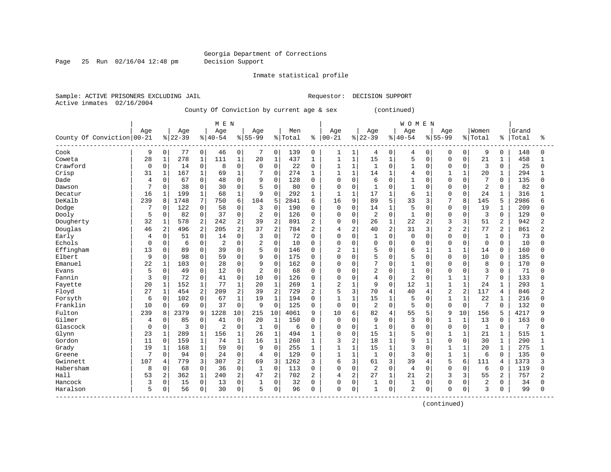Page 25 Run 02/16/04 12:48 pm Decision Support

Inmate statistical profile

Sample: ACTIVE PRISONERS EXCLUDING JAIL **Requestor: DECISION SUPPORT** Active inmates 02/16/2004

County Of Conviction by current age & sex (continued)

|                            |          |                |          |                | M E N          |                |                |                     |         |                |                |              |                |              | <b>WOMEN</b>   |                |                |              |                |                |       |                |
|----------------------------|----------|----------------|----------|----------------|----------------|----------------|----------------|---------------------|---------|----------------|----------------|--------------|----------------|--------------|----------------|----------------|----------------|--------------|----------------|----------------|-------|----------------|
|                            | Age      |                | Age      |                | Age            |                | Age            |                     | Men     |                | Age            |              | Age            |              | Age            |                | Age            |              | Women          |                | Grand |                |
| County Of Conviction 00-21 |          |                | $ 22-39$ |                | $8 40-54$      |                | $8155 - 99$    |                     | % Total | ႜ              | $ 00-21$       |              | $8 22-39$      | %            | $140 - 54$     |                | $8155 - 99$    |              | % Total        | ႜ              | Total | ႜ              |
| Cook                       | 9        | 0              | 77       | 0              | 46             | 0              |                | 0                   | 139     | 0              | 1              | 1            | 4              | 0            | 4              | 0              | 0              | 0            | 9              | 0              | 148   | 0              |
| Coweta                     | 28       | $1\,$          | 278      | $\mathbf 1$    | 111            | $\mathbf 1$    | 20             | $\mathbf{1}$        | 437     | $\mathbf{1}$   | $1\,$          | $\mathbf{1}$ | 15             | $\mathbf{1}$ | 5              | $\Omega$       | $\Omega$       | $\Omega$     | 21             | 1              | 458   |                |
| Crawford                   | 0        | 0              | 14       | 0              | 8              | $\Omega$       | $\Omega$       | $\Omega$            | 22      | 0              | $\mathbf{1}$   | $\mathbf{1}$ | 1              | $\Omega$     | 1              | $\Omega$       | $\Omega$       | $\Omega$     | 3              | $\Omega$       | 25    | 0              |
| Crisp                      | 31       | 1              | 167      | $\mathbf 1$    | 69             | $\mathbf{1}$   |                | $\mathbf 0$         | 274     | 1              | 1              | $\mathbf{1}$ | 14             | $\mathbf{1}$ | $\overline{4}$ | $\Omega$       |                | $\mathbf{1}$ | 20             |                | 294   |                |
| Dade                       | 4        | 0              | 67       | 0              | 48             | $\Omega$       | 9              | $\Omega$            | 128     | $\mathbf 0$    | $\mathbf 0$    | 0            | 6              | $\Omega$     | $\mathbf{1}$   | $\Omega$       | $\Omega$       | $\Omega$     | 7              | $\Omega$       | 135   | U              |
| Dawson                     | 7        | 0              | 38       | $\mathbf 0$    | 30             | $\Omega$       | 5              | $\mathbf 0$         | 80      | 0              | $\mathbf 0$    | 0            | $\mathbf{1}$   | $\Omega$     | $\mathbf{1}$   | $\Omega$       | $\Omega$       | $\Omega$     | $\overline{2}$ | $\Omega$       | 82    | 0              |
| Decatur                    | 16       | 1              | 199      | $\mathbf{1}$   | 68             | $\mathbf{1}$   | 9              | $\Omega$            | 292     | 1              | $\mathbf{1}$   | $\mathbf{1}$ | 17             | 1            | 6              | 1              | $\Omega$       | <sup>0</sup> | 24             |                | 316   |                |
| DeKalb                     | 239      | 8              | 1748     | 7              | 750            | 6              | 104            | 5                   | 2841    | 6              | 16             | 9            | 89             | 5            | 33             | 3              |                | 8            | 145            | 5              | 2986  | 6              |
| Dodge                      | 7        | $\Omega$       | 122      | 0              | 58             | $\Omega$       | 3              | $\Omega$            | 190     | $\Omega$       | $\Omega$       | $\Omega$     | 14             | $\mathbf{1}$ | 5              | $\Omega$       | $\Omega$       | $\Omega$     | 19             |                | 209   | U              |
| Dooly                      | 5        | $\mathbf 0$    | 82       | $\mathbf 0$    | 37             | $\Omega$       | 2              | $\Omega$            | 126     | $\mathbf 0$    | $\mathbf 0$    | $\Omega$     | $\overline{2}$ | $\Omega$     | $\mathbf{1}$   | $\Omega$       | $\Omega$       | $\Omega$     | 3              | $\Omega$       | 129   | 0              |
| Dougherty                  | 32       | 1              | 578      | 2              | 242            | $\overline{2}$ | 39             | 2                   | 891     | $\overline{2}$ | $\mathbf 0$    | 0            | 26             | 1            | 22             | 2              | 3              | 3            | 51             | $\overline{2}$ | 942   | $\overline{2}$ |
| Douglas                    | 46       | 2              | 496      | 2              | 205            | $\overline{2}$ | 37             | 2                   | 784     | 2              | 4              | 2            | 40             | 2            | 31             | 3              | $\overline{2}$ | 2            | 77             | 2              | 861   | 2              |
| Early                      | 4        | 0              | 51       | $\overline{0}$ | 14             | $\Omega$       | 3              | $\Omega$            | 72      | $\Omega$       | $\Omega$       | $\Omega$     | $\mathbf{1}$   | $\Omega$     | $\Omega$       | $\Omega$       | $\Omega$       | $\Omega$     | $\mathbf{1}$   | $\Omega$       | 73    | U              |
| Echols                     | $\Omega$ | 0              | 6        | 0              | $\overline{2}$ | $\mathbf 0$    | $\overline{2}$ | $\Omega$            | 10      | 0              | $\mathbf 0$    | 0            | $\mathbf 0$    | $\Omega$     | $\Omega$       | 0              | $\Omega$       | $\Omega$     | $\mathbf 0$    | $\Omega$       | 10    | U              |
| Effingham                  | 13       | $\mathbf 0$    | 89       | $\mathbf 0$    | 39             | $\Omega$       | 5              | $\Omega$            | 146     | 0              | $\overline{2}$ | $\mathbf{1}$ | 5              | $\Omega$     | 6              | $\mathbf{1}$   |                |              | 14             | $\Omega$       | 160   | 0              |
| Elbert                     | 9        | $\mathbf 0$    | 98       | $\mathbf 0$    | 59             | $\Omega$       | 9              | $\Omega$            | 175     | $\Omega$       | $\Omega$       | $\Omega$     | 5              | $\Omega$     | 5              | $\Omega$       | $\Omega$       | <sup>0</sup> | 10             | $\Omega$       | 185   | U              |
| Emanuel                    | 22       | $\mathbf{1}$   | 103      | $\mathbf 0$    | 28             | $\Omega$       | 9              | $\mathbf 0$         | 162     | $\Omega$       | $\Omega$       | $\Omega$     | 7              | $\Omega$     | $\mathbf{1}$   | $\Omega$       | $\Omega$       | $\cap$       | 8              | $\Omega$       | 170   | U              |
| Evans                      | 5        | 0              | 49       | 0              | 12             | $\Omega$       | 2              | $\mathbf 0$         | 68      | $\Omega$       | $\Omega$       | $\Omega$     | $\overline{2}$ | $\Omega$     | $\overline{1}$ | $\Omega$       | $\Omega$       | $\Omega$     | 3              | $\Omega$       | 71    | U              |
| Fannin                     | 3        | 0              | 72       | 0              | 41             | $\mathbf 0$    | 10             | $\mathsf{O}\xspace$ | 126     | $\mathbf 0$    | 0              | 0            | $\overline{4}$ | $\Omega$     | $\overline{2}$ | $\Omega$       |                | $\mathbf{1}$ | 7              | 0              | 133   | Ω              |
| Fayette                    | 20       | $1\,$          | 152      | $\mathbf 1$    | 77             | $\mathbf{1}$   | 20             | $\mathbf{1}$        | 269     | $\mathbf{1}$   | $\overline{2}$ | $\mathbf{1}$ | 9              | $\Omega$     | 12             | $\mathbf{1}$   | $\mathbf{1}$   | $\mathbf{1}$ | 24             | $\mathbf{1}$   | 293   |                |
| Floyd                      | 27       | $\mathbf{1}$   | 454      | $\overline{a}$ | 209            | $\overline{2}$ | 39             | 2                   | 729     | 2              | 5              | 3            | 70             | 4            | 40             | $\overline{4}$ | $\overline{2}$ | 2            | 117            | 4              | 846   | $\overline{2}$ |
| Forsyth                    | 6        | 0              | 102      | $\mathsf{O}$   | 67             | $\mathbf{1}$   | 19             | $\mathbf{1}$        | 194     | $\mathbf 0$    | $\mathbf{1}$   | $\mathbf{1}$ | 15             | 1            | 5              | $\Omega$       | $\mathbf{1}$   | 1            | 22             | 1              | 216   | $\Omega$       |
| Franklin                   | 10       | $\mathbf 0$    | 69       | $\Omega$       | 37             | $\mathbf 0$    | 9              | $\Omega$            | 125     | $\Omega$       | $\Omega$       | $\Omega$     | $\overline{2}$ | $\Omega$     | 5              | $\Omega$       | $\Omega$       | $\mathbf 0$  | 7              | $\Omega$       | 132   | U              |
| Fulton                     | 239      | 8              | 2379     | 9              | 1228           | 10             | 215            | 10                  | 4061    | 9              | 10             | 6            | 82             | 4            | 55             | 5              | 9              | 10           | 156            |                | 4217  | q              |
| Gilmer                     | 4        | $\Omega$       | 85       | $\Omega$       | 41             | $\Omega$       | 20             | 1                   | 150     | $\Omega$       | $\Omega$       | $\Omega$     | 9              | $\Omega$     | 3              | <sup>0</sup>   | $\mathbf{1}$   | $\mathbf{1}$ | 13             | $\Omega$       | 163   | U              |
| Glascock                   | $\Omega$ | $\mathbf 0$    | 3        | 0              | $\overline{2}$ | $\mathbf 0$    | $\mathbf{1}$   | $\mathbf 0$         | 6       | 0              | 0              | 0            | $\mathbf{1}$   | $\Omega$     | $\Omega$       | $\Omega$       | $\Omega$       | $\Omega$     | $\mathbf{1}$   | $\Omega$       | 7     | U              |
| Glynn                      | 23       | $\mathbf 1$    | 289      | $\mathbf 1$    | 156            | $\mathbf{1}$   | 26             | $\mathbf{1}$        | 494     | 1              | $\mathsf 0$    | 0            | 15             | $\mathbf{1}$ | 5              | $\mathbf 0$    |                |              | 21             |                | 515   |                |
| Gordon                     | 11       | $\mathbf 0$    | 159      | $\mathbf{1}$   | 74             | $\mathbf{1}$   | 16             | $\mathbf{1}$        | 260     | $\mathbf{1}$   | 3              | 2            | 18             | $\mathbf{1}$ | 9              | $\mathbf{1}$   | $\Omega$       | $\Omega$     | 30             | $\mathbf{1}$   | 290   |                |
| Grady                      | 19       | 1              | 168      | $1\,$          | 59             | $\Omega$       | 9              | $\Omega$            | 255     | $\mathbf{1}$   | $1\,$          | $\mathbf{1}$ | 15             | $\mathbf{1}$ | 3              | $\Omega$       | $\mathbf{1}$   | 1            | 20             | 1              | 275   | 1              |
| Greene                     | 7        | 0              | 94       | $\mathbf 0$    | 24             | $\mathbf 0$    | $\overline{4}$ | $\Omega$            | 129     | 0              | $\mathbf{1}$   | $\mathbf{1}$ | 1              | $\Omega$     | 3              | $\Omega$       | $\mathbf{1}$   | 1            | 6              | $\Omega$       | 135   | 0              |
| Gwinnett                   | 107      | $\overline{4}$ | 779      | 3              | 307            | 2              | 69             | 3                   | 1262    | 3              | 6              | 3            | 61             | 3            | 39             | 4              | 5              | 6            | 111            | 4              | 1373  | ς              |
| Habersham                  | 8        | $\mathbf 0$    | 68       | $\Omega$       | 36             | $\Omega$       | $\mathbf{1}$   | $\Omega$            | 113     | $\Omega$       | $\Omega$       | $\Omega$     | $\overline{2}$ | $\Omega$     | $\overline{4}$ | $\Omega$       | $\Omega$       | <sup>0</sup> | 6              | $\Omega$       | 119   | U              |
| Hall                       | 53       | $\overline{2}$ | 362      | $\mathbf 1$    | 240            | $\overline{2}$ | 47             | 2                   | 702     | 2              | $\overline{4}$ | 2            | 27             | $\mathbf{1}$ | 21             | $\overline{c}$ | 3              | 3            | 55             | 2              | 757   | $\overline{2}$ |
| Hancock                    | 3        | 0              | 15       | $\mathsf{O}$   | 13             | $\mathbf 0$    | 1              | $\mathbf 0$         | 32      | 0              | $\mathbf 0$    | 0            | 1              | 0            |                | $\mathbf 0$    | $\Omega$       | $\Omega$     | $\overline{2}$ | 0              | 34    | <sup>0</sup>   |
| Haralson                   | 5        | 0              | 56       | 0              | 30             | $\mathbf 0$    | 5              | $\mathsf{O}\xspace$ | 96      | $\mathbf 0$    | $\mathbf 0$    | 0            | $\mathbf{1}$   | 0            | $\overline{2}$ | 0              | $\Omega$       | 0            | 3              | $\mathbf 0$    | 99    | $\Omega$       |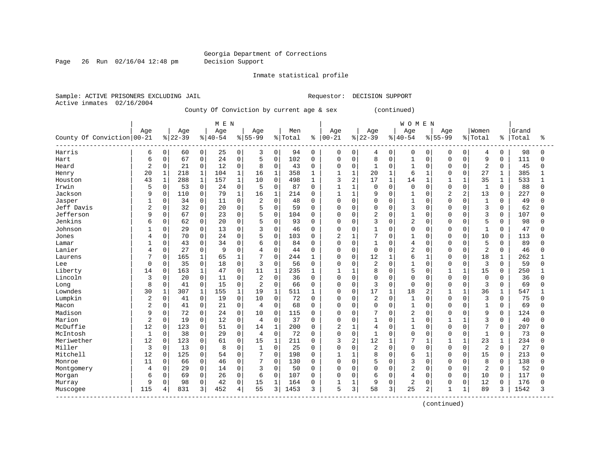Page 26 Run 02/16/04 12:48 pm Decision Support

Inmate statistical profile

Active inmates 02/16/2004

Sample: ACTIVE PRISONERS EXCLUDING JAIL **Requestor: DECISION SUPPORT** 

County Of Conviction by current age & sex (continued)

|                                          |              |              |           |              | M E N     |              |                |              |         |              |                |                |                |              | <b>WOMEN</b>   |              |                |                |                |              |       |              |
|------------------------------------------|--------------|--------------|-----------|--------------|-----------|--------------|----------------|--------------|---------|--------------|----------------|----------------|----------------|--------------|----------------|--------------|----------------|----------------|----------------|--------------|-------|--------------|
|                                          | Age          |              | Age       |              | Age       |              | Age            |              | Men     |              | Age            |                | Age            |              | Age            |              | Age            |                | Women          |              | Grand |              |
| County Of Conviction 00-21               |              |              | $8 22-39$ |              | $8 40-54$ |              | $8155 - 99$    |              | % Total | ႜ            | $ 00-21$       |                | $8 22-39$      |              | $8 40-54$      |              | $8155 - 99$    |                | % Total        | ႜ            | Total | ႜ            |
| Harris                                   | 6            | 0            | 60        | 0            | 25        | 0            | 3              | 0            | 94      | 0            | 0              | 0              | 4              | 0            | 0              | 0            | 0              | 0              | 4              | 0            | 98    | 0            |
| Hart                                     | 6            | 0            | 67        | 0            | 24        | $\mathbf 0$  | 5              | $\mathbf 0$  | 102     | $\Omega$     | 0              | $\mathbf 0$    | 8              | $\Omega$     | $\mathbf{1}$   | $\Omega$     | $\Omega$       | $\Omega$       | 9              | $\Omega$     | 111   | $\Omega$     |
| Heard                                    | 2            | 0            | 21        | 0            | 12        | $\mathbf 0$  | 8              | $\mathbf 0$  | 43      | $\Omega$     | 0              | 0              | $\mathbf{1}$   | 0            | $\mathbf{1}$   | $\Omega$     | $\Omega$       | $\Omega$       | $\overline{2}$ | 0            | 45    | U            |
| Henry                                    | 20           | $\mathbf{1}$ | 218       | $\mathbf{1}$ | 104       | $\mathbf{1}$ | 16             | $\mathbf 1$  | 358     | 1            | 1              | $\mathbf{1}$   | 20             | $\mathbf{1}$ | 6              | $\mathbf{1}$ | $\Omega$       | $\Omega$       | 27             | $\mathbf{1}$ | 385   |              |
| Houston                                  | 43           | $\mathbf{1}$ | 288       | $\mathbf{1}$ | 157       | $\mathbf{1}$ | 10             | $\mathbf 0$  | 498     | 1            | 3              | 2              | 17             | $\mathbf{1}$ | 14             | $\mathbf 1$  | $\mathbf{1}$   | $\mathbf{1}$   | 35             | 1            | 533   |              |
| Irwin                                    | 5            | 0            | 53        | 0            | 24        | $\mathbf 0$  | 5              | $\Omega$     | 87      | 0            | 1              | $\mathbf{1}$   | $\mathbf 0$    | 0            | $\mathbf 0$    | $\mathbf 0$  | $\Omega$       | $\Omega$       | $\mathbf 1$    | $\Omega$     | 88    | <sup>0</sup> |
| Jackson                                  | 9            | $\mathbf 0$  | 110       | 0            | 79        | 1            | 16             | $\mathbf{1}$ | 214     | $\Omega$     | $\mathbf{1}$   | 1              | 9              | $\Omega$     | $\mathbf{1}$   | O            | $\overline{c}$ | $\overline{c}$ | 13             | $\Omega$     | 227   | O            |
| Jasper                                   |              | $\Omega$     | 34        | 0            | 11        | $\Omega$     | $\overline{2}$ | $\Omega$     | 48      | $\Omega$     | $\Omega$       | $\Omega$       | $\mathbf 0$    | $\Omega$     | $\mathbf{1}$   | $\Omega$     | $\Omega$       | $\Omega$       | $\mathbf{1}$   | $\Omega$     | 49    |              |
| Jeff Davis                               | 2            | 0            | 32        | 0            | 20        | $\mathbf 0$  | 5              | $\Omega$     | 59      | $\Omega$     | $\Omega$       | $\Omega$       | $\Omega$       | 0            | 3              | $\Omega$     | $\Omega$       | $\Omega$       | 3              | $\Omega$     | 62    | U            |
| Jefferson                                | 9            | 0            | 67        | 0            | 23        | $\mathbf 0$  | 5              | $\mathbf 0$  | 104     | $\Omega$     | 0              | $\mathbf 0$    | $\overline{2}$ | $\Omega$     | $\mathbf{1}$   | $\Omega$     | $\Omega$       | $\Omega$       | 3              | $\mathbf 0$  | 107   | U            |
| Jenkins                                  | б            | 0            | 62        | 0            | 20        | $\mathbf 0$  | 5              | $\mathbf{0}$ | 93      | $\Omega$     | 0              | $\Omega$       | 3              | $\Omega$     | $\overline{2}$ | 0            | $\Omega$       | 0              | 5              | $\Omega$     | 98    |              |
| Johnson                                  |              | 0            | 29        | 0            | 13        | $\mathbf 0$  | 3              | $\mathbf{0}$ | 46      | $\Omega$     | 0              | $\mathbf 0$    | 1              | $\Omega$     | $\Omega$       | $\mathbf 0$  | $\Omega$       | 0              | $\mathbf{1}$   | $\mathbf 0$  | 47    |              |
| Jones                                    | 4            | 0            | 70        | 0            | 24        | $\Omega$     | 5              | $\Omega$     | 103     | $\Omega$     | $\overline{a}$ | $\mathbf{1}$   | 7              | $\Omega$     | $\mathbf{1}$   | $\Omega$     | $\Omega$       | $\Omega$       | 10             | $\Omega$     | 113   | U            |
| Lamar                                    |              | 0            | 43        | 0            | 34        | $\mathbf 0$  | 6              | $\Omega$     | 84      | $\Omega$     | $\Omega$       | $\mathbf 0$    | $\mathbf{1}$   | $\Omega$     | 4              | $\Omega$     | $\Omega$       | $\Omega$       | 5              | $\Omega$     | 89    | U            |
| Lanier                                   | 4            | 0            | 27        | 0            | 9         | $\mathbf 0$  | 4              | $\mathbf 0$  | 44      | 0            | 0              | 0              | $\mathbf 0$    | O            | $\overline{2}$ | 0            | $\Omega$       | $\Omega$       | $\overline{2}$ | 0            | 46    | Λ            |
| Laurens                                  |              | 0            | 165       | 1            | 65        | $\mathbf{1}$ | 7              | $\Omega$     | 244     | -1           | $\Omega$       | $\mathbf 0$    | 12             | $\mathbf{1}$ | 6              | $\mathbf{1}$ | $\Omega$       | $\Omega$       | 18             | $\mathbf{1}$ | 262   |              |
| Lee                                      | $\Omega$     | 0            | 35        | 0            | 18        | $\Omega$     | 3              | $\Omega$     | 56      | $\Omega$     | $\Omega$       | $\Omega$       | $\overline{2}$ | $\Omega$     | $\mathbf{1}$   | $\Omega$     | $\Omega$       | $\Omega$       | 3              | $\Omega$     | 59    | U            |
| Liberty                                  | 14           | $\Omega$     | 163       | $\mathbf{1}$ | 47        | $\Omega$     | 11             | $\mathbf{1}$ | 235     | 1            | $\mathbf{1}$   | -1             | 8              | $\Omega$     | 5              | $\Omega$     |                | $\mathbf{1}$   | 15             | $\Omega$     | 250   |              |
| Lincoln                                  | 3            | 0            | 20        | 0            | 11        | $\mathbf 0$  | $\overline{2}$ | $\mathbf 0$  | 36      | $\mathbf{0}$ | 0              | $\mathbf 0$    | $\mathbf 0$    | 0            | $\Omega$       | $\mathbf 0$  | $\Omega$       | $\mathbf 0$    | $\mathbf 0$    | $\mathbf 0$  | 36    | U            |
| Long                                     | 8            | 0            | 41        | 0            | 15        | $\mathbf 0$  | $\overline{2}$ | $\mathbf{0}$ | 66      | $\Omega$     | 0              | $\mathbf 0$    | 3              | 0            | $\Omega$       | $\Omega$     | $\Omega$       | $\Omega$       | 3              | $\Omega$     | 69    | U            |
| Lowndes                                  | 30           | $\mathbf{1}$ | 307       | $\mathbf{1}$ | 155       | $\mathbf{1}$ | 19             | $\mathbf{1}$ | 511     | 1            | O              | 0              | 17             | 1            | 18             | 2            | $\mathbf{1}$   | 1              | 36             | 1            | 547   | $\mathbf{1}$ |
| Lumpkin                                  | 2            | $\Omega$     | 41        | 0            | 19        | $\mathbf 0$  | 10             | $\mathbf 0$  | 72      | 0            | 0              | $\Omega$       | $\overline{2}$ | $\Omega$     | 1              | $\Omega$     | $\Omega$       | $\Omega$       | 3              | $\Omega$     | 75    | <sup>0</sup> |
| Macon                                    |              | $\Omega$     | 41        | 0            | 21        | $\mathbf 0$  | 4              | $\mathbf 0$  | 68      | 0            | 0              | $\Omega$       | $\mathbf 0$    | 0            | $\mathbf{1}$   | $\Omega$     | $\Omega$       | $\Omega$       | $\mathbf{1}$   | $\Omega$     | 69    | U            |
| Madison                                  | 9            | $\Omega$     | 72        | 0            | 24        | $\mathbf 0$  | 10             | $\Omega$     | 115     | $\Omega$     | $\Omega$       | $\Omega$       |                | $\Omega$     | $\overline{a}$ | $\Omega$     | $\Omega$       | <sup>0</sup>   | 9              | $\Omega$     | 124   |              |
| Marion                                   | $\sqrt{2}$   | 0            | 19        | 0            | 12        | $\Omega$     | 4              | $\Omega$     | 37      | $\Omega$     | $\Omega$       | $\Omega$       | $\mathbf{1}$   | $\Omega$     | $\mathbf{1}$   | $\Omega$     | 1              | $\mathbf{1}$   | 3              | $\Omega$     | 40    | Λ            |
| McDuffie                                 | 12           | $\mathbf 0$  | 123       | 0            | 51        | $\mathbf 0$  | 14             | $\mathbf{1}$ | 200     | 0            | 2              | $\mathbf{1}$   | $\overline{4}$ | $\Omega$     | $\mathbf{1}$   | $\Omega$     | $\Omega$       | $\Omega$       | 7              | 0            | 207   | U            |
| McIntosh                                 | $\mathbf{1}$ | 0            | 38        | 0            | 29        | $\mathbf 0$  | $\overline{4}$ | $\mathbf 0$  | 72      | $\Omega$     | $\Omega$       | $\mathbf 0$    | $\mathbf{1}$   | $\Omega$     | $\Omega$       | $\Omega$     | $\Omega$       | $\Omega$       | $\mathbf{1}$   | $\Omega$     | 73    | Ω            |
| Meriwether                               | 12           | 0            | 123       | 0            | 61        | 0            | 15             | $\mathbf{1}$ | 211     | $\Omega$     | 3              | $\overline{2}$ | 12             | $\mathbf{1}$ | 7              | $\mathbf{1}$ |                | $\mathbf{1}$   | 23             | $\mathbf{1}$ | 234   | U            |
| Miller                                   | 3            | 0            | 13        | 0            | 8         | $\mathbf 0$  | $\mathbf{1}$   | $\mathbf 0$  | 25      | $\Omega$     | O              | $\mathbf 0$    | $\overline{2}$ | $\Omega$     | $\Omega$       | 0            | $\Omega$       | $\Omega$       | $\overline{2}$ | $\Omega$     | 27    | ∩            |
| Mitchell                                 | 12           | 0            | 125       | 0            | 54        | $\mathbf 0$  | 7              | $\mathbf{0}$ | 198     | 0            | 1              | 1              | 8              | $\Omega$     | 6              | 1            | $\Omega$       | $\Omega$       | 15             | $\Omega$     | 213   | U            |
| Monroe                                   | 11           | 0            | 66        | 0            | 46        | $\Omega$     | 7              | $\Omega$     | 130     | 0            | $\Omega$       | 0              | 5              | $\Omega$     | 3              | $\Omega$     | $\Omega$       | <sup>0</sup>   | 8              | $\Omega$     | 138   |              |
| Montgomery                               | 4            | $\Omega$     | 29        | $\Omega$     | 14        | $\Omega$     | 3              | $\Omega$     | 50      | $\Omega$     | $\Omega$       | $\Omega$       | $\Omega$       | $\Omega$     | $\overline{a}$ | $\Omega$     | $\Omega$       | $\Omega$       | $\overline{2}$ | $\Omega$     | 52    | Λ            |
| Morgan                                   | 6            | 0            | 69        | 0            | 26        | $\mathbf 0$  | 6              | $\mathbf 0$  | 107     | $\Omega$     | 0              | $\Omega$       | 6              | $\Omega$     | 4              | $\mathbf 0$  | $\Omega$       | $\Omega$       | 10             | 0            | 117   | U            |
| Murray                                   | 9            | 0            | 98        | 0            | 42        | $\mathbf 0$  | 15             | $\mathbf{1}$ | 164     | O            |                | 1              | 9              | $\Omega$     | 2              | 0            | $\Omega$       | 0              | 12             | 0            | 176   |              |
| Muscogee<br>---------------------------- | 115          | 4            | 831       | 3            | 452       | 4            | 55             | 3            | 1453    | 3            | 5              | 3              | 58             | 3            | 25             | 2            | $\mathbf{1}$   | $\mathbf{1}$   | 89             | 3            | 1542  | 3            |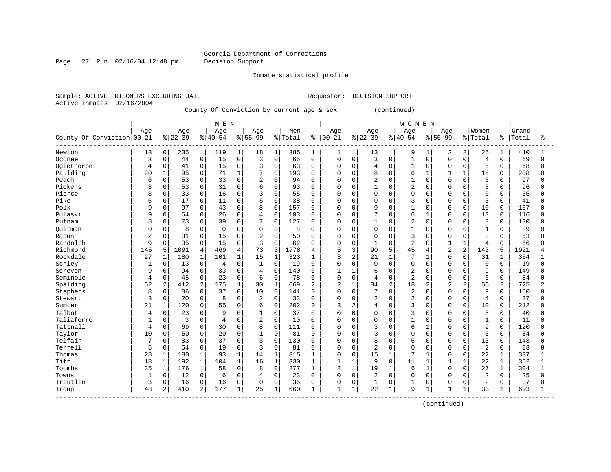Page 27 Run 02/16/04 12:48 pm Decision Support

Inmate statistical profile

Sample: ACTIVE PRISONERS EXCLUDING JAIL **Requestor: DECISION SUPPORT** Active inmates 02/16/2004

County Of Conviction by current age & sex (continued)

|                            |              |              |           |                | M E N          |              |                |              |         |              |                |              |                |                | <b>WOMEN</b>   |                |                |                |                |          |       |              |
|----------------------------|--------------|--------------|-----------|----------------|----------------|--------------|----------------|--------------|---------|--------------|----------------|--------------|----------------|----------------|----------------|----------------|----------------|----------------|----------------|----------|-------|--------------|
|                            | Age          |              | Age       |                | Age            |              | Age            |              | Men     |              | Age            |              | Age            |                | Age            |                | Age            |                | Women          |          | Grand |              |
| County Of Conviction 00-21 |              |              | $8 22-39$ |                | $8 40-54$      |              | $8155 - 99$    |              | % Total | ႜ            | $ 00 - 21$     |              | $8 22-39$      |                | $8140 - 54$    |                | $8155 - 99$    |                | % Total        | ႜၟ       | Total | ÷            |
| Newton                     | 13           | 0            | 235       | $\mathbf{1}$   | 119            | 1            | 18             | 1            | 385     | 1            | 1              | 1            | 13             | $\mathbf{1}$   | 9              | 1              | 2              | 2              | 25             | 1        | 410   |              |
| Oconee                     | 3            | 0            | 44        | $\mathbf 0$    | 15             | $\mathbf 0$  | 3              | $\Omega$     | 65      | $\Omega$     | $\mathbf 0$    | $\Omega$     | 3              | $\Omega$       | $\mathbf{1}$   | $\Omega$       | $\Omega$       | $\Omega$       | $\overline{4}$ | $\Omega$ | 69    | $\Omega$     |
| Oglethorpe                 | 4            | 0            | 41        | $\mathsf 0$    | 15             | $\mathbf 0$  | 3              | $\mathbf 0$  | 63      | 0            | $\mathbf 0$    | 0            | $\overline{4}$ | $\Omega$       | $\mathbf{1}$   | $\Omega$       | $\Omega$       | $\Omega$       | 5              | $\Omega$ | 68    | 0            |
| Paulding                   | 20           | $\mathbf{1}$ | 95        | $\mathbf 0$    | 71             | $\mathbf 1$  | 7              | $\mathbf 0$  | 193     | $\Omega$     | 0              | $\Omega$     | 8              | $\Omega$       | 6              | 1              | 1              | 1              | 15             | $\Omega$ | 208   | $\Omega$     |
| Peach                      | 6            | 0            | 53        | $\mathbf 0$    | 33             | $\Omega$     | $\overline{2}$ | $\Omega$     | 94      | $\mathbf 0$  | 0              | 0            | $\overline{2}$ | $\Omega$       | $\mathbf{1}$   | $\Omega$       | $\cap$         | $\Omega$       | $\overline{3}$ | $\Omega$ | 97    | U            |
| Pickens                    |              | 0            | 53        | 0              | 31             | 0            | 6              | $\Omega$     | 93      | $\mathbf 0$  | $\mathbf 0$    | $\Omega$     | 1              | $\Omega$       | $\overline{c}$ | $\Omega$       | $\cap$         | $\Omega$       | 3              | 0        | 96    | <sup>0</sup> |
| Pierce                     | ς            | $\Omega$     | 33        | $\mathbf 0$    | 16             | $\Omega$     | 3              | $\Omega$     | 55      | $\mathbf 0$  | $\Omega$       | $\Omega$     | $\Omega$       | $\Omega$       | $\Omega$       | $\Omega$       | $\cap$         | $\Omega$       | $\mathbf 0$    | $\Omega$ | 55    | <sup>0</sup> |
| Pike                       | 5            | $\Omega$     | 17        | $\mathbf 0$    | 11             | $\Omega$     | 5              | $\Omega$     | 38      | $\Omega$     | 0              | $\Omega$     | $\Omega$       | $\Omega$       | 3              | $\cap$         | $\Omega$       | $\Omega$       | 3              | $\Omega$ | 41    | U            |
| Polk                       | 9            | $\Omega$     | 97        | $\mathbf 0$    | 43             | $\Omega$     | 8              | $\Omega$     | 157     | $\mathbf 0$  | $\Omega$       | $\Omega$     | 9              | $\Omega$       | $\mathbf{1}$   | $\Omega$       | $\Omega$       | $\Omega$       | 10             | $\Omega$ | 167   | U            |
| Pulaski                    | 9            | 0            | 64        | 0              | 26             | $\Omega$     | $\overline{4}$ | $\mathbf 0$  | 103     | $\mathbf 0$  | 0              | $\Omega$     | 7              | $\Omega$       | 6              | $\mathbf{1}$   | $\Omega$       | $\Omega$       | 13             | $\Omega$ | 116   | $\Omega$     |
| Putnam                     | 8            | 0            | 73        | 0              | 39             | 0            | 7              | $\mathbf 0$  | 127     | $\mathbf 0$  | 0              | $\Omega$     | $\mathbf{1}$   | 0              | $\overline{2}$ | $\Omega$       | $\Omega$       | $\Omega$       | 3              | $\Omega$ | 130   | $\Omega$     |
| Ouitman                    |              | 0            | 8         | 0              | $\Omega$       | 0            | $\mathbf 0$    | $\mathbf 0$  | 8       | $\Omega$     | 0              | $\Omega$     | $\Omega$       | $\Omega$       |                | $\Omega$       |                | $\Omega$       | $\mathbf{1}$   | $\Omega$ | 9     | O            |
| Rabun                      | 2            | 0            | 31        | $\mathbf 0$    | 15             | $\Omega$     | $\overline{2}$ | $\Omega$     | 50      | $\Omega$     | $\Omega$       | $\Omega$     | $\Omega$       | $\Omega$       | 3              | $\Omega$       | $\Omega$       | $\Omega$       | 3              | 0        | 53    | <sup>0</sup> |
| Randolph                   | 9            | 0            | 35        | $\mathbf 0$    | 15             | $\Omega$     | 3              | $\Omega$     | 62      | $\Omega$     | $\Omega$       | $\Omega$     | $\mathbf{1}$   | $\Omega$       | $\overline{c}$ | $\Omega$       | $\mathbf{1}$   | $\mathbf{1}$   | $\overline{4}$ | $\Omega$ | 66    | <sup>0</sup> |
| Richmond                   | 145          | 5            | 1091      | $\overline{4}$ | 469            | 4            | 73             | 3            | 1778    | 4            | 6              | 3            | 90             | 5              | 45             | 4              | $\overline{2}$ | $\overline{2}$ | 143            | 5        | 1921  | 4            |
| Rockdale                   | 27           | $\mathbf{1}$ | 180       | $\mathbf{1}$   | 101            | $\mathbf{1}$ | 15             | $\mathbf{1}$ | 323     | 1            | 3              | 2            | 21             | $\mathbf{1}$   | 7              | 1              | $\cap$         | $\Omega$       | 31             | 1        | 354   |              |
| Schley                     | $\mathbf{1}$ | $\Omega$     | 13        | $\mathbf 0$    | $\overline{4}$ | $\Omega$     | 1              | $\Omega$     | 19      | $\Omega$     | $\Omega$       | $\Omega$     | $\Omega$       | $\Omega$       | $\Omega$       | $\Omega$       | $\Omega$       | $\Omega$       | $\Omega$       | $\Omega$ | 19    | 0            |
| Screven                    | 9            | $\Omega$     | 94        | $\mathbf 0$    | 33             | $\Omega$     | 4              | $\Omega$     | 140     | $\Omega$     | $\mathbf{1}$   | -1           | 6              | $\Omega$       | $\overline{c}$ | $\Omega$       | $\Omega$       | $\Omega$       | 9              | $\Omega$ | 149   | U            |
| Seminole                   | 4            | 0            | 45        | $\mathbf 0$    | 23             | 0            | 6              | $\mathbf 0$  | 78      | $\mathbf 0$  | 0              | $\mathbf 0$  | $\overline{4}$ | $\mathbf 0$    | $\overline{2}$ | $\Omega$       | $\Omega$       | $\Omega$       | 6              | 0        | 84    | 0            |
| Spalding                   | 52           | 2            | 412       | $\overline{c}$ | 175            | 1            | 30             | $\mathbf 1$  | 669     | 2            | 2              | 1            | 34             | $\overline{c}$ | 18             | $\overline{2}$ | $\overline{2}$ | 2              | 56             | 2        | 725   | 2            |
| Stephens                   | 8            | 0            | 86        | $\mathbf 0$    | 37             | $\Omega$     | 10             | $\Omega$     | 141     | $\Omega$     | $\mathbf 0$    | $\Omega$     | 7              | $\Omega$       | $\overline{2}$ | $\Omega$       | $\Omega$       | $\Omega$       | 9              | $\Omega$ | 150   | 0            |
| Stewart                    | 3            | 0            | 20        | 0              | 8              | $\Omega$     | 2              | $\mathbf 0$  | 33      | 0            | 0              | $\Omega$     | $\overline{2}$ | $\Omega$       | $\overline{c}$ | $\Omega$       | O              | $\Omega$       | $\overline{4}$ | 0        | 37    | O            |
| Sumter                     | 21           | $\mathbf{1}$ | 120       | $\mathbf 0$    | 55             | 0            | 6              | $\mathbf 0$  | 202     | $\Omega$     | 3              | 2            | 4              | 0              | 3              | $\Omega$       | $\cap$         | $\Omega$       | 10             | $\Omega$ | 212   | U            |
| Talbot                     | 4            | $\Omega$     | 23        | $\mathbf 0$    | 9              | $\Omega$     | 1              | $\Omega$     | 37      | $\Omega$     | $\Omega$       | $\Omega$     | $\Omega$       | $\Omega$       | 3              | $\Omega$       | $\cap$         | $\Omega$       | 3              | $\Omega$ | 40    | O            |
| Taliaferro                 | $\mathbf{1}$ | $\Omega$     | 3         | $\mathbf 0$    | $\overline{4}$ | $\Omega$     | $\overline{2}$ | $\Omega$     | 10      | $\Omega$     | O              | $\Omega$     | $\Omega$       | $\Omega$       | $\mathbf{1}$   | $\cap$         | $\cap$         | $\Omega$       | $\mathbf{1}$   | $\Omega$ | 11    | $\Omega$     |
| Tattnall                   | 4            | 0            | 69        | $\mathbf 0$    | 30             | $\Omega$     | 8              | $\mathbf 0$  | 111     | $\mathbf 0$  | 0              | $\Omega$     | 3              | $\Omega$       | 6              | 1              | $\cap$         | $\Omega$       | 9              | $\Omega$ | 120   | $\Omega$     |
| Taylor                     | 10           | 0            | 50        | $\mathsf 0$    | 20             | $\Omega$     | $\mathbf{1}$   | $\Omega$     | 81      | $\Omega$     | $\Omega$       | $\Omega$     | 3              | $\Omega$       | $\Omega$       | $\Omega$       | $\Omega$       | $\Omega$       | $\overline{3}$ | $\Omega$ | 84    | <sup>0</sup> |
| Telfair                    | 7            | $\Omega$     | 83        | $\mathbf 0$    | 37             | $\Omega$     | 3              | $\Omega$     | 130     | 0            | 0              | $\Omega$     | 8              | 0              | 5              | $\Omega$       | $\Omega$       | $\Omega$       | 13             | $\Omega$ | 143   | $\Omega$     |
| Terrell                    | 5            | 0            | 54        | $\mathbf 0$    | 19             | 0            | 3              | $\Omega$     | 81      | 0            | $\mathbf 0$    | $\mathbf 0$  | $\overline{2}$ | $\Omega$       | $\Omega$       | $\Omega$       | $\Omega$       | $\Omega$       | 2              | $\Omega$ | 83    | <sup>0</sup> |
| Thomas                     | 28           | $\mathbf{1}$ | 180       | $\mathbf{1}$   | 93             | $\mathbf{1}$ | 14             | $\mathbf{1}$ | 315     | 1            | 0              | $\Omega$     | 15             | $\mathbf{1}$   | 7              |                | $\Omega$       | $\Omega$       | 22             | 1        | 337   |              |
| Tift                       | 18           | $\mathbf{1}$ | 192       | $\mathbf{1}$   | 104            | 1            | 16             | $\mathbf 1$  | 330     | 1            | $\mathbf{1}$   | $\mathbf{1}$ | 9              | $\Omega$       | 11             | 1              | $\mathbf{1}$   |                | 22             | 1        | 352   |              |
| Toombs                     | 35           | $\mathbf{1}$ | 176       | $\mathbf{1}$   | 58             | $\Omega$     | 8              | $\Omega$     | 277     | $\mathbf{1}$ | $\overline{2}$ | $\mathbf{1}$ | 19             | $\mathbf{1}$   | 6              | $\mathbf{1}$   | $\Omega$       | $\Omega$       | 27             | 1        | 304   | 1            |
| Towns                      | $\mathbf{1}$ | 0            | 12        | $\mathbf 0$    | 6              | $\mathbf 0$  | 4              | $\mathbf 0$  | 23      | $\mathbf 0$  | $\mathbf 0$    | $\Omega$     | $\overline{2}$ | $\Omega$       | $\Omega$       | $\Omega$       | $\Omega$       | $\Omega$       | 2              | $\Omega$ | 25    | 0            |
| Treutlen                   | 3            | 0            | 16        | 0              | 16             | $\mathbf 0$  | $\Omega$       | $\mathbf{0}$ | 35      | $\mathbf 0$  | 0              | 0            | 1              | 0              |                | 0              | 0              | $\Omega$       | $\overline{c}$ | $\Omega$ | 37    | <sup>0</sup> |
| Troup                      | 48           | 2            | 410       | 2              | 177            | 1            | 25             | 1            | 660     | 1            | $\mathbf{1}$   | $\mathbf{1}$ | 22             | $\mathbf{1}$   | 9              | 1              | $\mathbf{1}$   | $\mathbf{1}$   | 33             |          | 693   | $\mathbf{1}$ |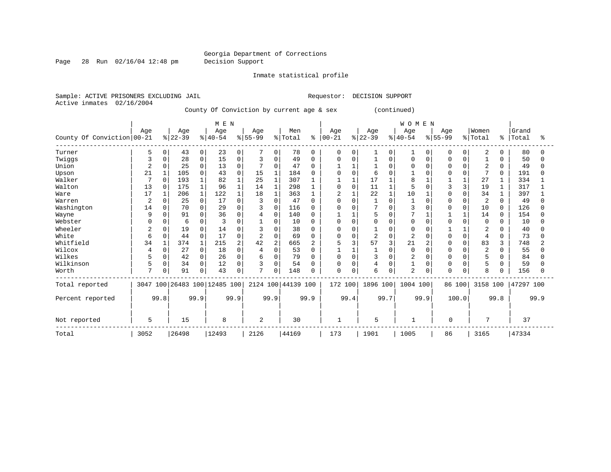Page 28 Run 02/16/04 12:48 pm Decision Support

Inmate statistical profile

Sample: ACTIVE PRISONERS EXCLUDING JAIL **Requestor: DECISION SUPPORT** Active inmates 02/16/2004 County Of Conviction by current age & sex (continued)

|                              |                |              |           |                | M E N                        |          |          |                |                    |              |          |      |                |          | <b>WOMEN</b>   |          |           |          |                |              |           |      |
|------------------------------|----------------|--------------|-----------|----------------|------------------------------|----------|----------|----------------|--------------------|--------------|----------|------|----------------|----------|----------------|----------|-----------|----------|----------------|--------------|-----------|------|
|                              | Age            |              | Age       |                | Age                          |          | Age      |                | Men                |              | Age      |      | Age            |          | Age            |          | Age       |          | Women          |              | Grand     |      |
| County Of Conviction   00-21 |                |              | $ 22-39 $ |                | $ 40-54$                     |          | $ 55-99$ |                | % Total            | ႜ            | $ 00-21$ |      | $ 22-39$       |          | $8 40-54$      |          | $8 55-99$ |          | % Total        | ႜ            | Total     | °≈   |
| Turner                       | 5              | 0            | 43        | $\mathbf{0}$   | 23                           | $\Omega$ |          | $\mathbf{0}$   | 78                 | $\Omega$     | 0        | 0    |                | 0        |                | $\Omega$ | 0         | 0        | 2              | 0            | 80        |      |
| Twiggs                       | 3              |              | 28        | $\mathsf{O}$   | 15                           | $\Omega$ | 3        | $\Omega$       | 49                 | <sup>0</sup> | O        |      |                | $\Omega$ |                |          |           |          |                | <sup>0</sup> | 50        |      |
| Union                        | 2              |              | 25        | $\Omega$       | 13                           | $\Omega$ | 7        | $\Omega$       | 47                 |              |          |      |                | U        | $\cap$         |          |           |          | $\overline{2}$ | $\Omega$     | 49        |      |
| Upson                        | 21             |              | 105       | $\mathbf 0$    | 43                           | $\Omega$ | 15       |                | 184                |              |          |      | 6              |          |                |          |           |          | 7              | $\Omega$     | 191       |      |
| Walker                       |                | $\Omega$     | 193       | $\mathbf{1}$   | 82                           |          | 25       |                | 307                |              |          |      | 17             |          | 8              |          |           |          | 27             |              | 334       |      |
| Walton                       | 13             | $\Omega$     | 175       | $1\,$          | 96                           |          | 14       | 1              | 298                |              | $\Omega$ |      | 11             |          |                |          |           |          | 19             |              | 317       |      |
| Ware                         | 17             |              | 206       | $\mathbf{1}$   | 122                          |          | 18       |                | 363                |              |          |      | 22             |          | 10             |          |           |          | 34             |              | 397       |      |
| Warren                       | $\overline{2}$ |              | 25        | $\overline{0}$ | 17                           | $\Omega$ | 3        | $\Omega$       | 47                 |              | $\Omega$ |      |                | O        |                |          |           |          | 2              | $\Omega$     | 49        |      |
| Washington                   | 14             |              | 70        | $\overline{0}$ | 29                           | $\Omega$ | 3        | $\Omega$       | 116                |              | $\Omega$ |      |                | $\Omega$ | 3              |          |           | $\Omega$ | 10             | $\Omega$     | 126       |      |
| Wayne                        | 9              |              | 91        | $\mathbf 0$    | 36                           | $\Omega$ | 4        | 0              | 140                |              |          |      | 5              |          |                |          |           |          | 14             | $\Omega$     | 154       |      |
| Webster                      | Λ              |              | 6         | $\mathbf 0$    |                              |          |          | $\Omega$       | 10                 | n            | U        |      | $\Omega$       | O        | $\Omega$       |          |           |          | $\Omega$       | 0            | 10        |      |
| Wheeler                      | 2              |              | 19        | $\mathbf 0$    | 14                           | ∩        |          | $\Omega$       | 38                 |              | O        |      |                |          | ∩              |          |           |          | 2              | 0            | 40        |      |
| White                        | 6              |              | 44        | 0              | 17                           | $\Omega$ | 2        | $\Omega$       | 69                 | ∩            | $\cap$   |      | $\overline{c}$ | $\Omega$ |                |          |           | $\Omega$ | 4              | 0            | 73        |      |
| Whitfield                    | 34             |              | 374       | $\mathbf{1}$   | 215                          |          | 42       | $\overline{2}$ | 665                |              |          |      | 57             | 3        | 21             |          |           |          | 83             | 3            | 748       |      |
| Wilcox                       | 4              | <sup>0</sup> | 27        | $\mathbf 0$    | 18                           | $\Omega$ | 4        | $\Omega$       | 53                 |              |          |      |                | O        | $\Omega$       |          |           |          | $\overline{c}$ | $\Omega$     | 55        |      |
| Wilkes                       |                |              | 42        | $\overline{0}$ | 26                           | $\Omega$ | 6        | $\Omega$       | 79                 |              | $\Omega$ |      | 3              | O        | $\overline{c}$ |          |           |          | 5              | 0            | 84        |      |
| Wilkinson                    | 5              | 0            | 34        | $\mathbf 0$    | 12                           | $\Omega$ | 3        | $\Omega$       | 54                 |              | $\Omega$ |      | $\overline{4}$ | O        |                | $\Omega$ |           |          | 5              | <sup>0</sup> | 59        |      |
| Worth                        | 7              | 0            | 91        | $\mathbf 0$    | 43                           | $\Omega$ | 7        | 0              | 148                |              | $\Omega$ |      | 6              | 0        | $\overline{2}$ |          | $\Omega$  | 0        | 8              | <sup>0</sup> | 156       |      |
| Total reported               |                |              |           |                | 3047 100 26483 100 12485 100 |          |          |                | 2124 100 44139 100 |              | 172 100  |      | 1896 100       |          | 1004 100       |          |           | 86 100   | 3158 100       |              | 47297 100 |      |
| Percent reported             |                | 99.8         |           | 99.9           |                              | 99.9     |          | 99.9           |                    | 99.9         |          | 99.4 |                | 99.7     |                | 99.9     |           | 100.0    |                | 99.8         |           | 99.9 |
| Not reported                 | 5              |              | 15        |                | 8                            |          | 2        |                | 30                 |              | -1       |      | 5              |          | -1             |          | 0         |          | 7              |              | 37        |      |
| Total                        | 3052           |              | 26498     |                | 12493                        |          | 2126     |                | 44169              |              | 173      |      | 1901           |          | 1005           |          | 86        |          | 3165           |              | 47334     |      |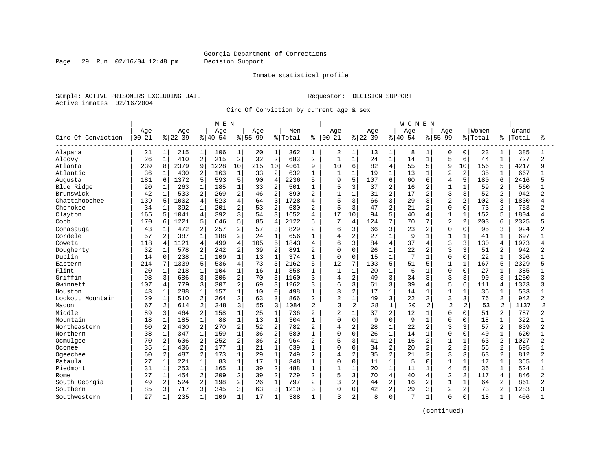Page 29 Run 02/16/04 12:48 pm Decision Support

#### Inmate statistical profile

Sample: ACTIVE PRISONERS EXCLUDING JAIL **Requestor: DECISION SUPPORT** Active inmates 02/16/2004

Circ Of Conviction by current age & sex

|                    |           |                |          |                | M E N     |                |           |                |         |                |                |                |          |                | <b>WOMEN</b> |                |                |                |         |                |       |                |
|--------------------|-----------|----------------|----------|----------------|-----------|----------------|-----------|----------------|---------|----------------|----------------|----------------|----------|----------------|--------------|----------------|----------------|----------------|---------|----------------|-------|----------------|
|                    | Age       |                | Age      |                | Age       |                | Age       |                | Men     |                | Age            |                | Age      |                | Age          |                | Age            |                | Women   |                | Grand |                |
| Circ Of Conviction | $00 - 21$ |                | $ 22-39$ |                | $8 40-54$ |                | $8 55-99$ |                | % Total | ႜ              | $00 - 21$      |                | $ 22-39$ |                | $8 40-54$    |                | $8 55-99$      |                | % Total | ៖              | Total | °              |
| Alapaha            | 21        | $1\vert$       | 215      | 1              | 106       | 1              | 20        | 1              | 362     | 1              | 2              | $\mathbf{1}$   | 13       | $\mathbf{1}$   | 8            | 1              | 0              | 0              | 23      | 1              | 385   | 1              |
| Alcovy             | 26        | $\mathbf{1}$   | 410      | $\sqrt{2}$     | 215       | $\sqrt{2}$     | 32        | $\overline{2}$ | 683     | 2              | $\mathbf{1}$   | $\mathbf{1}$   | 24       | $\mathbf{1}$   | 14           | $\mathbf{1}$   | 5              | 6              | 44      | $\mathbf{1}$   | 727   | $\overline{2}$ |
| Atlanta            | 239       | 8              | 2379     | 9              | 1228      | 10             | 215       | 10             | 4061    | 9              | 10             | 6              | 82       | $\overline{4}$ | 55           | 5              | 9              | 10             | 156     | 5              | 4217  | q              |
| Atlantic           | 36        | 1              | 400      | 2              | 163       | $\mathbf{1}$   | 33        | $\overline{2}$ | 632     | 1              | $\mathbf{1}$   | $\mathbf{1}$   | 19       | $\mathbf{1}$   | 13           | $\mathbf{1}$   | $\overline{a}$ | $\overline{2}$ | 35      |                | 667   |                |
| Augusta            | 181       | 6              | 1372     | 5              | 593       | 5              | 90        | $\overline{4}$ | 2236    | 5              | 9              | 5              | 107      | 6              | 60           | б              | $\overline{4}$ | 5              | 180     | 6              | 2416  |                |
| Blue Ridge         | 20        | $\mathbf{1}$   | 263      | $\mathbf 1$    | 185       | $\mathbf{1}$   | 33        | $\overline{2}$ | 501     | 1              | 5              | 3              | 37       | 2              | 16           | 2              | $\mathbf{1}$   | $\mathbf{1}$   | 59      | 2              | 560   |                |
| Brunswick          | 42        | $\mathbf 1$    | 533      | 2              | 269       | $\overline{2}$ | 46        | $\overline{2}$ | 890     | $\overline{2}$ | $\mathbf{1}$   | $\mathbf{1}$   | 31       | 2              | 17           | $\overline{a}$ | 3              | 3              | 52      | $\overline{a}$ | 942   |                |
| Chattahoochee      | 139       | 5              | 1002     | $\overline{4}$ | 523       | $\overline{4}$ | 64        | 3              | 1728    | 4              | 5              | 3              | 66       | 3              | 29           | 3              | $\overline{2}$ | 2              | 102     | 3              | 1830  |                |
| Cherokee           | 34        | 1              | 392      | $\mathbf 1$    | 201       | $\overline{2}$ | 53        | $\overline{2}$ | 680     | 2              | 5              | 3              | 47       | 2              | 21           | 2              | $\Omega$       | 0              | 73      | 2              | 753   |                |
| Clayton            | 165       | 5              | 1041     | $\overline{4}$ | 392       | 3              | 54        | 3              | 1652    | 4              | 17             | 10             | 94       | 5              | 40           | 4              | $\mathbf{1}$   | $\mathbf{1}$   | 152     |                | 1804  |                |
| Cobb               | 170       | 6              | 1221     | 5              | 646       | 5              | 85        | $\overline{4}$ | 2122    | 5              | 7              | 4              | 124      | 7              | 70           | 7              | $\overline{2}$ | 2              | 203     | 6              | 2325  |                |
| Conasauga          | 43        | $\mathbf{1}$   | 472      | 2              | 257       | $\overline{2}$ | 57        | 3              | 829     | $\overline{2}$ | 6              | 3              | 66       | 3              | 23           | $\overline{a}$ | $\Omega$       | $\Omega$       | 95      | 3              | 924   |                |
| Cordele            | 57        | 2              | 387      | $1\,$          | 188       | $\overline{2}$ | 24        | $\mathbf{1}$   | 656     | $\mathbf{1}$   | 4              | 2              | 27       | $\mathbf{1}$   | 9            | $\mathbf 1$    | $\mathbf{1}$   | $\mathbf{1}$   | 41      | 1              | 697   |                |
| Coweta             | 118       | 4              | 1121     | 4              | 499       | $\overline{4}$ | 105       | 5              | 1843    | $\overline{4}$ | 6              | 3              | 84       | 4              | 37           | 4              | 3              | 3              | 130     | 4              | 1973  | Δ              |
| Dougherty          | 32        | 1              | 578      | 2              | 242       | 2              | 39        | 2              | 891     | $\overline{2}$ | 0              | $\Omega$       | 26       | 1              | 22           | 2              | 3              | 3              | 51      | 2              | 942   |                |
| Dublin             | 14        | 0              | 238      | $\mathbf{1}$   | 109       | $\mathbf{1}$   | 13        | $\mathbf{1}$   | 374     | 1              | 0              | $\Omega$       | 15       | $\mathbf{1}$   | 7            | $\mathbf{1}$   | $\Omega$       | $\mathbf 0$    | 22      | 1              | 396   |                |
| Eastern            | 214       | 7              | 1339     | 5              | 536       | $\overline{4}$ | 73        | 3              | 2162    | 5              | 12             | 7              | 103      | 5              | 51           | 5              | $\mathbf{1}$   | $\mathbf{1}$   | 167     | 5              | 2329  |                |
| Flint              | 20        | $\mathbf 1$    | 218      | $\mathbf{1}$   | 104       | $\mathbf 1$    | 16        | $\mathbf{1}$   | 358     | $\mathbf{1}$   | $\mathbf{1}$   | $\mathbf{1}$   | 20       | $\mathbf{1}$   | 6            | $\mathbf{1}$   | $\Omega$       | $\Omega$       | 27      | $\mathbf{1}$   | 385   |                |
| Griffin            | 98        | 3              | 686      | 3              | 306       | $\sqrt{2}$     | 70        | 3              | 1160    | 3              | 4              | $\mathbf 2$    | 49       | 3              | 34           | 3              | 3              | 3              | 90      | ζ              | 1250  | 3              |
| Gwinnett           | 107       | 4              | 779      | 3              | 307       | $\overline{2}$ | 69        | 3              | 1262    | 3              | 6              | 3              | 61       | 3              | 39           | 4              | 5              | 6              | 111     | 4              | 1373  | 3              |
| Houston            | 43        | $\mathbf{1}$   | 288      | $\mathbf{1}$   | 157       | $\mathbf{1}$   | 10        | $\mathbf 0$    | 498     | 1              | 3              | $\overline{2}$ | 17       | $\mathbf{1}$   | 14           | $\mathbf{1}$   | $\mathbf{1}$   | $\mathbf{1}$   | 35      | 1              | 533   |                |
| Lookout Mountain   | 29        | $\mathbf 1$    | 510      | 2              | 264       | $\overline{2}$ | 63        | 3              | 866     | 2              | $\overline{2}$ | $\mathbf{1}$   | 49       | 3              | 22           | 2              | 3              | 3              | 76      | 2              | 942   |                |
| Macon              | 67        | $\overline{a}$ | 614      | $\overline{2}$ | 348       | 3              | 55        | 3              | 1084    | 2              | $\overline{3}$ | $\overline{2}$ | 28       | $\mathbf{1}$   | 20           | $\overline{a}$ | $\overline{2}$ | 2              | 53      | 2              | 1137  | $\mathfrak{D}$ |
| Middle             | 89        | 3              | 464      | $\overline{2}$ | 158       | $\mathbf{1}$   | 25        | $\mathbf{1}$   | 736     | $\overline{2}$ | $\overline{a}$ | $\mathbf{1}$   | 37       | $\overline{2}$ | 12           | $\mathbf{1}$   | $\Omega$       | $\Omega$       | 51      | 2              | 787   | 2              |
| Mountain           | 18        | $\mathbf 1$    | 185      | $\mathbf 1$    | 88        | $\mathbf 1$    | 13        | $\mathbf{1}$   | 304     | $\mathbf{1}$   | $\Omega$       | $\mathbf 0$    | 9        | $\Omega$       | 9            | $\mathbf{1}$   | $\Omega$       | $\Omega$       | 18      | $\mathbf{1}$   | 322   |                |
| Northeastern       | 60        | $\overline{a}$ | 400      | $\overline{2}$ | 270       | $\overline{2}$ | 52        | $\overline{2}$ | 782     | $\overline{2}$ | 4              | 2              | 28       | $\mathbf{1}$   | 22           | $\overline{2}$ | $\mathbf{3}$   | 3              | 57      | $\overline{a}$ | 839   | $\overline{a}$ |
| Northern           | 38        | $\mathbf 1$    | 347      | $\mathbf{1}$   | 159       | $\mathbf{1}$   | 36        | $\overline{2}$ | 580     | 1              | 0              | $\mathbf 0$    | 26       | $\mathbf{1}$   | 14           | $\mathbf{1}$   | $\Omega$       | $\Omega$       | 40      | 1              | 620   |                |
| Ocmulgee           | 70        | 2              | 606      | 2              | 252       | $\overline{2}$ | 36        | $\overline{2}$ | 964     | $\overline{2}$ | 5              | 3              | 41       | $\overline{2}$ | 16           | 2              | $\mathbf{1}$   | $\mathbf{1}$   | 63      |                | 1027  |                |
| Oconee             | 35        | $\mathbf{1}$   | 406      | $\overline{2}$ | 177       | $\mathbf 1$    | 21        | $\mathbf{1}$   | 639     | 1              | $\Omega$       | $\Omega$       | 34       | $\overline{a}$ | 20           | $\overline{2}$ | $\overline{2}$ | 2              | 56      | $\overline{a}$ | 695   | -1             |
| Ogeechee           | 60        | 2              | 487      | 2              | 173       | $\mathbf{1}$   | 29        | $1\,$          | 749     | $\overline{2}$ | 4              | $\overline{2}$ | 35       | $\overline{c}$ | 21           | 2              | 3              | 3              | 63      | 2              | 812   | 2              |
| Pataula            | 27        | $\mathbf{1}$   | 221      | $\mathbf{1}$   | 83        | $\mathbf{1}$   | 17        | $\mathbf{1}$   | 348     | $\mathbf{1}$   | 0              | $\mathbf 0$    | 11       | $\mathbf{1}$   | 5            | $\Omega$       | $\mathbf{1}$   | $\mathbf{1}$   | 17      | $\mathbf{1}$   | 365   | $\mathbf{1}$   |
| Piedmont           | 31        | $\mathbf 1$    | 253      | $\mathbf 1$    | 165       | $\mathbf{1}$   | 39        | $\overline{2}$ | 488     | 1              | $\mathbf{1}$   | 1              | 20       | $\mathbf{1}$   | 11           | 1              | $\overline{4}$ | 5              | 36      | $\mathbf{1}$   | 524   | $\mathbf{1}$   |
| Rome               | 27        | $\mathbf 1$    | 454      | 2              | 209       | 2              | 39        | $\overline{2}$ | 729     | $\overline{2}$ | 5              | 3              | 70       | 4              | 40           | 4              | $\overline{2}$ | $\overline{2}$ | 117     | 4              | 846   | 2              |
| South Georgia      | 49        | $\overline{a}$ | 524      | $\overline{2}$ | 198       | $\overline{2}$ | 26        | $\mathbf{1}$   | 797     | $\overline{2}$ | 3              | $\overline{2}$ | 44       | 2              | 16           | 2              | $\mathbf{1}$   | $\mathbf{1}$   | 64      | $\overline{a}$ | 861   | $\overline{2}$ |
| Southern           | 85        | 3              | 717      | 3              | 345       | 3              | 63        | 3              | 1210    | ζ              | 0              | $\Omega$       | 42       | 2              | 29           | 3              | $\overline{2}$ | 2              | 73      | $\overline{a}$ | 1283  | ς              |
| Southwestern       | 27        | $\mathbf 1$    | 235      | $\mathbf{1}$   | 109       | 1              | 17        | 1              | 388     | 1              | 3              | 2              | 8        | 0              | 7            | $\mathbf{1}$   | $\Omega$       | $\mathbf 0$    | 18      | 1              | 406   |                |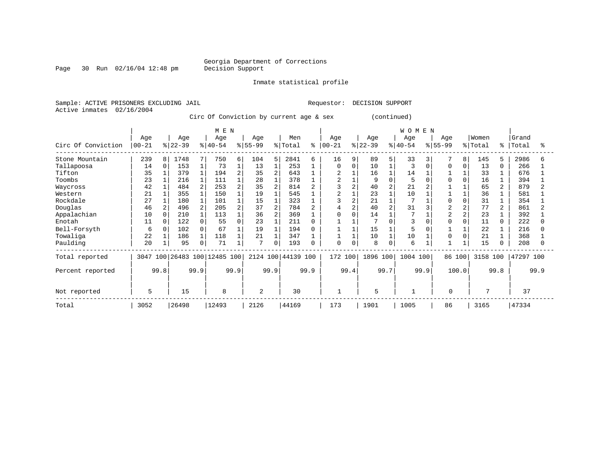#### Georgia Department of Corrections<br>Decision Support

Page 30 Run 02/16/04 12:48 pm

Inmate statistical profile

Sample: ACTIVE PRISONERS EXCLUDING JAIL Requestor: DECISION SUPPORT Active inmates 02/16/2004

Circ Of Conviction by current age & sex (continued)

|                    | M E N     |          |                     |   |           |      |                |                |                    |      |                |          |           |   | WOMEN     |          |                |          |          |          |           |      |
|--------------------|-----------|----------|---------------------|---|-----------|------|----------------|----------------|--------------------|------|----------------|----------|-----------|---|-----------|----------|----------------|----------|----------|----------|-----------|------|
|                    | Age       |          | Age                 |   | Age       |      | Age            |                | Men                |      | Age            |          | Age       |   | Age       |          | Aqe            |          | Women    |          | Grand     |      |
| Circ Of Conviction | $00 - 21$ |          | $ 22-39$            |   | $ 40-54 $ |      | $8 55-99$      |                | % Total            | ៖    | $ 00 - 21$     |          | $ 22-39 $ |   | $8 40-54$ |          | $8 55-99$      |          | % Total  | ి        | Total     | °    |
| Stone Mountain     | 239       | 8        | 1748                | 7 | 750       | 6    | 104            | 5              | 2841               | 6    | 16             | 9        | 89        | 5 | 33        |          |                | 8        | 145      | 5        | 2986      | 6    |
| Tallapoosa         | 14        | $\Omega$ | 153                 |   | 73        |      | 13             |                | 253                |      | $\Omega$       | $\Omega$ | 10        |   | 3         | $\Omega$ | $\Omega$       | 0        | 13       | $\Omega$ | 266       |      |
| Tifton             | 35        |          | 379                 |   | 194       |      | 35             | $\overline{2}$ | 643                |      |                |          | 16        |   | 14        |          |                |          | 33       |          | 676       |      |
| Toombs             | 23        |          | 216                 |   | 111       |      | 28             |                | 378                |      | $\overline{2}$ |          | 9         |   |           |          |                | $\Omega$ | 16       |          | 394       |      |
| Waycross           | 42        |          | 484                 | 2 | 253       |      | 35             | 2              | 814                |      |                |          | 40        |   | 21        |          |                |          | 65       |          | 879       |      |
| Western            | 21        |          | 355                 |   | 150       |      | 19             |                | 545                |      |                |          | 23        |   | 10        |          |                |          | 36       |          | 581       |      |
| Rockdale           | 27        |          | 180                 |   | 101       |      | 15             |                | 323                |      |                |          | 21        |   |           |          | $\Omega$       | $\Omega$ | 31       |          | 354       |      |
| Douglas            | 46        |          | 496                 | 2 | 205       |      | 37             | $\overline{a}$ | 784                |      | 4              |          | 40        |   | 31        |          | $\overline{c}$ | 2        | 77       |          | 861       |      |
| Appalachian        | 10        | 0        | 210                 |   | 113       |      | 36             | $\overline{2}$ | 369                |      | 0              |          | 14        |   |           |          | $\overline{c}$ | 2        | 23       |          | 392       |      |
| Enotah             | 11        | $\Omega$ | 122                 | 0 | 55        | O    | 23             |                | 211                |      |                |          |           |   | 3         |          |                |          | 11       | 0        | 222       |      |
| Bell-Forsyth       | 6         | $\Omega$ | 102                 | 0 | 67        |      | 19             |                | 194                |      |                |          | 15        |   |           |          |                |          | 22       |          | 216       |      |
| Towaliga           | 22        |          | 186                 |   | 118       |      | 21             |                | 347                |      |                |          | 10        |   | 10        |          |                |          | 21       |          | 368       |      |
| Paulding           | 20        |          | 95                  | 0 | 71        |      | $\mathbf{r}$   | 0              | 193                |      | $\mathbf 0$    |          | 8         |   | 6         |          |                |          | 15       |          | 208       |      |
| Total reported     | 3047      | 100      | 26483 100 12485 100 |   |           |      |                |                | 2124 100 44139 100 |      | 172 100        |          | 1896 100  |   | 1004 100  |          | 86 100         |          | 3158 100 |          | 47297 100 |      |
| Percent reported   | 99.8      |          | 99.9                |   |           | 99.9 |                | 99.9           |                    | 99.9 |                | 99.4     | 99.7      |   | 99.9      |          | 100.0          |          |          | 99.8     |           | 99.9 |
| Not reported       | 5         |          | 15                  |   | 8         |      | $\overline{2}$ |                | 30                 |      |                |          | 5         |   |           |          | 0              |          | 7        |          | 37        |      |
| Total              | 3052      |          | 26498               |   | 12493     |      | 2126           |                | 44169              |      | 173            |          | 1901      |   | 1005      |          | 86             |          | 3165     |          | 47334     |      |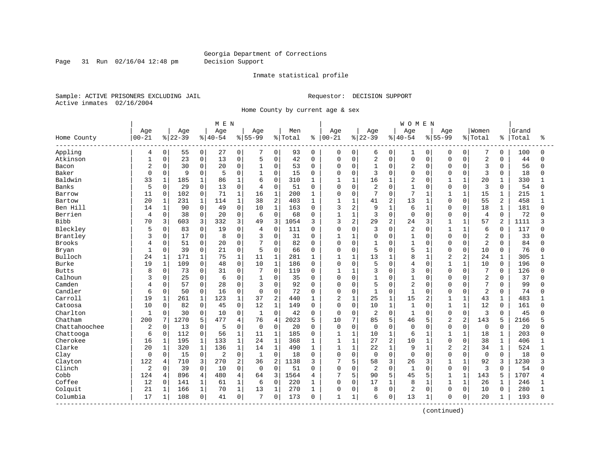Page 31 Run 02/16/04 12:48 pm Decision Support

#### Inmate statistical profile

Sample: ACTIVE PRISONERS EXCLUDING JAIL **Requestor: DECISION SUPPORT** Active inmates 02/16/2004

Home County by current age & sex

|                        |                |               |            |              | MEN         |                |              |                |         |             |                |                |                |                | <b>WOMEN</b>   |                |                |                |                |                |       |              |
|------------------------|----------------|---------------|------------|--------------|-------------|----------------|--------------|----------------|---------|-------------|----------------|----------------|----------------|----------------|----------------|----------------|----------------|----------------|----------------|----------------|-------|--------------|
|                        | Age            |               | Age        |              | Age         |                | Age          |                | Men     |             | Age            |                | Age            |                | Age            |                | Age            |                | Women          |                | Grand |              |
| Home County<br>------- | $00 - 21$      | $\frac{8}{3}$ | $ 22 - 39$ |              | $8140 - 54$ |                | $8 55-99$    |                | % Total | ႜ           | $00 - 21$      |                | $ 22-39$       |                | $8 40-54$      |                | $8 55-99$      |                | %   Total      | ៖              | Total | °≈           |
| Appling                | 4              | $\mathbf 0$   | 55         | 0            | 27          | 0              |              | 0              | 93      | $\mathbf 0$ | 0              | 0              | 6              | 0              | 1              | 0              | 0              | $\overline{0}$ | 7              | 0              | 100   | $\Omega$     |
| Atkinson               | $\mathbf{1}$   | $\mathbf 0$   | 23         | $\mathbf 0$  | 13          | 0              | 5            | $\mathbf 0$    | 42      | 0           | 0              | $\mathbf 0$    | 2              | $\mathbf 0$    | $\mathbf 0$    | 0              | $\mathbf 0$    | $\Omega$       | $\sqrt{2}$     | $\Omega$       | 44    | $\Omega$     |
| Bacon                  | $\overline{c}$ | 0             | 30         | $\mathbf 0$  | 20          | 0              | $\mathbf{1}$ | $\mathbf 0$    | 53      | 0           | 0              | $\mathbf 0$    | $\mathbf{1}$   | $\Omega$       | $\overline{2}$ | $\Omega$       | $\Omega$       | $\Omega$       | 3              | $\Omega$       | 56    | $\Omega$     |
| Baker                  | $\Omega$       | $\Omega$      | 9          | 0            | 5           | 0              |              | $\mathbf 0$    | 15      | $\Omega$    | O              | $\mathbf 0$    | 3              | $\Omega$       | $\Omega$       | $\Omega$       | $\Omega$       | $\Omega$       | 3              | $\Omega$       | 18    |              |
| Baldwin                | 33             | $\mathbf{1}$  | 185        | $\mathbf 1$  | 86          | $\mathbf 1$    | 6            | $\Omega$       | 310     | 1           | $\mathbf{1}$   | $\mathbf{1}$   | 16             | $\mathbf{1}$   | $\overline{2}$ | $\cap$         | $\mathbf{1}$   | $\mathbf{1}$   | 20             | 1              | 330   |              |
| Banks                  | 5              | $\Omega$      | 29         | $\mathbf 0$  | 13          | 0              | 4            | $\mathbf 0$    | 51      | $\Omega$    | 0              | $\mathbf 0$    | 2              | $\Omega$       | $\mathbf{1}$   | $\Omega$       | $\mathbf 0$    | $\Omega$       | 3              | $\Omega$       | 54    | U            |
| Barrow                 | 11             | 0             | 102        | 0            | 71          | $\mathbf 1$    | 16           | $1\,$          | 200     | 1           | 0              | $\mathbf 0$    | 7              | $\mathbf 0$    | 7              | 1              | 1              | $\mathbf{1}$   | 15             | $\mathbf{1}$   | 215   |              |
| Bartow                 | 20             | 1             | 231        | 1            | 114         | $\mathbf{1}$   | 38           | $\overline{2}$ | 403     | 1           | $\mathbf{1}$   | $\mathbf{1}$   | 41             | 2              | 13             | $\mathbf{1}$   | $\Omega$       | $\Omega$       | 55             | $\overline{a}$ | 458   | $\mathbf{1}$ |
| Ben Hill               | 14             | 1             | 90         | $\mathbf 0$  | 49          | 0              | 10           | $\mathbf{1}$   | 163     | 0           | 3              | $\overline{2}$ | 9              | $\mathbf{1}$   | 6              |                | $\Omega$       | $\Omega$       | 18             | 1              | 181   |              |
| Berrien                | 4              | $\mathbf 0$   | 38         | 0            | 20          | 0              | 6            | $\mathbf 0$    | 68      | 0           | 1              | $\mathbf{1}$   | 3              | $\mathbf 0$    | $\mathbf 0$    | $\Omega$       | $\mathbf 0$    | 0              | 4              | $\mathbf 0$    | 72    |              |
| <b>Bibb</b>            | 70             | 3             | 603        | 3            | 332         | 3              | 49           | 3              | 1054    | 3           | 3              | 2              | 29             | 2              | 24             | 3              | $\mathbf{1}$   | $\mathbf{1}$   | 57             | 2              | 1111  |              |
| Bleckley               | 5              | $\mathsf{O}$  | 83         | $\mathbf 0$  | 19          | 0              | 4            | $\mathbf 0$    | 111     | $\Omega$    | 0              | $\mathbf 0$    | 3              | $\Omega$       | $\overline{2}$ | $\Omega$       | $\mathbf{1}$   | $\mathbf{1}$   | 6              | $\Omega$       | 117   |              |
| Brantley               | 3              | $\mathbf 0$   | 17         | 0            | 8           | 0              | 3            | $\mathsf 0$    | 31      | 0           | 1              | $\mathbf{1}$   | 0              | $\Omega$       | $\mathbf{1}$   | $\Omega$       | $\Omega$       | 0              | $\overline{2}$ | $\Omega$       | 33    |              |
| <b>Brooks</b>          | 4              | 0             | 51         | $\mathsf 0$  | 20          | 0              | 7            | $\mathbf 0$    | 82      | $\Omega$    | 0              | $\mathbf 0$    | $\mathbf{1}$   | $\Omega$       | $\mathbf{1}$   | $\Omega$       | $\Omega$       | $\Omega$       | $\overline{2}$ | $\Omega$       | 84    |              |
| Bryan                  | -1             | 0             | 39         | $\mathbf 0$  | 21          | 0              | 5            | $\mathbf 0$    | 66      | 0           | 0              | $\mathbf 0$    | 5              | $\Omega$       | 5              |                | $\mathbf 0$    | $\Omega$       | 10             | 0              | 76    |              |
| Bulloch                | 24             | 1             | 171        | $\mathbf{1}$ | 75          | $\mathbf{1}$   | 11           | $\mathbf 1$    | 281     | 1           | 1              | $\mathbf{1}$   | 13             | $\mathbf{1}$   | 8              | $\overline{1}$ | $\overline{2}$ | 2              | 24             | 1              | 305   |              |
| Burke                  | 19             | $\mathbf{1}$  | 109        | $\Omega$     | 48          | $\Omega$       | 10           | $\mathbf{1}$   | 186     | $\Omega$    | $\Omega$       | $\Omega$       | 5              | $\Omega$       | 4              | $\Omega$       | $\mathbf{1}$   | $\mathbf{1}$   | 10             | $\Omega$       | 196   |              |
| <b>Butts</b>           | 8              | $\Omega$      | 73         | 0            | 31          | $\Omega$       | 7            | $\mathbf 0$    | 119     | $\Omega$    | 1              | $\mathbf{1}$   | 3              | $\Omega$       | 3              | $\Omega$       | $\Omega$       | $\Omega$       | 7              | $\Omega$       | 126   |              |
| Calhoun                | 3              | $\mathbf 0$   | 25         | 0            | 6           | $\Omega$       | $\mathbf{1}$ | $\mathbf 0$    | 35      | $\Omega$    | $\Omega$       | $\mathbf 0$    | $\overline{1}$ | $\Omega$       | $\mathbf{1}$   | $\Omega$       | $\Omega$       | $\Omega$       | $\overline{2}$ | $\Omega$       | 37    |              |
| Camden                 | 4              | $\Omega$      | 57         | $\mathbf 0$  | 28          | $\Omega$       | 3            | $\mathbf 0$    | 92      | $\Omega$    | $\Omega$       | $\mathbf 0$    | 5              | $\Omega$       | $\overline{2}$ | $\Omega$       | $\Omega$       | $\Omega$       | 7              | $\Omega$       | 99    | Λ            |
| Candler                | 6              | $\mathbf 0$   | 50         | $\mathbf 0$  | 16          | 0              | $\Omega$     | $\mathbf 0$    | 72      | $\Omega$    | 0              | $\mathbf 0$    | 1              | $\Omega$       | $\mathbf{1}$   | $\Omega$       | $\Omega$       | $\Omega$       | $\overline{2}$ | $\Omega$       | 74    |              |
| Carroll                | 19             | $\mathbf{1}$  | 261        | $\mathbf{1}$ | 123         | $\mathbf{1}$   | 37           | $\overline{2}$ | 440     | 1           | $\overline{2}$ | $\mathbf{1}$   | 25             | $\mathbf{1}$   | 15             | $\overline{a}$ | 1              | $\mathbf{1}$   | 43             | $\mathbf 1$    | 483   |              |
| Catoosa                | 10             | 0             | 82         | $\mathbf 0$  | 45          | 0              | 12           | $\mathbf{1}$   | 149     | 0           | $\mathbf 0$    | $\mathbf 0$    | 10             | $\mathbf{1}$   | $\mathbf{1}$   | $\Omega$       | $\mathbf{1}$   | $\mathbf{1}$   | 12             | 0              | 161   |              |
| Charlton               | 1              | 0             | 30         | $\Omega$     | 10          | $\Omega$       | $\mathbf{1}$ | $\Omega$       | 42      | $\Omega$    | $\mathbf 0$    | $\mathbf 0$    | 2              | $\Omega$       | $\mathbf{1}$   | $\Omega$       | $\mathbf 0$    | $\Omega$       | 3              | $\Omega$       | 45    |              |
| Chatham                | 200            | 7             | 1270       | 5            | 477         | $\overline{4}$ | 76           | $\overline{4}$ | 2023    | 5           | 10             | 7              | 85             | 5              | 46             | 5              | $\overline{2}$ | $\overline{a}$ | 143            | 5              | 2166  |              |
| Chattahoochee          | $\overline{2}$ | $\mathbf 0$   | 13         | $\mathbf 0$  | 5           | 0              | $\Omega$     | $\mathbf 0$    | 20      | $\Omega$    | $\mathbf 0$    | $\mathbf 0$    | 0              | $\Omega$       | $\Omega$       | $\Omega$       | $\Omega$       | $\Omega$       | $\mathbf 0$    | $\Omega$       | 20    |              |
| Chattooga              | 6              | $\mathbf 0$   | 112        | 0            | 56          | 1              | 11           | $\mathbf{1}$   | 185     | 0           | 1              | $\mathbf{1}$   | 10             | $\mathbf 1$    | 6              | -1             | 1              | 1              | 18             | 1              | 203   |              |
| Cherokee               | 16             | $\mathbf{1}$  | 195        | $\mathbf{1}$ | 133         | $\mathbf{1}$   | 24           | $\mathbf{1}$   | 368     | 1           | $\mathbf{1}$   | $\mathbf{1}$   | 27             | $\overline{a}$ | 10             | $\mathbf{1}$   | $\Omega$       | $\Omega$       | 38             | $\mathbf 1$    | 406   |              |
| Clarke                 | 20             | $\mathbf{1}$  | 320        | $\mathbf{1}$ | 136         | $\mathbf 1$    | 14           | $\mathbf 1$    | 490     | 1           | $\mathbf{1}$   | $\mathbf{1}$   | 22             | $\mathbf{1}$   | 9              | $\mathbf{1}$   | $\overline{2}$ | $\overline{a}$ | 34             | $\mathbf 1$    | 524   |              |
| Clay                   | 0              | $\mathbf 0$   | 15         | $\mathsf 0$  | 2           | 0              | $\mathbf{1}$ | $\mathbf 0$    | 18      | 0           | 0              | $\mathbf 0$    | 0              | $\mathbf 0$    | $\mathbf 0$    | $\Omega$       | $\mathbf 0$    | 0              | $\mathsf 0$    | $\mathbf 0$    | 18    |              |
| Clayton                | 122            | 4             | 710        | 3            | 270         | 2              | 36           | $\overline{2}$ | 1138    | 3           | 7              | 5              | 58             | 3              | 26             | 3              | $\mathbf 1$    | $\mathbf{1}$   | 92             | 3              | 1230  |              |
| Clinch                 | $\overline{2}$ | 0             | 39         | $\mathbf 0$  | 10          | 0              | 0            | $\mathbf 0$    | 51      | $\Omega$    | 0              | $\mathbf 0$    | $\overline{a}$ | $\Omega$       | $\mathbf{1}$   | $\Omega$       | $\mathbf 0$    | 0              | 3              | $\Omega$       | 54    | Λ            |
| Cobb                   | 124            | 4             | 896        | 4            | 480         | 4              | 64           | 3              | 1564    | 4           | 7              | 5              | 90             | 5              | 45             | 5              | $\mathbf{1}$   | $\mathbf 1$    | 143            | 5              | 1707  |              |
| Coffee                 | 12             | $\Omega$      | 141        | $\mathbf{1}$ | 61          | $\mathbf{1}$   | 6            | $\Omega$       | 220     | 1           | 0              | $\Omega$       | 17             | $\mathbf{1}$   | 8              | $\mathbf{1}$   | $\mathbf{1}$   | $\mathbf{1}$   | 26             | $\mathbf 1$    | 246   |              |
| Colquit                | 21             | $\mathbf 1$   | 166        | $\mathbf 1$  | 70          | $\mathbf{1}$   | 13           | $\mathbf{1}$   | 270     | 1           | 0              | $\Omega$       | 8              | $\Omega$       | 2              | $\Omega$       | $\Omega$       | $\Omega$       | 10             | $\Omega$       | 280   |              |
| Columbia               | 17             | $\mathbf 1$   | 108        | 0            | 41          | 0              | 7            | 0              | 173     | 0           | $\mathbf{1}$   | 1              | 6              | 0              | 13             | 1              | $\Omega$       | 0              | 20             | 1              | 193   | $\cap$       |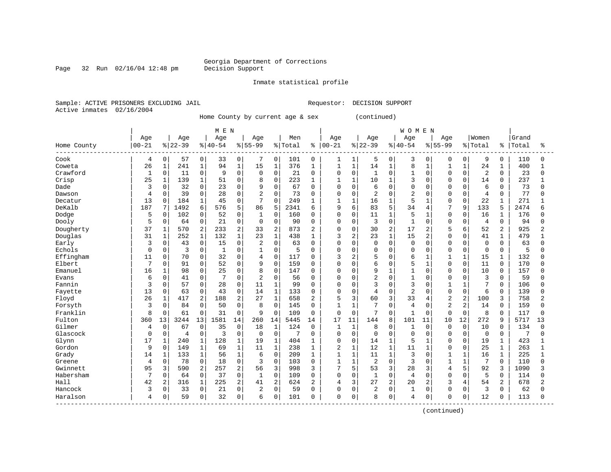#### Georgia Department of Corrections<br>Decision Support

Page 32 Run 02/16/04 12:48 pm

Inmate statistical profile

Sample: ACTIVE PRISONERS EXCLUDING JAIL Requestor: DECISION SUPPORT Active inmates 02/16/2004

Home County by current age & sex (continued)

|                                 |           |                |          |                | M E N        |                     |              |                |         |                |                |                |                |                | <b>WOMEN</b>   |                |                |                |                |                |       |                |
|---------------------------------|-----------|----------------|----------|----------------|--------------|---------------------|--------------|----------------|---------|----------------|----------------|----------------|----------------|----------------|----------------|----------------|----------------|----------------|----------------|----------------|-------|----------------|
|                                 | Age       |                | Age      |                | Age          |                     | Age          |                | Men     |                | Age            |                | Age            |                | Age            |                | Age            |                | Women          |                | Grand |                |
| Home County                     | $00 - 21$ |                | $ 22-39$ |                | $ 40-54$     |                     | $8 55-99$    |                | % Total | ి              | $ 00-21$       |                | $ 22-39$       |                | $8140 - 54$    |                | $8155 - 99$    |                | % Total        | ႜ              | Total | °              |
| Cook                            | 4         | 0              | 57       | 0              | 33           | 0                   | 7            | 0              | 101     | 0              | 1              | 1              | 5              | 0              | 3              | $\mathbf 0$    | $\mathbf 0$    | 0              | 9              | 0              | 110   | 0              |
| Coweta                          | 26        | 1              | 241      | $1\,$          | 94           | $\mathbf{1}$        | 15           | $\mathbf{1}$   | 376     | 1              | $\mathbf{1}$   | $\mathbf 1$    | 14             | 1              | 8              | $\mathbf{1}$   | $\mathbf{1}$   | $\mathbf{1}$   | 24             | $\mathbf 1$    | 400   | $\mathbf{1}$   |
| Crawford                        | 1         | $\mathbf 0$    | 11       | $\Omega$       | 9            | $\Omega$            | $\Omega$     | $\mathbf 0$    | 21      | $\Omega$       | $\Omega$       | $\Omega$       | $\mathbf{1}$   | $\Omega$       | $\mathbf{1}$   | $\Omega$       | $\Omega$       | $\Omega$       | $\overline{2}$ | $\Omega$       | 23    | $\Omega$       |
| Crisp                           | 25        | $\mathbf{1}$   | 139      | $\mathbf{1}$   | 51           | $\mathbf 0$         | 8            | $\mathbf 0$    | 223     |                |                | $\mathbf{1}$   | 10             |                | 3              | $\Omega$       | $\Omega$       | $\Omega$       | 14             | $\Omega$       | 237   | 1              |
| Dade                            | 3         | $\mathbf 0$    | 32       | $\mathbf 0$    | 23           | $\mathbf 0$         | 9            | $\mathbf 0$    | 67      | 0              | $\Omega$       | $\mathbf 0$    | 6              | $\Omega$       | $\mathbf 0$    | $\Omega$       | $\Omega$       | $\mathbf 0$    | 6              | $\Omega$       | 73    | U              |
| Dawson                          | 4         | $\mathbf 0$    | 39       | $\Omega$       | 28           | $\mathbf 0$         | 2            | $\Omega$       | 73      | $\Omega$       | $\Omega$       | $\Omega$       | $\overline{2}$ | $\Omega$       | $\overline{c}$ | $\Omega$       | $\Omega$       | $\Omega$       | 4              | $\Omega$       | 77    | U              |
| Decatur                         | 13        | $\mathbf 0$    | 184      | $\mathbf{1}$   | 45           | 0                   | 7            | $\Omega$       | 249     |                |                | 1              | 16             |                | 5              |                | $\Omega$       | $\Omega$       | 22             | 1              | 271   |                |
| DeKalb                          | 187       | 7              | 1492     | 6              | 576          | 5                   | 86           | 5              | 2341    | 6              | 9              | 6              | 83             | 5              | 34             | $\overline{4}$ | 7              | 9              | 133            | 5              | 2474  | 6              |
| Dodge                           | 5         | 0              | 102      | $\Omega$       | 52           | $\Omega$            | $\mathbf{1}$ | $\Omega$       | 160     | U              | $\Omega$       | $\Omega$       | 11             | 1              | 5              |                | $\mathbf 0$    | $\Omega$       | 16             | 1              | 176   | U              |
| Dooly                           | 5         | $\mathbf 0$    | 64       | $\mathbf 0$    | 21           | $\mathbf 0$         | $\mathbf 0$  | $\Omega$       | 90      | O              | $\Omega$       | $\Omega$       | 3              | 0              | $\mathbf{1}$   | $\Omega$       | $\Omega$       | $\mathbf 0$    | $\overline{4}$ | $\Omega$       | 94    | O              |
| Dougherty                       | 37        | $\mathbf 1$    | 570      | $\overline{a}$ | 233          | 2                   | 33           | $\overline{2}$ | 873     | $\overline{c}$ | $\Omega$       | $\Omega$       | 30             | 2              | 17             | $\overline{2}$ | 5              | 6              | 52             | 2              | 925   | $\overline{a}$ |
| Douglas                         | 31        | $\mathbf 1$    | 252      | $1\,$          | 132          | $\mathbf{1}$        | 23           | $1\,$          | 438     | $\mathbf{1}$   | 3              | $\overline{2}$ | 23             | $\mathbf 1$    | 15             | $\overline{a}$ | $\Omega$       | $\Omega$       | 41             | $\mathbf{1}$   | 479   | $\mathbf{1}$   |
| Early                           | 3         | $\mathbf 0$    | 43       | $\mathbf 0$    | 15           | $\mathbf 0$         | 2            | $\Omega$       | 63      | 0              | $\Omega$       | $\Omega$       | $\Omega$       | $\Omega$       | $\mathbf 0$    | $\Omega$       | $\Omega$       | $\mathbf 0$    | $\mathbf 0$    | $\Omega$       | 63    | U              |
| Echols                          | $\Omega$  | $\mathbf 0$    | 3        | $\mathbf 0$    | $\mathbf{1}$ | $\Omega$            | 1            | $\mathbf 0$    | 5       | $\Omega$       | $\Omega$       | $\Omega$       | $\Omega$       | $\Omega$       | $\mathbf 0$    | $\Omega$       | $\Omega$       | $\mathbf 0$    | $\overline{0}$ | $\Omega$       | 5     | $\Omega$       |
| Effingham                       | 11        | 0              | 70       | $\mathbf 0$    | 32           | 0                   | 4            | $\mathbf 0$    | 117     | 0              | 3              | $\overline{2}$ | 5              | $\Omega$       | 6              |                | 1              |                | 15             | 1              | 132   | $\Omega$       |
| Elbert                          | 7         | $\mathbf 0$    | 91       | $\Omega$       | 52           | $\Omega$            | 9            | $\mathbf 0$    | 159     | 0              | $\Omega$       | $\Omega$       | 6              | $\Omega$       | 5              |                | $\Omega$       | $\Omega$       | 11             | $\Omega$       | 170   | U              |
| Emanuel                         | 16        | 1              | 98       | $\Omega$       | 25           | $\mathbf 0$         | 8            | $\mathbf 0$    | 147     | O              | $\Omega$       | $\Omega$       | 9              | 1              | $\overline{1}$ | $\Omega$       | $\Omega$       | $\Omega$       | 10             | $\Omega$       | 157   | U              |
| Evans                           | 6         | $\mathbf 0$    | 41       | $\mathbf 0$    | 7            | $\mathbf 0$         | 2            | $\mathbf 0$    | 56      | 0              | $\Omega$       | $\Omega$       | $\overline{2}$ | $\Omega$       | $\overline{1}$ | $\Omega$       | $\Omega$       | $\Omega$       | 3              | 0              | 59    | U              |
| Fannin                          | 3         | $\mathbf 0$    | 57       | $\mathbf 0$    | 28           | $\mathbf 0$         | 11           | $\mathbf{1}$   | 99      | $\Omega$       | $\Omega$       | $\Omega$       | 3              | $\Omega$       | 3              | $\Omega$       | $\mathbf{1}$   | $\mathbf{1}$   | 7              | $\Omega$       | 106   | O              |
| Fayette                         | 13        | $\mathbf 0$    | 63       | $\Omega$       | 43           | $\mathbf 0$         | 14           | $1\,$          | 133     | $\Omega$       | $\Omega$       | $\Omega$       | $\overline{4}$ | $\Omega$       | $\overline{c}$ | $\Omega$       | $\mathbf 0$    | $\mathbf 0$    | 6              | $\Omega$       | 139   | U              |
| Floyd                           | 26        | $\mathbf{1}$   | 417      | $\overline{2}$ | 188          | 2                   | 27           | $\mathbf{1}$   | 658     | 2              | 5              | 3              | 60             | 3              | 33             | 4              | $\overline{2}$ | 2              | 100            | 3              | 758   | $\overline{a}$ |
| Forsyth                         | 3         | 0              | 84       | $\mathbf 0$    | 50           | $\mathbf 0$         | 8            | $\Omega$       | 145     | 0              |                | $\mathbf{1}$   | 7              | $\Omega$       | $\overline{4}$ | $\Omega$       | $\overline{2}$ | $\overline{a}$ | 14             | 0              | 159   | $\Omega$       |
| Franklin                        | 8         | $\mathbf 0$    | 61       | $\mathbf 0$    | 31           | $\mathbf 0$         | 9            | $\Omega$       | 109     | 0              | $\Omega$       | $\Omega$       | 7              | $\Omega$       | $\mathbf{1}$   | $\Omega$       | $\mathbf 0$    | 0              | 8              | 0              | 117   | $\Omega$       |
| Fulton                          | 360       | 13             | 3244     | 13             | 1581         | 14                  | 260          | 14             | 5445    | 14             | 17             | 11             | 144            | 8              | 101            | 11             | 10             | 12             | 272            | 9              | 5717  | 13             |
| Gilmer                          | 4         | $\Omega$       | 67       | $\Omega$       | 35           | $\Omega$            | 18           | 1              | 124     | $\Omega$       | $\mathbf{1}$   | $\mathbf{1}$   | 8              | $\Omega$       | 1              | $\Omega$       | $\Omega$       | $\Omega$       | 10             | $\Omega$       | 134   | O              |
| Glascock                        | $\Omega$  | $\mathbf 0$    | 4        | $\mathbf 0$    | 3            | $\mathbf 0$         | $\mathbf 0$  | $\mathbf 0$    | 7       | 0              | $\Omega$       | $\mathbf 0$    | $\mathbf 0$    | $\Omega$       | $\mathbf 0$    | $\Omega$       | $\Omega$       | $\mathbf 0$    | $\overline{0}$ | 0              | 7     | O              |
| Glynn                           | 17        | $\mathbf 1$    | 240      | $1\,$          | 128          | $\mathbf{1}$        | 19           | $\mathbf{1}$   | 404     | 1              | $\mathbf 0$    | $\mathbf 0$    | 14             |                | 5              |                | $\Omega$       | $\mathbf 0$    | 19             | $\mathbf 1$    | 423   | $\mathbf{1}$   |
| Gordon                          | 9         | $\mathbf 0$    | 149      | $\mathbf{1}$   | 69           | $\mathbf{1}$        | 11           | $\mathbf{1}$   | 238     | 1              | $\overline{c}$ | $\mathbf{1}$   | 12             | $\mathbf{1}$   | 11             | $\mathbf{1}$   | $\Omega$       | $\Omega$       | 25             | $\mathbf 1$    | 263   | $\mathbf{1}$   |
| Grady                           | 14        | 1              | 133      | $\mathbf{1}$   | 56           | $\mathbf{1}$        | 6            | $\Omega$       | 209     | 1              | $\mathbf{1}$   | $\mathbf{1}$   | 11             | 1              | 3              | $\Omega$       | $\mathbf{1}$   | $\mathbf{1}$   | 16             | $\mathbf 1$    | 225   | $\mathbf{1}$   |
| Greene                          | 4         | $\mathbf 0$    | 78       | $\mathbf 0$    | 18           | $\mathbf 0$         | 3            | $\mathbf 0$    | 103     | 0              | $\mathbf{1}$   | $\mathbf{1}$   | $\overline{2}$ | $\Omega$       | 3              | $\Omega$       | $\mathbf{1}$   | $\mathbf{1}$   | 7              | 0              | 110   | $\mathbf 0$    |
| Gwinnett                        | 95        | 3              | 590      | 2              | 257          | 2                   | 56           | 3              | 998     | 3              | 7              | 5              | 53             | 3              | 28             | 3              | $\overline{4}$ | 5              | 92             | 3              | 1090  | 3              |
| Habersham                       | 7         | $\Omega$       | 64       | $\Omega$       | 37           | $\Omega$            | 1            | $\Omega$       | 109     | $\Omega$       | $\Omega$       | $\Omega$       | 1              | $\Omega$       | $\overline{4}$ | $\Omega$       | $\Omega$       | $\Omega$       | 5              | $\Omega$       | 114   | O              |
| Hall                            | 42        | $\overline{2}$ | 316      | $\mathbf{1}$   | 225          | 2                   | 41           | 2              | 624     | 2              | $\overline{4}$ | 3              | 27             | $\overline{a}$ | 20             | $\overline{a}$ | 3              | 4              | 54             | $\overline{a}$ | 678   | $\overline{2}$ |
| Hancock                         | 3         | $\mathsf 0$    | 33       | $\mathbf 0$    | 21           | $\mathsf{O}\xspace$ | 2            | $\mathbf 0$    | 59      | O              | $\Omega$       | $\Omega$       | $\overline{c}$ | 0              | $\mathbf{1}$   | 0              | $\Omega$       | $\mathbf 0$    | 3              | 0              | 62    | O              |
| Haralson<br>------------------- | 4         | $\mathbf 0$    | 59       | $\mathbf 0$    | 32           | 0 <sup>1</sup>      | 6            | $\mathbf 0$    | 101     | 0              | $\Omega$       | 0              | 8              | 0              | $\overline{4}$ | 0              | $\mathbf 0$    | 0              | 12             | 0              | 113   | O              |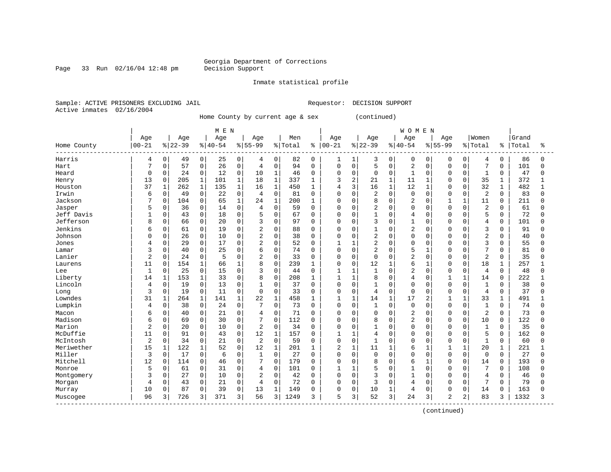#### Georgia Department of Corrections<br>Decision Support

Page 33 Run 02/16/04 12:48 pm

Inmate statistical profile

Sample: ACTIVE PRISONERS EXCLUDING JAIL Requestor: DECISION SUPPORT Active inmates 02/16/2004

Home County by current age & sex (continued)

|                         |                |              |          |              | M E N    |              |                |              |         |              |                |              |                |              | <b>WOMEN</b>   |              |                |                |                |              |       |              |
|-------------------------|----------------|--------------|----------|--------------|----------|--------------|----------------|--------------|---------|--------------|----------------|--------------|----------------|--------------|----------------|--------------|----------------|----------------|----------------|--------------|-------|--------------|
|                         | Age            |              | Age      |              | Age      |              | Age            |              | Men     |              | Age            |              | Age            |              | Age            |              | Age            |                | Women          |              | Grand |              |
| Home County             | $00 - 21$      |              | $ 22-39$ |              | $ 40-54$ |              | $8 55-99$      |              | % Total |              | $8   00 - 21$  |              | $ 22-39$       |              | $8 40-54$      |              | $8155 - 99$    |                | % Total        | ႜ            | Total | ిన           |
| Harris                  | 4              | 0            | 49       | 0            | 25       | $\mathbf{0}$ | 4              | 0            | 82      | 0            | 1              | 1            | 3              | $\mathbf 0$  | $\Omega$       | 0            | 0              | $\mathbf 0$    | 4              | $\mathbf 0$  | 86    | 0            |
| Hart                    | 7              | $\mathbf 0$  | 57       | $\mathbf 0$  | 26       | $\mathbf 0$  | 4              | $\mathbf 0$  | 94      | $\mathbf 0$  | $\mathbf 0$    | $\Omega$     | 5              | $\mathbf 0$  | $\overline{2}$ | $\Omega$     | $\mathbf 0$    | $\Omega$       | $\overline{7}$ | 0            | 101   | $\Omega$     |
| Heard                   | 0              | 0            | 24       | $\mathbf 0$  | 12       | $\mathbf 0$  | 10             | $\mathbf{1}$ | 46      | 0            | $\Omega$       | 0            | $\Omega$       | $\mathbf 0$  | $\mathbf{1}$   | $\Omega$     | $\Omega$       | $\Omega$       | $\mathbf{1}$   | 0            | 47    | 0            |
| Henry                   | 13             | $\mathbf 0$  | 205      | $\mathbf{1}$ | 101      | $\mathbf{1}$ | 18             | $\mathbf{1}$ | 337     | $\mathbf{1}$ | 3              | 2            | 21             | $\mathbf{1}$ | 11             | 1            | $\Omega$       | $\Omega$       | 35             | $\mathbf 1$  | 372   | $\mathbf{1}$ |
| Houston                 | 37             | $\mathbf 1$  | 262      | $\mathbf 1$  | 135      | $\mathbf{1}$ | 16             | $\mathbf{1}$ | 450     | 1            | 4              | 3            | 16             | $\mathbf{1}$ | 12             | 1            | $\Omega$       | $\Omega$       | 32             | 1            | 482   | -1           |
| Irwin                   | 6              | 0            | 49       | $\mathsf 0$  | 22       | $\mathbf 0$  | $\overline{4}$ | $\mathbf 0$  | 81      | 0            | $\Omega$       | 0            | $\overline{c}$ | $\Omega$     | $\Omega$       | $\Omega$     | $\cap$         | $\Omega$       | $\overline{2}$ | $\Omega$     | 83    | <sup>0</sup> |
| Jackson                 |                | $\mathbf 0$  | 104      | $\mathbf 0$  | 65       | $\mathbf{1}$ | 24             | $\mathbf{1}$ | 200     |              | $\Omega$       | $\Omega$     | 8              | $\Omega$     | $\overline{2}$ | $\cap$       |                |                | 11             | $\Omega$     | 211   | U            |
| Jasper                  | 5              | $\Omega$     | 36       | $\Omega$     | 14       | $\Omega$     | $\overline{4}$ | $\Omega$     | 59      | $\Omega$     | $\Omega$       | $\Omega$     | $\overline{c}$ | $\Omega$     | $\Omega$       | $\Omega$     | $\cap$         | $\Omega$       | $\overline{a}$ | $\Omega$     | 61    | <sup>0</sup> |
| Jeff Davis              |                | 0            | 43       | $\mathbf 0$  | 18       | $\Omega$     | 5              | $\Omega$     | 67      | $\Omega$     | $\Omega$       | $\Omega$     |                | $\Omega$     | 4              | $\Omega$     | n              | $\Omega$       | 5              | $\Omega$     | 72    | <sup>0</sup> |
| Jefferson               | 8              | $\mathbf 0$  | 66       | $\mathbf 0$  | 20       | $\mathbf 0$  | 3              | $\mathbf 0$  | 97      | 0            | $\Omega$       | 0            | 3              | $\mathbf 0$  |                | 0            |                | $\Omega$       | $\overline{4}$ | 0            | 101   | <sup>0</sup> |
| Jenkins                 | 6              | 0            | 61       | $\mathbf 0$  | 19       | $\Omega$     | $\overline{2}$ | $\mathbf 0$  | 88      | $\Omega$     | $\Omega$       | $\Omega$     | 1              | $\Omega$     | $\overline{2}$ | $\Omega$     |                | $\Omega$       | 3              | $\Omega$     | 91    | 0            |
| Johnson                 | <sup>0</sup>   | 0            | 26       | $\mathbf 0$  | 10       | $\Omega$     | $\overline{c}$ | $\mathbf 0$  | 38      | $\Omega$     | $\Omega$       | $\Omega$     | $\overline{c}$ | $\Omega$     | $\Omega$       | $\Omega$     | $\cap$         | $\Omega$       | $\overline{2}$ | $\Omega$     | 40    | <sup>0</sup> |
| Jones                   |                | 0            | 29       | $\mathbf 0$  | 17       | $\Omega$     | $\overline{2}$ | $\mathbf 0$  | 52      | 0            | 1              | 1            | $\overline{c}$ | $\Omega$     | $\Omega$       | O            | $\cap$         | $\Omega$       | 3              | $\Omega$     | 55    | <sup>0</sup> |
| Lamar                   |                | 0            | 40       | $\mathbf 0$  | 25       | $\Omega$     | 6              | $\Omega$     | 74      | 0            | $\mathbf 0$    | 0            | $\overline{c}$ | $\Omega$     | 5              |              | $\cap$         | $\Omega$       | 7              | $\Omega$     | 81    | <sup>0</sup> |
| Lanier                  | 2              | $\mathbf 0$  | 24       | $\mathbf 0$  | 5        | $\Omega$     | 2              | $\Omega$     | 33      | 0            | $\mathbf 0$    | 0            | $\mathbf 0$    | $\Omega$     | $\overline{c}$ | $\Omega$     | $\cap$         | $\Omega$       | $\overline{c}$ | $\Omega$     | 35    | <sup>0</sup> |
| Laurens                 | 11             | $\Omega$     | 154      | $\mathbf{1}$ | 66       | $\mathbf{1}$ | 8              | $\Omega$     | 239     | $\mathbf{1}$ | $\Omega$       | $\Omega$     | 12             | $\mathbf{1}$ | 6              | 1            | $\cap$         | $\Omega$       | 18             | 1            | 257   |              |
| Lee                     | $\mathbf{1}$   | $\Omega$     | 25       | $\Omega$     | 15       | $\Omega$     | 3              | $\Omega$     | 44      | $\Omega$     | $\mathbf{1}$   | $\mathbf{1}$ | $\mathbf{1}$   | $\Omega$     | $\overline{c}$ | $\Omega$     | $\Omega$       | $\Omega$       | $\overline{4}$ | $\Omega$     | 48    | 0            |
| Liberty                 | 14             | $\mathbf{1}$ | 153      | $\mathbf 1$  | 33       | $\mathbf 0$  | 8              | $\mathbf 0$  | 208     | 1            | 1              | $\mathbf{1}$ | 8              | $\Omega$     | $\overline{4}$ | $\Omega$     |                |                | 14             | 0            | 222   |              |
| Lincoln                 | 4              | 0            | 19       | $\mathsf 0$  | 13       | $\mathbf 0$  | $\mathbf{1}$   | $\mathbf 0$  | 37      | $\Omega$     | $\Omega$       | 0            | $\mathbf{1}$   | $\mathbf 0$  | $\Omega$       | $\Omega$     | $\Omega$       | $\Omega$       | $\mathbf{1}$   | 0            | 38    | <sup>0</sup> |
| Long                    | 3              | 0            | 19       | $\mathbf 0$  | 11       | $\Omega$     | $\mathbf 0$    | $\Omega$     | 33      | $\Omega$     | $\Omega$       | 0            | $\overline{4}$ | $\Omega$     | $\Omega$       | $\Omega$     | $\cap$         | $\Omega$       | $\overline{4}$ | $\Omega$     | 37    | U            |
| Lowndes                 | 31             | $\mathbf{1}$ | 264      | $\mathbf 1$  | 141      | $\mathbf{1}$ | 22             | $\mathbf{1}$ | 458     | 1            | 1              | 1            | 14             | $\mathbf{1}$ | 17             | 2            | -1             |                | 33             | 1            | 491   |              |
| Lumpkin                 | 4              | 0            | 38       | $\mathbf 0$  | 24       | $\mathbf 0$  |                | $\Omega$     | 73      | $\Omega$     | $\Omega$       | 0            | $\mathbf{1}$   | $\Omega$     | $\Omega$       | $\Omega$     | $\Omega$       | $\Omega$       | $\mathbf{1}$   | $\Omega$     | 74    | 0            |
| Macon                   | 6              | 0            | 40       | $\mathbf 0$  | 21       | $\mathbf 0$  | 4              | $\Omega$     | 71      | 0            | $\Omega$       | 0            | $\Omega$       | $\Omega$     | $\overline{c}$ | $\Omega$     | $\Omega$       | $\Omega$       | $\overline{2}$ | $\Omega$     | 73    | <sup>0</sup> |
| Madison                 | 6              | $\mathbf 0$  | 69       | $\mathbf 0$  | 30       | $\Omega$     | 7              | $\Omega$     | 112     | $\Omega$     | $\Omega$       | $\Omega$     | 8              | $\Omega$     | $\overline{c}$ | <sup>0</sup> | $\Omega$       | $\Omega$       | 10             | 0            | 122   | O            |
| Marion                  | $\overline{c}$ | $\Omega$     | 20       | $\Omega$     | 10       | $\Omega$     | $\overline{2}$ | $\Omega$     | 34      | $\Omega$     | $\Omega$       | $\Omega$     | $\mathbf{1}$   | $\Omega$     | $\Omega$       | $\Omega$     | $\cap$         | $\Omega$       | $\mathbf{1}$   | $\Omega$     | 35    | O            |
| McDuffie                | 11             | 0            | 91       | $\mathbf 0$  | 43       | $\Omega$     | 12             | $\mathbf{1}$ | 157     | 0            | 1              | 1            | $\overline{4}$ | $\Omega$     | $\Omega$       | $\Omega$     | $\Omega$       | $\Omega$       | 5              | 0            | 162   | <sup>0</sup> |
| McIntosh                | $\overline{a}$ | 0            | 34       | $\mathsf 0$  | 21       | $\mathbf 0$  | $\overline{2}$ | $\mathbf 0$  | 59      | 0            | $\mathbf 0$    | 0            | $\mathbf{1}$   | $\mathbf 0$  | $\Omega$       | $\Omega$     | $\Omega$       | $\Omega$       | $\mathbf{1}$   | 0            | 60    | <sup>0</sup> |
| Meriwether              | 15             | $\mathbf{1}$ | 122      | $\mathbf 1$  | 52       | $\mathbf{0}$ | 12             | $\mathbf{1}$ | 201     | $\mathbf{1}$ | $\overline{2}$ | $\mathbf{1}$ | 11             | $\mathbf{1}$ | 6              | $\mathbf{1}$ |                | $\mathbf{1}$   | 20             | $\mathbf{1}$ | 221   |              |
| Miller                  | 3              | 0            | 17       | $\mathbf 0$  | 6        | $\Omega$     | 1              | $\Omega$     | 27      | $\Omega$     | $\mathbf 0$    | $\Omega$     | $\Omega$       | $\Omega$     | $\Omega$       | $\Omega$     | $\Omega$       | $\Omega$       | $\mathbf 0$    | $\Omega$     | 27    | 0            |
| Mitchell                | 12             | $\mathbf 0$  | 114      | $\mathbf 0$  | 46       | $\Omega$     |                | $\Omega$     | 179     | $\Omega$     | $\Omega$       | $\Omega$     | 8              | $\Omega$     | 6              |              | $\Omega$       | $\Omega$       | 14             | 0            | 193   | O            |
| Monroe                  | 5              | $\mathbf 0$  | 61       | $\mathbf 0$  | 31       | $\mathbf 0$  | 4              | $\mathbf 0$  | 101     | $\Omega$     | $\mathbf{1}$   | $\mathbf{1}$ | 5              | $\Omega$     |                | $\Omega$     | $\Omega$       | $\Omega$       | 7              | 0            | 108   | U            |
| Montgomery              | 3              | 0            | 27       | $\mathbf 0$  | 10       | $\Omega$     | $\overline{2}$ | $\Omega$     | 42      | $\Omega$     | $\Omega$       | 0            | 3              | $\Omega$     | $\mathbf{1}$   | $\Omega$     | $\Omega$       | $\Omega$       | $\overline{4}$ | 0            | 46    | <sup>0</sup> |
| Morgan                  | 4              | 0            | 43       | $\mathbf 0$  | 21       | $\Omega$     | $\overline{4}$ | $\Omega$     | 72      | $\Omega$     | $\mathbf 0$    | 0            | 3              | $\Omega$     | $\overline{4}$ | $\Omega$     | $\Omega$       | $\Omega$       | 7              | $\Omega$     | 79    | $\Omega$     |
| Murray                  | 10             | 0            | 87       | $\mathbf 0$  | 39       | $\mathbf 0$  | 13             | $\mathbf{1}$ | 149     | O            | $\Omega$       | 0            | 10             | $\mathbf 1$  | $\overline{4}$ | 0            | $\Omega$       | $\Omega$       | 14             | 0            | 163   | O            |
| Muscogee<br>----------- | 96             | 3            | 726      | 3            | 371      | 3            | 56             | 3            | 1249    | 3            | 5              | 3            | 52             | 3            | 24             | 3            | $\overline{2}$ | $\overline{2}$ | 83             | 3            | 1332  | 3            |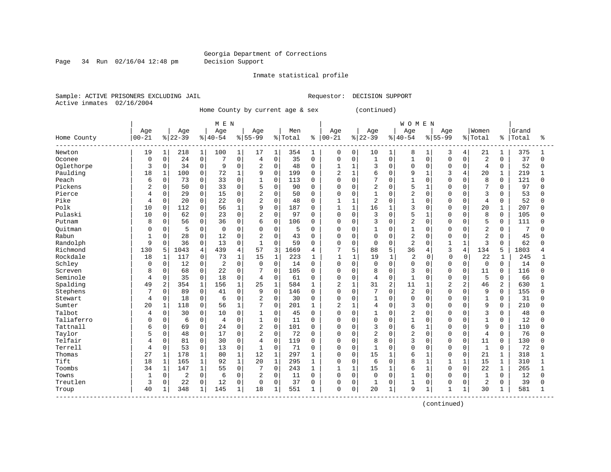Page 34 Run 02/16/04 12:48 pm Decision Support

Inmate statistical profile

Sample: ACTIVE PRISONERS EXCLUDING JAIL REGUESTOR: DECISION SUPPORT Active inmates 02/16/2004

Home County by current age & sex (continued)

| $00 - 21$<br>Home County<br>Newton | Age<br>19<br>$\mathbf 1$<br>0<br>$\mathbf 0$ | Age<br>$ 22-39$<br>218 | $\mathbf{1}$   | Age<br>$8 40-54$ |                | Age<br>$8155 - 99$ |                | Men<br>% Total | ႜ            | Age<br>$ 00 - 21$ |                | Age            |              | Age            |              | Age            |                | Women          |              | Grand |              |
|------------------------------------|----------------------------------------------|------------------------|----------------|------------------|----------------|--------------------|----------------|----------------|--------------|-------------------|----------------|----------------|--------------|----------------|--------------|----------------|----------------|----------------|--------------|-------|--------------|
|                                    |                                              |                        |                |                  |                |                    |                |                |              |                   |                |                |              |                |              |                |                |                |              |       |              |
|                                    |                                              |                        |                |                  |                |                    |                |                |              |                   |                | $ 22-39$       |              | $8140 - 54$    |              | $8 55-99$      |                | % Total        | ႜ            | Total | ిక           |
|                                    |                                              |                        |                | 100              | $\mathbf{1}$   | 17                 | 1              | 354            | 1            | 0                 | 0              | 10             | $\mathbf{1}$ | 8              | 1            | 3              | 4              | 21             | 1            | 375   |              |
| Oconee                             |                                              | 24                     | 0              | 7                | $\mathbf 0$    | $\overline{4}$     | $\mathbf 0$    | 35             | $\mathbf 0$  | 0                 | $\mathbf 0$    | $\mathbf{1}$   | 0            | $\mathbf{1}$   | $\Omega$     | $\Omega$       | $\Omega$       | $\overline{2}$ | $\Omega$     | 37    | $\Omega$     |
| Oglethorpe                         | 3                                            | $\mathbf 0$<br>34      | 0              | 9                | $\mathbf 0$    | $\overline{a}$     | $\mathbf 0$    | 48             | $\Omega$     | 1                 | $\mathbf{1}$   | 3              | $\Omega$     | $\Omega$       | $\mathbf 0$  | $\Omega$       | $\Omega$       | $\overline{4}$ | $\Omega$     | 52    | 0            |
| Paulding                           | 18<br>$\mathbf{1}$                           | 100                    | 0              | 72               | $\mathbf 1$    | 9                  | $\mathbf 0$    | 199            | $\Omega$     | $\overline{2}$    | $\mathbf{1}$   | 6              | $\Omega$     | 9              | $\mathbf{1}$ | 3              | 4              | 20             | 1            | 219   |              |
| Peach                              | 6                                            | $\mathbf 0$<br>73      | 0              | 33               | $\mathbf 0$    | 1                  | 0              | 113            | $\Omega$     | 0                 | $\mathbf 0$    | 7              | $\Omega$     | $\mathbf{1}$   | $\Omega$     | $\cap$         | $\Omega$       | 8              | $\Omega$     | 121   | $\Omega$     |
| Pickens                            | 2                                            | 50<br>0                | 0              | 33               | $\mathbf 0$    | 5                  | $\mathbf 0$    | 90             | 0            | 0                 | $\Omega$       | $\overline{2}$ | 0            | 5              | 1            | O              | $\Omega$       | 7              | $\Omega$     | 97    | <sup>0</sup> |
| Pierce                             | 4                                            | 29<br>0                | 0              | 15               | $\mathbf{0}$   | $\overline{2}$     | 0              | 50             | $\Omega$     | $\Omega$          | $\Omega$       | $\mathbf{1}$   | $\Omega$     | $\overline{c}$ | $\Omega$     | $\cap$         | $\Omega$       | 3              | $\Omega$     | 53    | <sup>0</sup> |
| Pike                               | 4                                            | 20<br>$\Omega$         | $\Omega$       | 22               | $\Omega$       | $\overline{2}$     | $\Omega$       | 48             | $\Omega$     | $\mathbf{1}$      | $\mathbf{1}$   | $\overline{a}$ | $\Omega$     | $\mathbf{1}$   | $\Omega$     | $\cap$         | $\Omega$       | $\overline{4}$ | $\Omega$     | 52    | <sup>0</sup> |
| Polk                               | 10                                           | 112<br>0               | 0              | 56               | $\mathbf{1}$   | 9                  | $\mathbf 0$    | 187            | $\Omega$     | $\mathbf{1}$      | $\mathbf{1}$   | 16             | $\mathbf{1}$ | 3              | $\Omega$     | $\Omega$       | $\Omega$       | 20             | 1            | 207   | $\Omega$     |
| Pulaski                            | 10                                           | 62<br>0                | 0              | 23               | $\mathbf 0$    | $\sqrt{2}$         | $\mathbf 0$    | 97             | $\Omega$     | 0                 | $\mathbf 0$    | 3              | $\Omega$     | 5              | 1            | O              | $\Omega$       | 8              | $\mathbf 0$  | 105   | O            |
| Putnam                             | 8                                            | 0<br>56                | 0              | 36               | $\mathbf 0$    | 6                  | 0              | 106            | $\Omega$     | 0                 | $\mathbf 0$    | 3              | 0            | $\overline{c}$ | $\mathbf 0$  | $\cap$         | $\Omega$       | 5              | $\Omega$     | 111   | O            |
| Ouitman                            |                                              | 5<br>0                 | 0              | $\Omega$         | $\mathbf 0$    | $\Omega$           | 0              | 5              | $\Omega$     | 0                 | $\mathbf 0$    | $\mathbf{1}$   | 0            | $\mathbf{1}$   | 0            | $\Omega$       | $\Omega$       | $\overline{2}$ | $\Omega$     | 7     | O            |
| Rabun                              | $\mathbf{1}$                                 | 28<br>0                | 0              | 12               | $\mathbf 0$    | 2                  | $\mathbf 0$    | 43             | $\Omega$     | $\Omega$          | $\mathbf 0$    | $\mathbf 0$    | $\Omega$     | $\overline{2}$ | $\Omega$     | $\cap$         | $\Omega$       | $\overline{2}$ | $\Omega$     | 45    | U            |
| Randolph                           | 9                                            | 0<br>36                | 0              | 13               | $\mathbf 0$    | $\mathbf{1}$       | $\Omega$       | 59             | $\Omega$     | O                 | 0              | $\mathbf 0$    | $\Omega$     | 2              | $\Omega$     | $\mathbf 1$    |                | 3              | $\Omega$     | 62    | <sup>0</sup> |
| Richmond                           | 130<br>5                                     | 1043                   | $\overline{4}$ | 439              | $\overline{4}$ | 57                 | 3              | 1669           | 4            | 7                 | 5              | 88             | 5            | 36             | 4            | 3              | $\overline{4}$ | 134            | 5            | 1803  | 4            |
| Rockdale                           | 18<br>1                                      | 117                    | $\mathbf 0$    | 73               | $\mathbf{1}$   | 15                 | $\mathbf{1}$   | 223            | -1           | $\mathbf{1}$      | $\mathbf{1}$   | 19             | $\mathbf 1$  | $\overline{2}$ | $\Omega$     | $\Omega$       | $\Omega$       | 22             | 1            | 245   | -1           |
| Schley                             | <sup>0</sup>                                 | $\mathbf 0$<br>12      | 0              | $\overline{2}$   | $\Omega$       | $\Omega$           | $\Omega$       | 14             | $\Omega$     | $\Omega$          | $\Omega$       | $\mathbf 0$    | $\Omega$     | $\Omega$       | $\Omega$     | $\Omega$       | $\Omega$       | $\mathbf 0$    | $\Omega$     | 14    | <sup>0</sup> |
| Screven                            | 8                                            | 0<br>68                | 0              | 22               | $\mathbf 0$    |                    | 0              | 105            | $\Omega$     | 0                 | $\mathbf 0$    | 8              | $\Omega$     | 3              | $\Omega$     | $\Omega$       | $\Omega$       | 11             | $\Omega$     | 116   | <sup>0</sup> |
| Seminole                           | 4                                            | 0<br>35                | 0              | 18               | $\mathbf 0$    | 4                  | 0              | 61             | $\Omega$     | 0                 | $\mathbf 0$    | $\overline{4}$ | 0            | $\mathbf{1}$   | $\Omega$     | $\Omega$       | $\Omega$       | 5              | $\Omega$     | 66    | <sup>0</sup> |
| Spalding                           | 49                                           | 2<br>354               | $\mathbf{1}$   | 156              | $\mathbf{1}$   | 25                 | $\mathbf{1}$   | 584            | 1            | $\overline{a}$    | $\mathbf{1}$   | 31             | 2            | 11             | $\mathbf{1}$ | $\overline{2}$ | $\overline{2}$ | 46             | 2            | 630   | $\mathbf{1}$ |
| Stephens                           | 7                                            | 0<br>89                | 0              | 41               | $\mathbf 0$    | 9                  | $\mathbf 0$    | 146            | 0            | 0                 | $\mathbf 0$    | 7              | $\Omega$     | $\overline{c}$ | $\mathbf 0$  | $\cap$         | $\Omega$       | 9              | $\Omega$     | 155   | $\Omega$     |
| Stewart                            | 4                                            | 0<br>18                | 0              | 6                | $\mathsf 0$    | $\overline{2}$     | 0              | 30             | 0            | 0                 | $\mathbf 0$    | $\mathbf{1}$   | 0            | $\Omega$       | $\mathbf 0$  |                | $\Omega$       | $\mathbf{1}$   | $\Omega$     | 31    | <sup>0</sup> |
| Sumter                             | 20<br>$\mathbf{1}$                           | 118                    | 0              | 56               | $\mathbf{1}$   | 7                  | $\mathbf 0$    | 201            | $\mathbf{1}$ | $\overline{2}$    | $\overline{1}$ | 4              | $\Omega$     | 3              | $\Omega$     | $\cap$         | $\Omega$       | 9              | $\Omega$     | 210   | $\Omega$     |
| Talbot                             | O<br>4                                       | 30                     | 0              | 10               | $\mathbf 0$    | $\mathbf{1}$       | $\Omega$       | 45             | $\Omega$     | $\Omega$          | $\Omega$       | $\mathbf{1}$   | $\Omega$     | $\overline{c}$ | $\Omega$     | $\cap$         | $\cap$         | 3              | $\Omega$     | 48    | U            |
| Taliaferro                         | O                                            | 6<br>0                 | 0              | 4                | $\Omega$       | 1                  | $\Omega$       | 11             | $\Omega$     | $\Omega$          | $\Omega$       | $\Omega$       | $\Omega$     | 1              | $\Omega$     | $\cap$         | $\Omega$       | $\mathbf{1}$   | $\Omega$     | 12    | $\Omega$     |
| Tattnall                           | 6                                            | $\mathbf 0$<br>69      | $\mathbf{0}$   | 24               | $\Omega$       | 2                  | $\Omega$       | 101            | $\Omega$     | O                 | $\Omega$       | 3              | $\Omega$     | 6              | $\mathbf{1}$ | $\Omega$       | $\Omega$       | 9              | $\Omega$     | 110   | $\Omega$     |
| Taylor                             | 5                                            | $\mathbf 0$<br>48      | $\mathbf{0}$   | 17               | $\Omega$       | $\overline{a}$     | $\mathbf 0$    | 72             | $\Omega$     | 0                 | $\mathbf 0$    | $\overline{2}$ | $\Omega$     | $\overline{c}$ | $\Omega$     | $\Omega$       | $\Omega$       | $\overline{4}$ | $\Omega$     | 76    | 0            |
| Telfair                            | 4                                            | 0<br>81                | 0              | 30               | $\mathbf 0$    | $\overline{4}$     | 0              | 119            | $\Omega$     | 0                 | $\mathbf 0$    | 8              | $\Omega$     | 3              | 0            | $\Omega$       | $\Omega$       | 11             | $\Omega$     | 130   | $\Omega$     |
| Terrell                            | $\overline{4}$                               | 0<br>53                | 0              | 13               | $\mathbf 0$    | $\mathbf{1}$       | $\Omega$       | 71             | $\Omega$     | $\Omega$          | $\mathbf 0$    | $\mathbf{1}$   | $\Omega$     | $\Omega$       | $\Omega$     | $\Omega$       | $\Omega$       | $\mathbf{1}$   | $\Omega$     | 72    | U            |
| Thomas                             | 27<br>$\mathbf{1}$                           | 178                    | 1              | 80               | $\mathbf 1$    | 12                 | $\mathbf{1}$   | 297            | 1            | 0                 | $\mathbf 0$    | 15             | $\mathbf{1}$ | 6              | $\mathbf{1}$ | $\Omega$       | $\Omega$       | 21             | 1            | 318   |              |
| Tift                               | 18<br>1                                      | 165                    | $\mathbf 1$    | 92               | $\mathbf 1$    | 20                 | $\mathbf 1$    | 295            | 1            | 0                 | $\Omega$       | 6              | $\Omega$     | 8              | $\mathbf{1}$ | $\mathbf 1$    | $\mathbf{1}$   | 15             | $\mathbf{1}$ | 310   |              |
| Toombs                             | 34<br>$\mathbf 1$                            | 147                    | $\mathbf{1}$   | 55               | $\mathbf 0$    | 7                  | $\overline{0}$ | 243            | 1            | $\mathbf{1}$      | $\mathbf{1}$   | 15             | $\mathbf{1}$ | 6              | $\mathbf{1}$ | $\Omega$       | $\Omega$       | 22             | 1            | 265   |              |
| Towns                              | -1                                           | $\mathbf 0$<br>2       | 0              | 6                | $\mathbf 0$    | 2                  | 0              | 11             | $\Omega$     | 0                 | $\mathbf 0$    | $\mathbf 0$    | $\Omega$     | $\mathbf{1}$   | $\mathbf 0$  | $\Omega$       | $\Omega$       | $\mathbf{1}$   | $\Omega$     | 12    | $\Omega$     |
| Treutlen                           | 3                                            | 0<br>22                | 0              | 12               | $\mathbf 0$    | $\Omega$           | $\mathbf 0$    | 37             | $\Omega$     | 0                 | $\mathbf 0$    | 1              | 0            | $\mathbf{1}$   | $\mathbf 0$  | $\Omega$       | $\Omega$       | $\overline{c}$ | $\Omega$     | 39    | <sup>0</sup> |
| Troup                              | 40<br>1                                      | 348                    | $\mathbf{1}$   | 145              | 1              | 18                 | 1              | 551            |              | 0                 | 0              | 20             | $\mathbf{1}$ | 9              | 1            | $\mathbf{1}$   | $\mathbf{1}$   | 30             |              | 581   | $\mathbf{1}$ |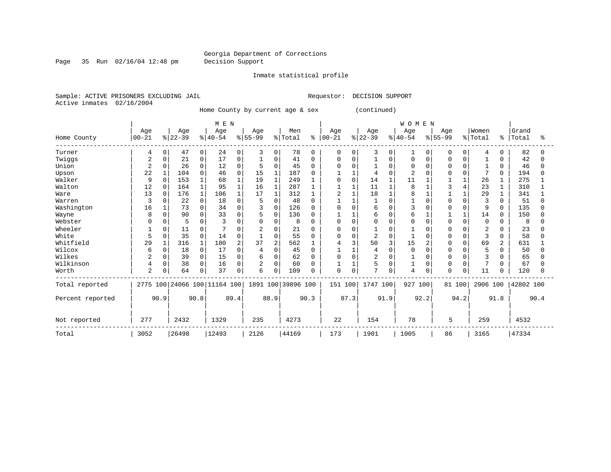Page 35 Run 02/16/04 12:48 pm Decision Support

Inmate statistical profile

Sample: ACTIVE PRISONERS EXCLUDING JAIL **Requestor: DECISION SUPPORT** Active inmates 02/16/2004

Home County by current age & sex (continued)

|                  |                |          |           |             | M E N                        |             |                |                |                    |          |            |          |                |          | WOMEN       |          |              |              |                |              |           |      |
|------------------|----------------|----------|-----------|-------------|------------------------------|-------------|----------------|----------------|--------------------|----------|------------|----------|----------------|----------|-------------|----------|--------------|--------------|----------------|--------------|-----------|------|
|                  | Age            |          | Age       |             | Age                          |             | Age            |                | Men                |          | Age        |          | Age            |          | Age         |          | Age          |              | Women          |              | Grand     |      |
| Home County      | $00 - 21$      |          | $ 22-39 $ |             | $ 40-54 $                    |             | $8 55-99$      |                | % Total            | နွ       | $ 00 - 21$ |          | $ 22-39 $      |          | $8140 - 54$ |          | $8 55-99$    |              | % Total        | ៖            | Total     | ፠    |
| Turner           | 4              | 0        | 47        | 0           | 24                           | 0           | 3              | 0              | 78                 | $\Omega$ | 0          | $\Omega$ | 3              | 0        |             | $\Omega$ | 0            | $\Omega$     | $\overline{4}$ | $\Omega$     | 82        |      |
| Twiggs           | 2              | U        | 21        | 0           | 17                           | $\mathbf 0$ |                | 0              | 41                 | $\Omega$ | O          | $\Omega$ |                | O        | O           |          |              |              |                |              | 42        |      |
| Union            | $\overline{2}$ | 0        | 26        | $\Omega$    | 12                           | $\Omega$    | 5              | $\Omega$       | 45                 |          |            | C        |                | $\Omega$ | $\Omega$    |          |              |              |                | $\Omega$     | 46        |      |
| Upson            | 22             |          | 104       | $\Omega$    | 46                           | $\Omega$    | 15             |                | 187                |          |            |          |                |          |             |          |              | $\cap$       | 7              | 0            | 194       |      |
| Walker           | 9              | $\Omega$ | 153       | 1           | 68                           |             | 19             | $\mathbf{1}$   | 249                |          | 0          | $\Omega$ | 14             |          | 11          |          |              | 1            | 26             |              | 275       |      |
| Walton           | 12             | 0        | 164       | $\mathbf 1$ | 95                           |             | 16             | $\mathbf{1}$   | 287                |          |            |          | 11             |          | 8           |          |              |              | 23             |              | 310       |      |
| Ware             | 13             | $\Omega$ | 176       | 1           | 106                          |             | 17             | 1              | 312                |          | 2          |          | 18             |          | 8           |          |              |              | 29             |              | 341       |      |
| Warren           | 3              |          | 22        | 0           | 18                           | 0           | 5              | $\Omega$       | 48                 |          |            |          |                | $\Omega$ |             |          |              | $\Omega$     | 3              |              | 51        |      |
| Washington       | 16             |          | 73        | 0           | 34                           | 0           | 3              | 0              | 126                |          |            | C        | 6              | $\Omega$ | 3           |          |              | <sup>0</sup> | 9              | 0            | 135       |      |
| Wayne            | 8              | $\Omega$ | 90        | 0           | 33                           | 0           |                | 0              | 136                | $\Omega$ |            |          | 6              | 0        | 6           |          |              | $\mathbf{1}$ | 14             | $\Omega$     | 150       |      |
| Webster          |                |          |           | 0           |                              | O           |                | $\Omega$       | 8                  | $\Omega$ | O          | $\Omega$ | U              | $\Omega$ | $\Omega$    |          | $\Omega$     | $\Omega$     | 0              |              | 8         |      |
| Wheeler          |                | 0        | 11        | 0           |                              | O           | 2              | $\Omega$       | 21                 |          | 0          | $\Omega$ |                |          |             |          | n            |              | 2              |              | 23        |      |
| White            | 5              | 0        | 35        | 0           | 14                           | 0           |                | 0              | 55                 | $\Omega$ | $\Omega$   | $\Omega$ | $\overline{2}$ | $\Omega$ |             |          |              | $\Omega$     | 3              | 0            | 58        |      |
| Whitfield        | 29             |          | 316       |             | 180                          | 2           | 37             | $\overline{2}$ | 562                |          |            | 3        | 50             |          | 15          |          |              | $\cap$       | 69             | 2            | 631       |      |
| Wilcox           | 6              | 0        | 18        | 0           | 17                           | O           |                | $\Omega$       | 45                 |          |            |          | 4              | $\Omega$ | $\Omega$    |          |              |              | 5              | O            | 50        |      |
| Wilkes           |                | 0        | 39        | $\Omega$    | 15                           | 0           | 6              | $\Omega$       | 62                 |          |            | $\cap$   | $\overline{2}$ | O        |             |          |              |              | 3              |              | 65        |      |
| Wilkinson        |                | 0        | 38        | 0           | 16                           | 0           | $\overline{2}$ | $\Omega$       | 60                 |          |            |          | 5              |          |             | U        | <sup>0</sup> | $\Omega$     | 7              | <sup>0</sup> | 67        |      |
| Worth            | $\overline{2}$ | 0        | 64        | 0           | 37                           | 0           | 6              | 0              | 109                |          | 0          | $\Omega$ | 7              | $\Omega$ | 4           | 0        | $\Omega$     | 0            | 11             | 0            | 120       |      |
| Total reported   |                |          |           |             | 2775 100 24066 100 11164 100 |             |                |                | 1891 100 39896 100 |          | 151 100    |          | 1747 100       |          | 927         | 100      | 81 100       |              | 2906 100       |              | 42802 100 |      |
| Percent reported |                | 90.9     |           | 90.8        |                              | 89.4        |                | 88.9           |                    | 90.3     |            | 87.3     | 91.9           |          |             | 92.2     |              | 94.2         |                | 91.8         |           | 90.4 |
| Not reported     | 277            |          | 2432      |             | 1329                         |             | 235            |                | 4273               |          | 22         |          | 154            |          | 78          |          | 5            |              | 259            |              | 4532      |      |
| Total            | 3052           |          | 26498     |             | 12493                        |             | 2126           |                | 44169              |          | 173        |          | 1901           |          | 1005        |          | 86           |              | 3165           |              | 47334     |      |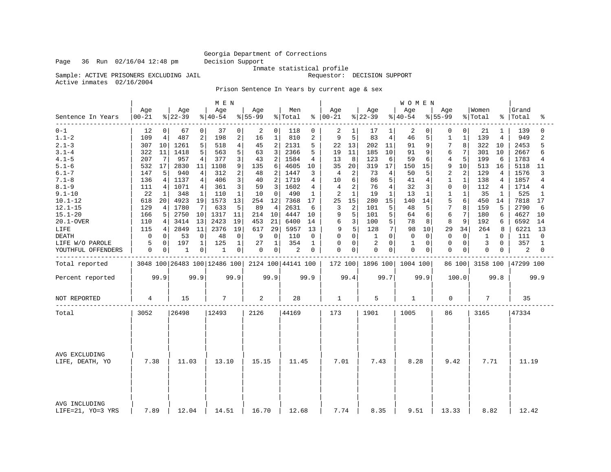Inmate statistical profile

Sample: ACTIVE PRISONERS EXCLUDING JAIL Requestor: DECISION SUPPORT

Active inmates 02/16/2004

Prison Sentence In Years by current age & sex

|                                    |                  |      |                              |             | M E N            |                |                 |                |                    |          |                      |                |                 |                | WOMEN           |                |                  |                |                  |                |                    |                |
|------------------------------------|------------------|------|------------------------------|-------------|------------------|----------------|-----------------|----------------|--------------------|----------|----------------------|----------------|-----------------|----------------|-----------------|----------------|------------------|----------------|------------------|----------------|--------------------|----------------|
| Sentence In Years                  | Age<br>$00 - 21$ |      | Age<br>$ 22-39$              |             | Age<br>$ 40-54 $ |                | Age<br>$ 55-99$ |                | Men<br>% Total     |          | Age<br>$8   00 - 21$ |                | Age<br>$ 22-39$ |                | Age<br>$ 40-54$ |                | Age<br>$8 55-99$ |                | Women<br>% Total |                | Grand<br>%   Total | ిక             |
| $0 - 1$                            | 12               | 0    | 67                           | $\mathbf 0$ | 37               | 0              | 2               | $\overline{0}$ | 118                | $\Omega$ | 2                    | $\mathbf{1}$   | 17              | 1              | 2               | $\Omega$       | 0                | $\Omega$       | 21               | 1              | 139                | $\Omega$       |
| $1.1 - 2$                          | 109              | 4    | 487                          | 2           | 198              | $\overline{c}$ | 16              | $\mathbf{1}$   | 810                | 2        | 9                    | 5 <sup>1</sup> | 83              | $\overline{4}$ | 46              | 5              | 1                | 1              | 139              | 4              | 949                | $\overline{a}$ |
| $2.1 - 3$                          | 307              | 10   | 1261                         | 5           | 518              | $\overline{4}$ | 45              | 2              | 2131               | 5        | 22                   | 13             | 202             | 11             | 91              | 9              | 7                | 8              | 322              | 10             | 2453               | 5              |
| $3.1 - 4$                          | 322              | 11   | 1418                         | 5           | 563              | 5              | 63              | 3              | 2366               | 5        | 19                   | 11             | 185             | 10             | 91              | 9              | 6                | 7              | 301              | 10             | 2667               | 6              |
| $4.1 - 5$                          | 207              | 7    | 957                          | 4           | 377              | 3              | 43              | 2              | 1584               | 4        | 13                   | 8              | 123             | 6              | 59              | 6              | 4                | 5              | 199              | 6              | 1783               | 4              |
| $5.1 - 6$                          | 532              | 17   | 2830                         | 11          | 1108             | 9              | 135             | 6              | 4605               | 10       | 35                   | 20             | 319             | 17             | 150             | 15             | 9                | 10             | 513              | 16             | 5118               | 11             |
| $6.1 - 7$                          | 147              | 5    | 940                          | 4           | 312              | 2              | 48              | 2              | 1447               | 3        | 4                    | 2              | 73              | 4              | 50              | 5              | $\overline{2}$   | $\overline{2}$ | 129              | 4              | 1576               | 3              |
| $7.1 - 8$                          | 136              | 4    | 1137                         | 4           | 406              | 3              | 40              | 2              | 1719               | 4        | 10                   | 6              | 86              | 5              | 41              | $\overline{4}$ | $\mathbf 1$      | $\mathbf 1$    | 138              | $\overline{4}$ | 1857               | 4              |
| $8.1 - 9$                          | 111              | 4    | 1071                         | 4           | 361              | 3              | 59              | 3              | 1602               | 4        | 4                    | 2              | 76              | 4              | 32              | 3              | 0                | $\mathbf 0$    | 112              | 4              | 1714               | 4              |
| $9.1 - 10$                         | 22               | 1    | 348                          | $\mathbf 1$ | 110              | 1              | 10              | $\Omega$       | 490                | 1        | 2                    | $\mathbf{1}$   | 19              | 1              | 13              | 1              | 1                | $\mathbf{1}$   | 35               | 1              | 525                | $\mathbf{1}$   |
| $10.1 - 12$                        | 618              | 20   | 4923                         | 19          | 1573             | 13             | 254             | 12             | 7368               | 17       | 25                   | 15             | 280             | 15             | 140             | 14             | 5                | 6              | 450              | 14             | 7818               | 17             |
| $12.1 - 15$                        | 129              | 4    | 1780                         | 7           | 633              | 5              | 89              | 4              | 2631               | 6        | 3                    | 2              | 101             | 5              | 48              | 5              | 7                | 8              | 159              | 5              | 2790               | 6              |
| $15.1 - 20$                        | 166              | 5    | 2750                         | 10          | 1317             | 11             | 214             | 10             | 4447               | 10       | 9                    | 5              | 101             | 5              | 64              | 6              | 6                | 7              | 180              | 6              | 4627               | 10             |
| 20.1-OVER                          | 110              | 4    | 3414                         | 13          | 2423             | 19             | 453             | 21             | 6400               | 14       | 6                    | 3              | 100             | 5              | 78              | 8              | 8                | 9              | 192              | 6              | 6592               | 14             |
| LIFE                               | 115              | 4    | 2849                         | 11          | 2376             | 19             | 617             | 29             | 5957               | 13       | 9                    | 5              | 128             | 7              | 98              | 10             | 29               | 34             | 264              | 8              | 6221               | 13             |
| <b>DEATH</b>                       | 0                | 0    | 53                           | $\mathbf 0$ | 48               | 0              | 9               | $\mathbf 0$    | 110                | 0        | 0                    | 0              | 1               | $\Omega$       | $\Omega$        | $\mathbf 0$    | $\mathbf 0$      | 0              | 1                | $\Omega$       | 111                | 0              |
| LIFE W/O PAROLE                    | 5                | 0    | 197                          | 1           | 125              | 1              | 27              | 1              | 354                | 1        | 0                    | 0              | 2               | $\Omega$       | 1               | $\Omega$       | $\Omega$         | $\Omega$       | 3                | $\Omega$       | 357                | 1              |
| YOUTHFUL OFFENDERS                 | 0                | 0    | 1                            | 0           | 1                | 0              | 0               | 0              | 2                  | 0        | 0                    | 0              | $\mathbf 0$     | 0              | $\mathbf 0$     | 0              | $\mathbf 0$      | 0              | 0                | 0              | 2                  | 0              |
|                                    |                  |      |                              |             |                  |                |                 |                |                    |          |                      |                |                 |                |                 |                |                  |                |                  |                |                    |                |
| Total reported                     |                  |      | 3048 100 26483 100 12486 100 |             |                  |                |                 |                | 2124 100 44141 100 |          | 172 100              |                | 1896 100        |                | 1004 100        |                |                  | 86 100         | 3158 100         |                | 47299 100          |                |
| Percent reported                   |                  | 99.9 |                              | 99.9        |                  | 99.9           |                 | 99.9           |                    | 99.9     |                      | 99.4           |                 | 99.7           |                 | 99.9           |                  | 100.0          |                  | 99.8           |                    | 99.9           |
| NOT REPORTED                       | 4                |      | 15                           |             | 7                |                | 2               |                | 28                 |          | 1                    |                | 5               |                | $\mathbf{1}$    |                | 0                |                | 7                |                | 35                 |                |
| Total                              | 3052             |      | 26498                        |             | 12493            |                | 2126            |                | 44169              |          | 173                  |                | 1901            |                | 1005            |                | 86               |                | 3165             |                | 47334              |                |
|                                    |                  |      |                              |             |                  |                |                 |                |                    |          |                      |                |                 |                |                 |                |                  |                |                  |                |                    |                |
| AVG EXCLUDING<br>LIFE, DEATH, YO   | 7.38             |      | 11.03                        |             | 13.10            |                | 15.15           |                | 11.45              |          | 7.01                 |                | 7.43            |                | 8.28            |                | 9.42             |                | 7.71             |                | 11.19              |                |
| AVG INCLUDING<br>LIFE=21, YO=3 YRS | 7.89             |      | 12.04                        |             | 14.51            |                | 16.70           |                | 12.68              |          | 7.74                 |                | 8.35            |                | 9.51            |                | 13.33            |                | 8.82             |                | 12.42              |                |

Page 36 Run 02/16/04 12:48 pm Decision Support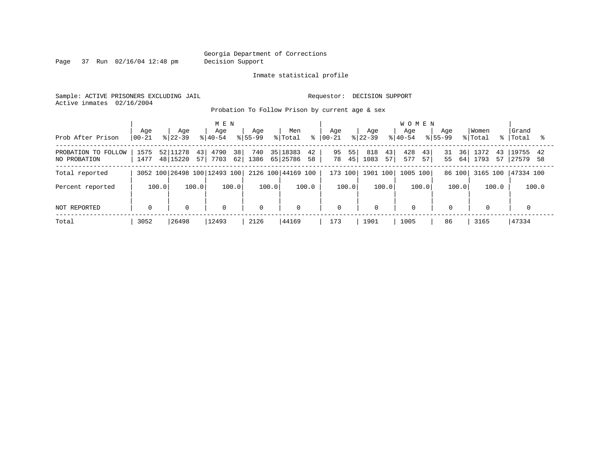Page 37 Run 02/16/04 12:48 pm Decision Support

Inmate statistical profile

Sample: ACTIVE PRISONERS EXCLUDING JAIL **Requestor: DECISION SUPPORT** Active inmates 02/16/2004

Probation To Follow Prison by current age & sex

| Prob After Prison                      | Age<br>$ 00-21$ | Aqe<br>$ 22-39 $                  | M E N<br>Aqe<br>$ 40-54 $              | Age<br>$8155 - 99$ | Men<br>% Total<br>៖              | Age<br>$ 00 - 21$    | Age<br>$8 22-39$        | <b>WOMEN</b><br>Aqe<br>$8 40-54$<br>$8155 - 99$ | Aqe                   | Women<br>% Total         | Grand<br>%   Total         |
|----------------------------------------|-----------------|-----------------------------------|----------------------------------------|--------------------|----------------------------------|----------------------|-------------------------|-------------------------------------------------|-----------------------|--------------------------|----------------------------|
| FOLLOW<br>PROBATION TO<br>NO PROBATION | 1575<br>1477    | 52 11278<br>43 <br>57<br>48 15220 | 38 <sup>1</sup><br>4790<br>62 <br>7703 | 740<br>1386        | 35 18383<br>42<br>65 25786<br>58 | 55<br>95<br>78<br>45 | 818<br>43<br>1083<br>57 | 43<br>428<br>57<br>577                          | 36<br>31<br>55<br>64' | 1372<br>43<br>1793<br>57 | 19755<br>42<br>27579<br>58 |
| Total reported                         |                 |                                   | 3052 100 26498 100 12493 100           |                    | 2126 100 44169 100               | 173 100              | 1901 100                | 1005<br>100                                     | 86 100                | 3165 100                 | 47334 100                  |
| Percent reported                       | 100.0           | 100.0                             | 100.0                                  | 100.0              | 100.0                            | 100.0                | 100.0                   | 100.0                                           | 100.0                 | 100.0                    | 100.0                      |
| NOT REPORTED                           | $\mathbf 0$     | $\mathbf 0$                       | $\mathbf 0$                            | $\Omega$           | $\mathbf 0$                      | $\mathbf 0$          | $\Omega$                | $\mathbf 0$                                     | $\mathbf 0$           | $\mathbf 0$              |                            |
| Total                                  | 3052            | 26498                             | 12493                                  | 2126               | 44169                            | 173                  | 1901                    | 1005                                            | 86                    | 3165                     | 47334                      |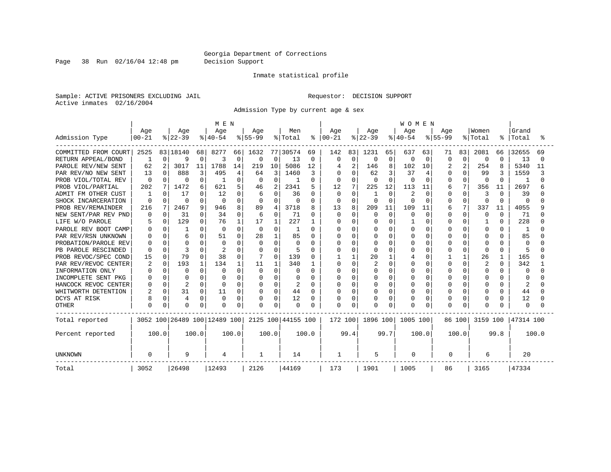Page 38 Run 02/16/04 12:48 pm Decision Support

#### Inmate statistical profile

Sample: ACTIVE PRISONERS EXCLUDING JAIL **Requestor: DECISION SUPPORT** Active inmates 02/16/2004

Admission Type by current age & sex

|                        |           |          |                |          | M E N                        |             |             |          |                    |               |              |                |              |              | <b>WOMEN</b> |                |           |                |          |              |              |        |
|------------------------|-----------|----------|----------------|----------|------------------------------|-------------|-------------|----------|--------------------|---------------|--------------|----------------|--------------|--------------|--------------|----------------|-----------|----------------|----------|--------------|--------------|--------|
|                        | Age       |          | Age            |          | Age                          |             | Age         |          | Men                |               | Aqe          |                | Age          |              | Aqe          |                | Aqe       |                | Women    |              | Grand        |        |
| Admission Type         | $00 - 21$ |          | $ 22-39$       |          | $ 40-54$                     |             | $ 55-99$    |          | % Total            | $\frac{8}{6}$ | $00 - 21$    |                | $ 22-39$     |              | $ 40-54$     |                | $8 55-99$ |                | % Total  | ႜ            | Total        |        |
| COMMITTED FROM COURT   | 2525      |          | 83 18140       | 68       | 8277                         | 66          | 1632        |          | 77 30574           | 69            | 142          | 83             | 1231         | 65           | 637          | 63             | 71        | 83             | 2081     | 66           | 32655        | 69     |
| RETURN APPEAL/BOND     | 1         | $\Omega$ | 9              | $\Omega$ | 3                            | $\mathbf 0$ | $\mathbf 0$ | $\Omega$ | 13                 | 0             | <sup>0</sup> | 0              | 0            | $\mathbf 0$  | 0            | $\Omega$       | 0         | $\Omega$       | 0        | $\Omega$     | 13           | $\cap$ |
| PAROLE REV/NEW SENT    | 62        | 2        | 3017           | 11       | 1788                         | 14          | 219         | 10       | 5086               | 12            |              | $\overline{2}$ | 146          | 8            | 102          | 10             |           | $\overline{2}$ | 254      |              | 5340         | 11     |
| PAR REV/NO NEW SENT    | 13        | 0        | 888            |          | 495                          | 4           | 64          | 3        | 1460               | 3             |              | $\Omega$       | 62           | 3            | 37           | $\overline{4}$ | 0         | $\Omega$       | 99       |              | 1559         |        |
| PROB VIOL/TOTAL REV    | $\Omega$  |          | $\Omega$       |          |                              | N           | 0           | $\Omega$ |                    | 0             |              | $\Omega$       |              | $\Omega$     | 0            | $\Omega$       | 0         | $\Omega$       | $\Omega$ | $\Omega$     |              |        |
| PROB VIOL/PARTIAL      | 202       | 7        | 1472           | 6        | 621                          | 5           | 46          | 2        | 2341               | 5             | 12           | 7              | 225          | 12           | 113          | 11             | 6         | 7              | 356      | 11           | 2697         |        |
| FM OTHER CUST<br>ADMIT | 1         | n.       | 17             | O        | 12                           |             | 6           | O        | 36                 | 0             | $\Omega$     | $\Omega$       |              | $\Omega$     | 2            | $\Omega$       |           | O              | 3        | <sup>0</sup> | 39           |        |
| SHOCK INCARCERATION    | $\Omega$  | 0        | $\Omega$       | U        | $\Omega$                     | $\Omega$    | 0           | $\Omega$ | O                  | 0             | $\Omega$     | 0              | <sup>0</sup> | $\cap$       | U            | $\Omega$       | O         | $\Omega$       | 0        | $\Omega$     | $\Omega$     |        |
| PROB REV/REMAINDER     | 216       | 7        | 2467           | 9        | 946                          | 8           | 89          | 4        | 3718               | 8             | 13           | 8              | 209          | 11           | 109          | 11             | 6         | 7              | 337      | 11           | 4055         |        |
| NEW SENT/PAR REV PND   | 0         | $\Omega$ | 31             | O        | 34                           | 0           | 6           | $\Omega$ | 71                 | 0             | $\Omega$     | $\Omega$       | $\Omega$     | $\Omega$     | $\Omega$     | $\Omega$       | 0         | $\Omega$       | 0        | $\Omega$     | 71           |        |
| LIFE W/O PAROLE        |           | $\Omega$ | 129            | O        | 76                           | 1           | 17          |          | 227                |               |              | $\Omega$       |              | $\Omega$     |              | $\Omega$       | U         | $\Omega$       |          | $\Omega$     | 228          |        |
| PAROLE REV BOOT CAMP   | O         | 0        |                | ∩        | $\Omega$                     | $\Omega$    | $\Omega$    | $\Omega$ | J                  | 0             |              | $\Omega$       |              | $\Omega$     | 0            | $\Omega$       |           | $\cap$         | 0        | U            | -1           |        |
| PAR REV/RSN UNKNOWN    |           | n.       | 6              | U        | 51                           | $\cap$      | 28          | 1        | 85                 | 0             |              | $\Omega$       | O            | <sup>n</sup> | O            | $\Omega$       |           | O              | O        | U            | 85           |        |
| PROBATION/PAROLE REV   |           |          | $\Omega$       |          | $\Omega$                     |             | $\Omega$    | $\Omega$ | O                  | 0             |              | $\Omega$       |              | <sup>n</sup> | O            | $\Omega$       |           | O              | O        |              | $\Omega$     |        |
| PB PAROLE RESCINDED    | U         | U        |                |          |                              |             | $\Omega$    | O        | 5                  | O             |              | $\Omega$       |              | $\cap$       | U            | $\Omega$       |           | O              | $\Omega$ | O            | 5            |        |
| PROB REVOC/SPEC COND   | 15        | 0        | 79             |          | 38                           | $\Omega$    |             | O        | 139                | 0             |              |                | 20           | 1            |              | $\Omega$       |           |                | 26       | 1            | 165          |        |
| PAR REV/REVOC CENTER   |           | $\Omega$ | 193            |          | 134                          |             | 11          |          | 340                |               |              | $\Omega$       |              | $\Omega$     |              | $\Omega$       |           | $\Omega$       | 2        | $\Omega$     | 342          |        |
| INFORMATION ONLY       |           | O        | $\Omega$       | n        | O                            |             | 0           | O        | O                  | 0             |              | $\Omega$       |              | $\Omega$     |              | $\Omega$       |           | O              | O        | O            | O            |        |
| INCOMPLETE SENT PKG    |           | 0        | <sup>0</sup>   | U        |                              |             | 0           | O        | O                  | 0             |              | $\Omega$       |              | $\Omega$     | N            | $\Omega$       |           | O              | O        | O            | <sup>0</sup> |        |
| HANCOCK REVOC CENTER   |           | $\Omega$ | $\overline{c}$ | U        | 0                            | $\Omega$    | 0           | O        | 2                  | 0             |              | O              |              | $\Omega$     |              | $\Omega$       |           | U              | O        | U            | 2            |        |
| WHITWORTH DETENTION    |           | $\Omega$ | 31             | 0        | 11                           | 0           | 0           | $\Omega$ | 44                 | 0             |              | O              | 0            | $\Omega$     |              | 0              |           | O              | 0        | O            | 44           |        |
| DCYS AT RISK           |           | 0        | 4              | $\Omega$ | $\Omega$                     | $\Omega$    | $\Omega$    | $\Omega$ | 12                 | 0             |              | $\Omega$       | 0            | $\Omega$     | Λ            | 0              |           | $\Omega$       | 0        | 0            | 12           |        |
| <b>OTHER</b>           | 0         | 0        | $\Omega$       | 0        | $\Omega$                     | $\Omega$    | 0           | $\Omega$ | 0                  | O             | $\Omega$     | $\Omega$       |              | $\mathbf 0$  | O            | $\Omega$       |           | $\Omega$       | $\Omega$ |              | $\Omega$     |        |
| Total reported         |           |          |                |          | 3052 100 26489 100 12489 100 |             |             |          | 2125 100 44155 100 |               | 172 100      |                | 1896 100     |              | 1005 100     |                |           | 86 100         | 3159 100 |              | 47314 100    |        |
| Percent reported       |           | 100.0    |                | 100.0    |                              | 100.0       |             | 100.0    |                    | 100.0         |              | 99.4           |              | 99.7         |              | 100.0          |           | 100.0          |          | 99.8         |              | 100.0  |
| <b>UNKNOWN</b>         | $\Omega$  |          | 9              |          | 4                            |             | -1          |          | 14                 |               | 1            |                | 5            |              | 0            |                | 0         |                | 6        |              | 20           |        |
| Total                  | 3052      |          | 26498          |          | 12493                        |             | 2126        |          | 44169              |               | 173          |                | 1901         |              | 1005         |                | 86        |                | 3165     |              | 47334        |        |
|                        |           |          |                |          |                              |             |             |          |                    |               |              |                |              |              |              |                |           |                |          |              |              |        |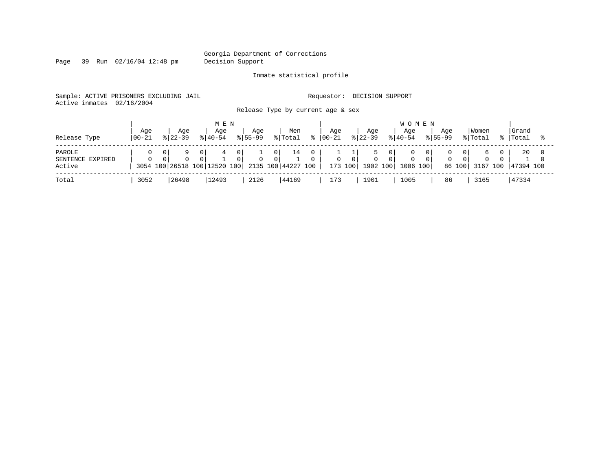Page 39 Run 02/16/04 12:48 pm Decision Support

Inmate statistical profile

Sample: ACTIVE PRISONERS EXCLUDING JAIL **Requestor: DECISION SUPPORT** Active inmates 02/16/2004

Release Type by current age & sex

| Release Type                         | Age<br>$100 - 21$                        | Age<br>$8122 - 39$ |                            | M E N<br>Aqe<br>$8140 - 54$ |                 | Aqe<br>$8155 - 99$ |                            | Men<br>% Total           | Aqe<br>$ 00-21$ |          | Age<br>$ 22-39 $                 | <b>WOMEN</b><br>Aqe<br>$8140 - 54$ | Aqe<br>$8155 - 99$ |                       | Women<br>% Total | Grand<br>%   Total |  |
|--------------------------------------|------------------------------------------|--------------------|----------------------------|-----------------------------|-----------------|--------------------|----------------------------|--------------------------|-----------------|----------|----------------------------------|------------------------------------|--------------------|-----------------------|------------------|--------------------|--|
| PAROLE<br>SENTENCE EXPIRED<br>Active | $\Omega$<br>3054 100 26518 100 12520 100 |                    | $\overline{0}$<br>$\Omega$ | 4                           | 0 I<br>$\Omega$ |                    | 0 <sup>1</sup><br>$\Omega$ | 14<br>2135 100 44227 100 | 0               | $\Omega$ | $\mathbf{0}$<br>173 100 1902 100 | 1006 100                           | $\Omega$           | 0 I<br>$\overline{0}$ | 86 100 3167 100  | 20<br>47394 100    |  |
| Total                                | 3052                                     | 26498              |                            | 12493                       |                 | 2126               |                            | 44169                    | 173             |          | 1901                             | 1005                               | 86                 |                       | 3165             | 47334              |  |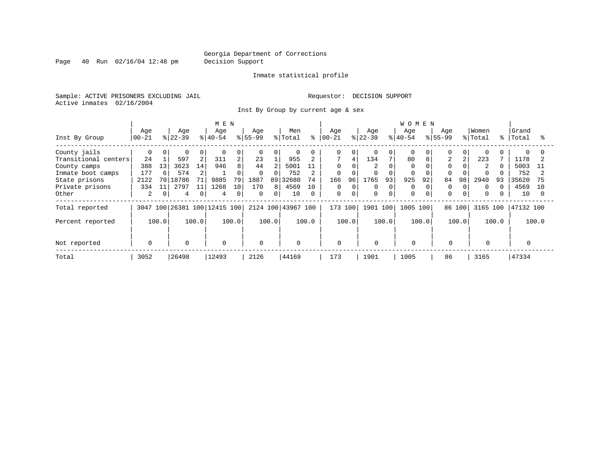Page 40 Run 02/16/04 12:48 pm Decision Support

#### Inmate statistical profile

Sample: ACTIVE PRISONERS EXCLUDING JAIL **Requestor: DECISION SUPPORT** Active inmates 02/16/2004

Inst By Group by current age & sex

|                      |             |              |             |       | M E N                   |       |              |          |                    |          |             |          |           |          | <b>WOMEN</b> |       |                |              |                |                     |           |          |
|----------------------|-------------|--------------|-------------|-------|-------------------------|-------|--------------|----------|--------------------|----------|-------------|----------|-----------|----------|--------------|-------|----------------|--------------|----------------|---------------------|-----------|----------|
|                      | Age         |              | Age         |       | Age                     |       | Age          |          | Men                |          | Age         |          | Age       |          | Age          |       | Age            |              | Women          |                     | Grand     |          |
| Inst By Group        | $00 - 21$   |              | $ 22-39 $   |       | $ 40-54 $               |       | $ 55-99$     |          | % Total            | ⊱        | $ 00 - 21$  |          | $8 22-39$ |          | $8 40-54$    |       | $8155 - 99$    |              | % Total        | $-$ 응 $\rightarrow$ | Total     |          |
| County jails         |             | $\Omega$     |             | 0     | $\Omega$                | 0     | $\Omega$     | 0        | $\Omega$           |          | 0           | 0        |           | 0        | $\Omega$     |       |                | $\Omega$     | $\Omega$       |                     | $\Omega$  |          |
| Transitional centers | 24          |              | 597         | 2     | 311                     |       | 23           |          | 955                |          |             | 4        | 134       |          | 80           | 8     | $\overline{2}$ |              | 223            |                     | 1178      |          |
| County camps         | 388         | 13           | 3623        | 14    | 946                     | 8     | 44           |          | 5001               | 11       | $\Omega$    |          |           |          | $\Omega$     |       |                |              | $\overline{2}$ |                     | 5003      |          |
| Inmate boot camps    | 177         | 6            | 574         | 2     |                         | 0     | $\Omega$     |          | 752                |          | 0           |          |           | $\Omega$ | $\Omega$     |       |                |              |                |                     | 752       |          |
| State prisons        | 2122        |              | 70 18786    | 71    | 9885                    | 79    | 1887         | 89       | 32680              | 74       | 166         | 96       | 1765      | 93       | 925          | 92    | 84             | 98           | 2940           | 93                  | 35620     |          |
| Private prisons      | 334         | 11           | 2797        |       | 1268                    | 10    | 170          | 8        | 4569               | 10       | $\Omega$    | $\Omega$ | 0         | 0        | $\Omega$     |       |                | $\Omega$     | $\Omega$       |                     | 4569      | 10       |
| Other                | 2           | $\mathbf{0}$ | 4           | 0     | 4                       | 0     | $\mathbf{0}$ | $\Omega$ | 10                 | $\Omega$ | $\mathbf 0$ | $\Omega$ | $\Omega$  | $\Omega$ | $\Omega$     |       | $\Omega$       | $\mathbf{0}$ | 0              |                     | 10        | $\Omega$ |
| Total reported       | 3047        |              |             |       | 100 26381 100 12415 100 |       |              |          | 2124 100 43967 100 |          | 173 100     |          | 1901 100  |          | 1005         | 100   | 86 100         |              | 3165 100       |                     | 47132 100 |          |
| Percent reported     |             | 100.0        |             | 100.0 |                         | 100.0 |              | 100.0    |                    | 100.0    |             | 100.0    |           | 100.0    |              | 100.0 |                | 100.0        |                | 100.0               |           | 100.0    |
|                      |             |              |             |       |                         |       |              |          |                    |          |             |          |           |          |              |       |                |              |                |                     |           |          |
| Not reported         | $\mathbf 0$ |              | $\mathbf 0$ |       | 0                       |       | $\Omega$     |          | $\mathbf 0$        |          | 0           |          | $\Omega$  |          | $\mathbf 0$  |       | $\mathbf 0$    |              | $\mathbf 0$    |                     |           |          |
| Total                | 3052        |              | 26498       |       | 12493                   |       | 2126         |          | 44169              |          | 173         |          | 1901      |          | 1005         |       | 86             |              | 3165           |                     | 47334     |          |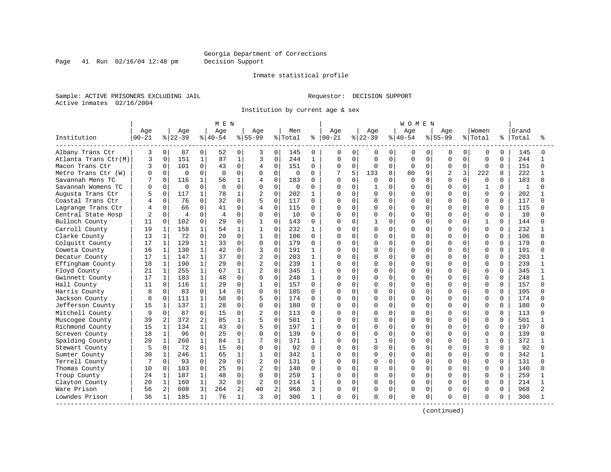Page 41 Run 02/16/04 12:48 pm Decision Support

#### Inmate statistical profile

Sample: ACTIVE PRISONERS EXCLUDING JAIL **Requestor: DECISION SUPPORT** Active inmates 02/16/2004

Institution by current age & sex

|                      |           |              |                |              | M E N          |              |                |          |             |              |               |             |           |             | WOMEN        |             |                |              |              |             |       |          |
|----------------------|-----------|--------------|----------------|--------------|----------------|--------------|----------------|----------|-------------|--------------|---------------|-------------|-----------|-------------|--------------|-------------|----------------|--------------|--------------|-------------|-------|----------|
|                      | Age       |              | Age            |              | Age            |              | Aqe            |          | Men         |              | Age           |             | Age       |             | Age          |             | Aqe            |              | Women        |             | Grand |          |
| Institution          | $00 - 21$ |              | $8 22-39$      |              | $8 40-54$      |              | $8155 - 99$    |          | % Total     |              | $8   00 - 21$ |             | $ 22-39 $ |             | $ 40-54$     |             | $8 55-99$      |              | % Total      | နွ          | Total |          |
| Albany Trans Ctr     | 3         | $\mathbf 0$  | 87             | 0            | 52             | 0            | 3              | $\Omega$ | 145         | $\Omega$     | 0             | 0           | 0         | 0           | 0            | 0           | O              | 0            | $\mathbf 0$  | $\Omega$    | 145   | 0        |
| Atlanta Trans Ctr(M) | 3         | 0            | 151            | 1            | 87             | $\mathbf{1}$ | 3              | 0        | 244         | $\mathbf{1}$ | O             | $\mathbf 0$ | $\Omega$  | $\mathbf 0$ | $\Omega$     | 0           | $\mathbf 0$    | $\Omega$     | $\Omega$     | $\mathbf 0$ | 244   | 1        |
| Macon Trans Ctr      | ζ         | $\Omega$     | 101            | $\Omega$     | 43             | $\Omega$     | 4              | $\Omega$ | 151         | $\Omega$     | $\Omega$      | $\Omega$    | $\Omega$  | $\mathbf 0$ | $\Omega$     | $\Omega$    | O              | $\Omega$     | $\Omega$     | $\Omega$    | 151   | $\Omega$ |
| Metro Trans Ctr (W)  |           | $\Omega$     | 0              | <sup>0</sup> | $\Omega$       | $\Omega$     | <sup>0</sup>   | $\Omega$ | $\Omega$    | 0            |               | 5           | 133       | 8           | 80           | 9           | $\overline{2}$ | 3            | 222          | 8           | 222   |          |
| Savannah Mens TC     |           | $\cap$       | 116            | 1            | 56             | $\mathbf{1}$ | 4              | $\Omega$ | 183         | U            | U             | $\cap$      | U         | $\Omega$    | $\Omega$     | $\Omega$    | U              | <sup>n</sup> | $\Omega$     | $\cap$      | 183   |          |
| Savannah Womens TC   |           | $\Omega$     | $\Omega$       | $\Omega$     | $\Omega$       | $\Omega$     | $\Omega$       | $\Omega$ | $\mathbf 0$ | 0            | U             | $\Omega$    |           | $\Omega$    | $\cap$       | $\Omega$    | O              | $\Omega$     | 1            | $\Omega$    | 1     |          |
| Augusta Trans Ctr    |           | $\mathbf 0$  | 117            |              | 78             | 1            | 2              | 0        | 202         | 1            | O             | $\Omega$    | 0         | $\mathbf 0$ | O            | $\Omega$    | O              | $\Omega$     | $\Omega$     | 0           | 202   |          |
| Coastal Trans Ctr    |           | $\Omega$     | 76             | $\Omega$     | 32             | $\Omega$     | 5              | $\Omega$ | 117         | $\Omega$     | U             | $\Omega$    | 0         | $\mathbf 0$ | U            | $\Omega$    | U              | U            | $\Omega$     | $\Omega$    | 117   |          |
| Lagrange Trans Ctr   |           | $\Omega$     | 66             | $\Omega$     | 41             | 0            | 4              | 0        | 115         | $\Omega$     | O             | $\Omega$    | O         | $\mathbf 0$ | <sup>0</sup> | $\Omega$    | O              | U            | <sup>0</sup> | $\Omega$    | 115   |          |
| Central State Hosp   |           | $\Omega$     | $\overline{4}$ | 0            | $\overline{4}$ | $\Omega$     | <sup>0</sup>   | 0        | 10          | 0            | U             | $\Omega$    | Ω         | $\mathbf 0$ | <sup>0</sup> | $\Omega$    | O              | U            | $\Omega$     | $\Omega$    | 10    |          |
| Bulloch County       | 11        | $\Omega$     | 102            | 0            | 29             | 0            | $\mathbf{1}$   | $\Omega$ | 143         | $\Omega$     | Λ             | $\Omega$    |           | $\Omega$    | $\cap$       | $\Omega$    | U              | $\Omega$     | $\mathbf{1}$ | $\Omega$    | 144   |          |
| Carroll County       | 19        | 1            | 158            | $\mathbf{1}$ | 54             | 1            | $\mathbf{1}$   | $\Omega$ | 232         | 1            | Ω             | $\Omega$    | 0         | $\Omega$    | O            | $\Omega$    | O              | $\Omega$     | $\Omega$     | $\Omega$    | 232   |          |
| Clarke County        | 13        | 1            | 72             | $\Omega$     | 20             | $\Omega$     | $\mathbf{1}$   | $\Omega$ | 106         | $\Omega$     | O             | $\Omega$    | O         | $\Omega$    | O            | $\Omega$    | O              | $\Omega$     | $\Omega$     | $\Omega$    | 106   |          |
| Colquitt County      | 17        | $\mathbf{1}$ | 129            | $\mathbf{1}$ | 33             | 0            | 0              | $\Omega$ | 179         | $\Omega$     | Λ             | $\Omega$    | O         | $\Omega$    | O            | $\Omega$    | O              | $\Omega$     | $\Omega$     | $\Omega$    | 179   |          |
| Coweta County        | 16        | $\mathbf{1}$ | 130            | $\mathbf{1}$ | 42             | 0            | 3              | $\Omega$ | 191         | $\mathbf{1}$ | Λ             | $\Omega$    | O         | $\Omega$    | O            | $\Omega$    | O              | U            | $\Omega$     | $\Omega$    | 191   |          |
| Decatur County       | 17        |              | 147            | 1            | 37             | 0            | $\overline{2}$ | $\Omega$ | 203         | 1            | Λ             | $\Omega$    | O         | $\Omega$    | U            | $\Omega$    | U              |              | $\Omega$     | $\Omega$    | 203   |          |
| Effingham County     | 18        | 1            | 190            | $\mathbf{1}$ | 29             | 0            | $\overline{2}$ | $\Omega$ | 239         | $\mathbf{1}$ | Λ             | $\cap$      | U         | $\Omega$    | U            | $\Omega$    | U              | ∩            | $\Omega$     | $\Omega$    | 239   |          |
| Floyd County         | 21        | 1            | 255            | $\mathbf{1}$ | 67             | $\mathbf{1}$ | $\overline{2}$ | $\Omega$ | 345         | 1            | Ω             | $\Omega$    | O         | $\Omega$    | O            | $\Omega$    | O              | $\Omega$     | 0            | $\Omega$    | 345   |          |
| Gwinnett County      | 17        | $\mathbf 1$  | 183            | $\mathbf{1}$ | 48             | 0            | 0              | $\Omega$ | 248         | $\mathbf{1}$ |               | $\mathbf 0$ | Λ         | $\mathbf 0$ | O            | $\Omega$    | O              | $\Omega$     | $\Omega$     | 0           | 248   |          |
| Hall County          | 11        | $\Omega$     | 116            | $\mathbf{1}$ | 29             | $\Omega$     | $\mathbf{1}$   | $\Omega$ | 157         | $\Omega$     | Λ             | $\Omega$    | 0         | $\mathbf 0$ | U            | $\Omega$    | U              | $\Omega$     | $\Omega$     | $\Omega$    | 157   |          |
| Harris County        | 8         | $\Omega$     | 83             | $\Omega$     | 14             | 0            | 0              | 0        | 105         | $\Omega$     | O             | $\Omega$    | O         | $\mathbf 0$ | U            | $\Omega$    | U              | <sup>0</sup> | 0            | $\Omega$    | 105   |          |
| Jackson County       |           | $\Omega$     | 111            | 1            | 50             | $\Omega$     | 5              | $\Omega$ | 174         | 0            | $\Omega$      | $\Omega$    | U         | $\mathbf 0$ | U            | $\Omega$    | O              | U            | $\Omega$     | $\Omega$    | 174   |          |
| Jefferson County     | 15        | 1            | 137            | $\mathbf{1}$ | 28             | 0            | $\Omega$       | $\Omega$ | 180         | 0            | Ω             | $\Omega$    | 0         | $\Omega$    | 0            | $\Omega$    | U              | $\Omega$     | $\Omega$     | $\Omega$    | 180   |          |
| Mitchell County      | q         | $\Omega$     | 87             | $\Omega$     | 15             | $\Omega$     | 2              | $\Omega$ | 113         | $\Omega$     | N             | $\Omega$    | O         | $\Omega$    | <sup>0</sup> | $\Omega$    | U              | $\Omega$     | <sup>0</sup> | $\Omega$    | 113   |          |
| Muscogee County      | 39        | 2            | 372            | 2            | 85             | $\mathbf{1}$ | 5              | $\Omega$ | 501         | 1            | Ω             | $\mathbf 0$ | O         | $\mathbf 0$ | O            | $\mathbf 0$ | U              | $\Omega$     | $\Omega$     | $\Omega$    | 501   |          |
| Richmond County      | 15        | 1            | 134            | $\mathbf{1}$ | 43             | $\Omega$     | 5              | $\Omega$ | 197         | $\mathbf{1}$ | Λ             | $\Omega$    | O         | $\Omega$    | U            | $\Omega$    | U              | $\Omega$     | $\Omega$     | $\Omega$    | 197   | ∩        |
| Screven County       | 18        | 1            | 96             | $\Omega$     | 25             | 0            | $\Omega$       | 0        | 139         | $\Omega$     | O             | $\Omega$    | O         | $\Omega$    | O            | $\Omega$    | U              | U            | 0            | $\Omega$    | 139   |          |
| Spalding County      | 20        |              | 260            | 1            | 84             | 1            |                | $\Omega$ | 371         | 1            | U             | $\Omega$    |           | $\Omega$    | U            | $\Omega$    | U              |              | 1            | $\Omega$    | 372   |          |
| Stewart County       |           | $\Omega$     | 72             | $\Omega$     | 15             | $\Omega$     | $\Omega$       | $\Omega$ | 92          | $\Omega$     | O             | $\Omega$    | 0         | $\Omega$    | U            | $\Omega$    | U              | <sup>n</sup> | $\Omega$     | $\Omega$    | 92    |          |
| Sumter County        | 30        |              | 246            | 1            | 65             | 1            | $\mathbf{1}$   | 0        | 342         | 1            | Ω             | $\Omega$    | O         | $\mathbf 0$ | U            | $\Omega$    | U              | $\Omega$     | 0            | $\Omega$    | 342   |          |
| Terrell County       |           | $\Omega$     | 93             | $\Omega$     | 29             | $\Omega$     | 2              | 0        | 131         | 0            |               | 0           | O         | $\mathbf 0$ | U            | $\Omega$    | U              | 0            | 0            | 0           | 131   |          |
| Thomas County        | 10        | $\Omega$     | 103            | $\Omega$     | 25             | 0            | 2              | $\Omega$ | 140         | $\Omega$     | $\Omega$      | $\Omega$    | 0         | $\Omega$    | O            | $\Omega$    | O              | $\Omega$     | $\Omega$     | $\Omega$    | 140   |          |
| Troup County         | 24        |              | 187            | $\mathbf{1}$ | 48             | 0            | $\Omega$       | $\Omega$ | 259         | $\mathbf{1}$ | $\Omega$      | $\Omega$    | O         | $\Omega$    | O            | $\Omega$    | O              | O            | $\Omega$     | $\Omega$    | 259   |          |
| Clayton County       | 20        | $\mathbf{1}$ | 160            | $\mathbf{1}$ | 32             | 0            | 2              | $\Omega$ | 214         | 1            | Λ             | $\Omega$    | 0         | $\Omega$    | $\Omega$     | $\Omega$    | O              | $\Omega$     | $\Omega$     | $\Omega$    | 214   |          |
| Ware Prison          | 56        | 2            | 608            | 3            | 264            | 2            | 40             | 2        | 968         | 3            | 0             | $\mathbf 0$ | 0         | $\mathbf 0$ | $\Omega$     | 0           | 0              | $\Omega$     | 0            | $\Omega$    | 968   |          |
| Lowndes Prison       | 36        | 1            | 185            | $\mathbf{1}$ | 76             | $\mathbf 1$  | 3              | 0        | 300         | 1            | O             | 0           | O         | 0           | $\Omega$     | 0           | U              | 0            | 0            | 0           | 300   |          |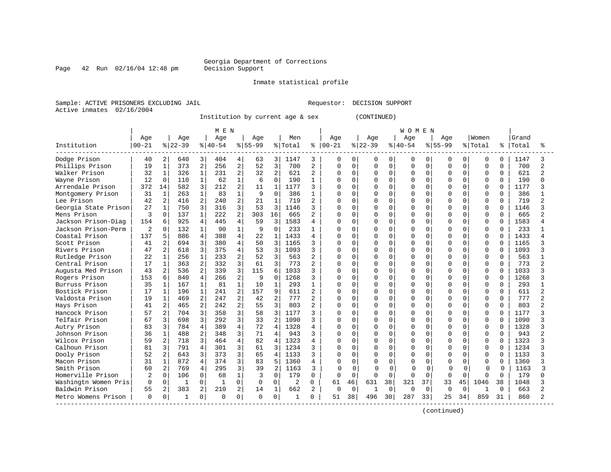#### Georgia Department of Corrections<br>Decision Support

Page 42 Run 02/16/04 12:48 pm

Inmate statistical profile

Sample: ACTIVE PRISONERS EXCLUDING JAIL Requestor: DECISION SUPPORT Active inmates 02/16/2004

Institution by current age & sex (CONTINUED)

|                      |                |                |           |                | MEN       |                |             |                         |                |                |               |              |          |              | W O M E N |          |             |             |             |              |       |                |
|----------------------|----------------|----------------|-----------|----------------|-----------|----------------|-------------|-------------------------|----------------|----------------|---------------|--------------|----------|--------------|-----------|----------|-------------|-------------|-------------|--------------|-------|----------------|
|                      | Age            |                | Age       |                | Age       |                | Age         |                         | Men            |                | Age           |              | Age      |              | Age       |          | Aqe         |             | Women       |              | Grand |                |
| Institution          | $00 - 21$      |                | $8 22-39$ |                | $8 40-54$ |                | $8 55-99$   |                         | % Total        |                | $8   00 - 21$ |              | $ 22-39$ |              | $8 40-54$ |          | $8155 - 99$ |             | % Total     | ႜ            | Total | ిన             |
| Dodge Prison         | 40             | 2              | 640       | 3              | 404       | 4              | 63          | $\overline{3}$          | 1147           | 3              | $\Omega$      | 0            | $\Omega$ | 0            | $\Omega$  | $\Omega$ | 0           | 0           | 0           | 0            | 1147  | 3              |
| Phillips Prison      | 19             | $\mathbf 1$    | 373       | $\overline{c}$ | 256       | $\overline{2}$ | 52          | 3                       | 700            | $\overline{2}$ | $\Omega$      | $\Omega$     | $\Omega$ | $\Omega$     | $\Omega$  | $\Omega$ | $\Omega$    | $\Omega$    | $\mathbf 0$ | $\Omega$     | 700   | $\overline{a}$ |
| Walker Prison        | 32             | 1              | 326       | $\mathbf{1}$   | 231       | $\overline{2}$ | 32          | 2                       | 621            | $\overline{2}$ | $\Omega$      | 0            | $\Omega$ | $\Omega$     | $\Omega$  | $\Omega$ | $\Omega$    | $\mathbf 0$ | 0           | 0            | 621   | $\overline{a}$ |
| Wayne Prison         | 12             | $\Omega$       | 110       | $\mathbf{1}$   | 62        | $\mathbf{1}$   | 6           | $\Omega$                | 190            | $\mathbf{1}$   | $\Omega$      | $\Omega$     | $\Omega$ | $\Omega$     | $\Omega$  | $\Omega$ | $\cap$      | $\Omega$    | $\Omega$    | $\Omega$     | 190   | $\cap$         |
| Arrendale Prison     | 372            | 14             | 582       | 3              | 212       | $\overline{2}$ | 11          | $\mathbf{1}$            | 1177           | 3              | $\Omega$      | 0            | $\cap$   | $\Omega$     | $\Omega$  | $\Omega$ | n           | $\Omega$    | $\Omega$    | 0            | 1177  | २              |
| Montgomery Prison    | 31             | $\mathbf{1}$   | 263       | $\mathbf{1}$   | 83        | $\mathbf{1}$   | 9           | $\Omega$                | 386            |                | $\Omega$      | O            | $\cap$   |              | $\cap$    | $\Omega$ | O           | U           | $\Omega$    | <sup>0</sup> | 386   |                |
| Lee Prison           | 42             | $\overline{a}$ | 416       | 2              | 240       | $\overline{2}$ | 21          | $\mathbf{1}$            | 719            | $\overline{2}$ | $\Omega$      | U            | $\Omega$ |              | $\cap$    | $\Omega$ | C           | $\Omega$    | $\Omega$    | $\Omega$     | 719   | $\mathcal{D}$  |
| Georgia State Prison | 27             | 1              | 750       | 3              | 316       | 3              | 53          | $\mathcal{R}$           | 1146           |                | $\Omega$      | U            | $\cap$   |              | $\cap$    | $\Omega$ | $\cap$      | $\Omega$    | $\Omega$    | 0            | 1146  | २              |
| Mens Prison          | 3              | $\Omega$       | 137       | $\mathbf{1}$   | 222       | $\overline{2}$ | 303         | 16                      | 665            |                | $\Omega$      | O            | $\Omega$ | $\Omega$     | $\Omega$  | $\Omega$ | n           | $\Omega$    | $\Omega$    | 0            | 665   |                |
| Jackson Prison-Diag  | 154            | 6              | 925       | $\overline{4}$ | 445       | $\overline{4}$ | 59          | 3                       | 1583           |                | $\Omega$      | 0            |          | $\Omega$     | $\Omega$  | $\Omega$ | n           | $\mathbf 0$ | 0           | <sup>0</sup> | 1583  |                |
| Jackson Prison-Perm  | $\overline{c}$ | $\Omega$       | 132       | $\mathbf{1}$   | 90        | $\mathbf{1}$   | 9           | $\Omega$                | 233            |                | $\Omega$      | O            | $\Omega$ | $\Omega$     | $\Omega$  | $\Omega$ | O           | $\Omega$    | $\Omega$    | $\Omega$     | 233   |                |
| Coastal Prison       | 137            | 5              | 886       | $\overline{4}$ | 388       | $\overline{4}$ | 22          | $\mathbf{1}$            | 1433           | 4              | $\Omega$      | 0            | $\Omega$ | $\Omega$     | $\Omega$  | $\Omega$ | C           | $\Omega$    | $\Omega$    | $\Omega$     | 1433  | $\Delta$       |
| Scott Prison         | 41             | $\overline{2}$ | 694       | 3              | 380       | $\overline{4}$ | 50          | 3                       | 1165           | 3              | $\Omega$      | $\Omega$     | $\Omega$ | $\Omega$     | $\cap$    | $\Omega$ | $\cap$      | $\Omega$    | $\Omega$    | 0            | 1165  | २              |
| Rivers Prison        | 47             | $\overline{2}$ | 618       | 3              | 375       | $\overline{4}$ | 53          | $\overline{\mathbf{3}}$ | 1093           | 3              | $\Omega$      | $\Omega$     | $\cap$   | $\Omega$     | $\Omega$  | $\Omega$ | $\cap$      | $\Omega$    | 0           | $\Omega$     | 1093  |                |
| Rutledge Prison      | 22             | 1              | 256       | $\mathbf{1}$   | 233       | $\overline{2}$ | 52          | २                       | 563            |                | $\Omega$      | $\Omega$     | $\Omega$ |              | $\cap$    | $\Omega$ | $\cap$      | $\Omega$    | $\Omega$    | $\Omega$     | 563   |                |
| Central Prison       | 17             | 1              | 363       | $\overline{a}$ | 332       | 3              | 61          | $\mathcal{R}$           | 773            |                | $\Omega$      | U            | $\cap$   | $\cap$       | $\cap$    | $\cap$   | $\cap$      | $\Omega$    | $\Omega$    | 0            | 773   |                |
| Augusta Med Prison   | 43             | $\overline{a}$ | 536       | $\overline{a}$ | 339       | 3              | 115         | $\epsilon$              | 1033           | 3              | $\Omega$      | $\Omega$     | $\Omega$ | $\Omega$     | $\Omega$  | $\Omega$ | n           | $\Omega$    | $\Omega$    | $\Omega$     | 1033  | κ              |
| Rogers Prison        | 153            | 6              | 840       | $\overline{4}$ | 266       | $\overline{2}$ | 9           | $\Omega$                | 1268           | ζ              | $\Omega$      | $\Omega$     | $\Omega$ | $\Omega$     | $\Omega$  | $\Omega$ | $\Omega$    | $\Omega$    | 0           | $\Omega$     | 1268  | ζ              |
| Burruss Prison       | 35             | $\mathbf 1$    | 167       | $\mathbf{1}$   | 81        | $\mathbf{1}$   | 10          | $\mathbf{1}$            | 293            | $\mathbf{1}$   | $\Omega$      | 0            | $\Omega$ | $\Omega$     | $\Omega$  | $\Omega$ | C           | $\mathbf 0$ | $\mathbf 0$ | $\Omega$     | 293   | $\mathbf{1}$   |
| Bostick Prison       | 17             | $\mathbf 1$    | 196       | $\mathbf{1}$   | 241       | $\overline{2}$ | 157         | 9                       | 611            | $\mathbf{2}$   | $\Omega$      | <sup>0</sup> | $\Omega$ | $\Omega$     | $\Omega$  | $\cap$   | $\cap$      | $\Omega$    | $\Omega$    | $\Omega$     | 611   | $\mathcal{D}$  |
| Valdosta Prison      | 19             | $\mathbf 1$    | 469       | $\overline{a}$ | 247       | $\overline{2}$ | 42          | $\overline{a}$          | 777            | 2              | $\Omega$      | $\Omega$     | $\Omega$ | $\Omega$     | $\Omega$  | $\Omega$ | $\cap$      | $\Omega$    | $\Omega$    | 0            | 777   | $\mathfrak{D}$ |
| Hays Prison          | 41             | 2              | 465       | $\overline{2}$ | 2.42      | $\overline{2}$ | 55          | 3                       | 803            |                | $\Omega$      | <sup>0</sup> |          | $\Omega$     | $\Omega$  | $\Omega$ | $\cap$      | $\Omega$    | $\Omega$    | 0            | 803   | $\mathfrak{D}$ |
| Hancock Prison       | 57             | 2              | 704       | 3              | 358       | 3              | 58          | 3                       | 1177           |                | $\Omega$      | <sup>0</sup> |          |              | $\Omega$  | $\Omega$ | O           | 0           | $\Omega$    | U            | 1177  |                |
| Telfair Prison       | 67             | 3              | 698       | 3              | 292       | 3              | 33          |                         | 1090           |                | $\Omega$      | <sup>0</sup> | $\cap$   |              | $\cap$    | $\Omega$ | $\sqrt{ }$  | $\Omega$    | $\Omega$    | U            | 1090  | २              |
| Autry Prison         | 83             | 3              | 784       | 4              | 389       | 4              | 72          | Δ                       | 1328           |                | $\Omega$      | U            | $\cap$   | <sup>n</sup> | $\cap$    | $\Omega$ | n           | $\Omega$    | $\Omega$    | 0            | 1328  | २              |
| Johnson Prison       | 36             | $\mathbf 1$    | 488       | $\overline{2}$ | 348       | $\overline{3}$ | 71          | $\Delta$                | 943            |                | $\Omega$      | $\Omega$     | $\Omega$ | $\Omega$     | $\Omega$  | $\Omega$ | n           | $\Omega$    | 0           | 0            | 943   |                |
| Wilcox Prison        | 59             | 2              | 718       | 3              | 464       | $\overline{4}$ | 82          | $\overline{4}$          | 1323           |                | $\Omega$      | $\Omega$     |          | $\Omega$     | $\Omega$  | $\Omega$ |             | $\Omega$    | 0           | U            | 1323  | ζ              |
| Calhoun Prison       | 81             | 3              | 791       | 4              | 301       | 3              | 61          | $\mathcal{L}$           | 1234           |                | $\Omega$      | <sup>0</sup> | $\Omega$ | $\Omega$     | $\cap$    | $\Omega$ |             | $\Omega$    | $\mathbf 0$ | $\Omega$     | 1234  |                |
| Dooly Prison         | 52             | 2              | 643       | 3              | 373       | 3              | 65          | 4                       | 1133           | 3              | $\Omega$      | $\Omega$     | $\cap$   | $\Omega$     | $\Omega$  | $\Omega$ | $\cap$      | $\Omega$    | $\Omega$    | 0            | 1133  | २              |
| Macon Prison         | 31             | 1              | 872       | 4              | 374       | 3              | 83          | 5                       | 1360           | 4              | $\Omega$      | <sup>0</sup> |          |              | $\Omega$  | $\Omega$ | O           | 0           | $\Omega$    | 0            | 1360  |                |
| Smith Prison         | 60             | 2              | 769       | 4              | 295       | 3              | 39          |                         | 1163           | 3              | $\sqrt{ }$    |              | ſ        | O            | $\Omega$  | $\Omega$ |             | 0           |             | $\cap$       | 1163  | Р              |
| Homerville Prison    | 2              | $\Omega$       | 106       | $\Omega$       | 68        | $\mathbf{1}$   | 3           | $\Omega$                | 179            | $\Omega$       | $\Omega$      | $\Omega$     | $\cap$   | $\Omega$     | $\Omega$  | $\Omega$ | $\cap$      | $\Omega$    | $\Omega$    | $\Omega$     | 179   | ∩              |
| Washingtn Women Pris | $\Omega$       | $\mathbf 0$    | -1        | 0              | -1        | 0              | $\mathbf 0$ | $\Omega$                | $\overline{2}$ | 0              | 61            | 46           | 631      | 38           | 321       | 37       | 33          | 45          | 1046        | 38           | 1048  |                |
| Baldwin Prison       | 55             | $\overline{a}$ | 383       | 2              | 210       | 2              | 14          | $\mathbf{1}$            | 662            | $\overline{2}$ | 0             | $\mathbf 0$  |          | 0            | $\Omega$  | $\Omega$ | $\Omega$    | $\mathbf 0$ | 1           | <sup>0</sup> | 663   | $\mathfrak{D}$ |
| Metro Womens Prison  | $\Omega$       | $\mathbf 0$    | -1        | 0              | $\Omega$  | 0              | $\Omega$    | 0                       | -1             | 0              | 51            | 38           | 496      | 30           | 287       | 33       | 25          | 34          | 859         | 31           | 860   | $\mathfrak{D}$ |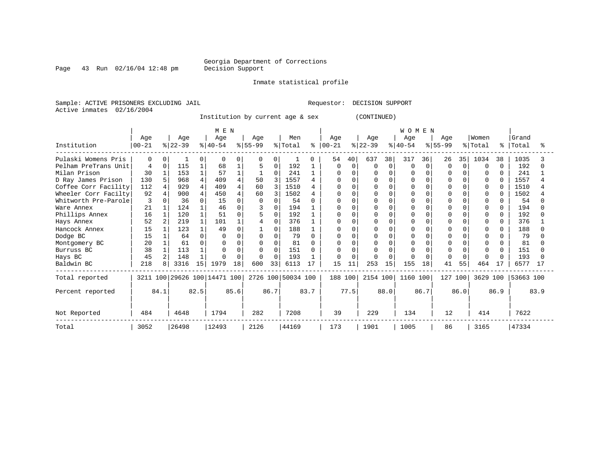## Georgia Department of Corrections<br>Decision Support

Page 43 Run 02/16/04 12:48 pm

Inmate statistical profile

Sample: ACTIVE PRISONERS EXCLUDING JAIL Requestor: DECISION SUPPORT Active inmates 02/16/2004

Institution by current age & sex (CONTINUED)

|                      |           |                |                              |      | M E N     |      |           |          |                    |              |            |          |           |              | WOMEN     |          |             |          |              |          |           |      |
|----------------------|-----------|----------------|------------------------------|------|-----------|------|-----------|----------|--------------------|--------------|------------|----------|-----------|--------------|-----------|----------|-------------|----------|--------------|----------|-----------|------|
|                      | Age       |                | Age                          |      | Age       |      | Age       |          | Men                |              | Age        |          | Age       |              | Age       |          | Age         |          | Women        |          | Grand     |      |
| Institution          | $00 - 21$ |                | $ 22-39 $                    |      | $8 40-54$ |      | $8 55-99$ |          | % Total            | ႜ            | $ 00 - 21$ |          | $ 22-39 $ |              | $8 40-54$ |          | $8155 - 99$ |          | %   Total    | ៖        | Total     |      |
| Pulaski Womens Pris  |           |                |                              |      |           |      | $\Omega$  |          |                    |              | 54         | 40       | 637       | 38           | 317       | 36       | 26          | 35       | 1034         | 38       | 1035      |      |
| Pelham PreTrans Unit |           | $\Omega$       | 115                          |      | 68        |      |           | 0        | 192                |              | 0          | $\Omega$ | O         | $\mathbf 0$  | $\Omega$  | $\Omega$ | $\Omega$    | $\Omega$ | $\Omega$     | $\Omega$ | 192       |      |
| Milan Prison         | 30        |                | 153                          |      | 57        |      |           | 0        | 241                |              | O          |          |           | 0            | O         |          |             |          |              |          | 241       |      |
| D Ray James Prison   | 130       |                | 968                          |      | 409       |      | 50        | 3        | 1557               |              |            |          |           |              |           |          |             |          | 0            |          | 1557      |      |
| Coffee Corr Facility | 112       |                | 929                          |      | 409       |      | 60        |          | 1510               |              |            | $\cap$   |           | <sup>n</sup> |           |          |             |          | $\Omega$     |          | 1510      |      |
| Wheeler Corr Facilty | 92        |                | 900                          |      | 450       |      | 60        |          | 1502               |              |            |          |           |              |           |          |             |          |              |          | 1502      |      |
| Whitworth Pre-Parole | 3         |                | 36                           |      | 15        |      |           |          | 54                 |              |            |          |           |              |           |          |             |          |              |          | 54        |      |
| Ware Annex           | 21        |                | 124                          |      | 46        |      |           | 0        | 194                |              | U          |          |           |              | $\cap$    |          |             |          | <sup>0</sup> |          | 194       |      |
| Phillips Annex       | 16        |                | 120                          |      | 51        |      |           | U        | 192                |              | O          | $\cap$   |           |              |           |          |             |          | ∩            |          | 192       |      |
| Hays Annex           | 52        |                | 219                          |      | 101       |      |           | 0        | 376                |              | O          |          |           |              | $\cap$    |          |             |          |              |          | 376       |      |
| Hancock Annex        | 15        |                | 123                          |      | 49        |      |           | 0        | 188                |              |            |          |           |              |           |          |             |          |              |          | 188       |      |
| Dodge BC             | 15        |                | 64                           | U    |           |      |           | $\Omega$ | 79                 | <sup>0</sup> | O          | $\Omega$ |           | U            |           |          |             |          |              |          | 79        |      |
| Montgomery BC        | 20        |                | 61                           |      |           |      |           | O        | 81                 |              |            |          |           |              |           |          |             |          |              |          | 81        |      |
| Burruss BC           | 38        |                | 113                          |      |           |      | $\Omega$  | U        | 151                |              | O          |          |           |              |           |          |             |          | ∩            |          | 151       |      |
| Hays BC              | 45        | $\overline{a}$ | 148                          |      |           | 0    | $\Omega$  | 0        | 193                |              | 0          | $\cap$   |           | $\Omega$     |           |          |             |          | $\Omega$     |          | 193       |      |
| Baldwin BC           | 218       |                | 3316                         | 15   | 1979      | 18   | 600       | 33       | 6113               | 17           | 15         |          | 253       | 15           | 155       | 18       | 41          | 55       | 464          | 17       | 6577      | 17   |
| Total reported       |           |                | 3211 100 29626 100 14471 100 |      |           |      |           |          | 2726 100 50034 100 |              | 188 100    |          | 2154 100  |              | 1160 100  |          | 127 100     |          | 3629 100     |          | 53663 100 |      |
| Percent reported     |           | 84.1           |                              | 82.5 |           | 85.6 |           | 86.7     |                    | 83.7         |            | 77.5     |           | 88.0         |           | 86.7     |             | 86.0     |              | 86.9     |           | 83.9 |
| Not Reported         | 484       |                | 4648                         |      | 1794      |      | 282       |          | 7208               |              | 39         |          | 229       |              | 134       |          | 12          |          | 414          |          | 7622      |      |
| Total                | 3052      |                | 26498                        |      | 12493     |      | 2126      |          | 44169              |              | 173        |          | 1901      |              | 1005      |          | 86          |          | 3165         |          | 47334     |      |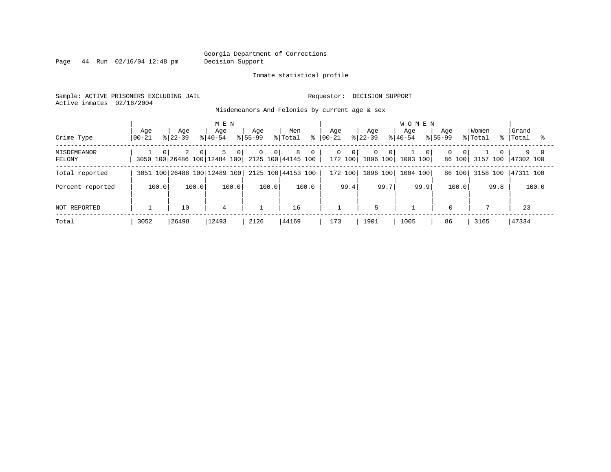Page 44 Run 02/16/04 12:48 pm Decision Support

#### Inmate statistical profile

Sample: ACTIVE PRISONERS EXCLUDING JAIL **Requestor: DECISION SUPPORT** Active inmates 02/16/2004

Misdemeanors And Felonies by current age & sex

| Crime Type                   | Age<br>  00-21 | Aqe<br>$8122 - 39$ | M E N<br>Age<br>$8140 - 54$  | Age<br>$8155 - 99$          | Men<br>% Total<br>⊱                                                    | Aqe<br>$ 00-21 $    | Age<br>$ 22-39 $      | <b>WOMEN</b><br>Aqe<br>$8140 - 54$ | Aqe<br>$8155 - 99$                   | Women<br>% Total     | Grand<br>%   Total |
|------------------------------|----------------|--------------------|------------------------------|-----------------------------|------------------------------------------------------------------------|---------------------|-----------------------|------------------------------------|--------------------------------------|----------------------|--------------------|
| <b>MISDEMEANOR</b><br>FELONY | $\Omega$       | 2<br>$\Omega$      | 5<br>$\circ$                 | $\overline{0}$<br>$\circ$ 1 | 8<br>$\overline{0}$<br>3050 100 26486 100 12484 100 2125 100 44145 100 | 0<br>0 <sup>1</sup> | $\mathbf{0}$<br>- 0 I | - O I<br>172 100 1896 100 1003 100 | $\Omega$<br>$\overline{0}$<br>86 100 | $\Omega$<br>3157 100 | 9 0<br>47302 100   |
| Total reported               |                |                    | 3051 100 26488 100 12489 100 |                             | 2125 100 44153 100                                                     | 172 100             | 1896 100              | 1004 100                           | 86 100                               | 3158 100             | 47311 100          |
| Percent reported             | 100.0          | 100.0              | 100.0                        | 100.0                       | 100.0                                                                  | 99.4                | 99.7                  | 99.9                               | 100.0                                | 99.8                 | 100.0              |
| NOT REPORTED                 |                | 10                 | $\overline{4}$               |                             | 16                                                                     |                     | 5                     |                                    | $\mathbf 0$                          | $\mathcal{L}$        | 23                 |
| Total                        | 3052           | 26498              | 12493                        | 2126                        | 44169                                                                  | 173                 | 1901                  | 1005                               | 86                                   | 3165                 | 47334              |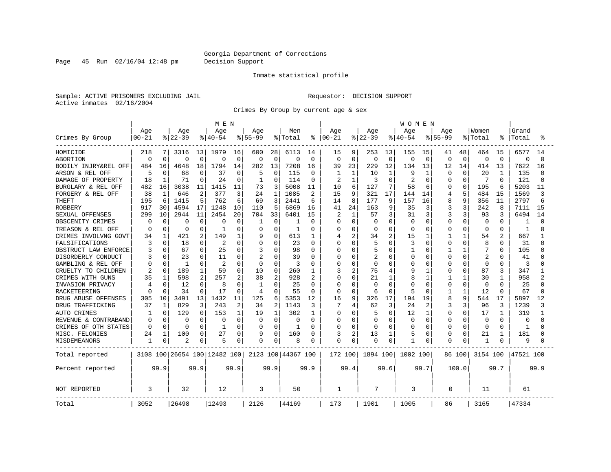Page 45 Run 02/16/04 12:48 pm Decision Support

#### Inmate statistical profile

Sample: ACTIVE PRISONERS EXCLUDING JAIL **Requestor: DECISION SUPPORT** Active inmates 02/16/2004

Crimes By Group by current age & sex

|                      |              |              |              |                | M E N                        |              |             |              |                    |                |           |                |              |              | WOMEN     |              |              |              |              |                |              |          |
|----------------------|--------------|--------------|--------------|----------------|------------------------------|--------------|-------------|--------------|--------------------|----------------|-----------|----------------|--------------|--------------|-----------|--------------|--------------|--------------|--------------|----------------|--------------|----------|
|                      | Age          |              | Age          |                | Age                          |              | Age         |              | Men                |                | Age       |                | Age          |              | Age       |              | Age          |              | Women        |                | Grand        |          |
| Crimes By Group      | $00 - 21$    |              | $ 22-39$     |                | $8140 - 54$                  |              | $8 55-99$   |              | % Total            | ະ              | $00 - 21$ |                | $ 22-39$     |              | $8 40-54$ |              | $8155 - 99$  |              | % Total      |                | Total        |          |
| HOMICIDE             | 218          |              | 3316         | 13             | 1979                         | 16           | 600         | 28           | 6113               | 14             | 15        | 9              | 253          | 13           | 155       | 15           | 41           | 48           | 464          | 15             | 6577         | 14       |
| <b>ABORTION</b>      | $\Omega$     | $\Omega$     | $\Omega$     | $\Omega$       | 0                            | $\mathbf 0$  | $\mathbf 0$ | $\Omega$     | $\Omega$           | $\mathbf 0$    | $\Omega$  | $\mathbf 0$    | $\mathbf 0$  | $\mathbf 0$  | 0         | $\mathbf 0$  | 0            | $\Omega$     | $\Omega$     | $\Omega$       | $\Omega$     | $\Omega$ |
| BODILY INJRY&REL OFF | 484          | 16           | 4648         | 18             | 1794                         | 14           | 282         | 13           | 7208               | 16             | 39        | 23             | 229          | 12           | 134       | 13           | 12           | 14           | 414          | 13             | 7622         | 16       |
| ARSON & REL OFF      | 5            | <sup>0</sup> | 68           | $\Omega$       | 37                           | 0            | 5           | $\Omega$     | 115                | $\Omega$       | 1         | 1              | 10           | $\mathbf{1}$ | 9         | -1           | <sup>0</sup> | $\Omega$     | 20           | -1             | 135          |          |
| DAMAGE OF PROPERTY   | 18           |              | 71           | ∩              | 24                           | $\Omega$     | 1           | O            | 114                | $\Omega$       | 2         | 1              | 3            | $\Omega$     |           | $\Omega$     | Ω            | ∩            | 7            | <sup>0</sup>   | 121          |          |
| BURGLARY & REL OFF   | 482          | 16           | 3038         | 11             | 1415                         | 11           | 73          | 3            | 5008               | 11             | 10        | 6              | 127          | 7            | 58        | 6            | U            | $\Omega$     | 195          | 6              | 5203         | 11       |
| FORGERY & REL OFF    | 38           | $\mathbf{1}$ | 646          | $\overline{2}$ | 377                          | 3            | 24          | 1            | 1085               | 2              | 15        | 9              | 321          | 17           | 144       | 14           | 4            | 5            | 484          | 15             | 1569         | 3        |
| <b>THEFT</b>         | 195          | 6            | 1415         | 5              | 762                          | 6            | 69          | 3            | 2441               | 6              | 14        | 8              | 177          | 9            | 157       | 16           | 8            | 9            | 356          | 11             | 2797         |          |
| <b>ROBBERY</b>       | 917          | 30           | 4594         | 17             | 1248                         | 10           | 110         | 5            | 6869               | 16             | 41        | 24             | 163          | 9            | 35        | 3            | 3            | 3            | 242          | 8              | 7111         | 15       |
| SEXUAL OFFENSES      | 299          | 10           | 2944         | 11             | 2454                         | 20           | 704         | 33           | 6401               | 15             |           | $\mathbf{1}$   | 57           | 3            | 31        | 3            | 3            | 3            | 93           | 3              | 6494         | 14       |
| OBSCENITY CRIMES     | <sup>0</sup> | $\Omega$     | $\Omega$     | $\Omega$       | 0                            | $\Omega$     | -1          | $\Omega$     | 1                  | 0              | U         | $\Omega$       | $\Omega$     | $\Omega$     | $\Omega$  | $\Omega$     | 0            | $\Omega$     | $\Omega$     | 0              |              |          |
| TREASON & REL OFF    | n            | 0            | 0            | <sup>0</sup>   |                              | $\Omega$     | 0           | O            | -1                 | 0              | U         | $\Omega$       | 0            | $\Omega$     | $\Omega$  | $\Omega$     | U            | $\Omega$     | 0            | 0              | 1            |          |
| CRIMES INVOLVNG GOVT | 34           |              | 421          | 2              | 149                          | $\mathbf{1}$ | 9           | 0            | 613                | 1              |           | $\overline{2}$ | 34           | 2            | 15        | 1            |              | 1            | 54           | $\overline{c}$ | 667          |          |
| FALSIFICATIONS       | 3            | $\Omega$     | 18           | $\cap$         | 2                            | $\Omega$     | $\Omega$    | 0            | 23                 | $\Omega$       |           | $\Omega$       |              | $\Omega$     | 3         | $\Omega$     | U            | $\Omega$     | 8            | $\Omega$       | 31           |          |
| OBSTRUCT LAW ENFORCE |              | $\Omega$     | 67           | $\Omega$       | 25                           | $\Omega$     | 3           | 0            | 98                 | 0              | U         | $\Omega$       |              | $\Omega$     |           | 0            |              |              | 7            | O              | 105          |          |
| DISORDERLY CONDUCT   |              |              | 23           |                | 11                           | O            | 2           | O            | 39                 | O              |           | $\Omega$       |              | $\cap$       | O         | 0            | O            | $\Omega$     | 2            |                | 41           |          |
| GAMBLING & REL OFF   | U            | 0            | $\mathbf{1}$ | $\cap$         | 2                            | $\Omega$     | $\Omega$    | O            | 3                  | 0              |           | $\Omega$       | $\Omega$     | $\Omega$     | O         | $\Omega$     | 0            | O            | $\Omega$     | $\Omega$       | 3            |          |
| CRUELTY TO CHILDREN  | 2            | $\Omega$     | 189          |                | 59                           | $\Omega$     | 10          | 0            | 260                | 1              | 3         | 2              | 75           | 4            | 9         | 1            | 0            | $\Omega$     | 87           | 3              | 347          |          |
| CRIMES WITH GUNS     | 35           |              | 598          | 2              | 257                          | 2            | 38          | 2            | 928                | $\overline{2}$ |           | $\Omega$       | 21           | $\mathbf{1}$ | Я         | $\mathbf{1}$ |              |              | 30           | $\mathbf{1}$   | 958          |          |
| INVASION PRIVACY     |              | O            | 12           | $\Omega$       | 8                            | $\Omega$     | -1          | $\Omega$     | 25                 | $\Omega$       | $\cap$    | $\Omega$       | <sup>0</sup> | $\Omega$     | U         | $\Omega$     | O            | $\Omega$     | $\Omega$     | 0              | 25           |          |
| RACKETEERING         |              | O            | 34           |                | 17                           | $\Omega$     | 4           | 0            | 55                 | 0              | ∩         | $\Omega$       | 6            | $\Omega$     | 5         | $\Omega$     |              | $\mathbf{1}$ | 12           | O              | 67           |          |
| DRUG ABUSE OFFENSES  | 305          | 10           | 3491         | 13             | 1432                         | 11           | 125         | 6            | 5353               | 12             | 16        | 9              | 326          | 17           | 194       | 19           | 8            | 9            | 544          | 17             | 5897         | 12       |
| DRUG TRAFFICKING     | 37           | 1            | 829          | 3              | 243                          | 2            | 34          | 2            | 1143               | 3              | 7         | 4              | 62           | 3            | 24        | 2            | 3            | 3            | 96           | 3              | 1239         |          |
| <b>AUTO CRIMES</b>   |              | $\Omega$     | 129          | $\cap$         | 153                          | 1            | 19          | $\mathbf{1}$ | 302                | $\mathbf{1}$   | 0         | $\Omega$       |              | $\Omega$     | 12        | 1            | 0            | $\Omega$     | 17           | -1             | 319          |          |
| REVENUE & CONTRABAND | 0            | $\Omega$     | $\Omega$     | $\Omega$       | 0                            | $\Omega$     | $\Omega$    | $\Omega$     | 0                  | $\Omega$       | 0         | $\Omega$       | $\Omega$     | $\Omega$     | $\Omega$  | $\mathbf 0$  | 0            | $\Omega$     | $\Omega$     | $\Omega$       | $\Omega$     |          |
| CRIMES OF OTH STATES | $\Omega$     | $\Omega$     | $\Omega$     | O              | -1                           | $\Omega$     | O           | $\Omega$     | -1                 | 0              | O         | $\Omega$       | <sup>0</sup> | $\Omega$     | O         | $\Omega$     | O            | $\Omega$     | $\Omega$     | $\Omega$       | $\mathbf{1}$ |          |
| MISC. FELONIES       | 24           | 1            | 100          | $\Omega$       | 27                           | $\Omega$     | 9           | 0            | 160                | O              | ζ         | $\overline{c}$ | 13           | 1            | 5         | $\mathbf 0$  | U            | $\Omega$     | 21           | -1             | 181          |          |
| MISDEMEANORS         |              | 0            | 2            | 0              | 5                            | 0            | 0           | 0            | 8                  | 0              |           | $\Omega$       |              | 0            |           | 0            | 0            | 0            | $\mathbf{1}$ |                | 9            |          |
| Total reported       |              |              |              |                | 3108 100 26654 100 12482 100 |              |             |              | 2123 100 44367 100 |                | 172 100   |                | 1894 100     |              | 1002 100  |              |              | 86 100       | 3154 100     |                | 47521 100    |          |
| Percent reported     |              | 99.9         |              | 99.9           |                              | 99.9         |             | 99.9         |                    | 99.9           |           | 99.4           |              | 99.6         |           | 99.7         |              | 100.0        |              | 99.7           |              | 99.9     |
| <b>NOT REPORTED</b>  | 3            |              | 32           |                | 12                           |              | 3           |              | 50                 |                | 1         |                | 7            |              | 3         |              | $\Omega$     |              | 11           |                | 61           |          |
| Total                | 3052         |              | 26498        |                | 12493                        |              | 2126        |              | 44169              |                | 173       |                | 1901         |              | 1005      |              | 86           |              | 3165         |                | 47334        |          |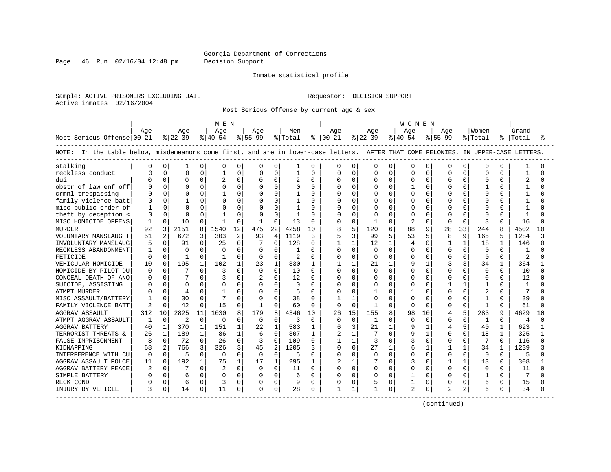Page 46 Run 02/16/04 12:48 pm Decision Support

#### Inmate statistical profile

Sample: ACTIVE PRISONERS EXCLUDING JAIL **Requestor: DECISION SUPPORT** Active inmates 02/16/2004

Most Serious Offense by current age & sex

|                                                                                                                                   |              |                |                |              | M E N          |                |                |                |                |          |                |              |              |              | W O M E N      |              |             |              |                |              |               |          |
|-----------------------------------------------------------------------------------------------------------------------------------|--------------|----------------|----------------|--------------|----------------|----------------|----------------|----------------|----------------|----------|----------------|--------------|--------------|--------------|----------------|--------------|-------------|--------------|----------------|--------------|---------------|----------|
|                                                                                                                                   | Age          |                | Age            |              | Age            |                | Age            |                | Men            |          | Aqe            |              | Age          |              | Aqe            |              | Aqe         |              | Women          |              | Grand         |          |
| Most Serious Offense 00-21                                                                                                        |              |                | $ 22-39 $      |              | $ 40-54 $      |                | $ 55-99$       |                | % Total        |          | $8   00 - 21$  |              | $8 22-39$    |              | $ 40-54 $      |              | $8155 - 99$ |              | % Total        | %            | Total         | ႜ        |
| NOTE: In the table below, misdemeanors come first, and are in lower-case letters. AFTER THAT COME FELONIES, IN UPPER-CASE LETTERS |              |                |                |              |                |                |                |                |                |          |                |              |              |              |                |              |             |              |                |              |               |          |
| stalking                                                                                                                          |              | 0              |                | 0            | $\Omega$       | $\Omega$       | 0              | 0              | 1              | 0        | 0              | O            | 0            | 0            | $\Omega$       | $\Omega$     | O           | 0            | $\Omega$       | O            |               |          |
| reckless conduct                                                                                                                  |              | $\Omega$       | $\cap$         | $\Omega$     |                | $\Omega$       | $\cap$         | $\Omega$       | $\mathbf{1}$   | $\Omega$ | $\Omega$       | O            | $\cap$       | $\Omega$     | $\Omega$       | $\cap$       | C           | $\Omega$     | $\Omega$       | 0            |               | ∩        |
| dui                                                                                                                               |              | $\Omega$       | $\Omega$       | $\Omega$     | $\overline{c}$ | $\Omega$       | $\Omega$       | $\Omega$       | 2              | $\Omega$ | <sup>0</sup>   | 0            | <sup>0</sup> | $\Omega$     | $\cap$         | $\Omega$     | $\Omega$    | $\Omega$     | $\Omega$       | 0            | 2             | $\cap$   |
| obstr of law enf off                                                                                                              |              | $\Omega$       | <sup>0</sup>   | $\Omega$     |                | $\Omega$       | $\Omega$       | $\Omega$       | 0              | $\Omega$ | $\Omega$       | $\Omega$     | $\Omega$     | $\Omega$     | 1              | $\Omega$     | $\Omega$    | $\Omega$     | $\mathbf{1}$   | 0            |               | $\cap$   |
| crmnl trespassing                                                                                                                 |              | $\Omega$       | <sup>0</sup>   | $\Omega$     |                | $\Omega$       |                | $\Omega$       |                | $\Omega$ | $\Omega$       | 0            | $\Omega$     | $\Omega$     | $\Omega$       | $\Omega$     | C           | $\Omega$     | $\Omega$       | 0            |               | ∩        |
| family violence batt                                                                                                              | U            | $\Omega$       |                | $\Omega$     |                | $\Omega$       | 0              | $\Omega$       |                | $\Omega$ | $\Omega$       | O            |              | $\Omega$     | $\Omega$       | $\Omega$     | $\cap$      | $\Omega$     | O              | 0            |               | ∩        |
| misc public order of                                                                                                              | -1           | $\Omega$       | O              | $\Omega$     |                | $\Omega$       | C              |                |                | $\Omega$ | $\Omega$       | O            |              |              | 0              |              | n           | $\Omega$     | O              | 0            |               |          |
| theft by deception <                                                                                                              | 0            | $\Omega$       | O              | $\Omega$     |                | $\Omega$       | $\Omega$       | $\Omega$       |                | $\Omega$ | $\Omega$       | O            |              |              | $\Omega$       | $\Omega$     | C           | $\Omega$     | $\Omega$       | N            |               | ∩        |
| MISC HOMICIDE OFFENS                                                                                                              | -1           | $\Omega$       | 10             | 0            | -1             | 0              | -1             | $\Omega$       | 13             | $\Omega$ | O              | 0            | 1            |              | $\overline{2}$ | $\Omega$     | $\Omega$    | 0            | 3              | 0            | 16            | U        |
| <b>MURDER</b>                                                                                                                     | 92           | 3              | 2151           | 8            | 1540           | 12             | 475            | 22             | 4258           | 10       | 8              | 5            | 120          |              | 88             | 9            | 28          | 33           | 244            | 8            | 4502          | 10       |
| VOLUNTARY MANSLAUGHT                                                                                                              | 51           | $\overline{a}$ | 672            | 3            | 303            | $\overline{2}$ | 93             | $\overline{4}$ | 1119           | 3        | 5              | 3            | 99           | 5            | 53             | 5            | 8           | 9            | 165            | 5            | 1284          | κ        |
| INVOLUNTARY MANSLAUG                                                                                                              | 5            | $\Omega$       | 91             | $\Omega$     | 25             | $\mathbf 0$    |                | $\Omega$       | 128            | 0        | $\mathbf{1}$   | 1            | 12           | 1            | $\overline{4}$ | $\Omega$     |             | 1            | 18             | $\mathbf{1}$ | 146           | $\cap$   |
| RECKLESS ABANDONMENT                                                                                                              |              | $\Omega$       | $\Omega$       | $\Omega$     | ∩              | $\Omega$       | $\Omega$       | $\Omega$       | 1              | $\Omega$ | <sup>0</sup>   | $\Omega$     | $\Omega$     | $\Omega$     | $\cap$         | $\Omega$     | $\cap$      | $\Omega$     | $\Omega$       | $\Omega$     |               | ∩        |
| FETICIDE                                                                                                                          | <sup>0</sup> | $\Omega$       | $\overline{1}$ | $\Omega$     | -1             | $\Omega$       | $\Omega$       | $\Omega$       | $\overline{c}$ | $\Omega$ | <sup>0</sup>   | $\Omega$     | $\Omega$     | $\Omega$     | $\Omega$       | $\Omega$     | $\Omega$    | $\Omega$     | $\Omega$       | 0            | $\mathcal{L}$ | ∩        |
| VEHICULAR HOMICIDE                                                                                                                | 10           | $\Omega$       | 195            | 1            | 102            | 1              | 23             | $\mathbf{1}$   | 330            | 1        |                | $\mathbf{1}$ | 21           |              | q              |              |             | 3            | 34             |              | 364           |          |
| HOMICIDE BY PILOT DU                                                                                                              | C            | $\Omega$       |                | $\Omega$     | 3              | $\Omega$       | $\Omega$       | $\Omega$       | 10             | $\Omega$ | <sup>0</sup>   | $\Omega$     | $\Omega$     | <sup>n</sup> | $\cap$         | $\Omega$     | $\bigcap$   | $\Omega$     | $\Omega$       | 0            | 10            | $\cap$   |
| CONCEAL DEATH OF ANO                                                                                                              | C            | $\Omega$       | 7              | $\Omega$     | 3              | $\Omega$       | $\overline{c}$ | $\Omega$       | 12             | $\Omega$ | O              | 0            | <sup>0</sup> | <sup>n</sup> | $\cap$         | $\Omega$     | ∩           | $\Omega$     | 0              | 0            | 12            | ∩        |
| SUICIDE, ASSISTING                                                                                                                |              | $\Omega$       | $\Omega$       | $\Omega$     | $\Omega$       | $\Omega$       | $\Omega$       | $\Omega$       | 0              | $\Omega$ | <sup>0</sup>   | $\Omega$     | <sup>0</sup> | $\Omega$     | $\Omega$       | $\Omega$     |             | 1            |                | O            |               |          |
| <b>ATMPT MURDER</b>                                                                                                               |              | $\Omega$       | 4              | $\Omega$     |                | $\Omega$       | 0              | $\Omega$       | 5              | $\Omega$ | 0              | $\Omega$     |              | $\cap$       | 1              | $\Omega$     | C           | $\Omega$     | $\overline{c}$ | O            |               | $\cap$   |
| MISC ASSAULT/BATTERY                                                                                                              |              | $\Omega$       | 30             | $\Omega$     |                | $\Omega$       | $\Omega$       | $\Omega$       | 38             | $\Omega$ | $\mathbf{1}$   | -1           | <sup>0</sup> | ∩            | $\cap$         | $\Omega$     | $\cap$      | $\Omega$     | -1             | 0            | 39            | U        |
| FAMILY VIOLENCE BATT                                                                                                              | 2            | $\mathbf 0$    | 42             | $\Omega$     | 15             | $\Omega$       |                | $\Omega$       | 60             | $\Omega$ | $\Omega$       | $\Omega$     |              | $\Omega$     | $\Omega$       | <sup>0</sup> | $\Omega$    | $\mathbf 0$  | -1             | O            | 61            | U        |
| <b>AGGRAV ASSAULT</b>                                                                                                             | 312          | 10             | 2825           | 11           | 1030           | 8              | 179            |                | 4346           | 10       | 26             | 15           | 155          |              | 98             | 10           | 4           | 5            | 283            | 9            | 4629          | 10       |
| ATMPT AGGRAV ASSAULT                                                                                                              | -1           | $\mathbf 0$    | $\overline{2}$ | $\Omega$     | $\Omega$       | $\mathbf 0$    | $\Omega$       | $\Omega$       | 3              | 0        | 0              | 0            | $\mathbf{1}$ |              | $\Omega$       | $\Omega$     | O           | 0            | -1             | O            | 4             | $\cap$   |
| <b>AGGRAV BATTERY</b>                                                                                                             | 40           | $\mathbf{1}$   | 370            | $\mathbf{1}$ | 151            | $\mathbf{1}$   | 2.2            | $\mathbf{1}$   | 583            | 1        | 6              | 3            | 21           |              | q              |              |             | 5            | 40             | $\mathbf{1}$ | 623           | 1        |
| TERRORIST THREATS &                                                                                                               | 26           | $\mathbf{1}$   | 189            | $\mathbf{1}$ | 86             | $\mathbf{1}$   | 6              | $\Omega$       | 307            | 1        | $\overline{2}$ | 1            |              | $\Omega$     | 9              |              | $\Omega$    | $\Omega$     | 18             | $\mathbf{1}$ | 325           |          |
| FALSE IMPRISONMENT                                                                                                                | 8            | $\Omega$       | 72             | $\Omega$     | 26             | $\mathbf 0$    | 3              | $\Omega$       | 109            | 0        | $\mathbf{1}$   | $\mathbf 1$  | 3            |              | 3              | $\Omega$     | $\Omega$    | $\Omega$     | 7              | $\Omega$     | 116           | $\Omega$ |
| KIDNAPPING                                                                                                                        | 68           | 2              | 766            | 3            | 326            | 3              | 45             | $\overline{2}$ | 1205           | 3        | $\Omega$       | $\Omega$     | 27           | $\mathbf{1}$ | 6              |              |             | $\mathbf{1}$ | 34             | $\mathbf{1}$ | 1239          |          |
| INTERFERENCE WITH CU                                                                                                              | $\Omega$     | $\Omega$       | 5              | $\Omega$     | $\Omega$       | $\mathbf 0$    | 0              | $\Omega$       | 5              | $\Omega$ | <sup>0</sup>   | 0            | <sup>0</sup> | $\Omega$     | $\Omega$       | $\Omega$     | $\Omega$    | $\mathbf 0$  | 0              | $\Omega$     | 5             | $\cap$   |
| AGGRAV ASSAULT POLCE                                                                                                              | 11           | $\Omega$       | 192            | $\mathbf{1}$ | 75             | $\mathbf{1}$   | 17             | $\mathbf{1}$   | 295            | 1        | $\overline{2}$ | 1            |              |              | ₹              | $\Omega$     |             | $\mathbf{1}$ | 13             | 0            | 308           |          |
| AGGRAV BATTERY PEACE                                                                                                              | 2            | $\Omega$       |                | $\Omega$     |                | $\Omega$       | $\Omega$       | $\Omega$       | 11             | $\Omega$ | <sup>0</sup>   | 0            | $\Omega$     | ∩            | $\cap$         | $\Omega$     | $\Omega$    | $\Omega$     | $\Omega$       | 0            | 11            | ∩        |
| SIMPLE BATTERY                                                                                                                    | U            | $\Omega$       | 6              | $\Omega$     | $\Omega$       | $\Omega$       | $\Omega$       | $\Omega$       | 6              | $\Omega$ | <sup>0</sup>   | $\Omega$     | $\Omega$     | $\Omega$     | $\mathbf{1}$   | $\Omega$     | $\Omega$    | $\Omega$     | -1             | 0            | 7             | ∩        |
| RECK COND                                                                                                                         |              | $\Omega$       | 6              | $\Omega$     | 3              | $\Omega$       | $\Omega$       | $\Omega$       | 9              | $\Omega$ | 0              | 0            | 5            | 0            |                | $\Omega$     | $\Omega$    | $\Omega$     | 6              | 0            | 15            |          |
| INJURY BY VEHICLE                                                                                                                 | 3            | 0              | 14             | 0            | 11             | 0              |                | $\mathbf 0$    | 28             | 0        | $\mathbf{1}$   |              |              | 0            | 2              | 0            |             | 2            | 6              | 0            | 34            | U        |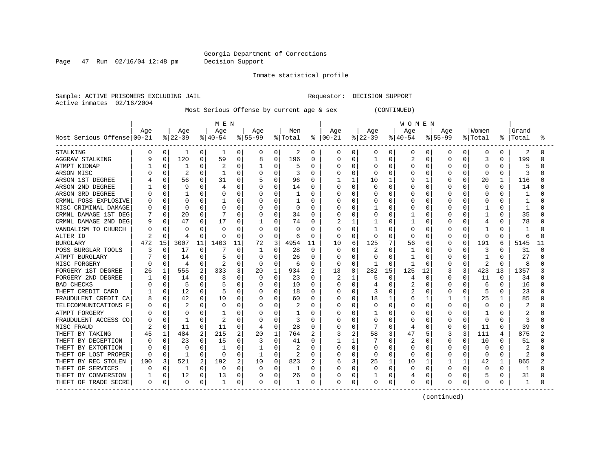Page 47 Run 02/16/04 12:48 pm Decision Support

Inmate statistical profile

Sample: ACTIVE PRISONERS EXCLUDING JAIL **Requestor: DECISION SUPPORT** Active inmates 02/16/2004

Most Serious Offense by current age & sex (CONTINUED)

|                            |          |             |              |          | M E N    |          |              |          |          |                |               |              |          |              | W O M E N |          |             |   |                |              |       |    |
|----------------------------|----------|-------------|--------------|----------|----------|----------|--------------|----------|----------|----------------|---------------|--------------|----------|--------------|-----------|----------|-------------|---|----------------|--------------|-------|----|
|                            | Age      |             | Age          |          | Age      |          | Age          |          | Men      |                | Age           |              | Age      |              | Age       |          | Age         |   | Women          |              | Grand |    |
| Most Serious Offense 00-21 |          |             | $ 22-39 $    |          | $ 40-54$ |          | $8 55-99$    |          | % Total  |                | $8   00 - 21$ |              | $ 22-39$ |              | $ 40-54$  |          | $8155 - 99$ |   | % Total        | ႜ            | Total |    |
| STALKING                   | $\Omega$ | 0           | 1            | 0        | 1        | 0        | 0            | 0        | 2        | 0              | 0             | 0            | 0        | 0            | 0         | 0        | 0           | 0 | 0              | 0            | 2     |    |
| <b>AGGRAV STALKING</b>     |          | $\mathbf 0$ | 120          | 0        | 59       | 0        | 8            | $\Omega$ | 196      | 0              | 0             | 0            |          | $\Omega$     |           | 0        | 0           |   | 3              | 0            | 199   |    |
| ATMPT KIDNAP               |          | 0           |              | 0        |          | $\Omega$ |              | O        | 5        | $\Omega$       | Λ             | 0            | 0        | $\Omega$     | 0         | n        | $\Omega$    | U | $\Omega$       | $\cap$       |       |    |
| ARSON MISC                 |          | $\Omega$    | 2            | O        | -1       | $\Omega$ | O            | O        | 3        | $\Omega$       | Ω             | 0            | U        | <sup>0</sup> | O         | n        | O           | O | $\Omega$       | $\Omega$     | Р     |    |
| ARSON 1ST DEGREE           |          | 0           | 56           | 0        | 31       | $\Omega$ |              | 0        | 96       | $\Omega$       |               | $\mathbf{1}$ | 10       |              |           |          |             | U | 20             | 1            | 116   |    |
| ARSON 2ND DEGREE           |          | $\Omega$    | 9            | 0        |          | $\Omega$ | 0            | 0        | 14       | $\Omega$       |               | 0            | 0        | $\Omega$     |           | $\Omega$ | 0           | O | 0              | $\Omega$     | 14    |    |
| ARSON 3RD DEGREE           |          | 0           |              | O        |          | $\Omega$ |              | 0        |          | $\Omega$       |               | 0            | C        | $\Omega$     | O         | 0        |             | O | 0              | O            |       |    |
| CRMNL POSS EXPLOSIVE       |          | 0           | C            | 0        |          | 0        |              | 0        |          | $\Omega$       |               | 0            | C        | $\Omega$     | 0         | 0        | 0           | O | $\Omega$       | O            |       |    |
| MISC CRIMINAL DAMAGE       |          | $\Omega$    | $\sqrt{ }$   | 0        |          | $\Omega$ | 0            | O        | $\Omega$ | $\Omega$       |               | 0            |          | $\Omega$     | U         | $\Omega$ | $\Omega$    | O |                | $\cap$       |       |    |
| CRMNL DAMAGE 1ST DEG       |          | $\Omega$    | 20           | 0        |          | 0        | 0            | 0        | 34       | $\Omega$       | Ω             | 0            | 0        | 0            |           | 0        | 0           | 0 | 1              | 0            | 35    |    |
| CRMNL DAMAGE 2ND DEG       | q        | 0           | 47           | 0        | 17       | 0        |              | 0        | 74       | 0              |               | 1            |          | $\Omega$     |           | 0        | U           | O | 4              | O            | 78    |    |
| VANDALISM TO CHURCH        |          | $\Omega$    | 0            | 0        | O        | 0        | 0            | 0        | O        | 0              | Ω             | 0            |          | $\Omega$     | 0         | 0        | O           | O |                | O            |       |    |
| ALTER ID                   |          | 0           | 4            | $\Omega$ | O        | 0        | 0            | 0        | 6        | 0              | $\Omega$      | 0            | 0        | $\Omega$     | 0         | $\Omega$ | $\Omega$    | O | 0              | $\Omega$     | 6     |    |
| <b>BURGLARY</b>            | 472      | 15          | 3007         | 11       | 1403     | 11       | 72           | 3        | 4954     | 11             | 10            | 6            | 125      |              | 56        | 6        | 0           | O | 191            | 6            | 5145  | 11 |
| POSS BURGLAR TOOLS         |          | $\Omega$    | 17           | 0        |          | $\Omega$ |              | 0        | 28       | $\Omega$       | 0             | 0            | 2        | $\Omega$     |           | 0        | 0           |   | 3              |              | 31    |    |
| ATMPT BURGLARY             |          | 0           | 14           | O        |          | $\Omega$ | 0            | O        | 26       | $\Omega$       | Ω             | 0            | U        | $\Omega$     |           | O        | 0           |   |                | $\cap$       | 27    |    |
| MISC FORGERY               |          | $\Omega$    | 4            | U        |          | O        | <sup>0</sup> | O        | 6        | $\Omega$       | U             | $\Omega$     |          | $\Omega$     | 1         | $\Omega$ | O           | O | $\overline{c}$ | <sup>0</sup> | 8     |    |
| FORGERY 1ST DEGREE         | 26       | 1           | 555          | 2        | 333      | 3        | 20           | 1        | 934      | $\overline{2}$ | 13            | 8            | 282      | 15           | 125       | 12       |             | 3 | 423            | 13           | 1357  |    |
| FORGERY 2ND DEGREE         |          | $\Omega$    | 14           | O        | 8        | O        | 0            | O        | 23       | $\Omega$       | 2             | -1           | 5        | $\Omega$     | 4         | 0        | 0           | 0 | 11             | <sup>0</sup> | 34    |    |
| <b>BAD CHECKS</b>          |          | $\Omega$    | .5           | 0        |          | $\Omega$ | 0            | 0        | 10       | $\Omega$       |               | $\Omega$     |          | 0            | 2         | $\Omega$ | 0           | 0 | 6              | $\Omega$     | 16    |    |
| THEFT CREDIT CARD          |          | 0           | 12           | 0        |          | 0        |              | 0        | 18       | $\Omega$       |               | 0            | 3        | $\Omega$     | 2         | 0        | 0           | 0 | 5              | $\Omega$     | 23    |    |
| FRAUDULENT CREDIT CA       |          | 0           | 42           | 0        | 10       | 0        | 0            | 0        | 60       | <sup>0</sup>   |               | 0            | 18       |              | 6         |          |             | 1 | 25             |              | 85    |    |
| TELECOMMUNICATIONS F       |          | $\Omega$    | 2            | 0        | O        | $\Omega$ | 0            | 0        | 2        | $\Omega$       | Λ             | 0            | 0        | $\Omega$     | U         | $\Omega$ | O           | 0 | 0              | U            |       |    |
| ATMPT FORGERY              |          | $\Omega$    | C            | U        | -1       | 0        | O            | O        |          | O              | Λ             | 0            |          | O            | U         | $\Omega$ | O           | O | -1             | U            |       |    |
| FRAUDULENT ACCESS CO       |          | $\Omega$    | -1           | O        |          | 0        | 0            | O        | 3        | O              |               | 0            | 0        | $\Omega$     | U         | $\Omega$ | O           | O | 0              | <sup>0</sup> | 3     |    |
| MISC FRAUD                 |          | 0           | 11           | O        | -11      | 0        | 4            | 0        | 28       | 0              | Λ             | 0            |          | $\Omega$     | 4         | 0        | 0           | 0 | 11             | $\Omega$     | 39    |    |
| THEFT BY TAKING            | 45       | 1           | 484          | 2        | 215      | 2        | 20           | 1        | 764      | 2              | 3             | 2            | 58       | 3            | 47        | 5        | 3           | 3 | 111            | 4            | 875   |    |
| THEFT BY DECEPTION         |          | 0           | 23           | 0        | 15       | 0        | 3            | 0        | 41       | 0              |               | 1            |          | $\Omega$     | 2         | 0        | 0           | U | 10             |              | 51    |    |
| THEFT BY EXTORTION         |          |             | -C           | U        | -1       | O        |              | 0        |          | O              |               | 0            | C        | $\Omega$     | U         | n        | O           |   | $\Omega$       |              |       |    |
| THEFT OF LOST PROPER       | C        | $\Omega$    | $\mathbf{1}$ | U        | $\Omega$ | 0        |              | 0        |          | $\Omega$       |               | 0            | $\Omega$ | $\Omega$     | 0         | O        | 0           | 0 | $\Omega$       | O            | 2     |    |
| THEFT BY REC STOLEN        | 100      | 3           | 521          | 2        | 192      | 2        | 10           | 0        | 823      | 2              | 6             | 3            | 25       | 1            | 10        | 1        |             | 1 | 42             | 1            | 865   |    |
| THEFT OF SERVICES          |          | 0           |              | O        | $\Omega$ | $\Omega$ | $\Omega$     | $\Omega$ |          | O              |               | 0            | U        | $\Omega$     | O         | $\Omega$ | O           | O | $\Omega$       | O            | -1    |    |
| THEFT BY CONVERSION        |          | 0           | 12           | 0        | 13       | 0        |              | 0        | 26       | 0              |               | 0            |          | $\Omega$     |           | 0        |             | 0 | 5              | 0            | 31    |    |
| THEFT OF TRADE SECRE       | 0        | 0           | C            | 0        | 1        | 0        | 0            | 0        |          | $\Omega$       | 0             | 0            | 0        | 0            | 0         | 0        | $\Omega$    | 0 | $\Omega$       | 0            | 1     |    |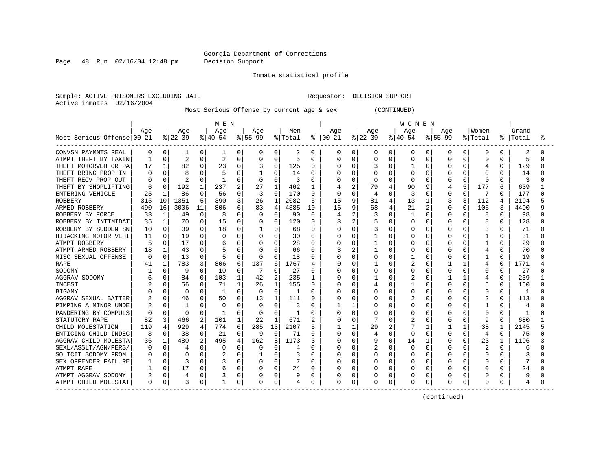Page 48 Run 02/16/04 12:48 pm Decision Support

Inmate statistical profile

Sample: ACTIVE PRISONERS EXCLUDING JAIL **Requestor: DECISION SUPPORT** Active inmates 02/16/2004

Most Serious Offense by current age & sex (CONTINUED)

|                            |          |          |                |             | MEN      |              |           |                |         |                |          |                |          |          | WOMEN        |          |              |              |                |              |           |   |
|----------------------------|----------|----------|----------------|-------------|----------|--------------|-----------|----------------|---------|----------------|----------|----------------|----------|----------|--------------|----------|--------------|--------------|----------------|--------------|-----------|---|
|                            | Age      |          | Age            |             | Age      |              | Age       |                | Men     |                | Aqe      |                | Age      |          | Age          |          | Aqe          |              | Women          |              | Grand     |   |
| Most Serious Offense 00-21 |          |          | $ 22-39 $      |             | $ 40-54$ |              | $8 55-99$ |                | % Total | ᡷ              | $ 00-21$ |                | $ 22-39$ |          | $ 40-54$     |          | $8155 - 99$  |              | % Total        |              | %   Total | ° |
| CONVSN PAYMNTS REAL        | 0        | 0        | 1              | 0           | 1        | 0            | 0         | 0              | 2       | 0              | 0        | 0              | 0        | 0        | 0            | 0        | 0            | 0            | 0              | 0            | 2         | O |
| ATMPT THEFT BY TAKIN       |          | $\Omega$ | $\overline{c}$ | $\Omega$    | 2        | 0            | 0         | $\Omega$       | 5       | $\Omega$       | Ω        | 0              | Ω        | 0        | O            |          | O            | O            | $\Omega$       | 0            | 5         | O |
| THEFT MOTORVEH OR PA       | 17       |          | 82             | 0           | 23       | 0            |           | $\Omega$       | 125     | <sup>0</sup>   | O        | 0              | 3        | 0        |              | Ω        | O            |              | 4              | 0            | 129       |   |
| THEFT BRING PROP IN        |          |          | 8              | O           | 5        | 0            |           | O              | 14      | O              | Ω        | $\Omega$       | U        | O        | U            | N        | O            |              | <sup>0</sup>   | <sup>0</sup> | 14        |   |
| THEFT RECV PROP OUT        |          | 0        | 2              | $\Omega$    | -1       | 0            | $\Omega$  | O              | 3       | O              | Λ        | $\Omega$       | O        | O        | O            | 0        |              | O            | $\Omega$       | 0            | 3         |   |
| THEFT BY SHOPLIFTING       | 6        | $\Omega$ | 192            |             | 237      | 2            | 27        | 1              | 462     | 1              |          | 2              | 79       |          | 90           | 9        | 4            | 5            | 177            | 6            | 639       |   |
| ENTERING VEHICLE           | 25       |          | 86             | $\Omega$    | 56       | 0            | 3         | $\Omega$       | 170     | $\Omega$       | 0        | $\Omega$       | 4        | O        | 3            | 0        | 0            | $\Omega$     | 7              | 0            | 177       |   |
| <b>ROBBERY</b>             | 315      | 10       | 1351           | 5           | 390      | 3            | 26        | $\mathbf{1}$   | 2082    | 5              | 15       | 9              | 81       |          | 13           | 1        | 3            | 3            | 112            |              | 2194      |   |
| ARMED ROBBERY              | 490      | 16       | 3006           | 11          | 806      | 6            | 83        | 4              | 4385    | 10             | 16       | 9              | 68       | 4        | 21           | 2        | O            | O            | 105            | 3            | 4490      | q |
| ROBBERY BY FORCE           | 33       | 1        | 49             | $\mathbf 0$ | 8        | 0            | $\Omega$  | 0              | 90      | $\Omega$       | 4        | 2              | 3        | O        | $\mathbf{1}$ | $\Omega$ | 0            | O            | 8              | $\Omega$     | 98        |   |
| ROBBERY BY INTIMIDAT       | 35       | 1        | 70             | $\Omega$    | 15       | 0            | 0         | 0              | 120     | 0              | 3        | $\overline{2}$ | 5        | O        | 0            | 0        | O            | 0            | 8              | $\Omega$     | 128       | ∩ |
| ROBBERY BY SUDDEN SN       | 10       | $\Omega$ | 39             | $\Omega$    | 18       | 0            |           | 0              | 68      | $\Omega$       | Ω        | 0              | 3        | $\Omega$ | O            | N        | O            | U            | 3              | $\Omega$     | 71        |   |
| HIJACKING MOTOR VEHI       | 11       | $\Omega$ | 19             | $\Omega$    | O        | 0            | 0         | $\Omega$       | 30      | $\Omega$       | O        | 0              |          | O        | 0            | O        | O            | O            |                | 0            | 31        |   |
| ATMPT ROBBERY              | д        | U        | 17             | 0           | 6        | 0            | 0         | $\Omega$       | 28      | $\Omega$       | Ω        | 0              |          | O        | 0            | O        | O            | O            |                | 0            | 29        | U |
| ATMPT ARMED ROBBERY        | 18       |          | 43             | N           |          | 0            | $\Omega$  | O              | 66      | 0              | 3        | $\overline{c}$ |          | O        | O            |          |              |              | 4              | O            | 70        |   |
| MISC SEXUAL OFFENSE        | C        | 0        | 13             | 0           | 5        | 0            | $\Omega$  | $\Omega$       | 18      | O              | Ω        | 0              |          | O        |              |          | U            |              |                | 0            | 19        |   |
| <b>RAPE</b>                | 41       | 1        | 783            | 3           | 806      | 6            | 137       | 6              | 1767    | $\overline{4}$ | ი        | ∩              |          | C        | 2            | N        |              | $\mathbf{1}$ | 4              | O            | 1771      |   |
| SODOMY                     |          | O        | 9              | $\Omega$    | 10       | 0            |           | O              | 27      | O              | Ω        | $\Omega$       | ი        | O        | O            | 0        | O            | O            | <sup>0</sup>   | 0            | 27        |   |
| AGGRAV SODOMY              |          | 0        | 84             | 0           | 103      | $\mathbf{1}$ | 42        | $\overline{2}$ | 235     | 1              | Ω        | $\Omega$       |          | U        |              | 0        |              | 1            |                | 0            | 239       |   |
| INCEST                     |          | 0        | 56             | $\Omega$    | 71       | $\mathbf{1}$ | 26        | $\mathbf{1}$   | 155     | 0              | Ω        | $\Omega$       | 4        | O        |              | N        | O            | U            | 5              | $\Omega$     | 160       |   |
| <b>BIGAMY</b>              |          | 0        | 0              | $\Omega$    | -1       | 0            | 0         | $\Omega$       |         | $\Omega$       |          | 0              |          | O        | 0            | N        |              | 0            | $\Omega$       | 0            |           |   |
| AGGRAV SEXUAL BATTER       |          | 0        | 46             | 0           | 50       | 0            | 13        | 1              | 111     | <sup>0</sup>   |          | 0              | N        | O        |              | N        | O            | U            |                | 0            | 113       |   |
| PIMPING A MINOR UNDE       |          | $\Omega$ | -1             | $\Omega$    | O        | 0            | 0         | $\Omega$       | 3       | $\Omega$       |          | 1              | Ω        | $\Omega$ | O            | O        | U            | O            | $\mathbf{1}$   | 0            | 4         |   |
| PANDERING BY COMPULS       | C        | $\Omega$ | $\Omega$       | $\Omega$    | 1        | 0            | $\Omega$  | $\Omega$       | 1       | $\Omega$       | U        | 0              | Ω        | O        | 0            | 0        |              | 0            | $\Omega$       | $\Omega$     |           |   |
| STATUTORY RAPE             | 82       | 3        | 466            | 2           | 101      | 1            | 22        | $\mathbf{1}$   | 671     | 2              | N        | 0              | 7        | U        | 2            | O        | U            | O            | 9              | <sup>0</sup> | 680       |   |
| CHILD MOLESTATION          | 119      | 4        | 929            | 4           | 774      | 6            | 285       | 13             | 2107    | 5              |          | 1              | 29       | 2        |              | 1        |              | 1            | 38             | 1            | 2145      |   |
| ENTICING CHILD-INDEC       | 3        | 0        | 38             | $\Omega$    | 21       | 0            | 9         | 0              | 71      | $\Omega$       | U        | 0              | 4        | $\Omega$ | 0            | O        | <sup>0</sup> | $\Omega$     | $\overline{4}$ | 0            | 75        |   |
| AGGRAV CHILD MOLESTA       | 36       |          | 480            | 2           | 495      | 4            | 162       | 8              | 1173    | 3              | ი        | 0              | 9        | 0        | 14           |          | O            | O            | 23             |              | 1196      |   |
| SEXL/ASSLT/AGN/PERS        |          | $\Omega$ | 4              | $\Omega$    | 0        | 0            | 0         | 0              | 4       | $\Omega$       | Ω        | 0              | 2        | O        | 0            | N        |              |              |                |              | 6         |   |
| SOLICIT SODOMY FROM        |          | O        | n              | O           |          | 0            |           | O              |         | O              | Ω        | 0              | Ω        | O        | O            | N        | O            | O            | $\Omega$       | O            | 3         |   |
| SEX OFFENDER FAIL RE       |          | 0        | 3              | $\Omega$    |          | 0            | O         | 0              |         | $\Omega$       | Λ        | $\Omega$       | ი        | O        | O            | O        | O            | O            | ∩              | 0            | 7         |   |
| ATMPT RAPE                 |          | $\Omega$ | 17             | 0           | 6        | 0            | 0         | 0              | 24      | $\Omega$       |          | 0              | N        | $\cap$   | O            | $\Omega$ | U            | O            | n              | 0            | 24        |   |
| ATMPT AGGRAV SODOMY        | 2        | $\Omega$ |                | 0           |          | 0            |           | 0              |         | $\Omega$       |          | 0              | Ω        | 0        | 0            | 0        |              | 0            |                |              | 9         |   |
| ATMPT CHILD MOLESTAT       | $\Omega$ | 0        | 3              | 0           | 1        | 0            |           | 0              | 4       | 0              | Ω        | 0              | 0        | 0        | 0            | 0        | 0            | 0            | $\Omega$       |              | 4         |   |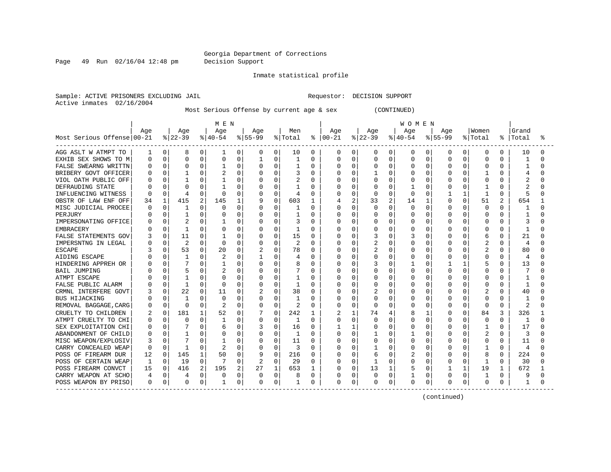Page 49 Run 02/16/04 12:48 pm Decision Support

Inmate statistical profile

Sample: ACTIVE PRISONERS EXCLUDING JAIL **Requestor: DECISION SUPPORT** Active inmates 02/16/2004

Most Serious Offense by current age & sex (CONTINUED)

|                            |     |          |              |   | M E N     |          |                |             |                |              |               |              |              |              | <b>WOMEN</b> |          |             |          |             |          |                |   |
|----------------------------|-----|----------|--------------|---|-----------|----------|----------------|-------------|----------------|--------------|---------------|--------------|--------------|--------------|--------------|----------|-------------|----------|-------------|----------|----------------|---|
|                            | Aqe |          | Age          |   | Age       |          | Age            |             | Men            |              | Aqe           |              | Age          |              | Age          |          | Aqe         |          | Women       |          | Grand          |   |
| Most Serious Offense 00-21 |     |          | $ 22-39$     |   | $ 40-54 $ |          | $ 55-99$       |             | % Total        |              | $8   00 - 21$ |              | $ 22-39$     |              | $ 40-54 $    |          | $8155 - 99$ |          | % Total     |          | %   Total      | ° |
| AGG ASLT W ATMPT TO        | 1   | 0        | 8            | 0 | 1         | 0        | 0              | 0           | 10             | 0            | 0             | 0            | 0            | 0            | 0            | 0        | 0           | 0        | 0           | 0        | 10             | 0 |
| EXHIB SEX SHOWS TO M       | Ω   | $\Omega$ | U            | 0 | 0         | 0        |                | 0           |                | $\Omega$     | 0             | 0            | 0            | O            | $\Omega$     | $\Omega$ |             | 0        | 0           |          | -1             | N |
| FALSE SWEARNG WRITTN       |     | 0        | 0            | 0 |           | 0        |                | $\Omega$    |                | $\Omega$     | Ω             | 0            | 0            | O            | $\Omega$     | 0        | $\cap$      |          | $\mathbf 0$ |          | $\mathbf{1}$   | U |
| BRIBERY GOVT OFFICER       |     | 0        |              | O |           | O        |                | $\Omega$    | 3              | <sup>0</sup> | ი             | O            |              | U            | O            | $\Omega$ |             | O        |             |          | 4              | U |
| VIOL OATH PUBLIC OFF       |     | $\Omega$ | -1           | 0 |           | U        |                | $\Omega$    | $\overline{c}$ | $\Omega$     | ი             | $\Omega$     | U            | U            | $\Omega$     | $\Omega$ |             | $\Omega$ | $\Omega$    |          | 2              | U |
| DEFRAUDING STATE           |     | $\Omega$ | U            | O |           | O        |                | $\Omega$    |                | <sup>0</sup> | ი             | $\Omega$     |              | U            |              | $\Omega$ |             | $\Omega$ |             | U        |                |   |
| INFLUENCING WITNESS        | 0   | $\Omega$ | 4            | 0 | $\Omega$  | O        | 0              | $\Omega$    | 4              | $\Omega$     |               | $\Omega$     | 0            | O            | $\Omega$     | $\Omega$ |             |          | 1           | 0        | 5              |   |
| OBSTR OF LAW ENF OFF       | 34  | 1        | 415          | 2 | 145       | 1        | 9              | 0           | 603            | $\mathbf{1}$ | 4             | 2            | 33           | 2            | 14           | 1        |             | 0        | 51          | 2        | 654            |   |
| MISC JUDICIAL PROCEE       | Ω   | 0        |              | O | 0         | $\Omega$ |                | $\Omega$    |                | $\Omega$     |               | $\Omega$     | 0            | $\Omega$     | $\Omega$     | $\Omega$ |             | $\Omega$ | $\mathbf 0$ | $\Omega$ |                | U |
| PERJURY                    |     | $\Omega$ | 1            | 0 | O         | $\Omega$ |                | $\Omega$    |                | $\Omega$     | ი             | 0            | 0            | $\Omega$     | $\Omega$     | $\Omega$ |             | $\Omega$ | $\mathbf 0$ | 0        |                |   |
| IMPERSONATING OFFICE       |     | $\Omega$ | 2            | 0 |           | 0        | $\Omega$       | $\Omega$    | 3              | $\Omega$     | N             | 0            | 0            | 0            | O            | $\Omega$ | O           | 0        | $\Omega$    | O        |                | N |
| <b>EMBRACERY</b>           |     | $\Omega$ | $\mathbf{1}$ | O | $\Omega$  | $\Omega$ |                | $\Omega$    | 1              | $\Omega$     | ი             | $\Omega$     | 0            | U            | $\Omega$     | $\Omega$ |             | $\Omega$ | $\mathbf 0$ | U        | -1             | U |
| FALSE STATEMENTS GOV       |     | 0        | 11           | 0 |           | 0        |                | $\Omega$    | 15             | $\Omega$     | Ω             | 0            |              | O            | 3            | $\Omega$ |             | 0        | 6           | 0        | 21             | U |
| IMPERSNTNG IN LEGAL        |     | 0        | 2            | 0 | $\Omega$  | 0        | 0              | $\Omega$    | 2              | $\Omega$     | Ω             | 0            | 2            | O            | $\Omega$     | 0        |             | 0        | 2           | U        | 4              |   |
| <b>ESCAPE</b>              |     | O        | 53           | 0 | 20        | 0        | 2              | $\Omega$    | 78             | $\Omega$     | N             | 0            |              |              | O            | O        |             |          | 2           |          | 80             |   |
| AIDING ESCAPE              |     | O        | $\mathbf{1}$ | 0 |           | 0        |                | $\Omega$    |                | $\Omega$     |               | 0            | 0            | O            | $\Omega$     | 0        |             |          | 0           |          | 4              |   |
| HINDERING APPREH OR        |     | U        |              | O |           | O        | <sup>0</sup>   | $\Omega$    |                | $\Omega$     | ი             | ∩            |              | U            | 1            | $\Omega$ |             |          |             |          | 13             | U |
| <b>BAIL JUMPING</b>        |     | 0        |              | 0 |           | U        |                | $\Omega$    |                | $\Omega$     | Ω             | $\Omega$     | U            | U            | $\Omega$     | $\Omega$ |             | $\Omega$ | $\Omega$    |          |                |   |
| ATMPT ESCAPE               |     | 0        |              | O |           | U        | $\Omega$       | $\Omega$    |                | <sup>0</sup> | Ω             | O            |              | U            | $\Omega$     | $\Omega$ |             | $\Omega$ | $\Omega$    | U        |                |   |
| FALSE PUBLIC ALARM         |     | $\Omega$ | -1           | 0 | $\Omega$  | 0        | 0              | $\Omega$    | -1             | $\Omega$     |               | 0            | 0            | U            | $\Omega$     | $\Omega$ |             | $\Omega$ | $\Omega$    | U        | -1             |   |
| CRMNL INTERFERE GOVT       |     | 0        | 22           | 0 | 11        | 0        | 2              | 0           | 38             | $\Omega$     |               | $\Omega$     |              | O            | $\Omega$     | 0        |             | $\Omega$ | 2           |          | 40             | በ |
| <b>BUS HIJACKING</b>       |     | $\Omega$ | $\mathbf{1}$ | O | $\Omega$  | 0        |                | $\Omega$    | 1              | $\Omega$     |               | 0            | O            | O            | $\Omega$     | 0        |             | $\Omega$ | $\Omega$    |          | 1              |   |
| REMOVAL BAGGAGE, CARG      |     | $\Omega$ | $\Omega$     | 0 |           | 0        |                | 0           | 2              | $\Omega$     | O             | $\Omega$     | $\Omega$     | 0            | $\Omega$     | 0        | $\cap$      | 0        | $\Omega$    | $\Omega$ | $\overline{2}$ | ∩ |
| CRUELTY TO CHILDREN        |     | 0        | 181          |   | 52        | $\Omega$ |                | $\Omega$    | 242            | 1            | 2             | $\mathbf{1}$ | 74           | 4            | 8            | 1        |             | $\Omega$ | 84          | 3        | 326            |   |
| ATMPT CRUELTY TO CHI       |     | $\Omega$ | <sup>0</sup> | 0 |           | O        |                | $\Omega$    | 1              | $\Omega$     | U             | $\Omega$     | U            | U            | $\Omega$     | $\Omega$ |             | $\Omega$ | $\mathbf 0$ | $\cap$   | -1             | ∩ |
| SEX EXPLOITATION CHI       |     | 0        | 7            | 0 |           | 0        | 3              | 0           | 16             | $\Omega$     |               | 1            | 0            | 0            | 0            | $\Omega$ |             | 0        | -1          | U        | 17             |   |
| ABANDONMENT OF CHILD       | Ω   | $\Omega$ |              | 0 | O         | 0        | 0              | $\Omega$    | 1              | $\Omega$     | Ω             | 0            |              | U            |              | 0        |             | 0        | 2           |          | 3              |   |
| MISC WEAPON/EXPLOSIV       | 3   | O        |              | 0 |           | O        | 0              | $\Omega$    | 11             | $\Omega$     | ი             | 0            |              |              | <sup>0</sup> | $\Omega$ |             |          | 0           |          | 11             |   |
| CARRY CONCEALED WEAP       | 0   | $\Omega$ | -1           | 0 |           | 0        | 0              | $\Omega$    | 3              | $\Omega$     |               | 0            |              |              | $\Omega$     | 0        |             |          |             |          | 4              |   |
| POSS OF FIREARM DUR        | 12  | $\Omega$ | 145          | 1 | 50        | O        |                | $\Omega$    | 216            | $\Omega$     | N             | $\cap$       | б            |              | 2            | $\Omega$ |             | O        | 8           | O        | 224            |   |
| POSS OF CERTAIN WEAP       |     | 0        | 19           | 0 |           | $\Omega$ | $\overline{2}$ | $\Omega$    | 29             | $\Omega$     | N             | $\Omega$     | $\mathbf{1}$ | 0            | <sup>0</sup> | $\Omega$ |             | $\Omega$ | -1          | U        | 30             | n |
| POSS FIREARM CONVCT        | 15  | 0        | 416          | 2 | 195       | 2        | 27             | 1           | 653            | -1           | N             | $\Omega$     | 13           | $\mathbf{1}$ | 5            | 0        |             |          | 19          | 1        | 672            |   |
| CARRY WEAPON AT SCHO       |     | 0        | 4            | 0 | 0         | 0        | 0              | $\mathbf 0$ | 8              | 0            | Ω             | 0            | 0            | $\Omega$     |              | $\Omega$ |             | 0        | -1          | O        |                |   |
| POSS WEAPON BY PRISO       | 0   | 0        | 0            | 0 | 1         | 0        | 0              | 0           | 1              | 0            | 0             | 0            | 0            | 0            | $\Omega$     | 0        | 0           | 0        | $\mathbf 0$ | 0        | $\mathbf{1}$   | N |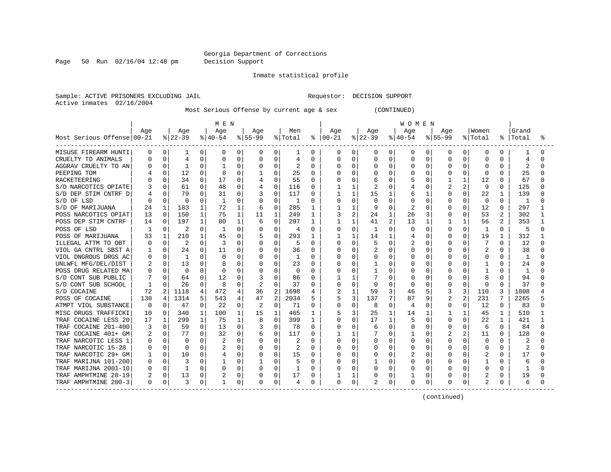Page 50 Run 02/16/04 12:48 pm Decision Support

Inmate statistical profile

Sample: ACTIVE PRISONERS EXCLUDING JAIL **Requestor: DECISION SUPPORT** Active inmates 02/16/2004

Most Serious Offense by current age & sex (CONTINUED)

|                            | M E N    |          |              |              |           |              |                |          |         |              |          | <b>WOMEN</b>   |           |              |             |              |              |              |                |              |       |    |
|----------------------------|----------|----------|--------------|--------------|-----------|--------------|----------------|----------|---------|--------------|----------|----------------|-----------|--------------|-------------|--------------|--------------|--------------|----------------|--------------|-------|----|
|                            | Age      |          | Age          |              | Age       |              | Age            |          | Men     |              | Age      |                | Age       |              | Age         |              | Age          |              | Women          |              | Grand |    |
| Most Serious Offense 00-21 |          |          | $ 22-39$     |              | $ 40-54 $ |              | $ 55-99$       |          | % Total | ႜ            | $ 00-21$ |                | $ 22-39 $ |              | $8140 - 54$ |              | $8155 - 99$  |              | % Total        | % ၂          | Total | °≈ |
| MISUSE FIREARM HUNTI       | 0        | 0        | 1            | 0            | 0         | 0            | 0              | 0        | 1       | 0            | 0        | 0              | 0         | 0            | 0           | 0            | 0            | 0            | 0              | $\Omega$     |       |    |
| CRUELTY TO ANIMALS         |          | 0        | 4            | 0            | 0         | 0            |                | $\Omega$ | 4       | $\Omega$     | 0        | $\Omega$       | 0         | $\Omega$     | $\Omega$    | 0            | $\Omega$     | O            | $\Omega$       | $\Omega$     | 4     |    |
| AGGRAV CRUELTY TO AN       |          | 0        | $\mathbf{1}$ | $\Omega$     |           | O            |                | $\Omega$ | 2       | $\Omega$     | 0        | $\Omega$       | 0         | $\Omega$     | $\Omega$    | $\Omega$     | $\cap$       | U            | $\Omega$       | $\Omega$     | 2     | U  |
| PEEPING TOM                |          | 0        | 12           | 0            |           | O            |                | $\Omega$ | 25      | $\Omega$     | ი        | $\Omega$       |           | $\Omega$     | O           | <sup>0</sup> | <sup>0</sup> | O            | $\Omega$       | <sup>0</sup> | 25    |    |
| RACKETEERING               |          | U        | 34           | $\Omega$     | 17        | $\Omega$     |                | $\Omega$ | 55      | $\Omega$     | Ω        | $\Omega$       | 6         | U            |             | 0            |              | $\mathbf{1}$ | 12             | 0            | 67    |    |
| S/D NARCOTICS OPIATE       |          | U        | 61           | $\Omega$     | 48        | 0            | 4              | 0        | 116     | $\Omega$     |          | 1              | 2         | $\Omega$     | 4           | O            | 2            | 2            | q              | 0            | 125   |    |
| S/D DEP STIM CNTRF D       |          | 0        | 79           | $\Omega$     | 31        | 0            |                | $\Omega$ | 117     | 0            |          | $\mathbf{1}$   | 15        |              | 6           | 1            | $\Omega$     | 0            | 22             |              | 139   |    |
| S/D OF LSD                 |          | 0        | $\Omega$     | 0            |           | 0            |                | $\Omega$ | 1       | $\Omega$     |          | $\Omega$       | 0         | $\Omega$     | $\Omega$    | 0            | $\Omega$     | $\Omega$     | 0              | $\Omega$     | 1     |    |
| S/D OF MARIJUANA           | 24       | 1        | 183          | $\mathbf{1}$ | 72        | $\mathbf{1}$ | 6              | $\Omega$ | 285     | 1            |          | 1              | 9         | $\cap$       | 2           | O            | $\Omega$     | U            | 12             | $\Omega$     | 297   |    |
| POSS NARCOTICS OPIAT       | 13       | $\Omega$ | 150          | $\mathbf{1}$ | 75        | $\mathbf{1}$ | 11             | 1        | 249     | 1            | 3        | $\overline{c}$ | 24        | 1            | 26          | 3            | 0            | 0            | 53             | 2            | 302   |    |
| POSS DEP STIM CNTRF        | 14       | 0        | 197          | $\mathbf{1}$ | 80        | 1            | 6              | 0        | 297     | -1           |          | 1              | 41        | 2            | 13          | 1            |              | 1            | 56             | 2            | 353   |    |
| POSS OF LSD                |          | 0        | 2            | $\Omega$     |           | $\Omega$     |                | 0        | 4       | $\Omega$     | 0        | $\Omega$       | 1         | O            | $\Omega$    | 0            | 0            | $\Omega$     | -1             | $\Omega$     | .5    | U  |
| POSS OF MARIJUANA          | 33       | 1        | 210          | 1            | 45        | 0            |                | 0        | 293     |              |          |                | 14        | -1           | 4           | 0            | <sup>0</sup> | $\Omega$     | 19             |              | 312   |    |
| ILLEGAL ATTM TO OBT        | O        | 0        | 2            | $\Omega$     | 3         | 0            |                | O        | 5       | $\Omega$     | U        | $\Omega$       | 5         | 0            |             |              |              |              |                | <sup>0</sup> | 12    |    |
| VIOL GA CNTRL SBST A       |          | 0        | 24           | $\Omega$     | 11        | 0            |                | $\Omega$ | 36      | $\Omega$     | 0        | 0              |           |              | $\Omega$    | 0            |              |              |                |              | 38    |    |
| VIOL DNGROUS DRGS AC       |          | O        | -1           | $\Omega$     | O         | O            |                | $\Omega$ |         | $\Omega$     | Ω        | $\Omega$       | 0         | U            | $\Omega$    | 0            |              |              | $\Omega$       | $\Omega$     |       |    |
| UNLWFL MFG/DEL/DIST        |          | 0        | 13           | 0            |           | O            |                | O        | 23      | <sup>0</sup> | Ω        | $\Omega$       |           | U            | U           | O            |              | O            |                | <sup>0</sup> | 24    |    |
| POSS DRUG RELATED MA       |          | O        | 0            | $\Omega$     |           | $\Omega$     |                | $\Omega$ | 0       | ∩            | 0        | $\Omega$       |           | U            | O           | U            |              | O            |                | <sup>0</sup> | -1    |    |
| S/D CONT SUB PUBLIC        |          | 0        | 64           | 0            | 12        | 0            | 3              | $\Omega$ | 86      | <sup>0</sup> |          |                |           | U            | O           | U            |              | 0            |                | <sup>0</sup> | 94    |    |
| S/D CONT SUB SCHOOL        |          | 0        | 26           | $\Omega$     | 8         | $\Omega$     | $\overline{2}$ | $\Omega$ | 37      | $\Omega$     |          | $\Omega$       | 0         | O            | $\Omega$    | 0            | 0            | $\Omega$     | $\Omega$       | $\Omega$     | 37    |    |
| S/D COCAINE                | 72       | 2        | 1118         | 4            | 472       | 4            | 36             | 2        | 1698    |              |          | $\mathbf{1}$   | 59        | 3            | 46          | 5            |              | 3            | 110            | 3            | 1808  |    |
| POSS OF COCAINE            | 130      | 4        | 1314         | 5            | 543       | 4            | 47             | 2        | 2034    | 5            | 5        | 3              | 137       |              | 87          | 9            |              | 2            | 231            |              | 2265  |    |
| ATMPT VIOL SUBSTANCE       | $\Omega$ | $\Omega$ | 47           | $\Omega$     | 22        | $\Omega$     | $\overline{2}$ | $\Omega$ | 71      | $\Omega$     | N        | $\Omega$       | 8         | $\Omega$     | 4           | 0            | <sup>0</sup> | 0            | 12             | $\Omega$     | 83    |    |
| MISC DRUGS TRAFFICKI       | 10       | 0        | 340          | 1            | 100       | 1            | 15             | 1        | 465     | 1            | 5        | 3              | 25        | 1            | 14          | 1            |              | 1            | 45             | 1            | 510   |    |
| TRAF COCAINE LESS 20       | 17       | 1        | 299          | $\mathbf{1}$ | 75        | $\mathbf{1}$ | 8              | $\Omega$ | 399     | 1            | N        | $\Omega$       | 17        | $\mathbf{1}$ | 5           | 0            | <sup>0</sup> | <sup>0</sup> | 22             | 1            | 421   |    |
| TRAF COCAINE 201-400       |          | 0        | 59           | $\Omega$     | 13        | 0            |                | 0        | 78      | $\Omega$     | U        | $\Omega$       | 6         | $\Omega$     | O           | 0            | <sup>0</sup> | O            | 6              | $\Omega$     | 84    | Λ  |
| TRAF COCAINE 401+ GM       |          | 0        | 77           | $\Omega$     | 32        | 0            | 6              | 0        | 117     | $\Omega$     |          |                |           | 0            |             | 0            |              |              | 11             | 0            | 128   |    |
| TRAF NARCOTIC LESS 1       | O        | 0        | 0            | 0            | 2         | 0            |                | $\Omega$ | 2       | $\Omega$     | 0        | 0              | 0         | O            | $\Omega$    | 0            |              | O            | 0              |              | 2     |    |
| TRAF NARCOTIC 15-28        |          | O        | <sup>0</sup> | 0            |           | 0            |                | $\Omega$ | 2       | $\Omega$     |          | 0              | 0         | O            | $\Omega$    | U            | $\Omega$     | O            | $\Omega$       |              |       |    |
| TRAF NARCOTIC 29+ GM       |          | 0        | 10           | $\Omega$     |           | $\Omega$     |                | $\Omega$ | 15      | $\Omega$     | Ω        | 0              | 0         | $\cap$       | 2           | O            | <sup>0</sup> | O            |                | $\Omega$     | 17    |    |
| TRAF MARIJNA 101-200       |          | 0        | 3            | $\Omega$     |           | 0            |                | $\Omega$ |         | $\Omega$     | Ω        | $\Omega$       |           | U            | $\Omega$    | 0            | ∩            | O            |                | $\Omega$     | 6     |    |
| TRAF MARIJNA 2001-10       |          | $\Omega$ | -1           | $\Omega$     | O         | 0            | $\Omega$       | $\Omega$ | 1       | <sup>0</sup> | Ω        | $\Omega$       | U         | O            | $\Omega$    | 0            | $\Omega$     | $\Omega$     | $\Omega$       | $\Omega$     |       |    |
| TRAF AMPHTMINE 28-19       |          | 0        | 13           | $\Omega$     |           | 0            |                | 0        | 17      | $\Omega$     |          | 1              |           | 0            |             | 0            |              | $\Omega$     | 2              | 0            | 19    |    |
| TRAF AMPHTMINE 200-3       | 0        | 0        | 3            | 0            |           | 0            |                | 0        | 4       | $\Omega$     | 0        | 0              | 2         | $\Omega$     | $\Omega$    | 0            | $\Omega$     | 0            | $\overline{2}$ |              | 6     |    |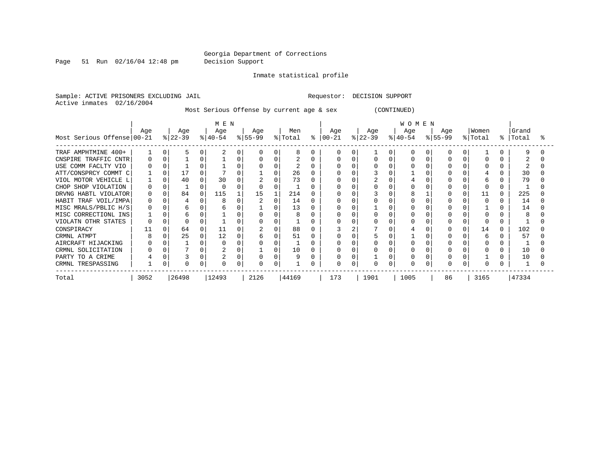Page 51 Run 02/16/04 12:48 pm Decision Support

Inmate statistical profile

Sample: ACTIVE PRISONERS EXCLUDING JAIL **Requestor: DECISION SUPPORT** Active inmates 02/16/2004

Most Serious Offense by current age & sex (CONTINUED)

|                            | M E N    |   |           |   |          |   |           |   |         |   |       | <b>WOMEN</b> |           |          |           |          |             |  |              |   |       |  |  |
|----------------------------|----------|---|-----------|---|----------|---|-----------|---|---------|---|-------|--------------|-----------|----------|-----------|----------|-------------|--|--------------|---|-------|--|--|
|                            | Age      |   | Age       |   | Age      |   | Age       |   | Men     |   | Age   |              | Age       |          | Age       |          | Age         |  | Women        |   | Grand |  |  |
| Most Serious Offense 00-21 |          |   | $ 22-39 $ |   | $ 40-54$ |   | $ 55-99 $ |   | % Total | ႜ | 00-21 |              | $ 22-39 $ |          | $ 40-54 $ |          | $8155 - 99$ |  | % Total      | ° | Total |  |  |
| TRAF AMPHTMINE 400+        |          |   |           |   |          |   |           |   |         | O |       |              |           | $\Omega$ |           |          |             |  |              |   | q     |  |  |
| CNSPIRE TRAFFIC CNTR       |          |   |           |   |          |   |           |   |         |   |       |              |           | $\Omega$ |           |          |             |  |              |   |       |  |  |
| USE COMM FACLTY VIO        |          |   |           |   |          |   |           |   |         |   |       |              |           |          |           |          |             |  |              |   |       |  |  |
| ATT/CONSPRCY COMMT C       |          |   |           |   |          |   |           |   | 26      |   |       |              |           |          |           |          |             |  |              |   | 30    |  |  |
| VIOL MOTOR VEHICLE L       |          |   | 40        | O | 30       |   |           |   | 73      |   |       |              |           |          |           |          |             |  |              |   | 79    |  |  |
| CHOP SHOP VIOLATION        |          |   |           |   |          |   |           |   |         |   |       |              |           |          |           |          |             |  |              |   |       |  |  |
| DRVNG HABTL VIOLATOR       | $\Omega$ |   | 84        |   | 115      |   | 15        |   | 214     |   |       |              |           |          |           |          |             |  | 11           | 0 | 225   |  |  |
| HABIT TRAF VOIL/IMPA       |          |   |           |   |          |   |           |   | 14      |   |       |              |           |          |           |          |             |  |              |   | 14    |  |  |
| MISC MRALS/PBLIC H/S       |          |   |           |   |          |   |           |   | 13      |   |       |              |           |          |           |          |             |  |              |   | 14    |  |  |
| MISC CORRECTIONL INS       |          |   |           |   |          |   |           |   |         |   |       |              |           |          |           |          |             |  |              |   | 8     |  |  |
| VIOLATN OTHR STATES        |          |   |           |   |          |   |           |   |         |   |       |              |           |          |           |          |             |  |              |   |       |  |  |
| CONSPIRACY                 |          |   | 64        | U |          |   |           | 0 | 88      |   |       |              |           |          |           |          |             |  | 14           | 0 | 102   |  |  |
| CRMNL ATMPT                | 8        |   | 25        | O | 12       |   | h         |   | 51      |   |       |              |           |          |           |          |             |  | h            |   | 57    |  |  |
| AIRCRAFT HIJACKING         |          |   |           |   |          |   |           |   |         |   |       |              |           |          |           |          |             |  |              |   |       |  |  |
| CRMNL SOLICITATION         |          |   |           | 0 |          |   |           | O | 10      |   |       |              |           |          |           |          |             |  | <sup>0</sup> |   | 10    |  |  |
| PARTY TO A CRIME           |          |   |           |   |          |   |           |   | 9       |   |       |              |           |          |           |          |             |  |              |   | 10    |  |  |
| CRMNL TRESPASSING          |          | 0 |           | 0 |          | 0 |           |   |         | 0 | 0     |              | O         | $\Omega$ |           | $\Omega$ | O           |  | $\Omega$     |   |       |  |  |
| Total                      | 3052     |   | 26498     |   | 12493    |   | 2126      |   | 44169   |   | 173   |              | 1901      |          | 1005      |          | 86          |  | 3165         |   | 47334 |  |  |